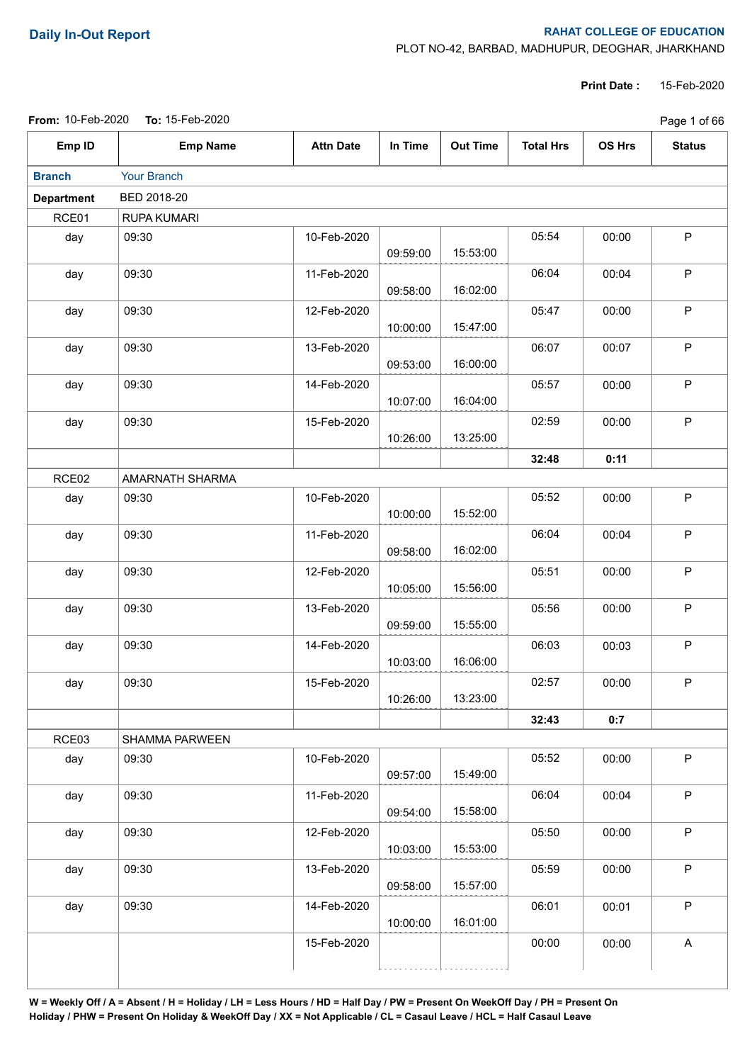## **Daily In-Out Report RAHAT COLLEGE OF EDUCATION**

PLOT NO-42, BARBAD, MADHUPUR, DEOGHAR, JHARKHAND

**Print Date :** 15-Feb-2020

|  | <b>From:</b> 10-Feb-2020 <b>To:</b> 15-Feb-2020 |  |
|--|-------------------------------------------------|--|
|--|-------------------------------------------------|--|

|                   | From: 10-Feb-2020 To: 15-Feb-2020 |                  |          |                 |                  | Page 1 of 66  |               |
|-------------------|-----------------------------------|------------------|----------|-----------------|------------------|---------------|---------------|
| Emp ID            | <b>Emp Name</b>                   | <b>Attn Date</b> | In Time  | <b>Out Time</b> | <b>Total Hrs</b> | <b>OS Hrs</b> | <b>Status</b> |
| <b>Branch</b>     | Your Branch                       |                  |          |                 |                  |               |               |
| <b>Department</b> | BED 2018-20                       |                  |          |                 |                  |               |               |
| RCE01             | RUPA KUMARI                       |                  |          |                 |                  |               |               |
| day               | 09:30                             | 10-Feb-2020      | 09:59:00 | 15:53:00        | 05:54            | 00:00         | P             |
| day               | 09:30                             | 11-Feb-2020      | 09:58:00 | 16:02:00        | 06:04            | 00:04         | P             |
| day               | 09:30                             | 12-Feb-2020      | 10:00:00 | 15:47:00        | 05:47            | 00:00         | $\mathsf P$   |
| day               | 09:30                             | 13-Feb-2020      | 09:53:00 | 16:00:00        | 06:07            | 00:07         | $\mathsf P$   |
| day               | 09:30                             | 14-Feb-2020      | 10:07:00 | 16:04:00        | 05:57            | 00:00         | $\mathsf P$   |
| day               | 09:30                             | 15-Feb-2020      | 10:26:00 | 13:25:00        | 02:59            | 00:00         | $\mathsf P$   |
|                   |                                   |                  |          |                 | 32:48            | 0:11          |               |
| RCE <sub>02</sub> | AMARNATH SHARMA                   |                  |          |                 |                  |               |               |
| day               | 09:30                             | 10-Feb-2020      | 10:00:00 | 15:52:00        | 05:52            | 00:00         | $\mathsf P$   |
| day               | 09:30                             | 11-Feb-2020      | 09:58:00 | 16:02:00        | 06:04            | 00:04         | $\mathsf P$   |
| day               | 09:30                             | 12-Feb-2020      | 10:05:00 | 15:56:00        | 05:51            | 00:00         | $\mathsf P$   |
| day               | 09:30                             | 13-Feb-2020      | 09:59:00 | 15:55:00        | 05:56            | 00:00         | P             |
| day               | 09:30                             | 14-Feb-2020      | 10:03:00 | 16:06:00        | 06:03            | 00:03         | $\mathsf P$   |
| day               | 09:30                             | 15-Feb-2020      | 10:26:00 | 13:23:00        | 02:57            | 00:00         | P.            |
|                   |                                   |                  |          |                 | 32:43            | 0:7           |               |
| RCE03             | SHAMMA PARWEEN                    |                  |          |                 |                  |               |               |
| day               | 09:30                             | 10-Feb-2020      | 09:57:00 | 15:49:00        | 05:52            | 00:00         | $\mathsf P$   |
| day               | 09:30                             | 11-Feb-2020      | 09:54:00 | 15:58:00        | 06:04            | 00:04         | $\mathsf P$   |
| day               | 09:30                             | 12-Feb-2020      | 10:03:00 | 15:53:00        | 05:50            | 00:00         | $\mathsf P$   |
| day               | 09:30                             | 13-Feb-2020      | 09:58:00 | 15:57:00        | 05:59            | 00:00         | $\mathsf P$   |
| day               | 09:30                             | 14-Feb-2020      | 10:00:00 | 16:01:00        | 06:01            | 00:01         | $\mathsf P$   |
|                   |                                   | 15-Feb-2020      |          |                 | 00:00            | 00:00         | A             |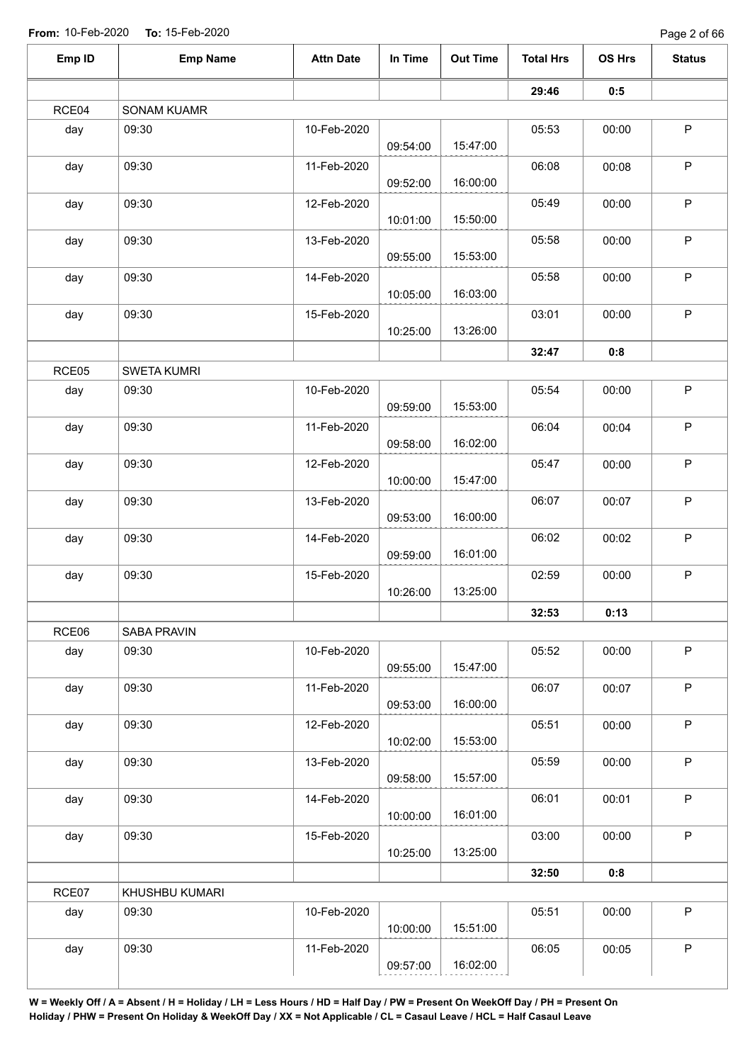Page 2 of 66

| Emp ID | <b>Emp Name</b>    | <b>Attn Date</b> | In Time  | <b>Out Time</b> | <b>Total Hrs</b> | OS Hrs | <b>Status</b> |
|--------|--------------------|------------------|----------|-----------------|------------------|--------|---------------|
|        |                    |                  |          |                 | 29:46            | 0:5    |               |
| RCE04  | <b>SONAM KUAMR</b> |                  |          |                 |                  |        |               |
| day    | 09:30              | 10-Feb-2020      |          |                 | 05:53            | 00:00  | $\mathsf P$   |
|        |                    |                  | 09:54:00 | 15:47:00        |                  |        |               |
| day    | 09:30              | 11-Feb-2020      |          |                 | 06:08            | 00:08  | $\sf P$       |
|        |                    |                  | 09:52:00 | 16:00:00        |                  |        |               |
| day    | 09:30              | 12-Feb-2020      | 10:01:00 | 15:50:00        | 05:49            | 00:00  | $\mathsf P$   |
| day    | 09:30              | 13-Feb-2020      |          |                 | 05:58            | 00:00  | $\sf P$       |
|        |                    |                  | 09:55:00 | 15:53:00        |                  |        |               |
| day    | 09:30              | 14-Feb-2020      |          |                 | 05:58            | 00:00  | $\mathsf P$   |
|        |                    |                  | 10:05:00 | 16:03:00        |                  |        |               |
| day    | 09:30              | 15-Feb-2020      |          |                 | 03:01            | 00:00  | $\mathsf P$   |
|        |                    |                  | 10:25:00 | 13:26:00        |                  |        |               |
|        |                    |                  |          |                 | 32:47            | 0:8    |               |
| RCE05  | <b>SWETA KUMRI</b> |                  |          |                 |                  |        |               |
| day    | 09:30              | 10-Feb-2020      |          |                 | 05:54            | 00:00  | $\mathsf P$   |
|        |                    |                  | 09:59:00 | 15:53:00        |                  |        |               |
| day    | 09:30              | 11-Feb-2020      |          |                 | 06:04            | 00:04  | $\sf P$       |
|        |                    |                  | 09:58:00 | 16:02:00        |                  |        |               |
| day    | 09:30              | 12-Feb-2020      |          |                 | 05:47            | 00:00  | $\mathsf P$   |
|        |                    |                  | 10:00:00 | 15:47:00        |                  |        |               |
| day    | 09:30              | 13-Feb-2020      |          |                 | 06:07            | 00:07  | $\mathsf P$   |
|        |                    |                  | 09:53:00 | 16:00:00        |                  |        |               |
| day    | 09:30              | 14-Feb-2020      |          |                 | 06:02            | 00:02  | $\sf P$       |
|        |                    |                  | 09:59:00 | 16:01:00        |                  |        |               |
| day    | 09:30              | 15-Feb-2020      |          |                 | 02:59            | 00:00  | $\mathsf P$   |
|        |                    |                  | 10:26:00 | 13:25:00        |                  |        |               |
|        |                    |                  |          |                 | 32:53            | 0:13   |               |
| RCE06  | SABA PRAVIN        |                  |          |                 |                  |        |               |
| day    | 09:30              | 10-Feb-2020      |          |                 | 05:52            | 00:00  | $\mathsf P$   |
|        |                    |                  | 09:55:00 | 15:47:00        |                  |        |               |
| day    | 09:30              | 11-Feb-2020      | 09:53:00 | 16:00:00        | 06:07            | 00:07  | $\sf P$       |
|        |                    |                  |          |                 | 05:51            |        | $\mathsf P$   |
| day    | 09:30              | 12-Feb-2020      | 10:02:00 | 15:53:00        |                  | 00:00  |               |
| day    | 09:30              | 13-Feb-2020      |          |                 | 05:59            | 00:00  | $\sf P$       |
|        |                    |                  | 09:58:00 | 15:57:00        |                  |        |               |
| day    | 09:30              | 14-Feb-2020      |          |                 | 06:01            | 00:01  | $\sf P$       |
|        |                    |                  | 10:00:00 | 16:01:00        |                  |        |               |
| day    | 09:30              | 15-Feb-2020      |          |                 | 03:00            | 00:00  | $\mathsf P$   |
|        |                    |                  | 10:25:00 | 13:25:00        |                  |        |               |
|        |                    |                  |          |                 | 32:50            | 0:8    |               |
| RCE07  | KHUSHBU KUMARI     |                  |          |                 |                  |        |               |
| day    | 09:30              | 10-Feb-2020      |          |                 | 05:51            | 00:00  | $\mathsf P$   |
|        |                    |                  | 10:00:00 | 15:51:00        |                  |        |               |
| day    | 09:30              | 11-Feb-2020      |          |                 | 06:05            | 00:05  | $\mathsf P$   |
|        |                    |                  | 09:57:00 | 16:02:00        |                  |        |               |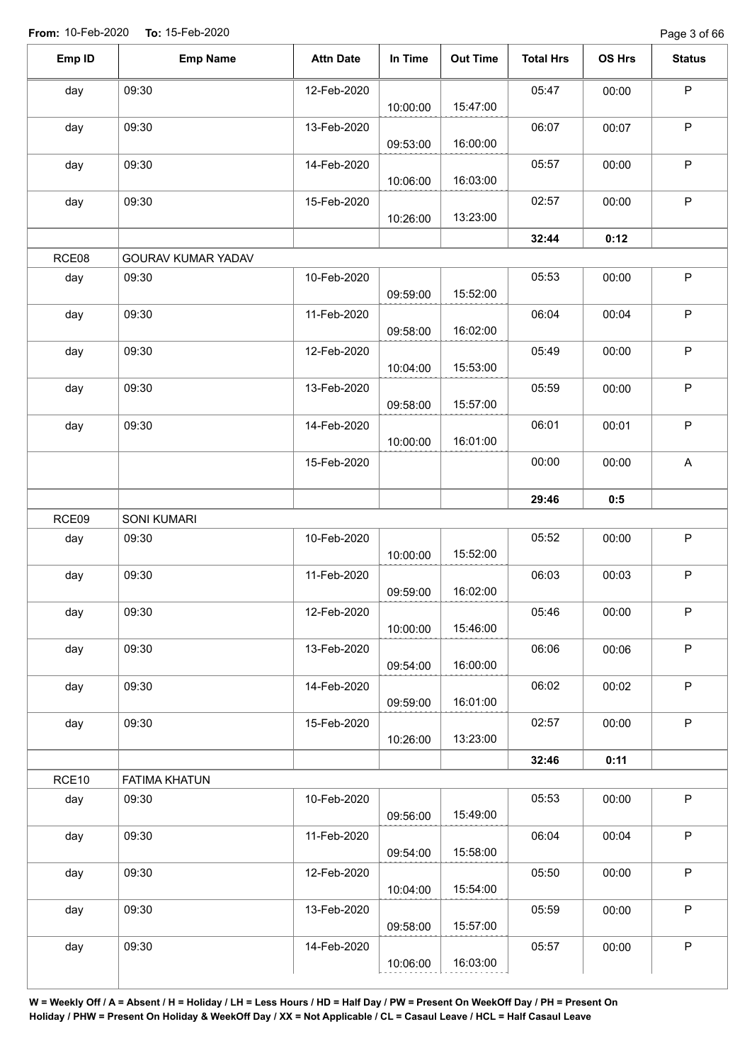| Emp ID | <b>Emp Name</b>      | <b>Attn Date</b> | In Time  | <b>Out Time</b> | <b>Total Hrs</b> | OS Hrs | <b>Status</b>             |
|--------|----------------------|------------------|----------|-----------------|------------------|--------|---------------------------|
| day    | 09:30                | 12-Feb-2020      | 10:00:00 | 15:47:00        | 05:47            | 00:00  | $\sf P$                   |
| day    | 09:30                | 13-Feb-2020      | 09:53:00 | 16:00:00        | 06:07            | 00:07  | $\sf P$                   |
| day    | 09:30                | 14-Feb-2020      | 10:06:00 | 16:03:00        | 05:57            | 00:00  | $\mathsf P$               |
| day    | 09:30                | 15-Feb-2020      | 10:26:00 | 13:23:00        | 02:57            | 00:00  | $\mathsf P$               |
|        |                      |                  |          |                 | 32:44            | 0:12   |                           |
| RCE08  | GOURAV KUMAR YADAV   |                  |          |                 |                  |        |                           |
| day    | 09:30                | 10-Feb-2020      | 09:59:00 | 15:52:00        | 05:53            | 00:00  | $\mathsf P$               |
| day    | 09:30                | 11-Feb-2020      | 09:58:00 | 16:02:00        | 06:04            | 00:04  | P                         |
| day    | 09:30                | 12-Feb-2020      | 10:04:00 | 15:53:00        | 05:49            | 00:00  | $\sf P$                   |
| day    | 09:30                | 13-Feb-2020      | 09:58:00 | 15:57:00        | 05:59            | 00:00  | $\sf P$                   |
| day    | 09:30                | 14-Feb-2020      | 10:00:00 | 16:01:00        | 06:01            | 00:01  | $\mathsf P$               |
|        |                      | 15-Feb-2020      |          |                 | 00:00            | 00:00  | $\boldsymbol{\mathsf{A}}$ |
|        |                      |                  |          |                 | 29:46            | 0:5    |                           |
| RCE09  | SONI KUMARI          |                  |          |                 |                  |        |                           |
| day    | 09:30                | 10-Feb-2020      | 10:00:00 | 15:52:00        | 05:52            | 00:00  | $\mathsf P$               |
| day    | 09:30                | 11-Feb-2020      | 09:59:00 | 16:02:00        | 06:03            | 00:03  | $\mathsf P$               |
| day    | 09:30                | 12-Feb-2020      | 10:00:00 | 15:46:00        | 05:46            | 00:00  | $\mathsf{P}$              |
| day    | 09:30                | 13-Feb-2020      | 09:54:00 | 16:00:00        | 06:06            | 00:06  | $\sf P$                   |
| day    | 09:30                | 14-Feb-2020      | 09:59:00 | 16:01:00        | 06:02            | 00:02  | $\sf P$                   |
| day    | 09:30                | 15-Feb-2020      | 10:26:00 | 13:23:00        | 02:57            | 00:00  | $\sf P$                   |
|        |                      |                  |          |                 | 32:46            | 0:11   |                           |
| RCE10  | <b>FATIMA KHATUN</b> |                  |          |                 |                  |        |                           |
| day    | 09:30                | 10-Feb-2020      | 09:56:00 | 15:49:00        | 05:53            | 00:00  | $\sf P$                   |
| day    | 09:30                | 11-Feb-2020      | 09:54:00 | 15:58:00        | 06:04            | 00:04  | $\sf P$                   |
| day    | 09:30                | 12-Feb-2020      | 10:04:00 | 15:54:00        | 05:50            | 00:00  | $\sf P$                   |
| day    | 09:30                | 13-Feb-2020      | 09:58:00 | 15:57:00        | 05:59            | 00:00  | $\mathsf P$               |
| day    | 09:30                | 14-Feb-2020      | 10:06:00 | 16:03:00        | 05:57            | 00:00  | P                         |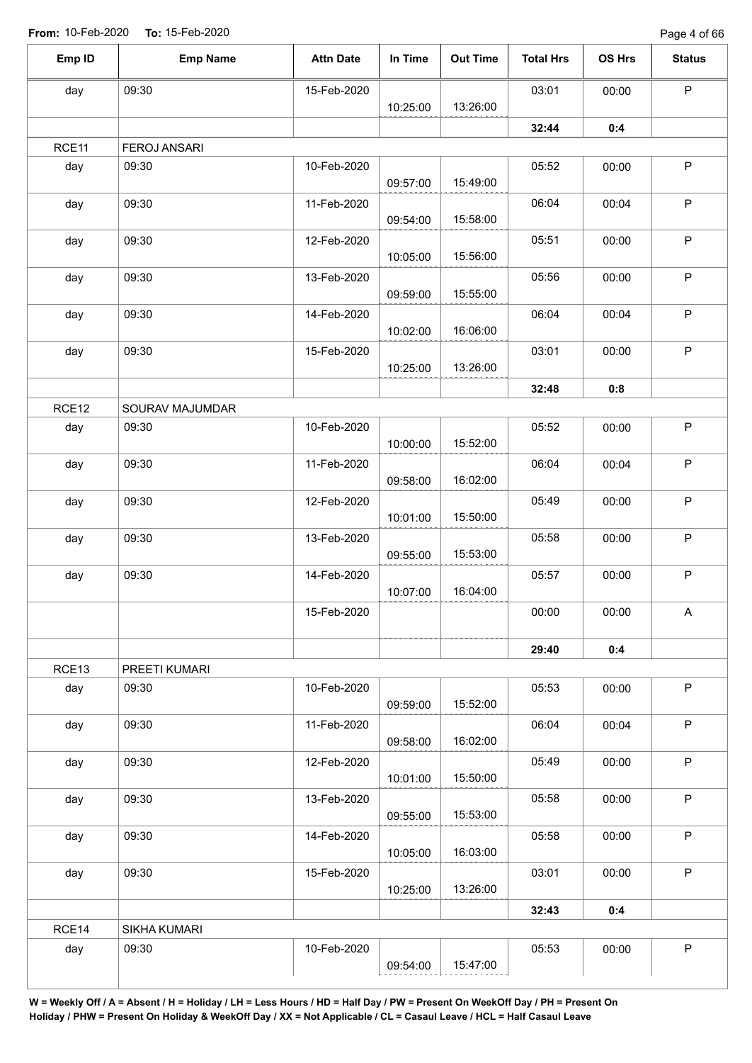| Emp ID | <b>Emp Name</b>     | <b>Attn Date</b> | In Time  | <b>Out Time</b> | <b>Total Hrs</b> | OS Hrs | <b>Status</b> |
|--------|---------------------|------------------|----------|-----------------|------------------|--------|---------------|
| day    | 09:30               | 15-Feb-2020      |          |                 | 03:01            | 00:00  | $\mathsf P$   |
|        |                     |                  | 10:25:00 | 13:26:00        |                  |        |               |
|        |                     |                  |          |                 | 32:44            | 0:4    |               |
| RCE11  | <b>FEROJ ANSARI</b> |                  |          |                 |                  |        |               |
| day    | 09:30               | 10-Feb-2020      | 09:57:00 | 15:49:00        | 05:52            | 00:00  | $\sf P$       |
| day    | 09:30               | 11-Feb-2020      | 09:54:00 | 15:58:00        | 06:04            | 00:04  | $\sf P$       |
| day    | 09:30               | 12-Feb-2020      | 10:05:00 | 15:56:00        | 05:51            | 00:00  | $\mathsf P$   |
| day    | 09:30               | 13-Feb-2020      | 09:59:00 | 15:55:00        | 05:56            | 00:00  | $\sf P$       |
| day    | 09:30               | 14-Feb-2020      | 10:02:00 | 16:06:00        | 06:04            | 00:04  | $\mathsf P$   |
| day    | 09:30               | 15-Feb-2020      | 10:25:00 | 13:26:00        | 03:01            | 00:00  | $\mathsf P$   |
|        |                     |                  |          |                 | 32:48            | 0:8    |               |
| RCE12  | SOURAV MAJUMDAR     |                  |          |                 |                  |        |               |
| day    | 09:30               | 10-Feb-2020      | 10:00:00 | 15:52:00        | 05:52            | 00:00  | $\sf P$       |
| day    | 09:30               | 11-Feb-2020      | 09:58:00 | 16:02:00        | 06:04            | 00:04  | $\sf P$       |
| day    | 09:30               | 12-Feb-2020      | 10:01:00 | 15:50:00        | 05:49            | 00:00  | $\sf P$       |
| day    | 09:30               | 13-Feb-2020      | 09:55:00 | 15:53:00        | 05:58            | 00:00  | $\sf P$       |
| day    | 09:30               | 14-Feb-2020      | 10:07:00 | 16:04:00        | 05:57            | 00:00  | $\mathsf P$   |
|        |                     | 15-Feb-2020      |          |                 | 00:00            | 00:00  | A             |
|        |                     |                  |          |                 | 29:40            | 0:4    |               |
| RCE13  | PREETI KUMARI       |                  |          |                 |                  |        |               |
| day    | 09:30               | 10-Feb-2020      | 09:59:00 | 15:52:00        | 05:53            | 00:00  | $\mathsf P$   |
| day    | 09:30               | 11-Feb-2020      | 09:58:00 | 16:02:00        | 06:04            | 00:04  | $\sf P$       |
| day    | 09:30               | 12-Feb-2020      | 10:01:00 | 15:50:00        | 05:49            | 00:00  | $\mathsf P$   |
| day    | 09:30               | 13-Feb-2020      | 09:55:00 | 15:53:00        | 05:58            | 00:00  | $\mathsf P$   |
| day    | 09:30               | 14-Feb-2020      | 10:05:00 | 16:03:00        | 05:58            | 00:00  | $\sf P$       |
| day    | 09:30               | 15-Feb-2020      | 10:25:00 | 13:26:00        | 03:01            | 00:00  | $\mathsf P$   |
|        |                     |                  |          |                 | 32:43            | 0:4    |               |
| RCE14  | SIKHA KUMARI        |                  |          |                 |                  |        |               |
| day    | 09:30               | 10-Feb-2020      |          |                 | 05:53            | 00:00  | $\sf P$       |
|        |                     |                  | 09:54:00 | 15:47:00        |                  |        |               |
|        |                     |                  |          |                 |                  |        |               |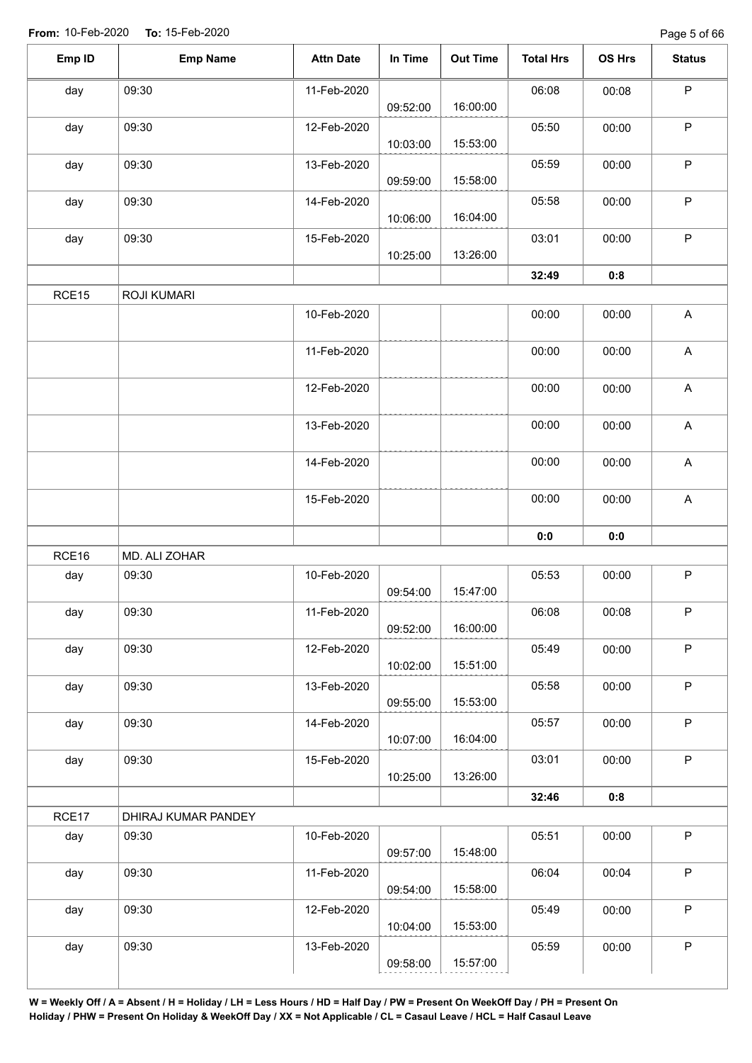| Emp ID | <b>Emp Name</b>     | <b>Attn Date</b> | In Time  | <b>Out Time</b> | <b>Total Hrs</b> | OS Hrs | <b>Status</b>             |
|--------|---------------------|------------------|----------|-----------------|------------------|--------|---------------------------|
| day    | 09:30               | 11-Feb-2020      | 09:52:00 | 16:00:00        | 06:08            | 00:08  | $\sf P$                   |
| day    | 09:30               | 12-Feb-2020      | 10:03:00 | 15:53:00        | 05:50            | 00:00  | $\sf P$                   |
| day    | 09:30               | 13-Feb-2020      | 09:59:00 | 15:58:00        | 05:59            | 00:00  | $\mathsf{P}$              |
| day    | 09:30               | 14-Feb-2020      | 10:06:00 | 16:04:00        | 05:58            | 00:00  | $\mathsf P$               |
| day    | 09:30               | 15-Feb-2020      | 10:25:00 | 13:26:00        | 03:01            | 00:00  | $\mathsf P$               |
|        |                     |                  |          |                 | 32:49            | 0:8    |                           |
| RCE15  | <b>ROJI KUMARI</b>  |                  |          |                 |                  |        |                           |
|        |                     | 10-Feb-2020      |          |                 | 00:00            | 00:00  | $\mathsf A$               |
|        |                     | 11-Feb-2020      |          |                 | 00:00            | 00:00  | $\boldsymbol{\mathsf{A}}$ |
|        |                     | 12-Feb-2020      |          |                 | 00:00            | 00:00  | $\boldsymbol{\mathsf{A}}$ |
|        |                     | 13-Feb-2020      |          |                 | 00:00            | 00:00  | $\boldsymbol{\mathsf{A}}$ |
|        |                     | 14-Feb-2020      |          |                 | 00:00            | 00:00  | $\boldsymbol{\mathsf{A}}$ |
|        |                     | 15-Feb-2020      |          |                 | 00:00            | 00:00  | $\boldsymbol{\mathsf{A}}$ |
|        |                     |                  |          |                 | 0:0              | 0:0    |                           |
| RCE16  | MD. ALI ZOHAR       |                  |          |                 |                  |        |                           |
| day    | 09:30               | 10-Feb-2020      | 09:54:00 | 15:47:00        | 05:53            | 00:00  | $\mathsf P$               |
| day    | 09:30               | 11-Feb-2020      | 09:52:00 | 16:00:00        | 06:08            | 00:08  | $\sf P$                   |
| day    | 09:30               | 12-Feb-2020      | 10:02:00 | 15:51:00        | 05:49            | 00:00  | $\mathsf P$               |
| day    | 09:30               | 13-Feb-2020      | 09:55:00 | 15:53:00        | 05:58            | 00:00  | P                         |
| day    | 09:30               | 14-Feb-2020      | 10:07:00 | 16:04:00        | 05:57            | 00:00  | $\mathsf P$               |
| day    | 09:30               | 15-Feb-2020      | 10:25:00 | 13:26:00        | 03:01            | 00:00  | $\mathsf P$               |
|        |                     |                  |          |                 | 32:46            | 0:8    |                           |
| RCE17  | DHIRAJ KUMAR PANDEY |                  |          |                 |                  |        |                           |
| day    | 09:30               | 10-Feb-2020      | 09:57:00 | 15:48:00        | 05:51            | 00:00  | P                         |
| day    | 09:30               | 11-Feb-2020      | 09:54:00 | 15:58:00        | 06:04            | 00:04  | $\mathsf{P}$              |
| day    | 09:30               | 12-Feb-2020      | 10:04:00 | 15:53:00        | 05:49            | 00:00  | $\mathsf P$               |
| day    | 09:30               | 13-Feb-2020      |          |                 | 05:59            | 00:00  | $\mathsf P$               |
|        |                     |                  | 09:58:00 | 15:57:00        |                  |        |                           |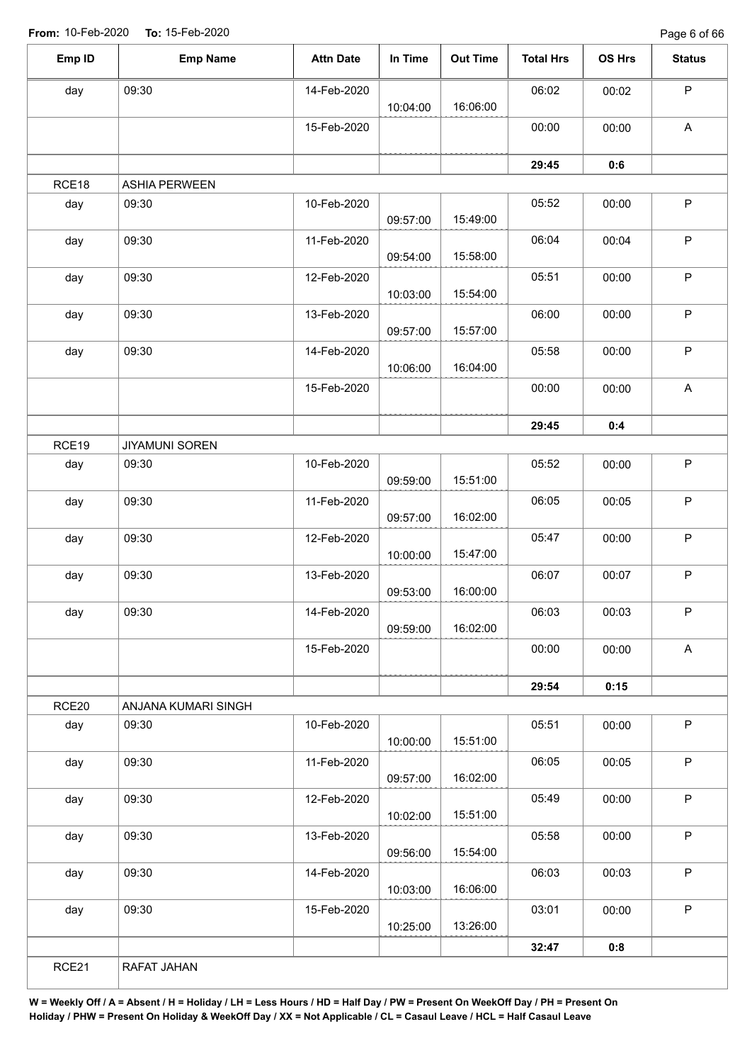Page 6 of 66

| Emp ID | <b>Emp Name</b>       | <b>Attn Date</b> | In Time  | <b>Out Time</b> | <b>Total Hrs</b> | OS Hrs | <b>Status</b>             |
|--------|-----------------------|------------------|----------|-----------------|------------------|--------|---------------------------|
| day    | 09:30                 | 14-Feb-2020      | 10:04:00 | 16:06:00        | 06:02            | 00:02  | $\mathsf P$               |
|        |                       | 15-Feb-2020      |          |                 | 00:00            | 00:00  | $\boldsymbol{\mathsf{A}}$ |
|        |                       |                  |          |                 | 29:45            | 0:6    |                           |
| RCE18  | <b>ASHIA PERWEEN</b>  |                  |          |                 |                  |        |                           |
| day    | 09:30                 | 10-Feb-2020      | 09:57:00 | 15:49:00        | 05:52            | 00:00  | $\mathsf P$               |
| day    | 09:30                 | 11-Feb-2020      | 09:54:00 | 15:58:00        | 06:04            | 00:04  | $\mathsf P$               |
| day    | 09:30                 | 12-Feb-2020      | 10:03:00 | 15:54:00        | 05:51            | 00:00  | $\mathsf P$               |
| day    | 09:30                 | 13-Feb-2020      | 09:57:00 | 15:57:00        | 06:00            | 00:00  | $\sf P$                   |
| day    | 09:30                 | 14-Feb-2020      | 10:06:00 | 16:04:00        | 05:58            | 00:00  | $\mathsf P$               |
|        |                       | 15-Feb-2020      |          |                 | 00:00            | 00:00  | $\boldsymbol{\mathsf{A}}$ |
|        |                       |                  |          |                 | 29:45            | 0:4    |                           |
| RCE19  | <b>JIYAMUNI SOREN</b> |                  |          |                 |                  |        |                           |
| day    | 09:30                 | 10-Feb-2020      | 09:59:00 | 15:51:00        | 05:52            | 00:00  | $\mathsf P$               |
| day    | 09:30                 | 11-Feb-2020      | 09:57:00 | 16:02:00        | 06:05            | 00:05  | $\sf P$                   |
| day    | 09:30                 | 12-Feb-2020      | 10:00:00 | 15:47:00        | 05:47            | 00:00  | $\mathsf P$               |
| day    | 09:30                 | 13-Feb-2020      | 09:53:00 | 16:00:00        | 06:07            | 00:07  | $\mathsf P$               |
| day    | 09:30                 | 14-Feb-2020      | 09:59:00 | 16:02:00        | 06:03            | 00:03  | $\mathsf P$               |
|        |                       | 15-Feb-2020      |          |                 | 00:00            | 00:00  | $\boldsymbol{\mathsf{A}}$ |
|        |                       |                  |          |                 | 29:54            | 0:15   |                           |
| RCE20  | ANJANA KUMARI SINGH   |                  |          |                 |                  |        |                           |
| day    | 09:30                 | 10-Feb-2020      | 10:00:00 | 15:51:00        | 05:51            | 00:00  | $\sf P$                   |
| day    | 09:30                 | 11-Feb-2020      | 09:57:00 | 16:02:00        | 06:05            | 00:05  | $\mathsf P$               |
| day    | 09:30                 | 12-Feb-2020      | 10:02:00 | 15:51:00        | 05:49            | 00:00  | $\sf P$                   |
| day    | 09:30                 | 13-Feb-2020      | 09:56:00 | 15:54:00        | 05:58            | 00:00  | $\mathsf P$               |
| day    | 09:30                 | 14-Feb-2020      | 10:03:00 | 16:06:00        | 06:03            | 00:03  | $\sf P$                   |
|        | 09:30                 | 15-Feb-2020      |          |                 | 03:01            | 00:00  | $\mathsf P$               |
| day    |                       |                  | 10:25:00 | 13:26:00        |                  |        |                           |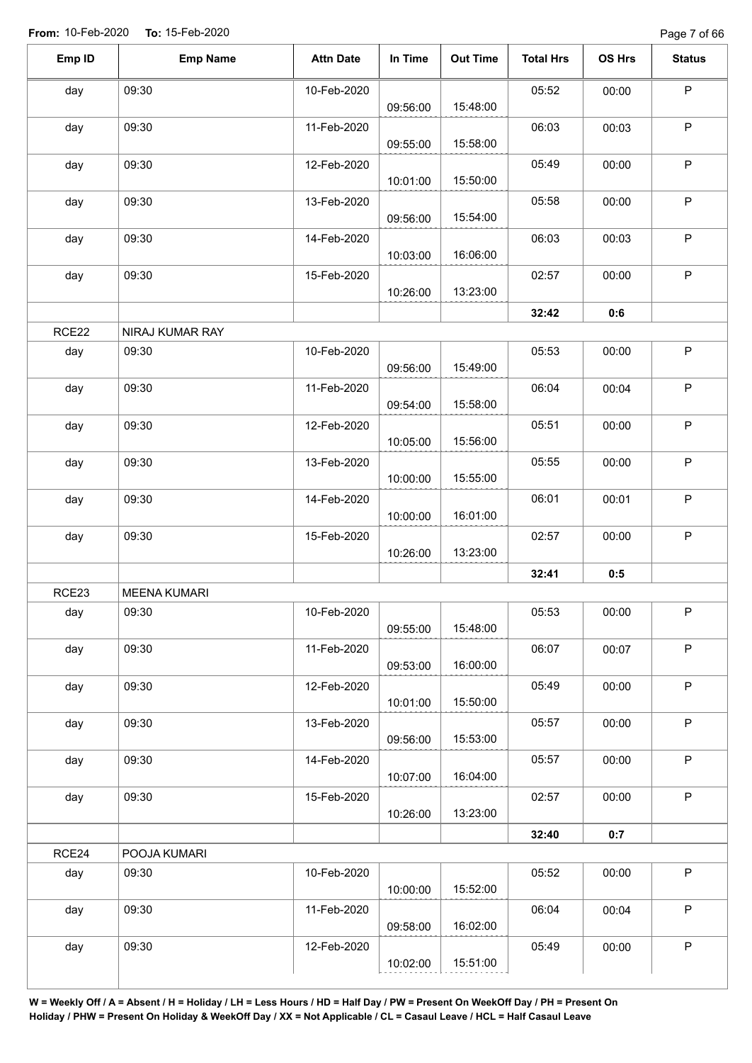Page 7 of 66

| Emp ID | <b>Emp Name</b>     | <b>Attn Date</b> | In Time  | <b>Out Time</b> | <b>Total Hrs</b> | OS Hrs | <b>Status</b> |
|--------|---------------------|------------------|----------|-----------------|------------------|--------|---------------|
| day    | 09:30               | 10-Feb-2020      | 09:56:00 | 15:48:00        | 05:52            | 00:00  | P             |
| day    | 09:30               | 11-Feb-2020      | 09:55:00 | 15:58:00        | 06:03            | 00:03  | $\mathsf P$   |
| day    | 09:30               | 12-Feb-2020      | 10:01:00 | 15:50:00        | 05:49            | 00:00  | $\mathsf P$   |
| day    | 09:30               | 13-Feb-2020      | 09:56:00 | 15:54:00        | 05:58            | 00:00  | $\mathsf P$   |
| day    | 09:30               | 14-Feb-2020      | 10:03:00 | 16:06:00        | 06:03            | 00:03  | $\sf P$       |
| day    | 09:30               | 15-Feb-2020      | 10:26:00 | 13:23:00        | 02:57            | 00:00  | $\mathsf P$   |
|        |                     |                  |          |                 | 32:42            | 0:6    |               |
| RCE22  | NIRAJ KUMAR RAY     |                  |          |                 |                  |        |               |
| day    | 09:30               | 10-Feb-2020      | 09:56:00 | 15:49:00        | 05:53            | 00:00  | $\mathsf P$   |
| day    | 09:30               | 11-Feb-2020      | 09:54:00 | 15:58:00        | 06:04            | 00:04  | $\sf P$       |
| day    | 09:30               | 12-Feb-2020      | 10:05:00 | 15:56:00        | 05:51            | 00:00  | $\mathsf P$   |
| day    | 09:30               | 13-Feb-2020      | 10:00:00 | 15:55:00        | 05:55            | 00:00  | $\mathsf P$   |
| day    | 09:30               | 14-Feb-2020      | 10:00:00 | 16:01:00        | 06:01            | 00:01  | $\mathsf P$   |
| day    | 09:30               | 15-Feb-2020      | 10:26:00 | 13:23:00        | 02:57            | 00:00  | $\sf P$       |
|        |                     |                  |          |                 | 32:41            | 0:5    |               |
| RCE23  | <b>MEENA KUMARI</b> |                  |          |                 |                  |        |               |
| day    | 09:30               | 10-Feb-2020      | 09:55:00 | 15:48:00        | 05:53            | 00:00  | P             |
| day    | 09:30               | 11-Feb-2020      | 09:53:00 | 16:00:00        | 06:07            | 00:07  | $\mathsf P$   |
| day    | 09:30               | 12-Feb-2020      | 10:01:00 | 15:50:00        | 05:49            | 00:00  | $\sf P$       |
| day    | 09:30               | 13-Feb-2020      | 09:56:00 | 15:53:00        | 05:57            | 00:00  | $\mathsf P$   |
| day    | 09:30               | 14-Feb-2020      | 10:07:00 | 16:04:00        | 05:57            | 00:00  | $\mathsf P$   |
| day    | 09:30               | 15-Feb-2020      | 10:26:00 | 13:23:00        | 02:57            | 00:00  | $\sf P$       |
|        |                     |                  |          |                 | 32:40            | 0:7    |               |
| RCE24  | POOJA KUMARI        |                  |          |                 |                  |        |               |
| day    | 09:30               | 10-Feb-2020      | 10:00:00 | 15:52:00        | 05:52            | 00:00  | $\mathsf P$   |
| day    | 09:30               | 11-Feb-2020      | 09:58:00 | 16:02:00        | 06:04            | 00:04  | $\mathsf P$   |
| day    | 09:30               | 12-Feb-2020      | 10:02:00 | 15:51:00        | 05:49            | 00:00  | P             |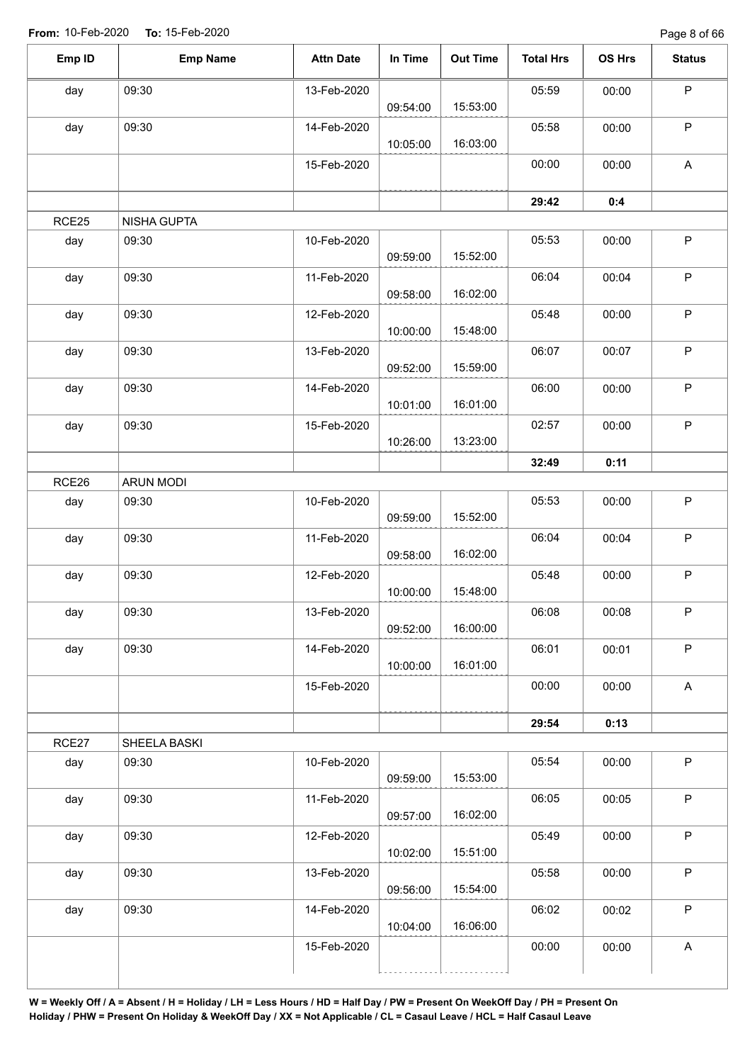Page 8 of 66

| Emp ID | <b>Emp Name</b>  | <b>Attn Date</b> | In Time  | <b>Out Time</b> | <b>Total Hrs</b> | OS Hrs | <b>Status</b>             |
|--------|------------------|------------------|----------|-----------------|------------------|--------|---------------------------|
| day    | 09:30            | 13-Feb-2020      |          |                 | 05:59            | 00:00  | $\mathsf P$               |
|        |                  |                  | 09:54:00 | 15:53:00        |                  |        |                           |
| day    | 09:30            | 14-Feb-2020      | 10:05:00 | 16:03:00        | 05:58            | 00:00  | P                         |
|        |                  | 15-Feb-2020      |          |                 | 00:00            | 00:00  | A                         |
|        |                  |                  |          |                 | 29:42            | 0:4    |                           |
| RCE25  | NISHA GUPTA      |                  |          |                 |                  |        |                           |
| day    | 09:30            | 10-Feb-2020      | 09:59:00 | 15:52:00        | 05:53            | 00:00  | $\mathsf P$               |
| day    | 09:30            | 11-Feb-2020      | 09:58:00 | 16:02:00        | 06:04            | 00:04  | $\sf P$                   |
| day    | 09:30            | 12-Feb-2020      | 10:00:00 | 15:48:00        | 05:48            | 00:00  | $\mathsf P$               |
| day    | 09:30            | 13-Feb-2020      | 09:52:00 | 15:59:00        | 06:07            | 00:07  | $\sf P$                   |
| day    | 09:30            | 14-Feb-2020      | 10:01:00 | 16:01:00        | 06:00            | 00:00  | $\mathsf P$               |
| day    | 09:30            | 15-Feb-2020      |          |                 | 02:57            | 00:00  | $\sf P$                   |
|        |                  |                  | 10:26:00 | 13:23:00        |                  |        |                           |
|        |                  |                  |          |                 | 32:49            | 0:11   |                           |
| RCE26  | <b>ARUN MODI</b> |                  |          |                 |                  |        |                           |
| day    | 09:30            | 10-Feb-2020      | 09:59:00 | 15:52:00        | 05:53            | 00:00  | $\mathsf P$               |
| day    | 09:30            | 11-Feb-2020      | 09:58:00 | 16:02:00        | 06:04            | 00:04  | P                         |
| day    | 09:30            | 12-Feb-2020      | 10:00:00 | 15:48:00        | 05:48            | 00:00  | $\sf P$                   |
| day    | 09:30            | 13-Feb-2020      | 09:52:00 | 16:00:00        | 06:08            | 00:08  | $\mathsf{P}$              |
| day    | 09:30            | 14-Feb-2020      | 10:00:00 | 16:01:00        | 06:01            | 00:01  | $\mathsf P$               |
|        |                  | 15-Feb-2020      |          |                 | 00:00            | 00:00  | $\mathsf{A}$              |
|        |                  |                  |          |                 | 29:54            | 0:13   |                           |
| RCE27  | SHEELA BASKI     |                  |          |                 |                  |        |                           |
| day    | 09:30            | 10-Feb-2020      | 09:59:00 | 15:53:00        | 05:54            | 00:00  | $\mathsf P$               |
| day    | 09:30            | 11-Feb-2020      | 09:57:00 | 16:02:00        | 06:05            | 00:05  | $\mathsf P$               |
| day    | 09:30            | 12-Feb-2020      | 10:02:00 | 15:51:00        | 05:49            | 00:00  | $\mathsf P$               |
| day    | 09:30            | 13-Feb-2020      |          | 15:54:00        | 05:58            | 00:00  | $\sf P$                   |
|        | 09:30            |                  | 09:56:00 |                 |                  |        | $\mathsf P$               |
| day    |                  | 14-Feb-2020      | 10:04:00 | 16:06:00        | 06:02            | 00:02  |                           |
|        |                  | 15-Feb-2020      |          |                 | 00:00            | 00:00  | $\boldsymbol{\mathsf{A}}$ |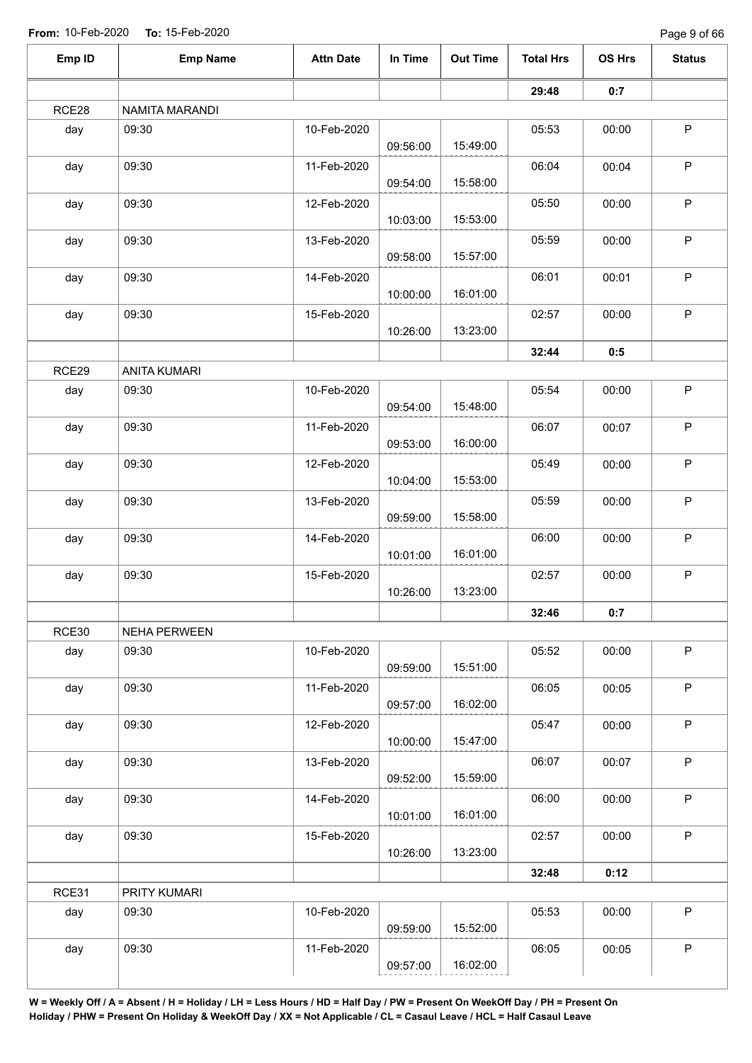Page 9 of 66

| Emp ID | <b>Emp Name</b>     | <b>Attn Date</b> | In Time  | <b>Out Time</b> | <b>Total Hrs</b> | OS Hrs | <b>Status</b> |
|--------|---------------------|------------------|----------|-----------------|------------------|--------|---------------|
|        |                     |                  |          |                 | 29:48            | 0:7    |               |
| RCE28  | NAMITA MARANDI      |                  |          |                 |                  |        |               |
| day    | 09:30               | 10-Feb-2020      |          |                 | 05:53            | 00:00  | $\mathsf P$   |
|        |                     |                  | 09:56:00 | 15:49:00        |                  |        |               |
| day    | 09:30               | 11-Feb-2020      |          |                 | 06:04            | 00:04  | $\mathsf P$   |
|        |                     |                  | 09:54:00 | 15:58:00        |                  |        |               |
| day    | 09:30               | 12-Feb-2020      |          |                 | 05:50            | 00:00  | $\mathsf P$   |
|        |                     |                  | 10:03:00 | 15:53:00        |                  |        |               |
| day    | 09:30               | 13-Feb-2020      |          |                 | 05:59            | 00:00  | $\mathsf P$   |
|        |                     |                  | 09:58:00 | 15:57:00        |                  |        |               |
| day    | 09:30               | 14-Feb-2020      |          | 16:01:00        | 06:01            | 00:01  | P             |
|        |                     |                  | 10:00:00 |                 |                  |        |               |
| day    | 09:30               | 15-Feb-2020      | 10:26:00 | 13:23:00        | 02:57            | 00:00  | P             |
|        |                     |                  |          |                 |                  |        |               |
|        |                     |                  |          |                 | 32:44            | 0:5    |               |
| RCE29  | <b>ANITA KUMARI</b> |                  |          |                 |                  |        |               |
| day    | 09:30               | 10-Feb-2020      |          | 15:48:00        | 05:54            | 00:00  | $\sf P$       |
|        |                     |                  | 09:54:00 |                 |                  |        |               |
| day    | 09:30               | 11-Feb-2020      | 09:53:00 | 16:00:00        | 06:07            | 00:07  | P             |
|        |                     |                  |          |                 |                  |        | $\sf P$       |
| day    | 09:30               | 12-Feb-2020      | 10:04:00 | 15:53:00        | 05:49            | 00:00  |               |
| day    | 09:30               | 13-Feb-2020      |          |                 | 05:59            | 00:00  | $\sf P$       |
|        |                     |                  | 09:59:00 | 15:58:00        |                  |        |               |
| day    | 09:30               | 14-Feb-2020      |          |                 | 06:00            | 00:00  | $\sf P$       |
|        |                     |                  | 10:01:00 | 16:01:00        |                  |        |               |
| day    | 09:30               | 15-Feb-2020      |          |                 | 02:57            | 00:00  | $\sf P$       |
|        |                     |                  | 10:26:00 | 13:23:00        |                  |        |               |
|        |                     |                  |          |                 | 32:46            | 0:7    |               |
| RCE30  | NEHA PERWEEN        |                  |          |                 |                  |        |               |
| day    | 09:30               | 10-Feb-2020      |          |                 | 05:52            | 00:00  | $\sf P$       |
|        |                     |                  | 09:59:00 | 15:51:00        |                  |        |               |
| day    | 09:30               | 11-Feb-2020      |          |                 | 06:05            | 00:05  | $\mathsf P$   |
|        |                     |                  | 09:57:00 | 16:02:00        |                  |        |               |
| day    | 09:30               | 12-Feb-2020      |          |                 | 05:47            | 00:00  | P             |
|        |                     |                  | 10:00:00 | 15:47:00        |                  |        |               |
| day    | 09:30               | 13-Feb-2020      |          |                 | 06:07            | 00:07  | $\sf P$       |
|        |                     |                  | 09:52:00 | 15:59:00        |                  |        |               |
| day    | 09:30               | 14-Feb-2020      |          |                 | 06:00            | 00:00  | P             |
|        |                     |                  | 10:01:00 | 16:01:00        |                  |        |               |
| day    | 09:30               | 15-Feb-2020      |          |                 | 02:57            | 00:00  | $\mathsf P$   |
|        |                     |                  | 10:26:00 | 13:23:00        |                  |        |               |
|        |                     |                  |          |                 | 32:48            | 0:12   |               |
| RCE31  | PRITY KUMARI        |                  |          |                 |                  |        |               |
| day    | 09:30               | 10-Feb-2020      |          |                 | 05:53            | 00:00  | $\mathsf P$   |
|        |                     |                  | 09:59:00 | 15:52:00        |                  |        |               |
| day    | 09:30               | 11-Feb-2020      |          |                 | 06:05            | 00:05  | $\sf P$       |
|        |                     |                  | 09:57:00 | 16:02:00        |                  |        |               |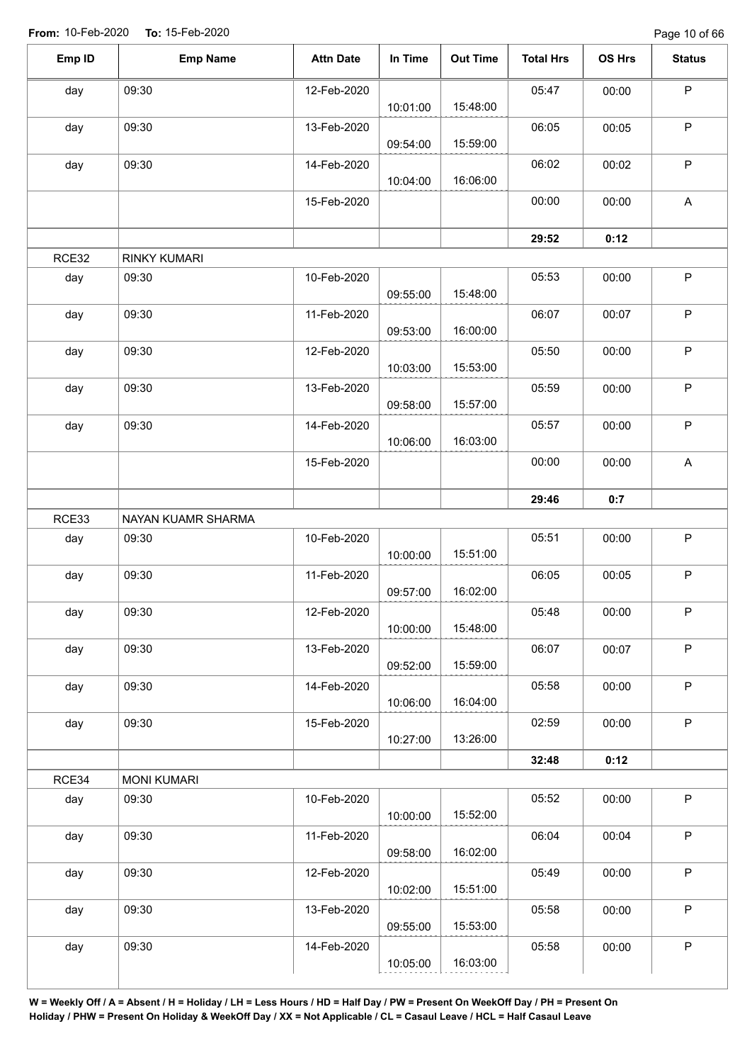Page 10 of 66

| Emp ID | <b>Emp Name</b>     | <b>Attn Date</b> | In Time  | <b>Out Time</b> | <b>Total Hrs</b> | OS Hrs | <b>Status</b> |
|--------|---------------------|------------------|----------|-----------------|------------------|--------|---------------|
| day    | 09:30               | 12-Feb-2020      |          |                 | 05:47            | 00:00  | $\sf P$       |
|        |                     |                  | 10:01:00 | 15:48:00        |                  |        |               |
| day    | 09:30               | 13-Feb-2020      | 09:54:00 | 15:59:00        | 06:05            | 00:05  | P             |
| day    | 09:30               | 14-Feb-2020      |          | 16:06:00        | 06:02            | 00:02  | P             |
|        |                     | 15-Feb-2020      | 10:04:00 |                 | 00:00            | 00:00  | A             |
|        |                     |                  |          |                 | 29:52            | 0:12   |               |
| RCE32  | <b>RINKY KUMARI</b> |                  |          |                 |                  |        |               |
|        | 09:30               |                  |          |                 | 05:53            |        | $\mathsf P$   |
| day    |                     | 10-Feb-2020      | 09:55:00 | 15:48:00        |                  | 00:00  |               |
| day    | 09:30               | 11-Feb-2020      | 09:53:00 | 16:00:00        | 06:07            | 00:07  | $\mathsf P$   |
| day    | 09:30               | 12-Feb-2020      | 10:03:00 | 15:53:00        | 05:50            | 00:00  | $\sf P$       |
| day    | 09:30               | 13-Feb-2020      |          |                 | 05:59            | 00:00  | $\mathsf P$   |
|        |                     |                  | 09:58:00 | 15:57:00        |                  |        |               |
| day    | 09:30               | 14-Feb-2020      | 10:06:00 | 16:03:00        | 05:57            | 00:00  | $\mathsf P$   |
|        |                     | 15-Feb-2020      |          |                 | 00:00            | 00:00  | A             |
|        |                     |                  |          |                 | 29:46            | 0:7    |               |
| RCE33  | NAYAN KUAMR SHARMA  |                  |          |                 |                  |        |               |
| day    | 09:30               | 10-Feb-2020      | 10:00:00 | 15:51:00        | 05:51            | 00:00  | $\mathsf P$   |
| day    | 09:30               | 11-Feb-2020      |          |                 | 06:05            | 00:05  | P             |
| day    | 09:30               | 12-Feb-2020      | 09:57:00 | 16:02:00        | 05:48            | 00:00  | $\mathsf P$   |
|        |                     |                  | 10:00:00 | 15:48:00        |                  |        |               |
| day    | 09:30               | 13-Feb-2020      | 09:52:00 | 15:59:00        | 06:07            | 00:07  | $\mathsf P$   |
| day    | 09:30               | 14-Feb-2020      | 10:06:00 | 16:04:00        | 05:58            | 00:00  | $\mathsf P$   |
| day    | 09:30               | 15-Feb-2020      |          | 13:26:00        | 02:59            | 00:00  | $\mathsf P$   |
|        |                     |                  | 10:27:00 |                 | 32:48            | 0:12   |               |
| RCE34  | <b>MONI KUMARI</b>  |                  |          |                 |                  |        |               |
| day    | 09:30               | 10-Feb-2020      | 10:00:00 | 15:52:00        | 05:52            | 00:00  | $\mathsf P$   |
| day    | 09:30               | 11-Feb-2020      |          |                 | 06:04            | 00:04  | $\sf P$       |
|        |                     |                  | 09:58:00 | 16:02:00        |                  |        |               |
| day    | 09:30               | 12-Feb-2020      | 10:02:00 | 15:51:00        | 05:49            | 00:00  | $\mathsf P$   |
| day    | 09:30               | 13-Feb-2020      |          |                 | 05:58            | 00:00  | $\mathsf P$   |
|        |                     |                  | 09:55:00 | 15:53:00        |                  |        |               |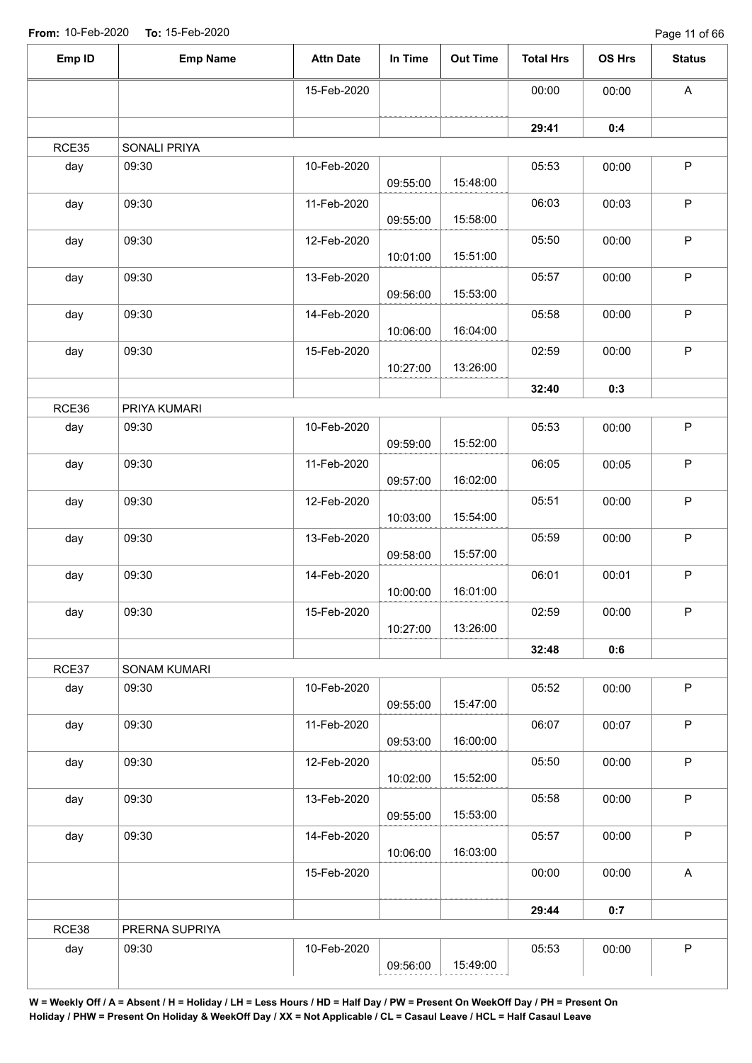Page 11 of 66

| Emp ID | <b>Emp Name</b>     | <b>Attn Date</b> | In Time  | <b>Out Time</b> | <b>Total Hrs</b> | OS Hrs | <b>Status</b> |
|--------|---------------------|------------------|----------|-----------------|------------------|--------|---------------|
|        |                     | 15-Feb-2020      |          |                 | 00:00            | 00:00  | $\mathsf{A}$  |
|        |                     |                  |          |                 | 29:41            | 0:4    |               |
| RCE35  | SONALI PRIYA        |                  |          |                 |                  |        |               |
| day    | 09:30               | 10-Feb-2020      | 09:55:00 | 15:48:00        | 05:53            | 00:00  | $\sf P$       |
| day    | 09:30               | 11-Feb-2020      | 09:55:00 | 15:58:00        | 06:03            | 00:03  | $\sf P$       |
| day    | 09:30               | 12-Feb-2020      | 10:01:00 | 15:51:00        | 05:50            | 00:00  | $\mathsf P$   |
| day    | 09:30               | 13-Feb-2020      | 09:56:00 | 15:53:00        | 05:57            | 00:00  | $\sf P$       |
| day    | 09:30               | 14-Feb-2020      | 10:06:00 | 16:04:00        | 05:58            | 00:00  | $\mathsf P$   |
| day    | 09:30               | 15-Feb-2020      | 10:27:00 | 13:26:00        | 02:59            | 00:00  | $\sf P$       |
|        |                     |                  |          |                 | 32:40            | 0:3    |               |
| RCE36  | PRIYA KUMARI        |                  |          |                 |                  |        |               |
| day    | 09:30               | 10-Feb-2020      | 09:59:00 | 15:52:00        | 05:53            | 00:00  | $\mathsf P$   |
| day    | 09:30               | 11-Feb-2020      | 09:57:00 | 16:02:00        | 06:05            | 00:05  | $\mathsf P$   |
| day    | 09:30               | 12-Feb-2020      | 10:03:00 | 15:54:00        | 05:51            | 00:00  | $\mathsf P$   |
| day    | 09:30               | 13-Feb-2020      | 09:58:00 | 15:57:00        | 05:59            | 00:00  | $\mathsf P$   |
| day    | 09:30               | 14-Feb-2020      | 10:00:00 | 16:01:00        | 06:01            | 00:01  | $\sf P$       |
| day    | 09:30               | 15-Feb-2020      | 10:27:00 | 13:26:00        | 02:59            | 00:00  | $\mathsf P$   |
|        |                     |                  |          |                 | 32:48            | 0:6    |               |
| RCE37  | <b>SONAM KUMARI</b> |                  |          |                 |                  |        |               |
| day    | 09:30               | 10-Feb-2020      | 09:55:00 | 15:47:00        | 05:52            | 00:00  | $\sf P$       |
| day    | 09:30               | 11-Feb-2020      | 09:53:00 | 16:00:00        | 06:07            | 00:07  | $\mathsf P$   |
| day    | 09:30               | 12-Feb-2020      | 10:02:00 | 15:52:00        | 05:50            | 00:00  | $\mathsf P$   |
| day    | 09:30               | 13-Feb-2020      | 09:55:00 | 15:53:00        | 05:58            | 00:00  | $\mathsf P$   |
| day    | 09:30               | 14-Feb-2020      | 10:06:00 | 16:03:00        | 05:57            | 00:00  | $\mathsf P$   |
|        |                     | 15-Feb-2020      |          |                 | 00:00            | 00:00  | $\mathsf{A}$  |
|        |                     |                  |          |                 | 29:44            | 0:7    |               |
| RCE38  | PRERNA SUPRIYA      |                  |          |                 |                  |        |               |
| day    | 09:30               | 10-Feb-2020      | 09:56:00 | 15:49:00        | 05:53            | 00:00  | $\mathsf P$   |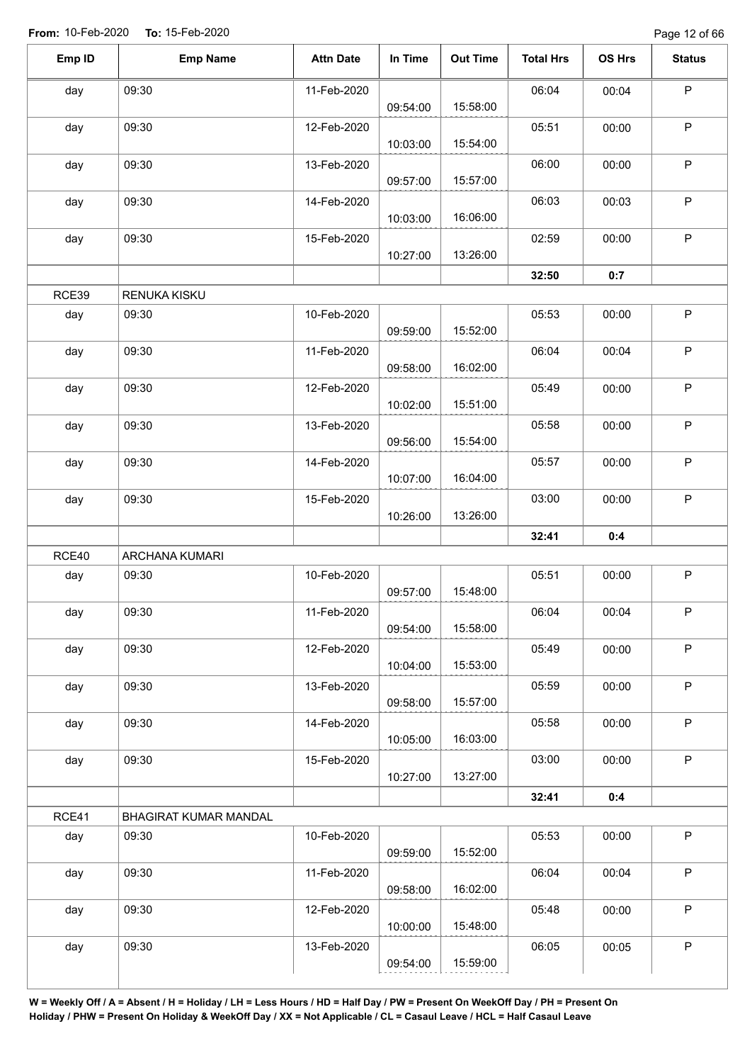| Emp ID | <b>Emp Name</b>       | <b>Attn Date</b> | In Time  | <b>Out Time</b> | <b>Total Hrs</b> | OS Hrs | <b>Status</b> |
|--------|-----------------------|------------------|----------|-----------------|------------------|--------|---------------|
| day    | 09:30                 | 11-Feb-2020      | 09:54:00 | 15:58:00        | 06:04            | 00:04  | $\mathsf P$   |
| day    | 09:30                 | 12-Feb-2020      | 10:03:00 | 15:54:00        | 05:51            | 00:00  | $\mathsf P$   |
| day    | 09:30                 | 13-Feb-2020      | 09:57:00 | 15:57:00        | 06:00            | 00:00  | $\mathsf P$   |
| day    | 09:30                 | 14-Feb-2020      | 10:03:00 | 16:06:00        | 06:03            | 00:03  | $\mathsf P$   |
| day    | 09:30                 | 15-Feb-2020      | 10:27:00 | 13:26:00        | 02:59            | 00:00  | $\mathsf P$   |
|        |                       |                  |          |                 | 32:50            | 0:7    |               |
| RCE39  | RENUKA KISKU          |                  |          |                 |                  |        |               |
| day    | 09:30                 | 10-Feb-2020      | 09:59:00 | 15:52:00        | 05:53            | 00:00  | $\mathsf P$   |
| day    | 09:30                 | 11-Feb-2020      | 09:58:00 | 16:02:00        | 06:04            | 00:04  | $\mathsf P$   |
| day    | 09:30                 | 12-Feb-2020      | 10:02:00 | 15:51:00        | 05:49            | 00:00  | $\mathsf P$   |
| day    | 09:30                 | 13-Feb-2020      | 09:56:00 | 15:54:00        | 05:58            | 00:00  | $\mathsf P$   |
| day    | 09:30                 | 14-Feb-2020      | 10:07:00 | 16:04:00        | 05:57            | 00:00  | $\mathsf P$   |
| day    | 09:30                 | 15-Feb-2020      | 10:26:00 | 13:26:00        | 03:00            | 00:00  | $\mathsf P$   |
|        |                       |                  |          |                 | 32:41            | 0:4    |               |
| RCE40  | ARCHANA KUMARI        |                  |          |                 |                  |        |               |
| day    | 09:30                 | 10-Feb-2020      | 09:57:00 | 15:48:00        | 05:51            | 00:00  | $\mathsf P$   |
| day    | 09:30                 | 11-Feb-2020      | 09:54:00 | 15:58:00        | 06:04            | 00:04  | $\mathsf P$   |
| day    | 09:30                 | 12-Feb-2020      | 10:04:00 | 15:53:00        | 05:49            | 00:00  | $\mathsf P$   |
| day    | 09:30                 | 13-Feb-2020      | 09:58:00 | 15:57:00        | 05:59            | 00:00  | $\mathsf P$   |
| day    | 09:30                 | 14-Feb-2020      | 10:05:00 | 16:03:00        | 05:58            | 00:00  | $\mathsf P$   |
| day    | 09:30                 | 15-Feb-2020      | 10:27:00 | 13:27:00        | 03:00            | 00:00  | P             |
|        |                       |                  |          |                 | 32:41            | 0:4    |               |
| RCE41  | BHAGIRAT KUMAR MANDAL |                  |          |                 |                  |        |               |
| day    | 09:30                 | 10-Feb-2020      | 09:59:00 | 15:52:00        | 05:53            | 00:00  | P             |
| day    | 09:30                 | 11-Feb-2020      | 09:58:00 | 16:02:00        | 06:04            | 00:04  | $\mathsf P$   |
| day    | 09:30                 | 12-Feb-2020      | 10:00:00 | 15:48:00        | 05:48            | 00:00  | $\mathsf P$   |
| day    | 09:30                 | 13-Feb-2020      | 09:54:00 | 15:59:00        | 06:05            | 00:05  | $\mathsf P$   |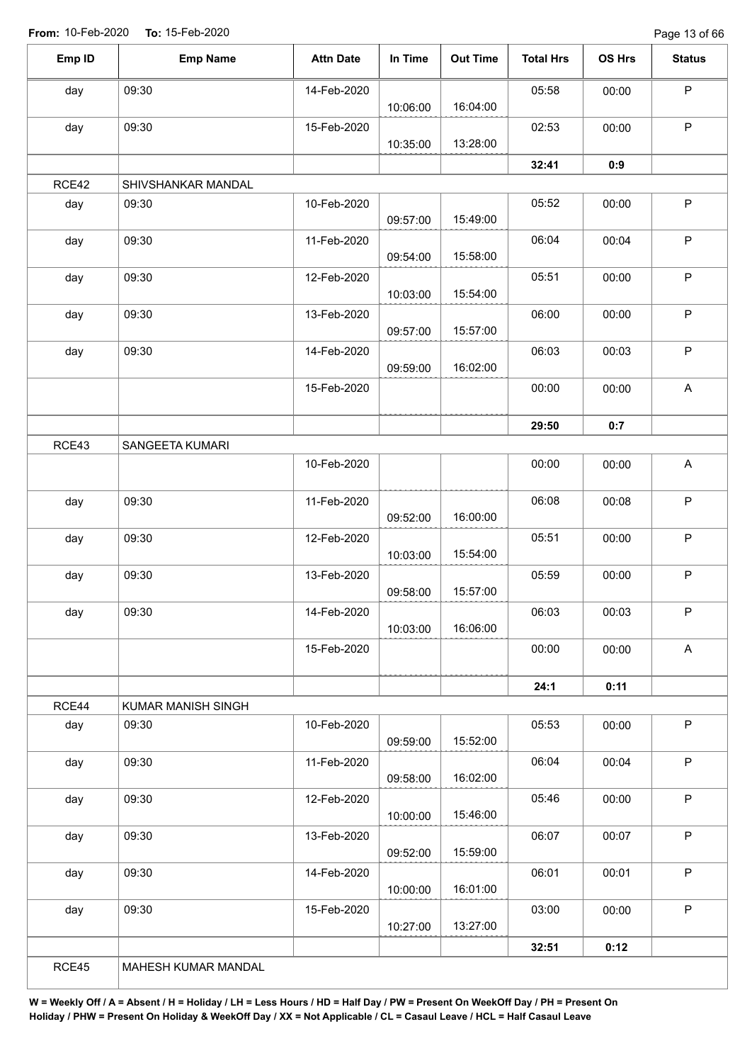Page 13 of 66

| Emp ID       | <b>Emp Name</b>             | <b>Attn Date</b> | In Time  | <b>Out Time</b> | <b>Total Hrs</b> | OS Hrs | <b>Status</b>             |
|--------------|-----------------------------|------------------|----------|-----------------|------------------|--------|---------------------------|
|              |                             |                  |          |                 |                  |        |                           |
| day          | 09:30                       | 14-Feb-2020      | 10:06:00 | 16:04:00        | 05:58            | 00:00  | $\sf P$                   |
| day          | 09:30                       | 15-Feb-2020      |          |                 | 02:53            | 00:00  | $\mathsf P$               |
|              |                             |                  | 10:35:00 | 13:28:00        |                  |        |                           |
|              |                             |                  |          |                 | 32:41            | 0:9    |                           |
| RCE42<br>day | SHIVSHANKAR MANDAL<br>09:30 | 10-Feb-2020      |          |                 | 05:52            | 00:00  | $\sf P$                   |
|              |                             |                  | 09:57:00 | 15:49:00        |                  |        |                           |
| day          | 09:30                       | 11-Feb-2020      | 09:54:00 | 15:58:00        | 06:04            | 00:04  | $\sf P$                   |
| day          | 09:30                       | 12-Feb-2020      |          |                 | 05:51            | 00:00  | $\mathsf P$               |
|              |                             |                  | 10:03:00 | 15:54:00        |                  |        |                           |
| day          | 09:30                       | 13-Feb-2020      | 09:57:00 | 15:57:00        | 06:00            | 00:00  | $\sf P$                   |
| day          | 09:30                       | 14-Feb-2020      | 09:59:00 | 16:02:00        | 06:03            | 00:03  | $\sf P$                   |
|              |                             | 15-Feb-2020      |          |                 | 00:00            | 00:00  | $\boldsymbol{\mathsf{A}}$ |
|              |                             |                  |          |                 | 29:50            | 0:7    |                           |
| RCE43        | SANGEETA KUMARI             |                  |          |                 |                  |        |                           |
|              |                             | 10-Feb-2020      |          |                 | 00:00            | 00:00  | $\mathsf{A}$              |
| day          | 09:30                       | 11-Feb-2020      | 09:52:00 | 16:00:00        | 06:08            | 00:08  | $\mathsf P$               |
| day          | 09:30                       | 12-Feb-2020      | 10:03:00 | 15:54:00        | 05:51            | 00:00  | $\sf P$                   |
| day          | 09:30                       | 13-Feb-2020      |          |                 | 05:59            | 00:00  | $\mathsf P$               |
| day          | 09:30                       | 14-Feb-2020      | 09:58:00 | 15:57:00        | 06:03            | 00:03  | $\mathsf{P}$              |
|              |                             |                  | 10:03:00 | 16:06:00        |                  |        |                           |
|              |                             | 15-Feb-2020      |          |                 | 00:00            | 00:00  | $\mathsf{A}$              |
|              |                             |                  |          |                 | 24:1             | 0:11   |                           |
| RCE44        | KUMAR MANISH SINGH          |                  |          |                 |                  |        |                           |
| day          | 09:30                       | 10-Feb-2020      | 09:59:00 | 15:52:00        | 05:53            | 00:00  | P                         |
| day          | 09:30                       | 11-Feb-2020      | 09:58:00 | 16:02:00        | 06:04            | 00:04  | $\sf P$                   |
| day          | 09:30                       | 12-Feb-2020      |          | 15:46:00        | 05:46            | 00:00  | $\mathsf P$               |
| day          | 09:30                       | 13-Feb-2020      | 10:00:00 |                 | 06:07            | 00:07  | $\sf P$                   |
|              |                             |                  | 09:52:00 | 15:59:00        |                  |        |                           |
| day          | 09:30                       | 14-Feb-2020      | 10:00:00 | 16:01:00        | 06:01            | 00:01  | $\mathsf P$               |
| day          | 09:30                       | 15-Feb-2020      | 10:27:00 | 13:27:00        | 03:00            | 00:00  | $\mathsf P$               |
|              |                             |                  |          |                 | 32:51            | 0:12   |                           |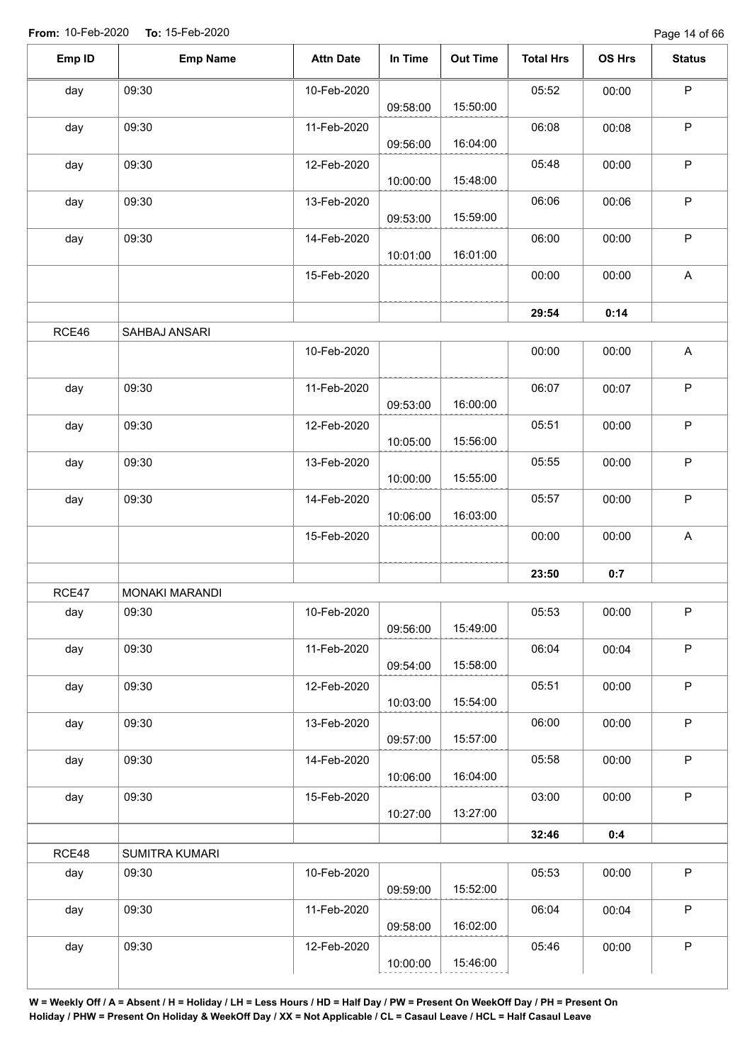| Emp ID | <b>Emp Name</b> | <b>Attn Date</b> | In Time  | <b>Out Time</b> | <b>Total Hrs</b> | OS Hrs | <b>Status</b>             |
|--------|-----------------|------------------|----------|-----------------|------------------|--------|---------------------------|
| day    | 09:30           | 10-Feb-2020      | 09:58:00 | 15:50:00        | 05:52            | 00:00  | ${\sf P}$                 |
| day    | 09:30           | 11-Feb-2020      | 09:56:00 | 16:04:00        | 06:08            | 00:08  | $\mathsf P$               |
| day    | 09:30           | 12-Feb-2020      | 10:00:00 | 15:48:00        | 05:48            | 00:00  | $\mathsf P$               |
| day    | 09:30           | 13-Feb-2020      | 09:53:00 | 15:59:00        | 06:06            | 00:06  | $\mathsf P$               |
| day    | 09:30           | 14-Feb-2020      | 10:01:00 | 16:01:00        | 06:00            | 00:00  | $\mathsf P$               |
|        |                 | 15-Feb-2020      |          |                 | 00:00            | 00:00  | A                         |
|        |                 |                  |          |                 | 29:54            | 0:14   |                           |
| RCE46  | SAHBAJ ANSARI   |                  |          |                 |                  |        |                           |
|        |                 | 10-Feb-2020      |          |                 | 00:00            | 00:00  | A                         |
| day    | 09:30           | 11-Feb-2020      | 09:53:00 | 16:00:00        | 06:07            | 00:07  | $\mathsf P$               |
| day    | 09:30           | 12-Feb-2020      | 10:05:00 | 15:56:00        | 05:51            | 00:00  | $\mathsf P$               |
| day    | 09:30           | 13-Feb-2020      | 10:00:00 | 15:55:00        | 05:55            | 00:00  | ${\sf P}$                 |
| day    | 09:30           | 14-Feb-2020      | 10:06:00 | 16:03:00        | 05:57            | 00:00  | $\mathsf P$               |
|        |                 | 15-Feb-2020      |          |                 | 00:00            | 00:00  | $\boldsymbol{\mathsf{A}}$ |
|        |                 |                  |          |                 | 23:50            | 0:7    |                           |
| RCE47  | MONAKI MARANDI  |                  |          |                 |                  |        |                           |
| day    | 09:30           | 10-Feb-2020      | 09:56:00 | 15:49:00        | 05:53            | 00:00  | P                         |
| day    | 09:30           | 11-Feb-2020      | 09:54:00 | 15:58:00        | 06:04            | 00:04  | $\mathsf P$               |
| day    | 09:30           | 12-Feb-2020      | 10:03:00 | 15:54:00        | 05:51            | 00:00  | $\mathsf P$               |
| day    | 09:30           | 13-Feb-2020      | 09:57:00 | 15:57:00        | 06:00            | 00:00  | $\mathsf P$               |
| day    | 09:30           | 14-Feb-2020      | 10:06:00 | 16:04:00        | 05:58            | 00:00  | $\sf P$                   |
| day    | 09:30           | 15-Feb-2020      | 10:27:00 | 13:27:00        | 03:00            | 00:00  | $\mathsf P$               |
|        |                 |                  |          |                 | 32:46            | 0:4    |                           |
| RCE48  | SUMITRA KUMARI  |                  |          |                 |                  |        |                           |
| day    | 09:30           | 10-Feb-2020      | 09:59:00 | 15:52:00        | 05:53            | 00:00  | $\mathsf P$               |
| day    | 09:30           | 11-Feb-2020      | 09:58:00 | 16:02:00        | 06:04            | 00:04  | $\mathsf P$               |
| day    | 09:30           | 12-Feb-2020      |          |                 | 05:46            | 00:00  | P                         |
|        |                 |                  | 10:00:00 | 15:46:00        |                  |        |                           |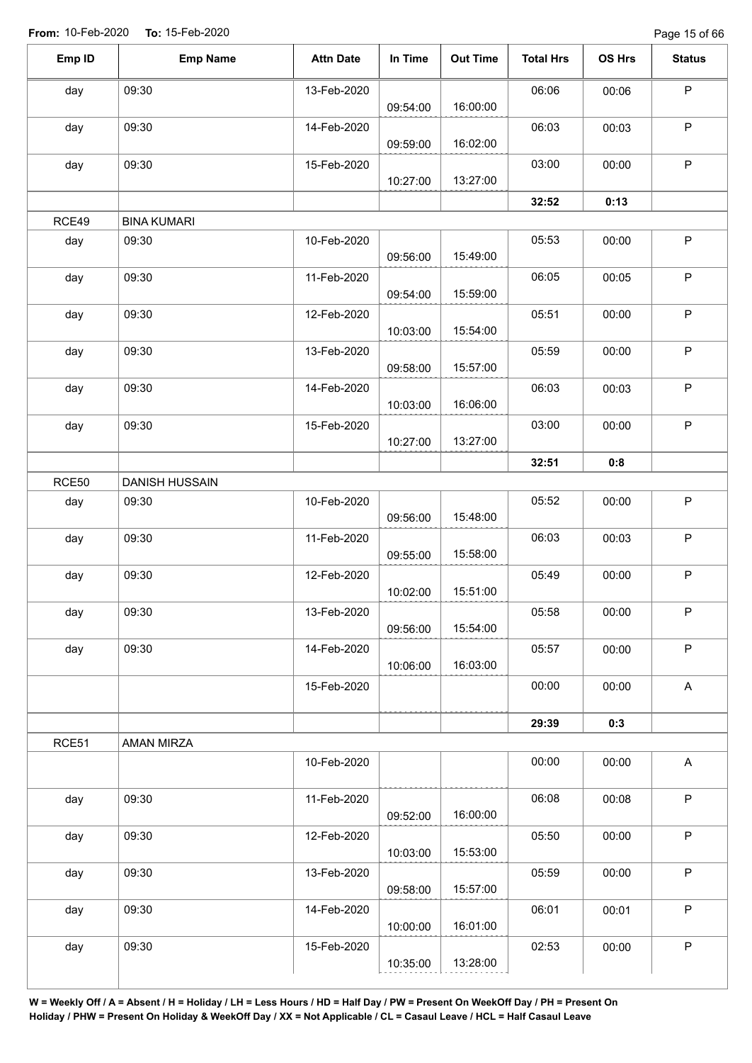Page 15 of 66

| Emp ID       | <b>Emp Name</b>    | <b>Attn Date</b> | In Time  | <b>Out Time</b> | <b>Total Hrs</b> | OS Hrs | <b>Status</b> |
|--------------|--------------------|------------------|----------|-----------------|------------------|--------|---------------|
| day          | 09:30              | 13-Feb-2020      |          |                 | 06:06            | 00:06  | $\mathsf P$   |
|              |                    |                  | 09:54:00 | 16:00:00        |                  |        |               |
| day          | 09:30              | 14-Feb-2020      | 09:59:00 | 16:02:00        | 06:03            | 00:03  | P             |
| day          | 09:30              | 15-Feb-2020      |          |                 | 03:00            | 00:00  | $\mathsf P$   |
|              |                    |                  | 10:27:00 | 13:27:00        |                  |        |               |
|              |                    |                  |          |                 | 32:52            | 0:13   |               |
| RCE49        | <b>BINA KUMARI</b> |                  |          |                 |                  |        |               |
| day          | 09:30              | 10-Feb-2020      | 09:56:00 | 15:49:00        | 05:53            | 00:00  | $\mathsf P$   |
| day          | 09:30              | 11-Feb-2020      | 09:54:00 | 15:59:00        | 06:05            | 00:05  | $\mathsf P$   |
| day          | 09:30              | 12-Feb-2020      |          |                 | 05:51            | 00:00  | $\mathsf P$   |
|              |                    |                  | 10:03:00 | 15:54:00        |                  |        |               |
| day          | 09:30              | 13-Feb-2020      |          |                 | 05:59            | 00:00  | $\sf P$       |
|              |                    |                  | 09:58:00 | 15:57:00        |                  |        |               |
| day          | 09:30              | 14-Feb-2020      |          |                 | 06:03            | 00:03  | $\mathsf P$   |
|              |                    |                  | 10:03:00 | 16:06:00        |                  |        |               |
| day          | 09:30              | 15-Feb-2020      |          |                 | 03:00            | 00:00  | $\mathsf P$   |
|              |                    |                  | 10:27:00 | 13:27:00        |                  |        |               |
|              |                    |                  |          |                 | 32:51            | 0:8    |               |
| <b>RCE50</b> | DANISH HUSSAIN     |                  |          |                 |                  |        |               |
| day          | 09:30              | 10-Feb-2020      |          |                 | 05:52            | 00:00  | $\mathsf P$   |
|              |                    |                  | 09:56:00 | 15:48:00        |                  |        |               |
| day          | 09:30              | 11-Feb-2020      |          | 15:58:00        | 06:03            | 00:03  | $\mathsf P$   |
|              |                    |                  | 09:55:00 |                 |                  |        |               |
| day          | 09:30              | 12-Feb-2020      | 10:02:00 | 15:51:00        | 05:49            | 00:00  | P             |
| day          | 09:30              | 13-Feb-2020      |          |                 | 05:58            | 00:00  | $\mathsf P$   |
|              |                    |                  | 09:56:00 | 15:54:00        |                  |        |               |
| day          | 09:30              | 14-Feb-2020      |          |                 | 05:57            | 00:00  | $\mathsf P$   |
|              |                    |                  | 10:06:00 | 16:03:00        |                  |        |               |
|              |                    | 15-Feb-2020      |          |                 | 00:00            | 00:00  | $\mathsf A$   |
|              |                    |                  |          |                 | 29:39            | 0:3    |               |
| RCE51        | AMAN MIRZA         |                  |          |                 |                  |        |               |
|              |                    | 10-Feb-2020      |          |                 | 00:00            | 00:00  | A             |
|              |                    |                  |          |                 |                  |        |               |
| day          | 09:30              | 11-Feb-2020      |          |                 | 06:08            | 00:08  | $\mathsf P$   |
|              |                    |                  | 09:52:00 | 16:00:00        |                  |        |               |
| day          | 09:30              | 12-Feb-2020      |          |                 | 05:50            | 00:00  | $\sf P$       |
|              |                    |                  | 10:03:00 | 15:53:00        |                  |        |               |
| day          | 09:30              | 13-Feb-2020      |          |                 | 05:59            | 00:00  | $\mathsf P$   |
|              |                    |                  | 09:58:00 | 15:57:00        |                  |        |               |
| day          | 09:30              | 14-Feb-2020      |          |                 | 06:01            | 00:01  | $\sf P$       |
|              |                    |                  | 10:00:00 | 16:01:00        |                  |        |               |
| day          | 09:30              | 15-Feb-2020      |          |                 | 02:53            | 00:00  | $\sf P$       |
|              |                    |                  | 10:35:00 | 13:28:00        |                  |        |               |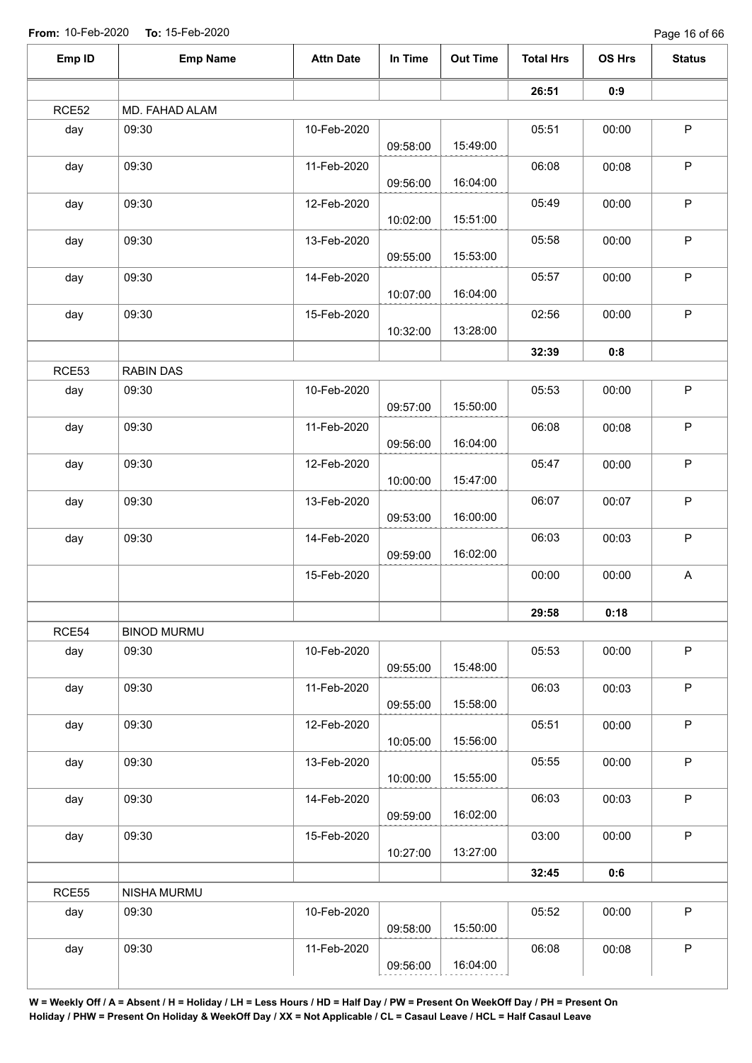Page 16 of 66

| Emp ID | <b>Emp Name</b>    | <b>Attn Date</b> | In Time  | <b>Out Time</b> | <b>Total Hrs</b> | OS Hrs | <b>Status</b> |
|--------|--------------------|------------------|----------|-----------------|------------------|--------|---------------|
|        |                    |                  |          |                 | 26:51            | 0:9    |               |
| RCE52  | MD. FAHAD ALAM     |                  |          |                 |                  |        |               |
| day    | 09:30              | 10-Feb-2020      | 09:58:00 | 15:49:00        | 05:51            | 00:00  | $\sf P$       |
| day    | 09:30              | 11-Feb-2020      | 09:56:00 | 16:04:00        | 06:08            | 00:08  | $\sf P$       |
| day    | 09:30              | 12-Feb-2020      | 10:02:00 | 15:51:00        | 05:49            | 00:00  | $\sf P$       |
| day    | 09:30              | 13-Feb-2020      | 09:55:00 | 15:53:00        | 05:58            | 00:00  | $\sf P$       |
| day    | 09:30              | 14-Feb-2020      | 10:07:00 | 16:04:00        | 05:57            | 00:00  | $\sf P$       |
| day    | 09:30              | 15-Feb-2020      | 10:32:00 | 13:28:00        | 02:56            | 00:00  | $\mathsf P$   |
|        |                    |                  |          |                 | 32:39            | 0:8    |               |
| RCE53  | <b>RABIN DAS</b>   |                  |          |                 |                  |        |               |
| day    | 09:30              | 10-Feb-2020      | 09:57:00 | 15:50:00        | 05:53            | 00:00  | $\mathsf P$   |
| day    | 09:30              | 11-Feb-2020      | 09:56:00 | 16:04:00        | 06:08            | 00:08  | $\sf P$       |
| day    | 09:30              | 12-Feb-2020      | 10:00:00 | 15:47:00        | 05:47            | 00:00  | $\sf P$       |
| day    | 09:30              | 13-Feb-2020      | 09:53:00 | 16:00:00        | 06:07            | 00:07  | $\sf P$       |
| day    | 09:30              | 14-Feb-2020      | 09:59:00 | 16:02:00        | 06:03            | 00:03  | $\sf P$       |
|        |                    | 15-Feb-2020      |          |                 | 00:00            | 00:00  | $\mathsf A$   |
|        |                    |                  |          |                 | 29:58            | 0:18   |               |
| RCE54  | <b>BINOD MURMU</b> |                  |          |                 |                  |        |               |
| day    | 09:30              | 10-Feb-2020      | 09:55:00 | 15:48:00        | 05:53            | 00:00  | $\mathsf P$   |
| day    | 09:30              | 11-Feb-2020      | 09:55:00 | 15:58:00        | 06:03            | 00:03  | $\mathsf P$   |
| day    | 09:30              | 12-Feb-2020      | 10:05:00 | 15:56:00        | 05:51            | 00:00  | $\mathsf P$   |
| day    | 09:30              | 13-Feb-2020      | 10:00:00 | 15:55:00        | 05:55            | 00:00  | $\mathsf P$   |
| day    | 09:30              | 14-Feb-2020      | 09:59:00 | 16:02:00        | 06:03            | 00:03  | P             |
| day    | 09:30              | 15-Feb-2020      | 10:27:00 | 13:27:00        | 03:00            | 00:00  | $\mathsf P$   |
|        |                    |                  |          |                 | 32:45            | 0:6    |               |
| RCE55  | NISHA MURMU        |                  |          |                 |                  |        |               |
| day    | 09:30              | 10-Feb-2020      | 09:58:00 | 15:50:00        | 05:52            | 00:00  | $\mathsf P$   |
| day    | 09:30              | 11-Feb-2020      | 09:56:00 | 16:04:00        | 06:08            | 00:08  | $\mathsf P$   |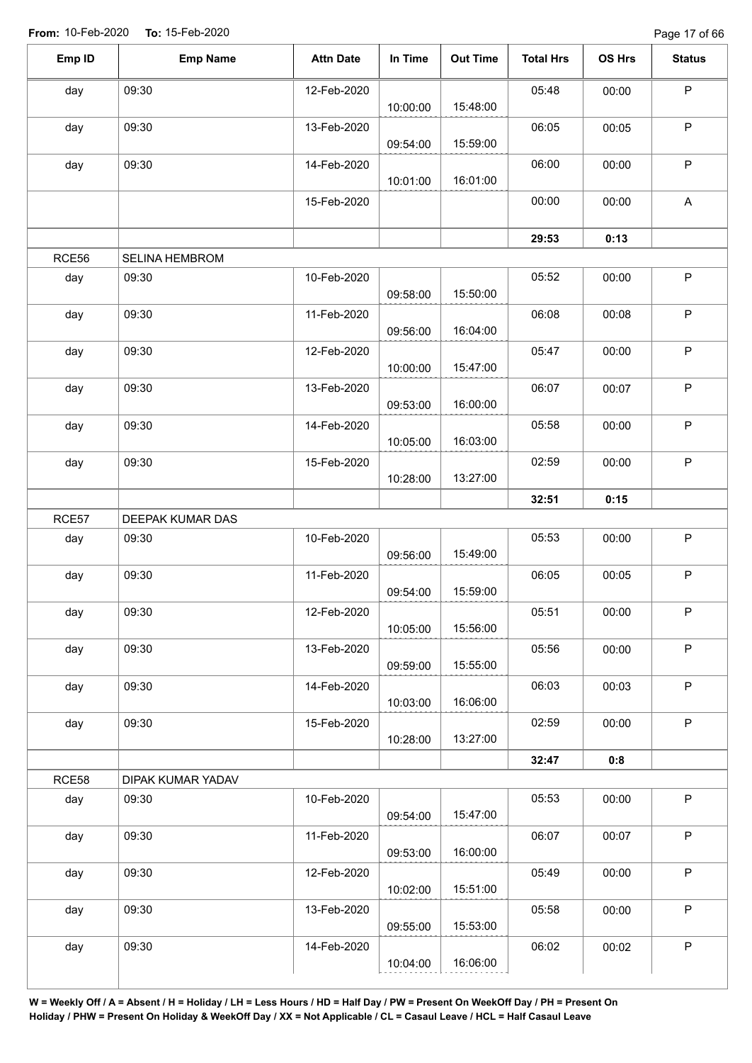Page 17 of 66

| Emp ID | <b>Emp Name</b>       | <b>Attn Date</b> | In Time  | <b>Out Time</b> | <b>Total Hrs</b> | OS Hrs | <b>Status</b> |
|--------|-----------------------|------------------|----------|-----------------|------------------|--------|---------------|
| day    | 09:30                 | 12-Feb-2020      |          |                 | 05:48            | 00:00  | $\sf P$       |
|        |                       |                  | 10:00:00 | 15:48:00        |                  |        |               |
| day    | 09:30                 | 13-Feb-2020      | 09:54:00 | 15:59:00        | 06:05            | 00:05  | P             |
| day    | 09:30                 | 14-Feb-2020      |          | 16:01:00        | 06:00            | 00:00  | P             |
|        |                       | 15-Feb-2020      | 10:01:00 |                 | 00:00            | 00:00  | A             |
|        |                       |                  |          |                 |                  |        |               |
|        |                       |                  |          |                 | 29:53            | 0:13   |               |
| RCE56  | <b>SELINA HEMBROM</b> |                  |          |                 |                  |        |               |
| day    | 09:30                 | 10-Feb-2020      | 09:58:00 | 15:50:00        | 05:52            | 00:00  | $\mathsf P$   |
| day    | 09:30                 | 11-Feb-2020      | 09:56:00 | 16:04:00        | 06:08            | 00:08  | $\mathsf P$   |
| day    | 09:30                 | 12-Feb-2020      |          |                 | 05:47            | 00:00  | $\mathsf P$   |
|        |                       |                  | 10:00:00 | 15:47:00        |                  |        |               |
| day    | 09:30                 | 13-Feb-2020      | 09:53:00 | 16:00:00        | 06:07            | 00:07  | $\mathsf P$   |
| day    | 09:30                 | 14-Feb-2020      | 10:05:00 | 16:03:00        | 05:58            | 00:00  | $\sf P$       |
| day    | 09:30                 | 15-Feb-2020      |          |                 | 02:59            | 00:00  | $\sf P$       |
|        |                       |                  | 10:28:00 | 13:27:00        |                  |        |               |
|        |                       |                  |          |                 | 32:51            | 0:15   |               |
| RCE57  | DEEPAK KUMAR DAS      |                  |          |                 |                  |        |               |
| day    | 09:30                 | 10-Feb-2020      |          |                 | 05:53            | 00:00  | $\sf P$       |
|        |                       |                  | 09:56:00 | 15:49:00        |                  |        |               |
| day    | 09:30                 | 11-Feb-2020      | 09:54:00 | 15:59:00        | 06:05            | 00:05  | P             |
| day    | 09:30                 | 12-Feb-2020      |          |                 | 05:51            | 00:00  | P             |
|        |                       |                  | 10:05:00 | 15:56:00        |                  |        |               |
| day    | 09:30                 | 13-Feb-2020      | 09:59:00 | 15:55:00        | 05:56            | 00:00  | $\mathsf P$   |
| day    | 09:30                 | 14-Feb-2020      |          |                 | 06:03            | 00:03  | $\mathsf P$   |
|        |                       |                  | 10:03:00 | 16:06:00        |                  |        |               |
| day    | 09:30                 | 15-Feb-2020      | 10:28:00 | 13:27:00        | 02:59            | 00:00  | $\mathsf P$   |
|        |                       |                  |          |                 | 32:47            | 0:8    |               |
| RCE58  | DIPAK KUMAR YADAV     |                  |          |                 |                  |        |               |
| day    | 09:30                 | 10-Feb-2020      | 09:54:00 | 15:47:00        | 05:53            | 00:00  | $\mathsf P$   |
| day    | 09:30                 | 11-Feb-2020      |          |                 | 06:07            | 00:07  | $\sf P$       |
|        |                       |                  | 09:53:00 | 16:00:00        |                  |        |               |
| day    | 09:30                 | 12-Feb-2020      |          |                 | 05:49            | 00:00  | $\mathsf P$   |
|        |                       |                  | 10:02:00 | 15:51:00        |                  |        |               |
|        | 09:30                 | 13-Feb-2020      |          |                 | 05:58            | 00:00  | $\sf P$       |
| day    |                       |                  |          |                 |                  |        |               |
| day    | 09:30                 | 14-Feb-2020      | 09:55:00 | 15:53:00        | 06:02            | 00:02  | P             |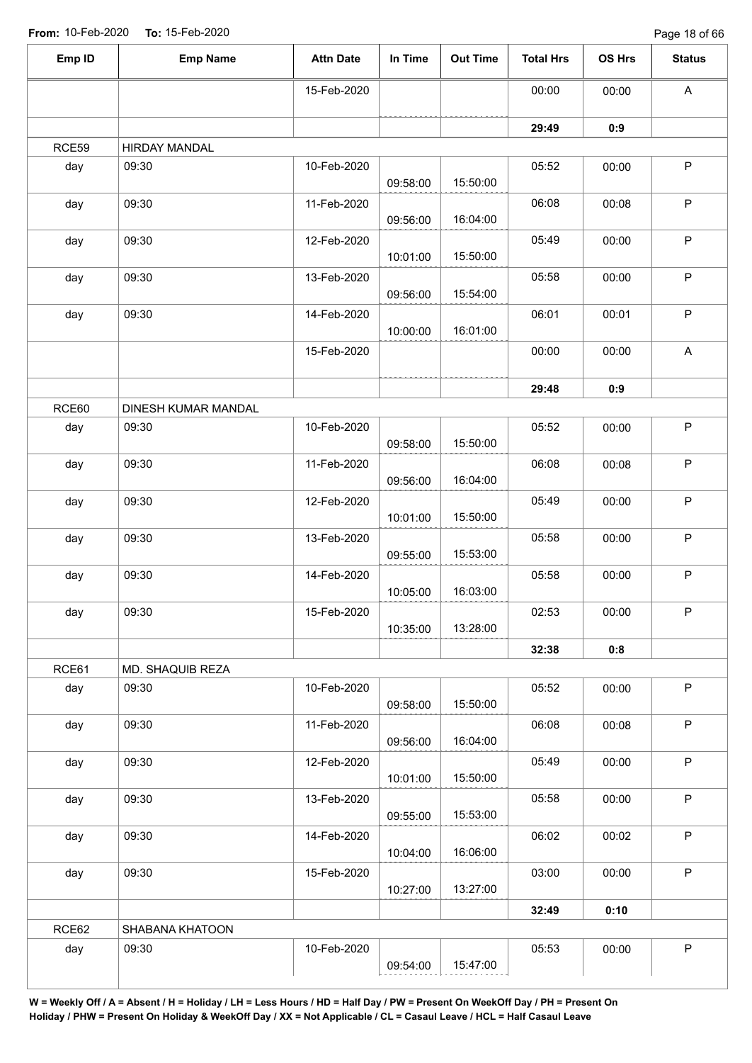Page 18 of 66

| Emp ID | <b>Emp Name</b>     | <b>Attn Date</b> | In Time  | <b>Out Time</b> | <b>Total Hrs</b> | OS Hrs | <b>Status</b>             |
|--------|---------------------|------------------|----------|-----------------|------------------|--------|---------------------------|
|        |                     | 15-Feb-2020      |          |                 | 00:00            | 00:00  | A                         |
|        |                     |                  |          |                 | 29:49            | 0:9    |                           |
| RCE59  | HIRDAY MANDAL       |                  |          |                 |                  |        |                           |
| day    | 09:30               | 10-Feb-2020      | 09:58:00 | 15:50:00        | 05:52            | 00:00  | $\sf P$                   |
| day    | 09:30               | 11-Feb-2020      | 09:56:00 | 16:04:00        | 06:08            | 00:08  | $\sf P$                   |
| day    | 09:30               | 12-Feb-2020      | 10:01:00 | 15:50:00        | 05:49            | 00:00  | $\mathsf P$               |
| day    | 09:30               | 13-Feb-2020      | 09:56:00 | 15:54:00        | 05:58            | 00:00  | $\mathsf P$               |
| day    | 09:30               | 14-Feb-2020      | 10:00:00 | 16:01:00        | 06:01            | 00:01  | $\mathsf P$               |
|        |                     | 15-Feb-2020      |          |                 | 00:00            | 00:00  | $\boldsymbol{\mathsf{A}}$ |
|        |                     |                  |          |                 | 29:48            | 0:9    |                           |
| RCE60  | DINESH KUMAR MANDAL |                  |          |                 |                  |        |                           |
| day    | 09:30               | 10-Feb-2020      | 09:58:00 | 15:50:00        | 05:52            | 00:00  | $\mathsf P$               |
| day    | 09:30               | 11-Feb-2020      | 09:56:00 | 16:04:00        | 06:08            | 00:08  | $\mathsf P$               |
| day    | 09:30               | 12-Feb-2020      | 10:01:00 | 15:50:00        | 05:49            | 00:00  | $\sf P$                   |
| day    | 09:30               | 13-Feb-2020      | 09:55:00 | 15:53:00        | 05:58            | 00:00  | $\sf P$                   |
| day    | 09:30               | 14-Feb-2020      | 10:05:00 | 16:03:00        | 05:58            | 00:00  | $\mathsf P$               |
| day    | 09:30               | 15-Feb-2020      | 10:35:00 | 13:28:00        | 02:53            | 00:00  | P                         |
|        |                     |                  |          |                 | 32:38            | 0:8    |                           |
| RCE61  | MD. SHAQUIB REZA    |                  |          |                 |                  |        |                           |
| day    | 09:30               | 10-Feb-2020      | 09:58:00 | 15:50:00        | 05:52            | 00:00  | $\mathsf P$               |
| day    | 09:30               | 11-Feb-2020      | 09:56:00 | 16:04:00        | 06:08            | 00:08  | $\mathsf P$               |
| day    | 09:30               | 12-Feb-2020      | 10:01:00 | 15:50:00        | 05:49            | 00:00  | $\mathsf P$               |
| day    | 09:30               | 13-Feb-2020      | 09:55:00 | 15:53:00        | 05:58            | 00:00  | $\mathsf P$               |
| day    | 09:30               | 14-Feb-2020      | 10:04:00 | 16:06:00        | 06:02            | 00:02  | $\mathsf P$               |
| day    | 09:30               | 15-Feb-2020      | 10:27:00 | 13:27:00        | 03:00            | 00:00  | $\mathsf P$               |
|        |                     |                  |          |                 | 32:49            | 0:10   |                           |
| RCE62  | SHABANA KHATOON     |                  |          |                 |                  |        |                           |
| day    | 09:30               | 10-Feb-2020      | 09:54:00 | 15:47:00        | 05:53            | 00:00  | $\mathsf P$               |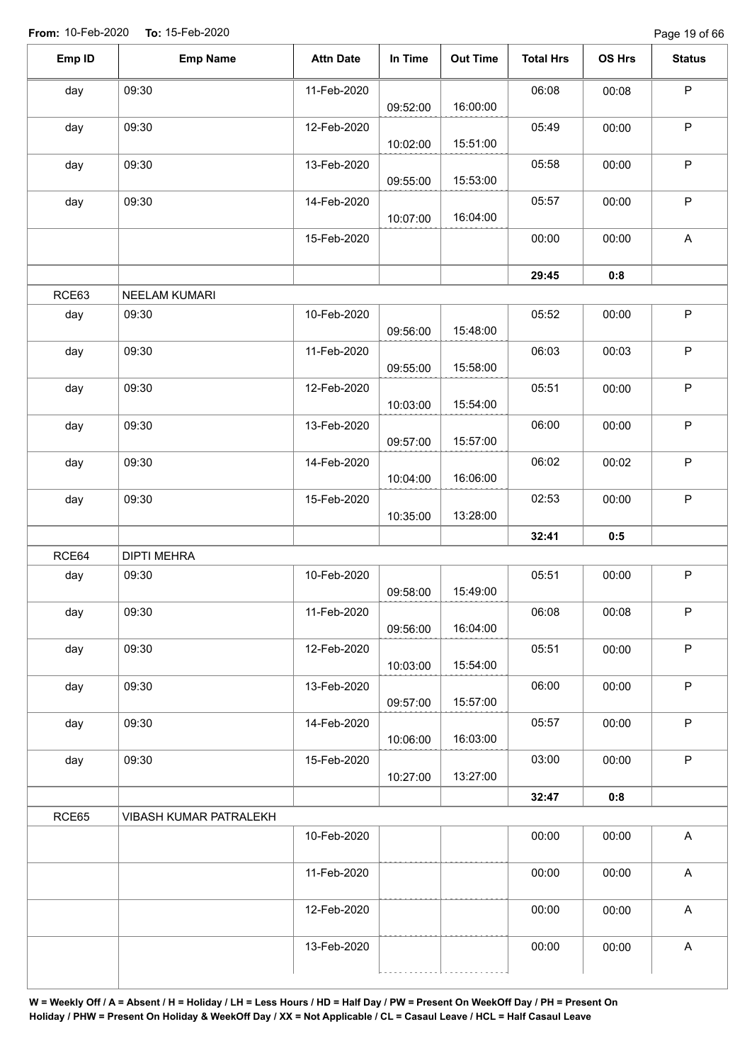| Emp ID | <b>Emp Name</b>        | <b>Attn Date</b> | In Time  | <b>Out Time</b> | <b>Total Hrs</b> | OS Hrs | <b>Status</b>             |
|--------|------------------------|------------------|----------|-----------------|------------------|--------|---------------------------|
| day    | 09:30                  | 11-Feb-2020      | 09:52:00 | 16:00:00        | 06:08            | 00:08  | $\sf P$                   |
| day    | 09:30                  | 12-Feb-2020      | 10:02:00 | 15:51:00        | 05:49            | 00:00  | $\mathsf P$               |
| day    | 09:30                  | 13-Feb-2020      | 09:55:00 | 15:53:00        | 05:58            | 00:00  | $\mathsf P$               |
| day    | 09:30                  | 14-Feb-2020      | 10:07:00 | 16:04:00        | 05:57            | 00:00  | $\sf P$                   |
|        |                        | 15-Feb-2020      |          |                 | 00:00            | 00:00  | A                         |
|        |                        |                  |          |                 | 29:45            | 0:8    |                           |
| RCE63  | NEELAM KUMARI          |                  |          |                 |                  |        |                           |
| day    | 09:30                  | 10-Feb-2020      | 09:56:00 | 15:48:00        | 05:52            | 00:00  | $\mathsf P$               |
| day    | 09:30                  | 11-Feb-2020      | 09:55:00 | 15:58:00        | 06:03            | 00:03  | $\sf P$                   |
| day    | 09:30                  | 12-Feb-2020      | 10:03:00 | 15:54:00        | 05:51            | 00:00  | $\sf P$                   |
| day    | 09:30                  | 13-Feb-2020      | 09:57:00 | 15:57:00        | 06:00            | 00:00  | $\mathsf P$               |
| day    | 09:30                  | 14-Feb-2020      | 10:04:00 | 16:06:00        | 06:02            | 00:02  | $\sf P$                   |
| day    | 09:30                  | 15-Feb-2020      | 10:35:00 | 13:28:00        | 02:53            | 00:00  | $\mathsf P$               |
|        |                        |                  |          |                 | 32:41            | 0:5    |                           |
| RCE64  | <b>DIPTI MEHRA</b>     |                  |          |                 |                  |        |                           |
| day    | 09:30                  | 10-Feb-2020      | 09:58:00 | 15:49:00        | 05:51            | 00:00  | $\sf P$                   |
| day    | 09:30                  | 11-Feb-2020      | 09:56:00 | 16:04:00        | 06:08            | 00:08  | $\mathsf P$               |
| day    | 09:30                  | 12-Feb-2020      | 10:03:00 | 15:54:00        | 05:51            | 00:00  | $\sf P$                   |
| day    | 09:30                  | 13-Feb-2020      | 09:57:00 | 15:57:00        | 06:00            | 00:00  | $\sf P$                   |
| day    | 09:30                  | 14-Feb-2020      | 10:06:00 | 16:03:00        | 05:57            | 00:00  | $\sf P$                   |
| day    | 09:30                  | 15-Feb-2020      | 10:27:00 | 13:27:00        | 03:00            | 00:00  | $\sf P$                   |
|        |                        |                  |          |                 | 32:47            | 0:8    |                           |
| RCE65  | VIBASH KUMAR PATRALEKH |                  |          |                 |                  |        |                           |
|        |                        | 10-Feb-2020      |          |                 | 00:00            | 00:00  | $\boldsymbol{\mathsf{A}}$ |
|        |                        | 11-Feb-2020      |          |                 | 00:00            | 00:00  | $\boldsymbol{\mathsf{A}}$ |
|        |                        | 12-Feb-2020      |          |                 | 00:00            | 00:00  | $\boldsymbol{\mathsf{A}}$ |
|        |                        | 13-Feb-2020      |          |                 | 00:00            | 00:00  | $\boldsymbol{\mathsf{A}}$ |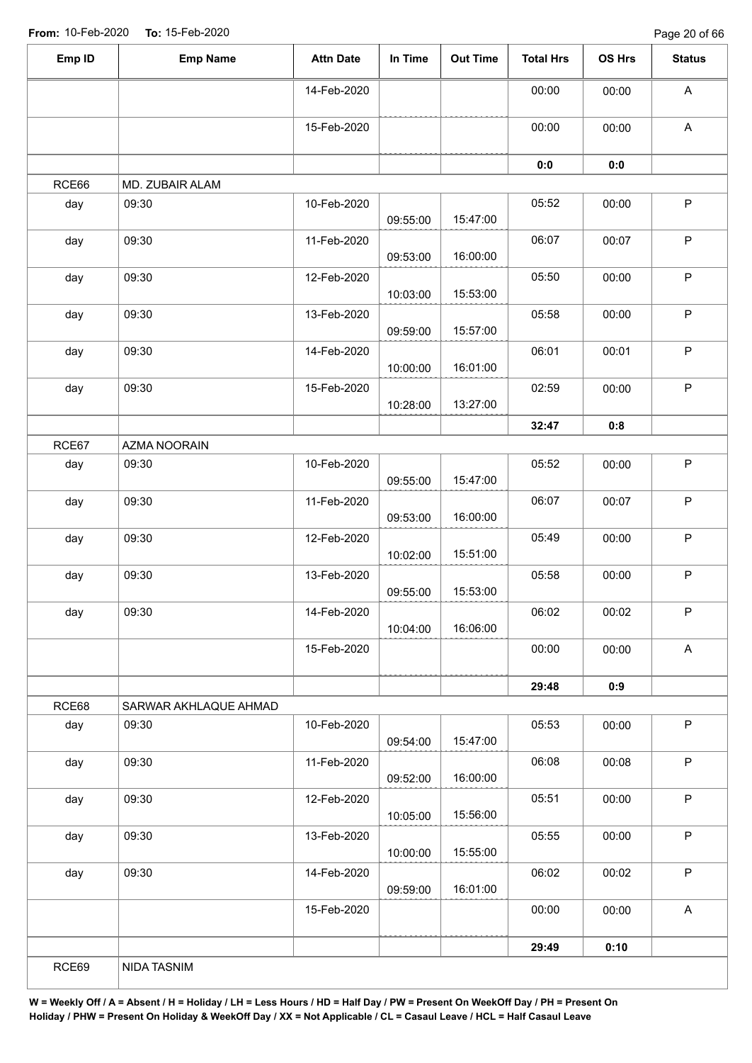Page 20 of 66

| RCE66<br>day<br>day<br>day<br>day | MD. ZUBAIR ALAM<br>09:30<br>09:30<br>09:30<br>09:30 | 14-Feb-2020<br>15-Feb-2020<br>10-Feb-2020<br>11-Feb-2020<br>12-Feb-2020 | 09:55:00<br>09:53:00 | 15:47:00 | 00:00<br>00:00<br>0:0<br>05:52 | 00:00<br>00:00<br>0:0<br>00:00 | $\boldsymbol{\mathsf{A}}$<br>$\boldsymbol{\mathsf{A}}$<br>$\mathsf P$ |
|-----------------------------------|-----------------------------------------------------|-------------------------------------------------------------------------|----------------------|----------|--------------------------------|--------------------------------|-----------------------------------------------------------------------|
|                                   |                                                     |                                                                         |                      |          |                                |                                |                                                                       |
|                                   |                                                     |                                                                         |                      |          |                                |                                |                                                                       |
|                                   |                                                     |                                                                         |                      |          |                                |                                |                                                                       |
|                                   |                                                     |                                                                         |                      |          |                                |                                |                                                                       |
|                                   |                                                     |                                                                         |                      |          |                                |                                |                                                                       |
|                                   |                                                     |                                                                         |                      | 16:00:00 | 06:07                          | 00:07                          | $\mathsf P$                                                           |
|                                   |                                                     |                                                                         | 10:03:00             | 15:53:00 | 05:50                          | 00:00                          | $\mathsf P$                                                           |
|                                   |                                                     | 13-Feb-2020                                                             | 09:59:00             | 15:57:00 | 05:58                          | 00:00                          | $\mathsf P$                                                           |
| day                               | 09:30                                               | 14-Feb-2020                                                             | 10:00:00             | 16:01:00 | 06:01                          | 00:01                          | $\mathsf P$                                                           |
| day                               | 09:30                                               | 15-Feb-2020                                                             | 10:28:00             | 13:27:00 | 02:59                          | 00:00                          | $\mathsf P$                                                           |
|                                   |                                                     |                                                                         |                      |          | 32:47                          | 0:8                            |                                                                       |
| RCE67                             | AZMA NOORAIN                                        |                                                                         |                      |          |                                |                                |                                                                       |
| day                               | 09:30                                               | 10-Feb-2020                                                             | 09:55:00             | 15:47:00 | 05:52                          | 00:00                          | $\mathsf P$                                                           |
| day                               | 09:30                                               | 11-Feb-2020                                                             | 09:53:00             | 16:00:00 | 06:07                          | 00:07                          | $\sf P$                                                               |
| day                               | 09:30                                               | 12-Feb-2020                                                             | 10:02:00             | 15:51:00 | 05:49                          | 00:00                          | $\sf P$                                                               |
| day                               | 09:30                                               | 13-Feb-2020                                                             | 09:55:00             | 15:53:00 | 05:58                          | 00:00                          | $\sf P$                                                               |
| day                               | 09:30                                               | 14-Feb-2020                                                             | 10:04:00             | 16:06:00 | 06:02                          | 00:02                          | $\mathsf P$                                                           |
|                                   |                                                     | 15-Feb-2020                                                             |                      |          | 00:00                          | 00:00                          | $\boldsymbol{\mathsf{A}}$                                             |
|                                   |                                                     |                                                                         |                      |          | 29:48                          | 0:9                            |                                                                       |
| RCE68                             | SARWAR AKHLAQUE AHMAD                               |                                                                         |                      |          |                                |                                |                                                                       |
| day                               | 09:30                                               | 10-Feb-2020                                                             | 09:54:00             | 15:47:00 | 05:53                          | 00:00                          | $\mathsf P$                                                           |
| day                               | 09:30                                               | 11-Feb-2020                                                             | 09:52:00             | 16:00:00 | 06:08                          | 00:08                          | $\mathsf P$                                                           |
| day                               | 09:30                                               | 12-Feb-2020                                                             | 10:05:00             | 15:56:00 | 05:51                          | 00:00                          | $\sf P$                                                               |
| day                               | 09:30                                               | 13-Feb-2020                                                             | 10:00:00             | 15:55:00 | 05:55                          | 00:00                          | $\sf P$                                                               |
| day                               | 09:30                                               | 14-Feb-2020                                                             | 09:59:00             | 16:01:00 | 06:02                          | 00:02                          | $\mathsf P$                                                           |
|                                   |                                                     | 15-Feb-2020                                                             |                      |          | 00:00                          | 00:00                          | $\mathsf A$                                                           |
|                                   |                                                     |                                                                         |                      |          | 29:49                          | 0:10                           |                                                                       |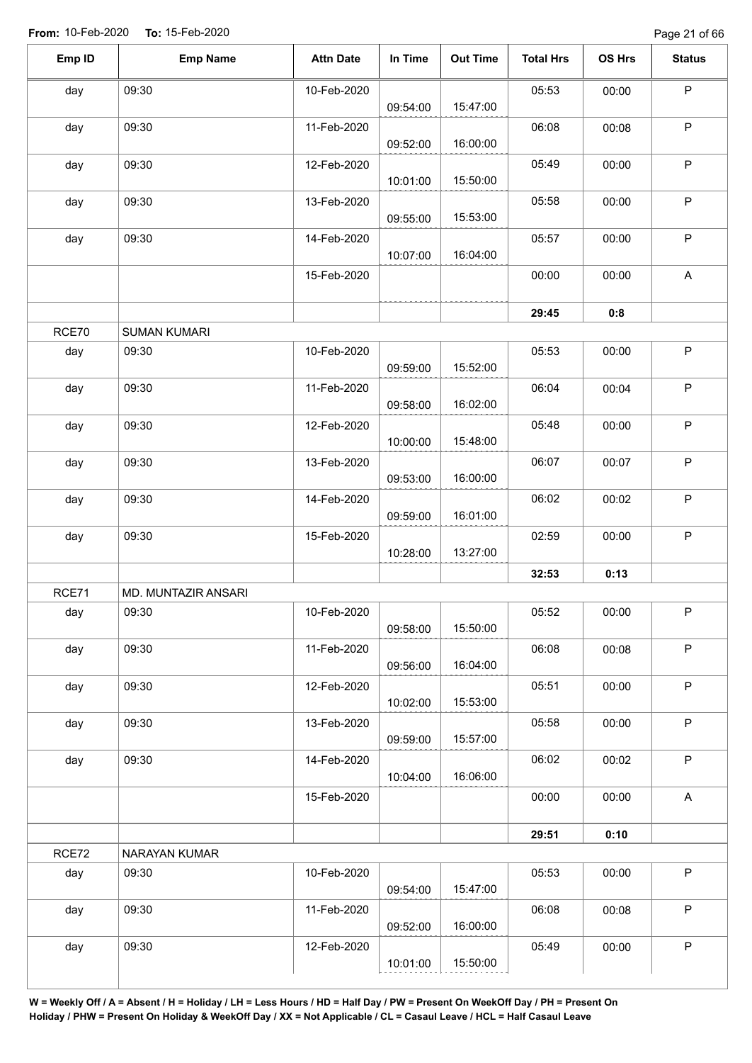| Emp ID | <b>Emp Name</b>     | <b>Attn Date</b> | In Time  | <b>Out Time</b> | <b>Total Hrs</b> | OS Hrs | <b>Status</b> |
|--------|---------------------|------------------|----------|-----------------|------------------|--------|---------------|
| day    | 09:30               | 10-Feb-2020      | 09:54:00 | 15:47:00        | 05:53            | 00:00  | $\mathsf P$   |
| day    | 09:30               | 11-Feb-2020      | 09:52:00 | 16:00:00        | 06:08            | 00:08  | $\mathsf P$   |
| day    | 09:30               | 12-Feb-2020      | 10:01:00 | 15:50:00        | 05:49            | 00:00  | $\mathsf P$   |
| day    | 09:30               | 13-Feb-2020      | 09:55:00 | 15:53:00        | 05:58            | 00:00  | $\mathsf P$   |
| day    | 09:30               | 14-Feb-2020      | 10:07:00 | 16:04:00        | 05:57            | 00:00  | $\mathsf P$   |
|        |                     | 15-Feb-2020      |          |                 | 00:00            | 00:00  | A             |
|        |                     |                  |          |                 | 29:45            | 0:8    |               |
| RCE70  | <b>SUMAN KUMARI</b> |                  |          |                 |                  |        |               |
| day    | 09:30               | 10-Feb-2020      | 09:59:00 | 15:52:00        | 05:53            | 00:00  | $\sf P$       |
| day    | 09:30               | 11-Feb-2020      | 09:58:00 | 16:02:00        | 06:04            | 00:04  | $\mathsf P$   |
| day    | 09:30               | 12-Feb-2020      | 10:00:00 | 15:48:00        | 05:48            | 00:00  | $\mathsf P$   |
| day    | 09:30               | 13-Feb-2020      | 09:53:00 | 16:00:00        | 06:07            | 00:07  | $\sf P$       |
| day    | 09:30               | 14-Feb-2020      | 09:59:00 | 16:01:00        | 06:02            | 00:02  | $\mathsf P$   |
| day    | 09:30               | 15-Feb-2020      | 10:28:00 | 13:27:00        | 02:59            | 00:00  | $\mathsf P$   |
|        |                     |                  |          |                 | 32:53            | 0:13   |               |
| RCE71  | MD. MUNTAZIR ANSARI |                  |          |                 |                  |        |               |
| day    | 09:30               | 10-Feb-2020      | 09:58:00 | 15:50:00        | 05:52            | 00:00  | P             |
| day    | 09:30               | 11-Feb-2020      | 09:56:00 | 16:04:00        | 06:08            | 00:08  | $\mathsf P$   |
| day    | 09:30               | 12-Feb-2020      | 10:02:00 | 15:53:00        | 05:51            | 00:00  | $\mathsf P$   |
| day    | 09:30               | 13-Feb-2020      | 09:59:00 | 15:57:00        | 05:58            | 00:00  | $\mathsf P$   |
| day    | 09:30               | 14-Feb-2020      | 10:04:00 | 16:06:00        | 06:02            | 00:02  | $\mathsf P$   |
|        |                     | 15-Feb-2020      |          |                 | 00:00            | 00:00  | $\mathsf A$   |
|        |                     |                  |          |                 | 29:51            | 0:10   |               |
| RCE72  | NARAYAN KUMAR       |                  |          |                 |                  |        |               |
| day    | 09:30               | 10-Feb-2020      | 09:54:00 | 15:47:00        | 05:53            | 00:00  | $\mathsf P$   |
| day    | 09:30               | 11-Feb-2020      | 09:52:00 | 16:00:00        | 06:08            | 00:08  | $\mathsf P$   |
| day    | 09:30               | 12-Feb-2020      | 10:01:00 | 15:50:00        | 05:49            | 00:00  | P             |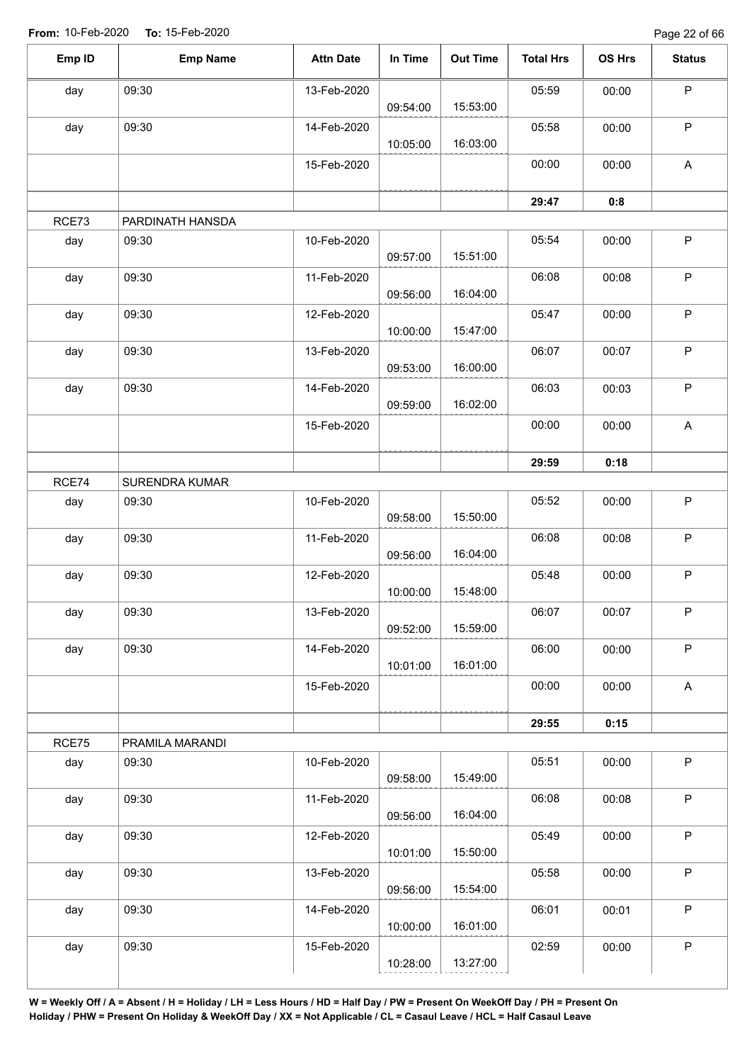Page 22 of 66

| Emp ID | <b>Emp Name</b>  | <b>Attn Date</b> | In Time  | <b>Out Time</b> | <b>Total Hrs</b> | OS Hrs | <b>Status</b>             |
|--------|------------------|------------------|----------|-----------------|------------------|--------|---------------------------|
| day    | 09:30            | 13-Feb-2020      |          |                 | 05:59            | 00:00  | $\mathsf P$               |
|        |                  |                  | 09:54:00 | 15:53:00        |                  |        |                           |
| day    | 09:30            | 14-Feb-2020      | 10:05:00 | 16:03:00        | 05:58            | 00:00  | $\mathsf P$               |
|        |                  | 15-Feb-2020      |          |                 | 00:00            | 00:00  | $\boldsymbol{\mathsf{A}}$ |
|        |                  |                  |          |                 | 29:47            | 0:8    |                           |
| RCE73  | PARDINATH HANSDA |                  |          |                 |                  |        |                           |
| day    | 09:30            | 10-Feb-2020      | 09:57:00 | 15:51:00        | 05:54            | 00:00  | $\mathsf P$               |
| day    | 09:30            | 11-Feb-2020      | 09:56:00 | 16:04:00        | 06:08            | 00:08  | $\mathsf P$               |
| day    | 09:30            | 12-Feb-2020      | 10:00:00 | 15:47:00        | 05:47            | 00:00  | $\mathsf P$               |
| day    | 09:30            | 13-Feb-2020      | 09:53:00 | 16:00:00        | 06:07            | 00:07  | $\mathsf P$               |
| day    | 09:30            | 14-Feb-2020      | 09:59:00 | 16:02:00        | 06:03            | 00:03  | $\sf P$                   |
|        |                  | 15-Feb-2020      |          |                 | 00:00            | 00:00  | A                         |
|        |                  |                  |          |                 | 29:59            | 0:18   |                           |
| RCE74  | SURENDRA KUMAR   |                  |          |                 |                  |        |                           |
| day    | 09:30            | 10-Feb-2020      |          |                 | 05:52            | 00:00  | $\mathsf P$               |
|        |                  |                  | 09:58:00 | 15:50:00        |                  |        |                           |
| day    | 09:30            | 11-Feb-2020      | 09:56:00 | 16:04:00        | 06:08            | 00:08  | $\mathsf P$               |
| day    | 09:30            | 12-Feb-2020      | 10:00:00 | 15:48:00        | 05:48            | 00:00  | $\mathsf P$               |
| day    | 09:30            | 13-Feb-2020      | 09:52:00 | 15:59:00        | 06:07            | 00:07  | $\mathsf P$               |
| day    | 09:30            | 14-Feb-2020      | 10:01:00 | 16:01:00        | 06:00            | 00:00  | $\mathsf P$               |
|        |                  | 15-Feb-2020      |          |                 | 00:00            | 00:00  | $\mathsf A$               |
|        |                  |                  |          |                 | 29:55            | 0:15   |                           |
| RCE75  | PRAMILA MARANDI  |                  |          |                 |                  |        |                           |
| day    | 09:30            | 10-Feb-2020      | 09:58:00 | 15:49:00        | 05:51            | 00:00  | $\mathsf P$               |
| day    | 09:30            | 11-Feb-2020      | 09:56:00 | 16:04:00        | 06:08            | 00:08  | $\mathsf P$               |
| day    | 09:30            | 12-Feb-2020      | 10:01:00 | 15:50:00        | 05:49            | 00:00  | $\mathsf P$               |
| day    | 09:30            | 13-Feb-2020      | 09:56:00 | 15:54:00        | 05:58            | 00:00  | $\mathsf P$               |
| day    | 09:30            | 14-Feb-2020      | 10:00:00 | 16:01:00        | 06:01            | 00:01  | $\mathsf P$               |
| day    | 09:30            | 15-Feb-2020      |          |                 | 02:59            | 00:00  | $\mathsf P$               |
|        |                  |                  | 10:28:00 | 13:27:00        |                  |        |                           |
|        |                  |                  |          |                 |                  |        |                           |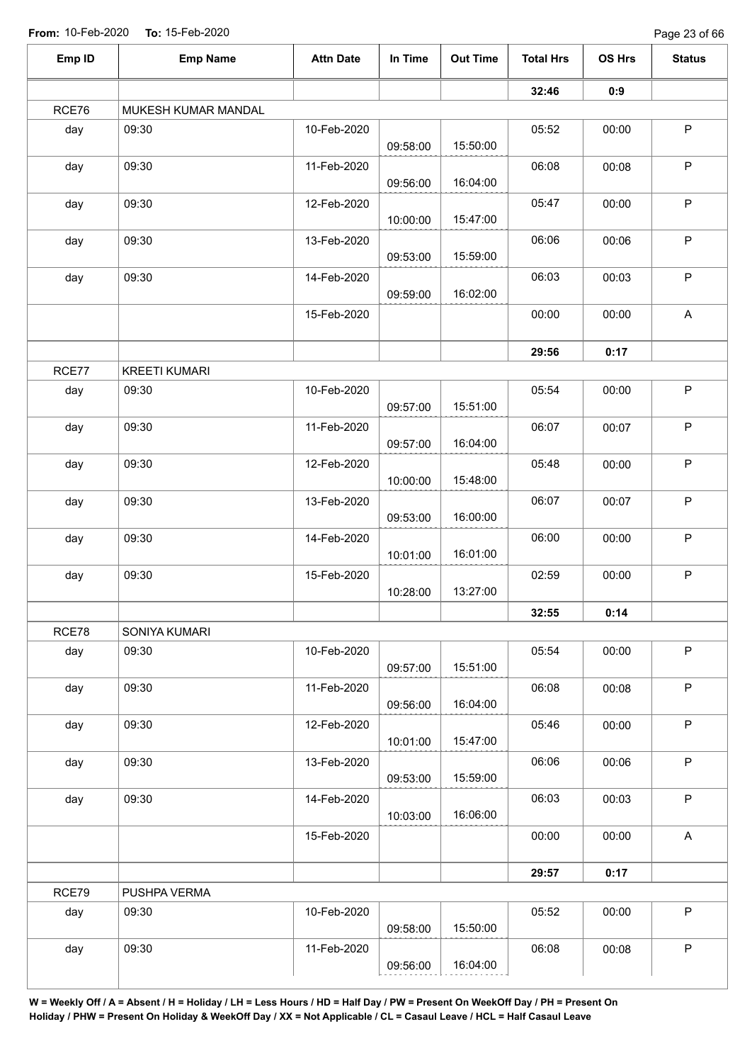Page 23 of 66

| Emp ID | <b>Emp Name</b>      | <b>Attn Date</b> | In Time  | <b>Out Time</b> | <b>Total Hrs</b> | OS Hrs | <b>Status</b>             |
|--------|----------------------|------------------|----------|-----------------|------------------|--------|---------------------------|
|        |                      |                  |          |                 | 32:46            | 0:9    |                           |
| RCE76  | MUKESH KUMAR MANDAL  |                  |          |                 |                  |        |                           |
| day    | 09:30                | 10-Feb-2020      |          |                 | 05:52            | 00:00  | $\sf P$                   |
|        |                      |                  | 09:58:00 | 15:50:00        |                  |        |                           |
| day    | 09:30                | 11-Feb-2020      |          |                 | 06:08            | 00:08  | $\sf P$                   |
|        |                      |                  | 09:56:00 | 16:04:00        |                  |        |                           |
| day    | 09:30                | 12-Feb-2020      | 10:00:00 | 15:47:00        | 05:47            | 00:00  | $\mathsf P$               |
| day    | 09:30                | 13-Feb-2020      | 09:53:00 | 15:59:00        | 06:06            | 00:06  | $\sf P$                   |
| day    | 09:30                | 14-Feb-2020      | 09:59:00 | 16:02:00        | 06:03            | 00:03  | $\mathsf P$               |
|        |                      | 15-Feb-2020      |          |                 | 00:00            | 00:00  | $\boldsymbol{\mathsf{A}}$ |
|        |                      |                  |          |                 | 29:56            | 0:17   |                           |
| RCE77  | <b>KREETI KUMARI</b> |                  |          |                 |                  |        |                           |
| day    | 09:30                | 10-Feb-2020      | 09:57:00 | 15:51:00        | 05:54            | 00:00  | $\mathsf P$               |
| day    | 09:30                | 11-Feb-2020      | 09:57:00 | 16:04:00        | 06:07            | 00:07  | $\sf P$                   |
| day    | 09:30                | 12-Feb-2020      | 10:00:00 | 15:48:00        | 05:48            | 00:00  | $\sf P$                   |
| day    | 09:30                | 13-Feb-2020      |          |                 | 06:07            | 00:07  | $\sf P$                   |
|        |                      |                  | 09:53:00 | 16:00:00        |                  |        |                           |
| day    | 09:30                | 14-Feb-2020      | 10:01:00 | 16:01:00        | 06:00            | 00:00  | $\sf P$                   |
| day    | 09:30                | 15-Feb-2020      | 10:28:00 | 13:27:00        | 02:59            | 00:00  | $\sf P$                   |
|        |                      |                  |          |                 | 32:55            | 0:14   |                           |
| RCE78  | SONIYA KUMARI        |                  |          |                 |                  |        |                           |
| day    | 09:30                | 10-Feb-2020      | 09:57:00 | 15:51:00        | 05:54            | 00:00  | $\mathsf P$               |
| day    | 09:30                | 11-Feb-2020      |          |                 | 06:08            | 00:08  | $\mathsf P$               |
|        |                      |                  | 09:56:00 | 16:04:00        |                  |        |                           |
| day    | 09:30                | 12-Feb-2020      | 10:01:00 | 15:47:00        | 05:46            | 00:00  | $\mathsf P$               |
| day    | 09:30                | 13-Feb-2020      | 09:53:00 | 15:59:00        | 06:06            | 00:06  | $\sf P$                   |
| day    | 09:30                | 14-Feb-2020      | 10:03:00 | 16:06:00        | 06:03            | 00:03  | $\mathsf P$               |
|        |                      | 15-Feb-2020      |          |                 | 00:00            | 00:00  | $\mathsf{A}$              |
|        |                      |                  |          |                 | 29:57            | 0:17   |                           |
| RCE79  | PUSHPA VERMA         |                  |          |                 |                  |        |                           |
| day    | 09:30                | 10-Feb-2020      |          |                 | 05:52            | 00:00  | $\mathsf P$               |
|        |                      |                  | 09:58:00 | 15:50:00        |                  |        |                           |
| day    | 09:30                | 11-Feb-2020      | 09:56:00 | 16:04:00        | 06:08            | 00:08  | $\mathsf P$               |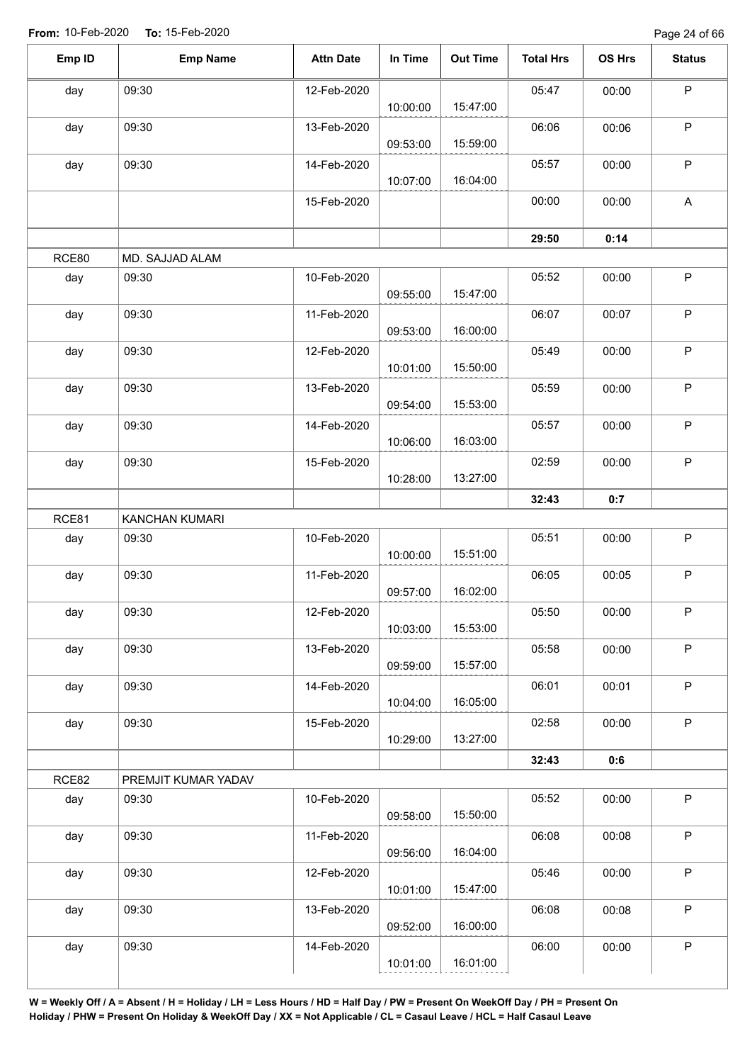Page 24 of 66

| Emp ID | <b>Emp Name</b>     | <b>Attn Date</b> | In Time  | <b>Out Time</b> | <b>Total Hrs</b> | OS Hrs | <b>Status</b>             |
|--------|---------------------|------------------|----------|-----------------|------------------|--------|---------------------------|
| day    | 09:30               | 12-Feb-2020      | 10:00:00 | 15:47:00        | 05:47            | 00:00  | $\mathsf P$               |
| day    | 09:30               | 13-Feb-2020      | 09:53:00 | 15:59:00        | 06:06            | 00:06  | P                         |
| day    | 09:30               | 14-Feb-2020      | 10:07:00 | 16:04:00        | 05:57            | 00:00  | $\mathsf P$               |
|        |                     | 15-Feb-2020      |          |                 | 00:00            | 00:00  | $\boldsymbol{\mathsf{A}}$ |
|        |                     |                  |          |                 | 29:50            | 0:14   |                           |
| RCE80  | MD. SAJJAD ALAM     |                  |          |                 |                  |        |                           |
| day    | 09:30               | 10-Feb-2020      | 09:55:00 | 15:47:00        | 05:52            | 00:00  | $\mathsf P$               |
| day    | 09:30               | 11-Feb-2020      | 09:53:00 | 16:00:00        | 06:07            | 00:07  | $\mathsf P$               |
| day    | 09:30               | 12-Feb-2020      | 10:01:00 | 15:50:00        | 05:49            | 00:00  | $\mathsf P$               |
| day    | 09:30               | 13-Feb-2020      | 09:54:00 | 15:53:00        | 05:59            | 00:00  | $\mathsf P$               |
| day    | 09:30               | 14-Feb-2020      | 10:06:00 | 16:03:00        | 05:57            | 00:00  | $\sf P$                   |
| day    | 09:30               | 15-Feb-2020      | 10:28:00 | 13:27:00        | 02:59            | 00:00  | $\mathsf P$               |
|        |                     |                  |          |                 | 32:43            | 0:7    |                           |
| RCE81  | KANCHAN KUMARI      |                  |          |                 |                  |        |                           |
| day    | 09:30               | 10-Feb-2020      | 10:00:00 | 15:51:00        | 05:51            | 00:00  | $\mathsf P$               |
| day    | 09:30               | 11-Feb-2020      | 09:57:00 | 16:02:00        | 06:05            | 00:05  | $\mathsf P$               |
| day    | 09:30               | 12-Feb-2020      | 10:03:00 | 15:53:00        | 05:50            | 00:00  | P                         |
| day    | 09:30               | 13-Feb-2020      | 09:59:00 | 15:57:00        | 05:58            | 00:00  | $\mathsf P$               |
| day    | 09:30               | 14-Feb-2020      | 10:04:00 | 16:05:00        | 06:01            | 00:01  | $\mathsf P$               |
| day    | 09:30               | 15-Feb-2020      | 10:29:00 | 13:27:00        | 02:58            | 00:00  | $\sf P$                   |
|        |                     |                  |          |                 | 32:43            | 0:6    |                           |
| RCE82  | PREMJIT KUMAR YADAV |                  |          |                 |                  |        |                           |
| day    | 09:30               | 10-Feb-2020      | 09:58:00 | 15:50:00        | 05:52            | 00:00  | $\sf P$                   |
| day    | 09:30               | 11-Feb-2020      | 09:56:00 | 16:04:00        | 06:08            | 00:08  | $\mathsf P$               |
| day    | 09:30               | 12-Feb-2020      | 10:01:00 | 15:47:00        | 05:46            | 00:00  | $\sf P$                   |
| day    | 09:30               | 13-Feb-2020      | 09:52:00 | 16:00:00        | 06:08            | 00:08  | $\mathsf P$               |
| day    | 09:30               | 14-Feb-2020      | 10:01:00 | 16:01:00        | 06:00            | 00:00  | $\mathsf P$               |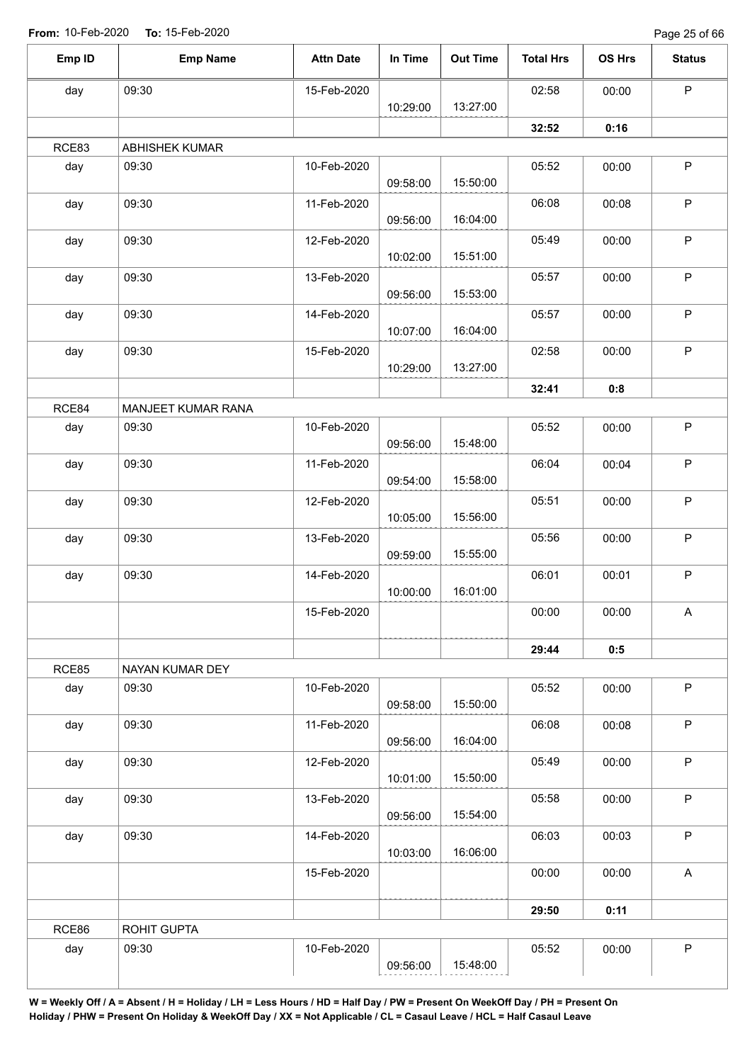Page 25 of 66

| Emp ID | <b>Emp Name</b>       | <b>Attn Date</b> | In Time  | <b>Out Time</b> | <b>Total Hrs</b> | OS Hrs | <b>Status</b> |
|--------|-----------------------|------------------|----------|-----------------|------------------|--------|---------------|
| day    | 09:30                 | 15-Feb-2020      |          |                 | 02:58            | 00:00  | $\sf P$       |
|        |                       |                  | 10:29:00 | 13:27:00        |                  |        |               |
|        |                       |                  |          |                 | 32:52            | 0:16   |               |
| RCE83  | <b>ABHISHEK KUMAR</b> |                  |          |                 |                  |        |               |
| day    | 09:30                 | 10-Feb-2020      | 09:58:00 | 15:50:00        | 05:52            | 00:00  | $\sf P$       |
| day    | 09:30                 | 11-Feb-2020      |          |                 | 06:08            | 00:08  | $\sf P$       |
|        |                       |                  | 09:56:00 | 16:04:00        |                  |        |               |
| day    | 09:30                 | 12-Feb-2020      |          |                 | 05:49            | 00:00  | $\sf P$       |
|        |                       |                  | 10:02:00 | 15:51:00        |                  |        |               |
| day    | 09:30                 | 13-Feb-2020      | 09:56:00 | 15:53:00        | 05:57            | 00:00  | $\mathsf P$   |
| day    | 09:30                 | 14-Feb-2020      |          |                 | 05:57            | 00:00  | $\sf P$       |
|        |                       |                  | 10:07:00 | 16:04:00        |                  |        |               |
| day    | 09:30                 | 15-Feb-2020      |          |                 | 02:58            | 00:00  | $\sf P$       |
|        |                       |                  | 10:29:00 | 13:27:00        |                  |        |               |
|        |                       |                  |          |                 | 32:41            | 0:8    |               |
| RCE84  | MANJEET KUMAR RANA    |                  |          |                 |                  |        |               |
| day    | 09:30                 | 10-Feb-2020      |          |                 | 05:52            | 00:00  | $\sf P$       |
|        |                       |                  | 09:56:00 | 15:48:00        |                  |        |               |
| day    | 09:30                 | 11-Feb-2020      |          | 15:58:00        | 06:04            | 00:04  | $\sf P$       |
|        | 09:30                 |                  | 09:54:00 |                 |                  |        | $\sf P$       |
| day    |                       | 12-Feb-2020      | 10:05:00 | 15:56:00        | 05:51            | 00:00  |               |
| day    | 09:30                 | 13-Feb-2020      |          |                 | 05:56            | 00:00  | $\mathsf P$   |
|        |                       |                  | 09:59:00 | 15:55:00        |                  |        |               |
| day    | 09:30                 | 14-Feb-2020      |          |                 | 06:01            | 00:01  | $\mathsf P$   |
|        |                       |                  | 10:00:00 | 16:01:00        |                  |        |               |
|        |                       | 15-Feb-2020      |          |                 | 00:00            | 00:00  | A             |
|        |                       |                  |          |                 | 29:44            | 0:5    |               |
| RCE85  | NAYAN KUMAR DEY       |                  |          |                 |                  |        |               |
| day    | 09:30                 | 10-Feb-2020      |          |                 | 05:52            | 00:00  | $\sf P$       |
|        |                       |                  | 09:58:00 | 15:50:00        |                  |        |               |
| day    | 09:30                 | 11-Feb-2020      |          |                 | 06:08            | 00:08  | P             |
|        |                       |                  | 09:56:00 | 16:04:00        |                  |        |               |
| day    | 09:30                 | 12-Feb-2020      |          |                 | 05:49            | 00:00  | $\sf P$       |
|        |                       |                  | 10:01:00 | 15:50:00        |                  |        |               |
| day    | 09:30                 | 13-Feb-2020      |          | 15:54:00        | 05:58            | 00:00  | $\mathsf P$   |
|        |                       |                  | 09:56:00 |                 |                  |        | $\mathsf{P}$  |
| day    | 09:30                 | 14-Feb-2020      | 10:03:00 | 16:06:00        | 06:03            | 00:03  |               |
|        |                       | 15-Feb-2020      |          |                 | 00:00            | 00:00  | A             |
|        |                       |                  |          |                 |                  |        |               |
|        |                       |                  |          |                 | 29:50            | 0:11   |               |
| RCE86  | ROHIT GUPTA           |                  |          |                 |                  |        |               |
| day    | 09:30                 | 10-Feb-2020      |          |                 | 05:52            | 00:00  | P             |
|        |                       |                  | 09:56:00 | 15:48:00        |                  |        |               |
|        |                       |                  |          |                 |                  |        |               |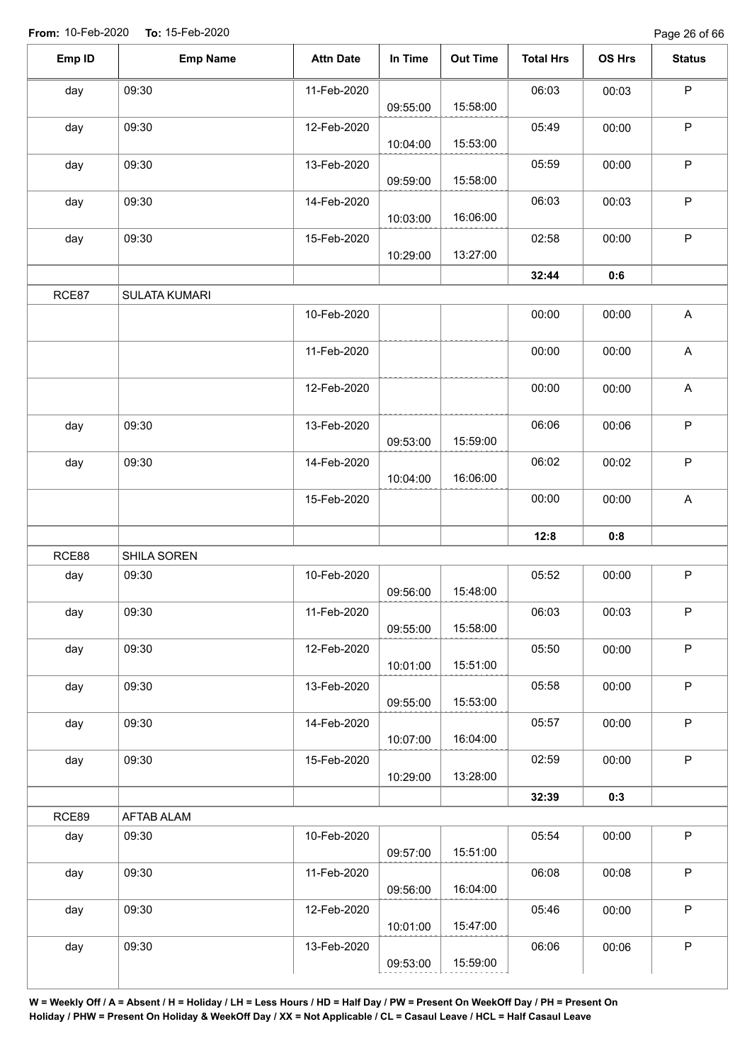| Emp ID | <b>Emp Name</b> | <b>Attn Date</b> | In Time  | <b>Out Time</b> | <b>Total Hrs</b> | OS Hrs | <b>Status</b>             |
|--------|-----------------|------------------|----------|-----------------|------------------|--------|---------------------------|
| day    | 09:30           | 11-Feb-2020      | 09:55:00 | 15:58:00        | 06:03            | 00:03  | $\mathsf P$               |
| day    | 09:30           | 12-Feb-2020      |          | 15:53:00        | 05:49            | 00:00  | $\mathsf P$               |
| day    | 09:30           | 13-Feb-2020      | 10:04:00 |                 | 05:59            | 00:00  | $\mathsf P$               |
| day    | 09:30           | 14-Feb-2020      | 09:59:00 | 15:58:00        | 06:03            | 00:03  | ${\sf P}$                 |
| day    | 09:30           | 15-Feb-2020      | 10:03:00 | 16:06:00        | 02:58            | 00:00  | $\mathsf P$               |
|        |                 |                  | 10:29:00 | 13:27:00        | 32:44            | 0:6    |                           |
| RCE87  | SULATA KUMARI   |                  |          |                 |                  |        |                           |
|        |                 | 10-Feb-2020      |          |                 | 00:00            | 00:00  | A                         |
|        |                 | 11-Feb-2020      |          |                 | 00:00            | 00:00  | $\mathsf A$               |
|        |                 | 12-Feb-2020      |          |                 | 00:00            | 00:00  | A                         |
| day    | 09:30           | 13-Feb-2020      | 09:53:00 | 15:59:00        | 06:06            | 00:06  | $\mathsf P$               |
| day    | 09:30           | 14-Feb-2020      | 10:04:00 | 16:06:00        | 06:02            | 00:02  | $\mathsf P$               |
|        |                 | 15-Feb-2020      |          |                 | 00:00            | 00:00  | $\boldsymbol{\mathsf{A}}$ |
|        |                 |                  |          |                 | 12:8             | 0:8    |                           |
| RCE88  | SHILA SOREN     |                  |          |                 |                  |        |                           |
| day    | 09:30           | 10-Feb-2020      | 09:56:00 | 15:48:00        | 05:52            | 00:00  | $\mathsf P$               |
| day    | 09:30           | 11-Feb-2020      | 09:55:00 | 15:58:00        | 06:03            | 00:03  | P                         |
| day    | 09:30           | 12-Feb-2020      | 10:01:00 | 15:51:00        | 05:50            | 00:00  | $\sf P$                   |
| day    | 09:30           | 13-Feb-2020      | 09:55:00 | 15:53:00        | 05:58            | 00:00  | $\mathsf P$               |
| day    | 09:30           | 14-Feb-2020      | 10:07:00 | 16:04:00        | 05:57            | 00:00  | $\mathsf P$               |
| day    | 09:30           | 15-Feb-2020      | 10:29:00 | 13:28:00        | 02:59            | 00:00  | $\mathsf{P}$              |
|        |                 |                  |          |                 | 32:39            | 0:3    |                           |
| RCE89  | AFTAB ALAM      |                  |          |                 |                  |        |                           |
| day    | 09:30           | 10-Feb-2020      | 09:57:00 | 15:51:00        | 05:54            | 00:00  | $\mathsf{P}$              |
| day    | 09:30           | 11-Feb-2020      | 09:56:00 | 16:04:00        | 06:08            | 00:08  | $\sf P$                   |
| day    | 09:30           | 12-Feb-2020      | 10:01:00 | 15:47:00        | 05:46            | 00:00  | $\mathsf{P}$              |
| day    | 09:30           | 13-Feb-2020      |          |                 | 06:06            | 00:06  | $\sf P$                   |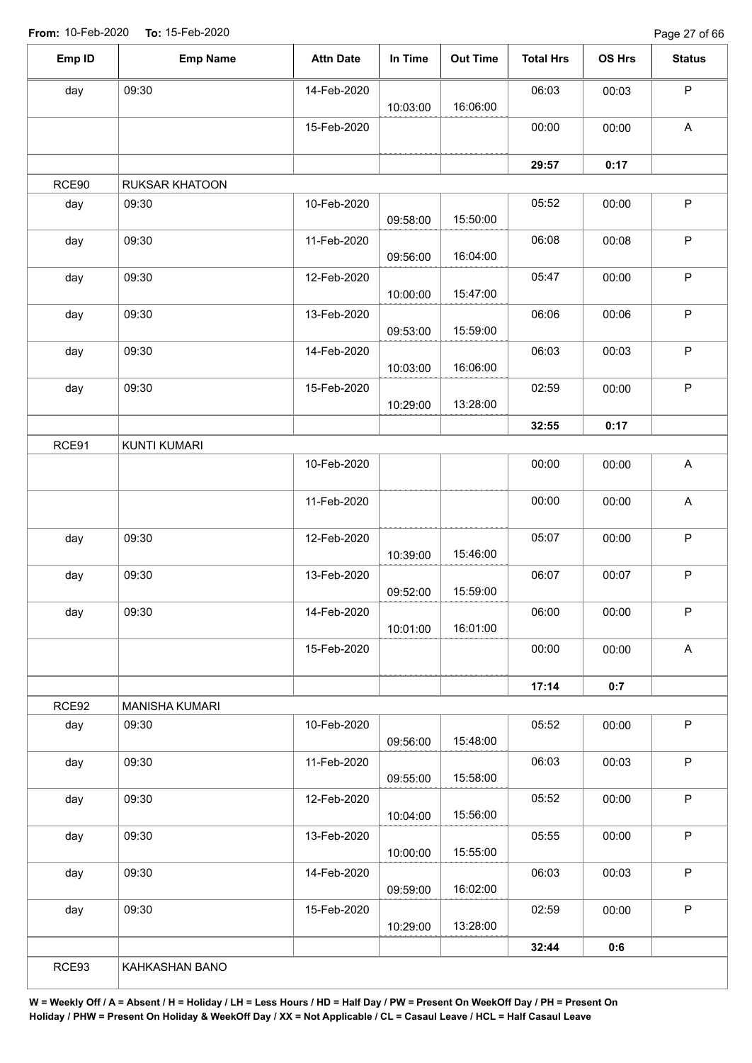Page 27 of 66

| Emp ID | <b>Emp Name</b>       | <b>Attn Date</b> | In Time  | <b>Out Time</b> | <b>Total Hrs</b> | OS Hrs | <b>Status</b>             |
|--------|-----------------------|------------------|----------|-----------------|------------------|--------|---------------------------|
| day    | 09:30                 | 14-Feb-2020      |          |                 | 06:03            | 00:03  | $\sf P$                   |
|        |                       |                  | 10:03:00 | 16:06:00        |                  |        |                           |
|        |                       | 15-Feb-2020      |          |                 | 00:00            | 00:00  | $\boldsymbol{\mathsf{A}}$ |
|        |                       |                  |          |                 | 29:57            | 0:17   |                           |
| RCE90  | <b>RUKSAR KHATOON</b> |                  |          |                 |                  |        |                           |
| day    | 09:30                 | 10-Feb-2020      | 09:58:00 | 15:50:00        | 05:52            | 00:00  | $\mathsf P$               |
| day    | 09:30                 | 11-Feb-2020      | 09:56:00 | 16:04:00        | 06:08            | 00:08  | $\mathsf P$               |
| day    | 09:30                 | 12-Feb-2020      |          | 15:47:00        | 05:47            | 00:00  | $\sf P$                   |
|        | 09:30                 | 13-Feb-2020      | 10:00:00 |                 | 06:06            |        | $\mathsf P$               |
| day    |                       |                  | 09:53:00 | 15:59:00        |                  | 00:06  |                           |
| day    | 09:30                 | 14-Feb-2020      | 10:03:00 | 16:06:00        | 06:03            | 00:03  | $\mathsf P$               |
| day    | 09:30                 | 15-Feb-2020      |          |                 | 02:59            | 00:00  | $\mathsf P$               |
|        |                       |                  | 10:29:00 | 13:28:00        |                  |        |                           |
|        |                       |                  |          |                 | 32:55            | 0:17   |                           |
| RCE91  | KUNTI KUMARI          |                  |          |                 |                  |        |                           |
|        |                       | 10-Feb-2020      |          |                 | 00:00            | 00:00  | A                         |
|        |                       | 11-Feb-2020      |          |                 | 00:00            | 00:00  | A                         |
| day    | 09:30                 | 12-Feb-2020      |          |                 | 05:07            | 00:00  | $\mathsf P$               |
|        |                       |                  | 10:39:00 | 15:46:00        |                  |        |                           |
| day    | 09:30                 | 13-Feb-2020      | 09:52:00 | 15:59:00        | 06:07            | 00:07  | $\sf P$                   |
| day    | 09:30                 | 14-Feb-2020      |          |                 | 06:00            | 00:00  | P                         |
|        |                       |                  | 10:01:00 | 16:01:00        |                  |        |                           |
|        |                       | 15-Feb-2020      |          |                 | 00:00            | 00:00  | $\boldsymbol{\mathsf{A}}$ |
|        |                       |                  |          |                 | 17:14            | 0:7    |                           |
| RCE92  | <b>MANISHA KUMARI</b> |                  |          |                 |                  |        |                           |
| day    | 09:30                 | 10-Feb-2020      | 09:56:00 | 15:48:00        | 05:52            | 00:00  | $\mathsf P$               |
| day    | 09:30                 | 11-Feb-2020      | 09:55:00 | 15:58:00        | 06:03            | 00:03  | $\mathsf P$               |
| day    | 09:30                 | 12-Feb-2020      |          |                 | 05:52            | 00:00  | $\mathsf P$               |
|        |                       |                  | 10:04:00 | 15:56:00        |                  |        |                           |
| day    | 09:30                 | 13-Feb-2020      | 10:00:00 | 15:55:00        | 05:55            | 00:00  | $\mathsf P$               |
| day    | 09:30                 | 14-Feb-2020      |          |                 | 06:03            | 00:03  | $\sf P$                   |
|        |                       |                  | 09:59:00 | 16:02:00        |                  |        |                           |
| day    | 09:30                 | 15-Feb-2020      |          |                 | 02:59            | 00:00  | $\sf P$                   |
|        |                       |                  | 10:29:00 | 13:28:00        |                  |        |                           |
|        |                       |                  |          |                 | 32:44            | 0:6    |                           |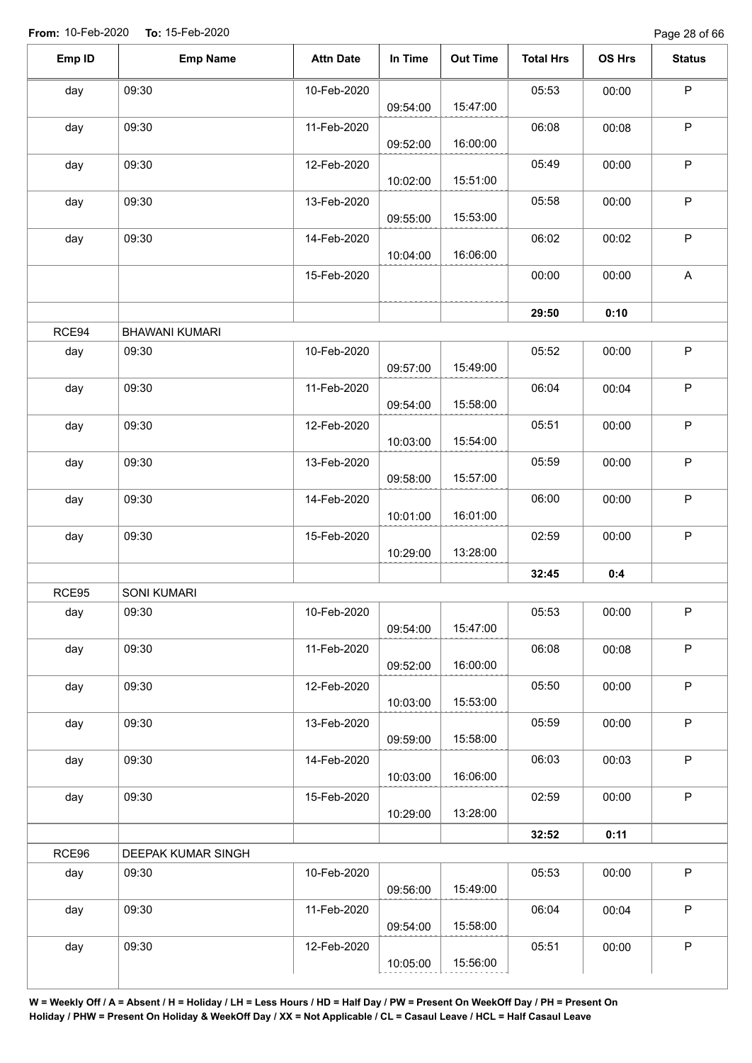| Emp ID | <b>Emp Name</b>       | <b>Attn Date</b> | In Time  | <b>Out Time</b> | <b>Total Hrs</b> | OS Hrs | <b>Status</b> |
|--------|-----------------------|------------------|----------|-----------------|------------------|--------|---------------|
| day    | 09:30                 | 10-Feb-2020      | 09:54:00 | 15:47:00        | 05:53            | 00:00  | $\mathsf P$   |
| day    | 09:30                 | 11-Feb-2020      | 09:52:00 | 16:00:00        | 06:08            | 00:08  | $\sf P$       |
| day    | 09:30                 | 12-Feb-2020      | 10:02:00 | 15:51:00        | 05:49            | 00:00  | $\mathsf P$   |
| day    | 09:30                 | 13-Feb-2020      | 09:55:00 | 15:53:00        | 05:58            | 00:00  | $\sf P$       |
| day    | 09:30                 | 14-Feb-2020      | 10:04:00 | 16:06:00        | 06:02            | 00:02  | $\mathsf P$   |
|        |                       | 15-Feb-2020      |          |                 | 00:00            | 00:00  | A             |
|        |                       |                  |          |                 | 29:50            | 0:10   |               |
| RCE94  | <b>BHAWANI KUMARI</b> |                  |          |                 |                  |        |               |
| day    | 09:30                 | 10-Feb-2020      | 09:57:00 | 15:49:00        | 05:52            | 00:00  | $\sf P$       |
| day    | 09:30                 | 11-Feb-2020      | 09:54:00 | 15:58:00        | 06:04            | 00:04  | $\sf P$       |
| day    | 09:30                 | 12-Feb-2020      | 10:03:00 | 15:54:00        | 05:51            | 00:00  | $\mathsf P$   |
| day    | 09:30                 | 13-Feb-2020      | 09:58:00 | 15:57:00        | 05:59            | 00:00  | $\sf P$       |
| day    | 09:30                 | 14-Feb-2020      | 10:01:00 | 16:01:00        | 06:00            | 00:00  | $\mathsf P$   |
| day    | 09:30                 | 15-Feb-2020      | 10:29:00 | 13:28:00        | 02:59            | 00:00  | $\sf P$       |
|        |                       |                  |          |                 | 32:45            | 0:4    |               |
| RCE95  | SONI KUMARI           |                  |          |                 |                  |        |               |
| day    | 09:30                 | 10-Feb-2020      | 09:54:00 | 15:47:00        | 05:53            | 00:00  | ${\sf P}$     |
| day    | 09:30                 | 11-Feb-2020      | 09:52:00 | 16:00:00        | 06:08            | 00:08  | $\sf P$       |
| day    | 09:30                 | 12-Feb-2020      | 10:03:00 | 15:53:00        | 05:50            | 00:00  | $\mathsf{P}$  |
| day    | 09:30                 | 13-Feb-2020      | 09:59:00 | 15:58:00        | 05:59            | 00:00  | $\sf P$       |
| day    | 09:30                 | 14-Feb-2020      | 10:03:00 | 16:06:00        | 06:03            | 00:03  | $\sf P$       |
| day    | 09:30                 | 15-Feb-2020      | 10:29:00 | 13:28:00        | 02:59            | 00:00  | $\mathsf P$   |
|        |                       |                  |          |                 | 32:52            | 0:11   |               |
| RCE96  | DEEPAK KUMAR SINGH    |                  |          |                 |                  |        |               |
| day    | 09:30                 | 10-Feb-2020      | 09:56:00 | 15:49:00        | 05:53            | 00:00  | $\mathsf P$   |
| day    | 09:30                 | 11-Feb-2020      | 09:54:00 | 15:58:00        | 06:04            | 00:04  | $\mathsf P$   |
| day    | 09:30                 | 12-Feb-2020      | 10:05:00 | 15:56:00        | 05:51            | 00:00  | ${\sf P}$     |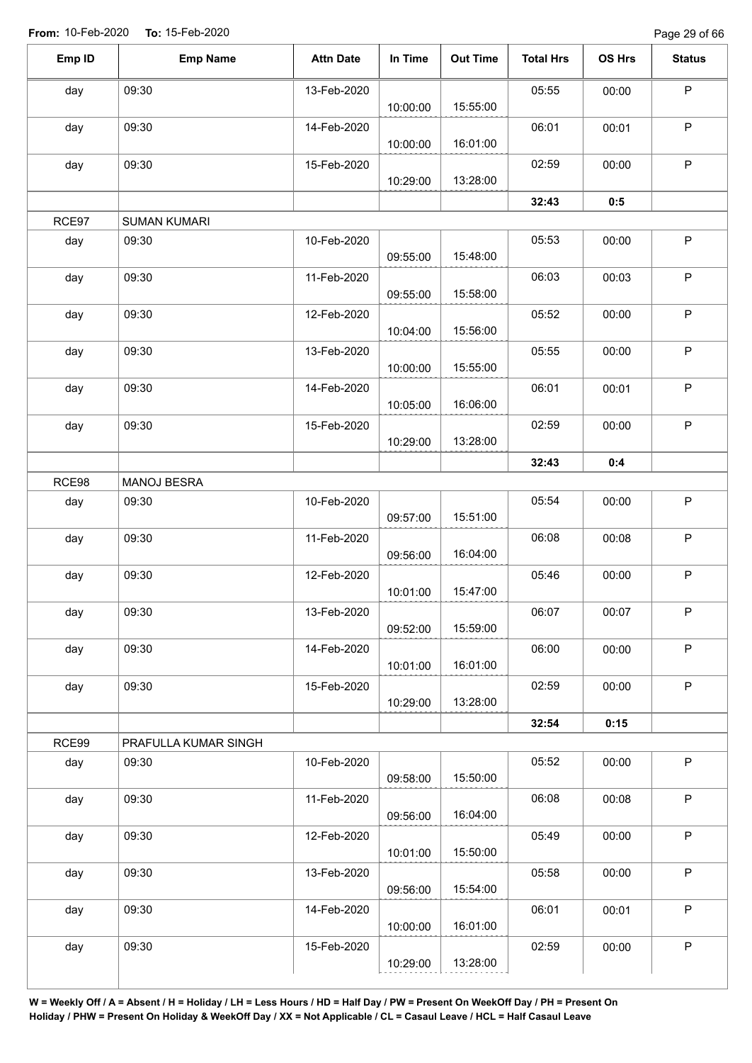Page 29 of 66

| Emp ID | <b>Emp Name</b>      | <b>Attn Date</b> | In Time  | <b>Out Time</b> | <b>Total Hrs</b> | OS Hrs | <b>Status</b> |
|--------|----------------------|------------------|----------|-----------------|------------------|--------|---------------|
| day    | 09:30                | 13-Feb-2020      |          |                 | 05:55            | 00:00  | $\mathsf P$   |
|        |                      |                  | 10:00:00 | 15:55:00        |                  |        |               |
| day    | 09:30                | 14-Feb-2020      | 10:00:00 | 16:01:00        | 06:01            | 00:01  | $\mathsf P$   |
| day    | 09:30                | 15-Feb-2020      | 10:29:00 | 13:28:00        | 02:59            | 00:00  | P             |
|        |                      |                  |          |                 | 32:43            | 0:5    |               |
| RCE97  | <b>SUMAN KUMARI</b>  |                  |          |                 |                  |        |               |
| day    | 09:30                | 10-Feb-2020      | 09:55:00 | 15:48:00        | 05:53            | 00:00  | $\sf P$       |
| day    | 09:30                | 11-Feb-2020      | 09:55:00 | 15:58:00        | 06:03            | 00:03  | $\mathsf P$   |
| day    | 09:30                | 12-Feb-2020      | 10:04:00 | 15:56:00        | 05:52            | 00:00  | $\mathsf P$   |
| day    | 09:30                | 13-Feb-2020      | 10:00:00 | 15:55:00        | 05:55            | 00:00  | $\mathsf P$   |
| day    | 09:30                | 14-Feb-2020      | 10:05:00 | 16:06:00        | 06:01            | 00:01  | $\sf P$       |
| day    | 09:30                | 15-Feb-2020      | 10:29:00 | 13:28:00        | 02:59            | 00:00  | $\mathsf P$   |
|        |                      |                  |          |                 | 32:43            | 0:4    |               |
| RCE98  | MANOJ BESRA          |                  |          |                 |                  |        |               |
|        | 09:30                | 10-Feb-2020      |          |                 | 05:54            | 00:00  | $\mathsf P$   |
| day    |                      |                  | 09:57:00 | 15:51:00        |                  |        |               |
| day    | 09:30                | 11-Feb-2020      | 09:56:00 | 16:04:00        | 06:08            | 00:08  | $\sf P$       |
| day    | 09:30                | 12-Feb-2020      | 10:01:00 | 15:47:00        | 05:46            | 00:00  | $\sf P$       |
| day    | 09:30                | 13-Feb-2020      | 09:52:00 | 15:59:00        | 06:07            | 00:07  | P             |
| day    | 09:30                | 14-Feb-2020      | 10:01:00 | 16:01:00        | 06:00            | 00:00  | $\mathsf P$   |
| day    | 09:30                | 15-Feb-2020      | 10:29:00 | 13:28:00        | 02:59            | 00:00  | $\mathsf P$   |
|        |                      |                  |          |                 | 32:54            | 0:15   |               |
| RCE99  | PRAFULLA KUMAR SINGH |                  |          |                 |                  |        |               |
| day    | 09:30                | 10-Feb-2020      | 09:58:00 | 15:50:00        | 05:52            | 00:00  | $\mathsf P$   |
| day    | 09:30                | 11-Feb-2020      | 09:56:00 | 16:04:00        | 06:08            | 00:08  | $\sf P$       |
| day    | 09:30                | 12-Feb-2020      | 10:01:00 | 15:50:00        | 05:49            | 00:00  | $\mathsf P$   |
| day    | 09:30                | 13-Feb-2020      | 09:56:00 | 15:54:00        | 05:58            | 00:00  | $\sf P$       |
| day    | 09:30                | 14-Feb-2020      | 10:00:00 | 16:01:00        | 06:01            | 00:01  | P             |
| day    | 09:30                | 15-Feb-2020      | 10:29:00 | 13:28:00        | 02:59            | 00:00  | $\sf P$       |
|        |                      |                  |          |                 |                  |        |               |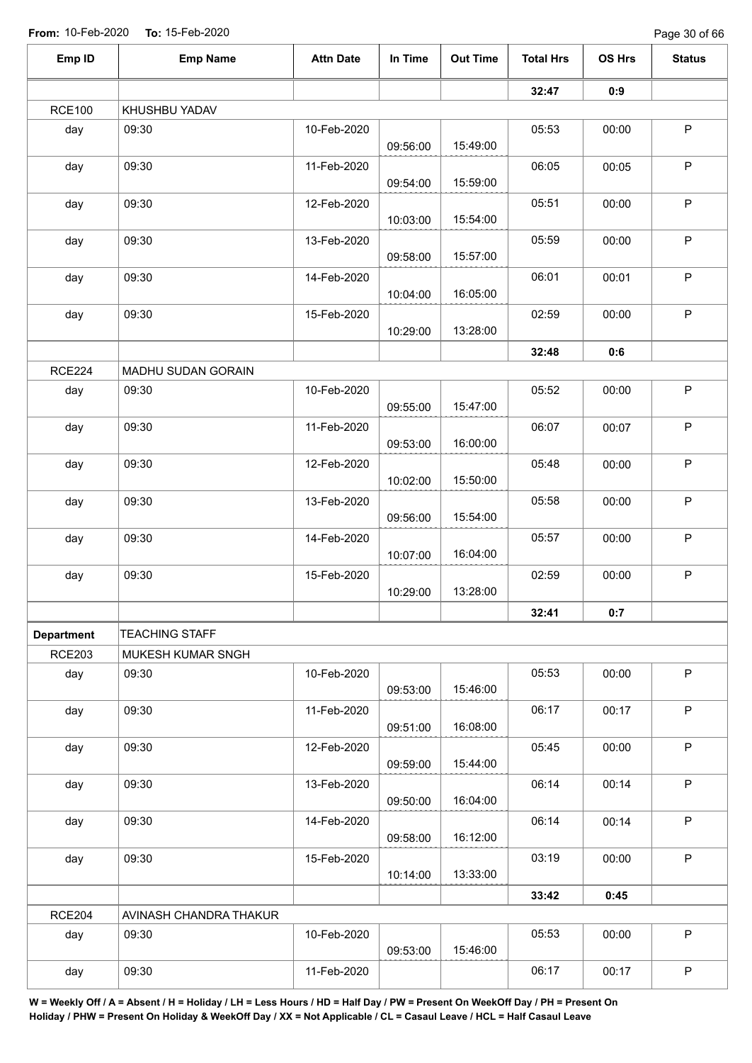Page 30 of 66

| Emp ID            | <b>Emp Name</b>        | <b>Attn Date</b> | In Time  | <b>Out Time</b> | <b>Total Hrs</b> | OS Hrs | <b>Status</b> |
|-------------------|------------------------|------------------|----------|-----------------|------------------|--------|---------------|
|                   |                        |                  |          |                 | 32:47            | 0:9    |               |
| <b>RCE100</b>     | KHUSHBU YADAV          |                  |          |                 |                  |        |               |
| day               | 09:30                  | 10-Feb-2020      | 09:56:00 | 15:49:00        | 05:53            | 00:00  | $\sf P$       |
| day               | 09:30                  | 11-Feb-2020      | 09:54:00 | 15:59:00        | 06:05            | 00:05  | $\mathsf P$   |
| day               | 09:30                  | 12-Feb-2020      | 10:03:00 | 15:54:00        | 05:51            | 00:00  | $\mathsf P$   |
| day               | 09:30                  | 13-Feb-2020      | 09:58:00 | 15:57:00        | 05:59            | 00:00  | $\sf P$       |
| day               | 09:30                  | 14-Feb-2020      | 10:04:00 | 16:05:00        | 06:01            | 00:01  | $\mathsf P$   |
| day               | 09:30                  | 15-Feb-2020      | 10:29:00 | 13:28:00        | 02:59            | 00:00  | $\sf P$       |
|                   |                        |                  |          |                 | 32:48            | 0:6    |               |
| <b>RCE224</b>     | MADHU SUDAN GORAIN     |                  |          |                 |                  |        |               |
| day               | 09:30                  | 10-Feb-2020      | 09:55:00 | 15:47:00        | 05:52            | 00:00  | $\sf P$       |
| day               | 09:30                  | 11-Feb-2020      | 09:53:00 | 16:00:00        | 06:07            | 00:07  | $\sf P$       |
| day               | 09:30                  | 12-Feb-2020      | 10:02:00 | 15:50:00        | 05:48            | 00:00  | $\mathsf P$   |
| day               | 09:30                  | 13-Feb-2020      | 09:56:00 | 15:54:00        | 05:58            | 00:00  | $\sf P$       |
| day               | 09:30                  | 14-Feb-2020      | 10:07:00 | 16:04:00        | 05:57            | 00:00  | $\mathsf P$   |
| day               | 09:30                  | 15-Feb-2020      | 10:29:00 | 13:28:00        | 02:59            | 00:00  | $\mathsf P$   |
|                   |                        |                  |          |                 | 32:41            | 0:7    |               |
| <b>Department</b> | <b>TEACHING STAFF</b>  |                  |          |                 |                  |        |               |
| <b>RCE203</b>     | MUKESH KUMAR SNGH      |                  |          |                 |                  |        |               |
| day               | 09:30                  | 10-Feb-2020      | 09:53:00 | 15:46:00        | 05:53            | 00:00  | $\mathsf P$   |
| day               | 09:30                  | 11-Feb-2020      | 09:51:00 | 16:08:00        | 06:17            | 00:17  | P             |
| day               | 09:30                  | 12-Feb-2020      | 09:59:00 | 15:44:00        | 05:45            | 00:00  | $\mathsf P$   |
| day               | 09:30                  | 13-Feb-2020      | 09:50:00 | 16:04:00        | 06:14            | 00:14  | $\sf P$       |
| day               | 09:30                  | 14-Feb-2020      | 09:58:00 | 16:12:00        | 06:14            | 00:14  | $\mathsf{P}$  |
| day               | 09:30                  | 15-Feb-2020      | 10:14:00 | 13:33:00        | 03:19            | 00:00  | $\mathsf P$   |
|                   |                        |                  |          |                 | 33:42            | 0:45   |               |
| <b>RCE204</b>     | AVINASH CHANDRA THAKUR |                  |          |                 |                  |        |               |
| day               | 09:30                  | 10-Feb-2020      | 09:53:00 | 15:46:00        | 05:53            | 00:00  | $\mathsf P$   |
| day               | 09:30                  | 11-Feb-2020      |          |                 | 06:17            | 00:17  | $\mathsf P$   |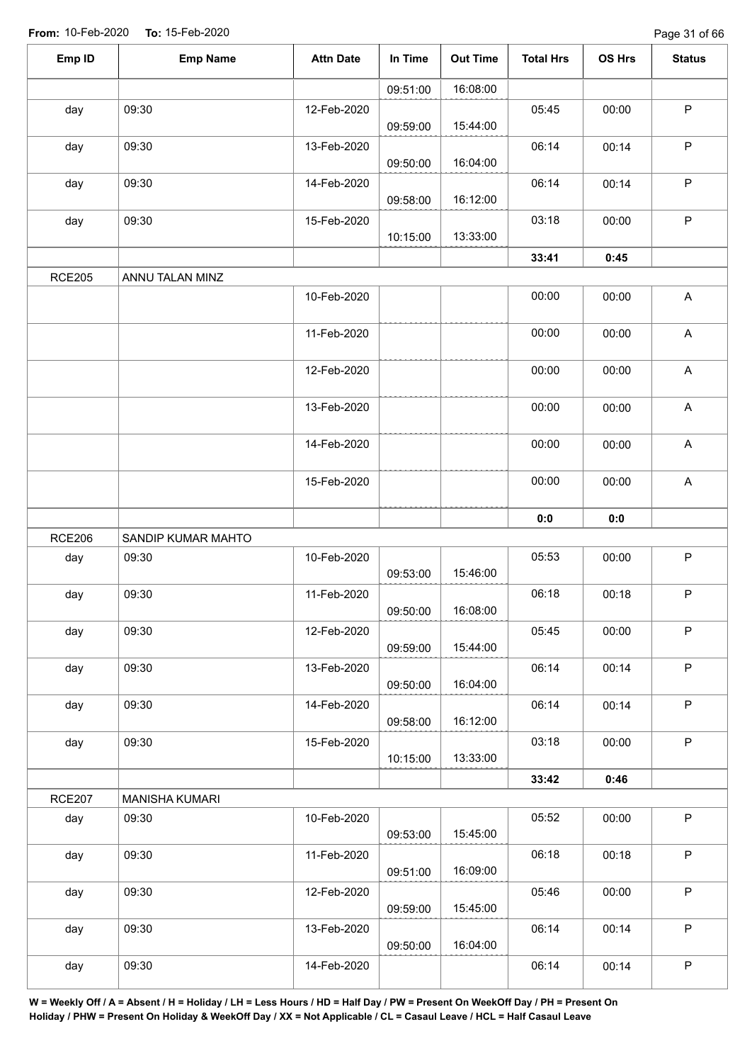| Emp ID        | <b>Emp Name</b>       | <b>Attn Date</b> | In Time  | <b>Out Time</b> | <b>Total Hrs</b> | OS Hrs | <b>Status</b>             |
|---------------|-----------------------|------------------|----------|-----------------|------------------|--------|---------------------------|
|               |                       |                  | 09:51:00 | 16:08:00        |                  |        |                           |
| day           | 09:30                 | 12-Feb-2020      | 09:59:00 | 15:44:00        | 05:45            | 00:00  | $\mathsf P$               |
| day           | 09:30                 | 13-Feb-2020      | 09:50:00 | 16:04:00        | 06:14            | 00:14  | $\sf P$                   |
| day           | 09:30                 | 14-Feb-2020      | 09:58:00 | 16:12:00        | 06:14            | 00:14  | ${\sf P}$                 |
| day           | 09:30                 | 15-Feb-2020      | 10:15:00 | 13:33:00        | 03:18            | 00:00  | ${\sf P}$                 |
|               |                       |                  |          |                 | 33:41            | 0:45   |                           |
| <b>RCE205</b> | ANNU TALAN MINZ       |                  |          |                 |                  |        |                           |
|               |                       | 10-Feb-2020      |          |                 | 00:00            | 00:00  | $\mathsf A$               |
|               |                       | 11-Feb-2020      |          |                 | 00:00            | 00:00  | $\mathsf A$               |
|               |                       | 12-Feb-2020      |          |                 | 00:00            | 00:00  | $\boldsymbol{\mathsf{A}}$ |
|               |                       | 13-Feb-2020      |          |                 | 00:00            | 00:00  | $\mathsf A$               |
|               |                       | 14-Feb-2020      |          |                 | 00:00            | 00:00  | A                         |
|               |                       | 15-Feb-2020      |          |                 | 00:00            | 00:00  | $\mathsf A$               |
|               |                       |                  |          |                 | 0:0              | 0:0    |                           |
| <b>RCE206</b> | SANDIP KUMAR MAHTO    |                  |          |                 |                  |        |                           |
| day           | 09:30                 | 10-Feb-2020      | 09:53:00 | 15:46:00        | 05:53            | 00:00  | $\mathsf P$               |
| day           | 09:30                 | 11-Feb-2020      | 09:50:00 | 16:08:00        | 06:18            | 00:18  | $\mathsf P$               |
| day           | 09:30                 | 12-Feb-2020      | 09:59:00 | 15:44:00        | 05:45            | 00:00  | $\mathsf P$               |
| day           | 09:30                 | 13-Feb-2020      | 09:50:00 | 16:04:00        | 06:14            | 00:14  | $\mathsf P$               |
| day           | 09:30                 | 14-Feb-2020      | 09:58:00 | 16:12:00        | 06:14            | 00:14  | $\sf P$                   |
| day           | 09:30                 | 15-Feb-2020      | 10:15:00 | 13:33:00        | 03:18            | 00:00  | $\mathsf P$               |
|               |                       |                  |          |                 | 33:42            | 0:46   |                           |
| <b>RCE207</b> | <b>MANISHA KUMARI</b> |                  |          |                 |                  |        |                           |
| day           | 09:30                 | 10-Feb-2020      | 09:53:00 | 15:45:00        | 05:52            | 00:00  | $\mathsf P$               |
| day           | 09:30                 | 11-Feb-2020      | 09:51:00 | 16:09:00        | 06:18            | 00:18  | $\mathsf P$               |
| day           | 09:30                 | 12-Feb-2020      | 09:59:00 | 15:45:00        | 05:46            | 00:00  | $\mathsf P$               |
| day           | 09:30                 | 13-Feb-2020      | 09:50:00 | 16:04:00        | 06:14            | 00:14  | $\mathsf P$               |
| day           | 09:30                 | 14-Feb-2020      |          |                 | 06:14            | 00:14  | $\mathsf P$               |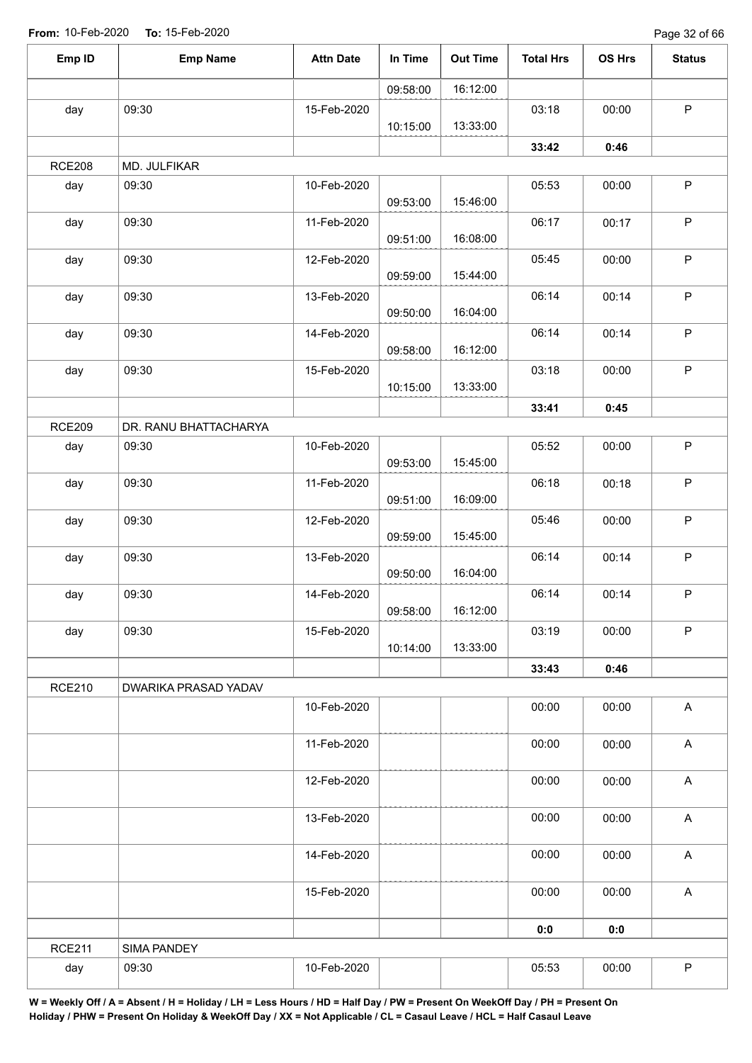Page 32 of 66

| Emp ID        | <b>Emp Name</b>       | <b>Attn Date</b> | In Time  | <b>Out Time</b> | <b>Total Hrs</b> | OS Hrs | <b>Status</b>             |
|---------------|-----------------------|------------------|----------|-----------------|------------------|--------|---------------------------|
|               |                       |                  | 09:58:00 | 16:12:00        |                  |        |                           |
| day           | 09:30                 | 15-Feb-2020      |          |                 | 03:18            | 00:00  | $\mathsf P$               |
|               |                       |                  | 10:15:00 | 13:33:00        |                  |        |                           |
|               |                       |                  |          |                 | 33:42            | 0:46   |                           |
| <b>RCE208</b> | MD. JULFIKAR          |                  |          |                 |                  |        |                           |
| day           | 09:30                 | 10-Feb-2020      | 09:53:00 | 15:46:00        | 05:53            | 00:00  | $\mathsf P$               |
| day           | 09:30                 | 11-Feb-2020      | 09:51:00 | 16:08:00        | 06:17            | 00:17  | $\sf P$                   |
| day           | 09:30                 | 12-Feb-2020      | 09:59:00 | 15:44:00        | 05:45            | 00:00  | $\sf P$                   |
| day           | 09:30                 | 13-Feb-2020      | 09:50:00 | 16:04:00        | 06:14            | 00:14  | $\sf P$                   |
| day           | 09:30                 | 14-Feb-2020      | 09:58:00 | 16:12:00        | 06:14            | 00:14  | $\mathsf P$               |
| day           | 09:30                 | 15-Feb-2020      | 10:15:00 | 13:33:00        | 03:18            | 00:00  | $\sf P$                   |
|               |                       |                  |          |                 | 33:41            | 0:45   |                           |
| <b>RCE209</b> | DR. RANU BHATTACHARYA |                  |          |                 |                  |        |                           |
| day           | 09:30                 | 10-Feb-2020      | 09:53:00 | 15:45:00        | 05:52            | 00:00  | $\sf P$                   |
| day           | 09:30                 | 11-Feb-2020      | 09:51:00 | 16:09:00        | 06:18            | 00:18  | $\sf P$                   |
| day           | 09:30                 | 12-Feb-2020      | 09:59:00 | 15:45:00        | 05:46            | 00:00  | $\sf P$                   |
| day           | 09:30                 | 13-Feb-2020      | 09:50:00 | 16:04:00        | 06:14            | 00:14  | $\sf P$                   |
| day           | 09:30                 | 14-Feb-2020      | 09:58:00 | 16:12:00        | 06:14            | 00:14  | $\mathsf P$               |
| day           | 09:30                 | 15-Feb-2020      | 10:14:00 | 13:33:00        | 03:19            | 00:00  | $\sf P$                   |
|               |                       |                  |          |                 | 33:43            | 0:46   |                           |
| <b>RCE210</b> | DWARIKA PRASAD YADAV  |                  |          |                 |                  |        |                           |
|               |                       | 10-Feb-2020      |          |                 | 00:00            | 00:00  | $\boldsymbol{\mathsf{A}}$ |
|               |                       | 11-Feb-2020      |          |                 | 00:00            | 00:00  | $\boldsymbol{\mathsf{A}}$ |
|               |                       | 12-Feb-2020      |          |                 | 00:00            | 00:00  | $\boldsymbol{\mathsf{A}}$ |
|               |                       | 13-Feb-2020      |          |                 | 00:00            | 00:00  | $\boldsymbol{\mathsf{A}}$ |
|               |                       | 14-Feb-2020      |          |                 | 00:00            | 00:00  | $\boldsymbol{\mathsf{A}}$ |
|               |                       | 15-Feb-2020      |          |                 | 00:00            | 00:00  | $\boldsymbol{\mathsf{A}}$ |
|               |                       |                  |          |                 | 0:0              | 0:0    |                           |
| <b>RCE211</b> | SIMA PANDEY           |                  |          |                 |                  |        |                           |
| day           | 09:30                 | 10-Feb-2020      |          |                 | 05:53            | 00:00  | ${\sf P}$                 |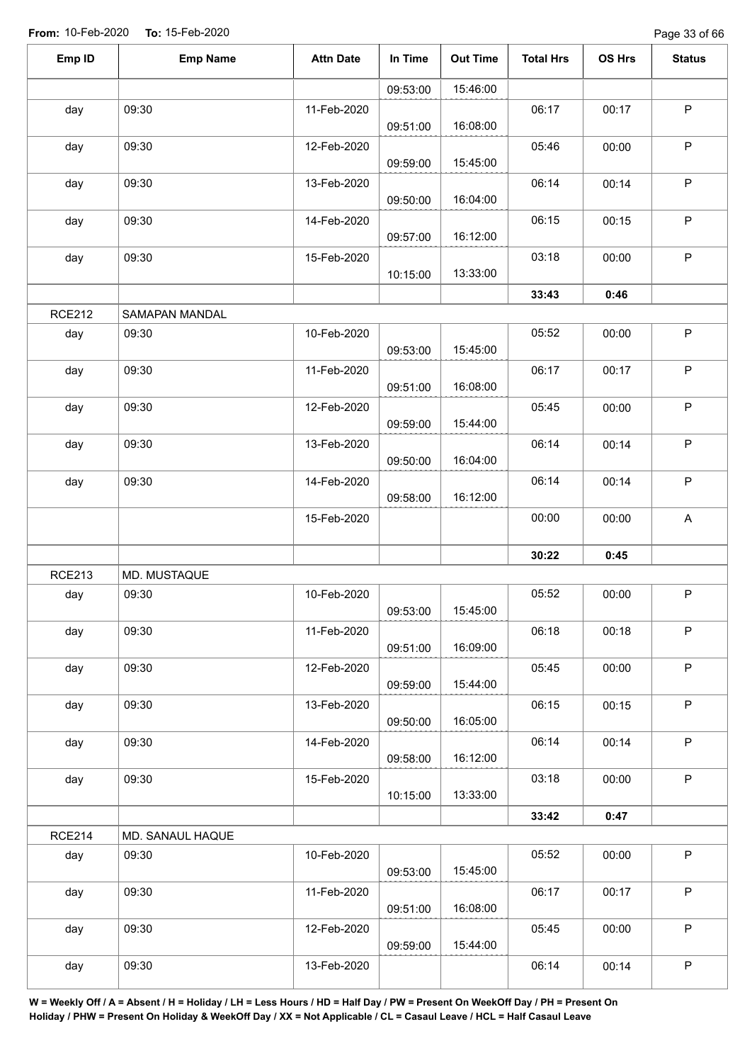Page 33 of 66

| Emp ID        | <b>Emp Name</b>       | <b>Attn Date</b> | In Time  | <b>Out Time</b> | <b>Total Hrs</b> | OS Hrs | <b>Status</b> |
|---------------|-----------------------|------------------|----------|-----------------|------------------|--------|---------------|
|               |                       |                  | 09:53:00 | 15:46:00        |                  |        |               |
| day           | 09:30                 | 11-Feb-2020      |          |                 | 06:17            | 00:17  | P             |
|               |                       |                  | 09:51:00 | 16:08:00        |                  |        |               |
| day           | 09:30                 | 12-Feb-2020      |          |                 | 05:46            | 00:00  | $\mathsf P$   |
|               |                       |                  | 09:59:00 | 15:45:00        |                  |        |               |
| day           | 09:30                 | 13-Feb-2020      |          |                 | 06:14            | 00:14  | $\sf P$       |
|               |                       |                  | 09:50:00 | 16:04:00        |                  |        |               |
| day           | 09:30                 | 14-Feb-2020      |          |                 | 06:15            | 00:15  | $\mathsf P$   |
|               |                       |                  | 09:57:00 | 16:12:00        |                  |        |               |
| day           | 09:30                 | 15-Feb-2020      |          |                 | 03:18            | 00:00  | $\sf P$       |
|               |                       |                  | 10:15:00 | 13:33:00        |                  |        |               |
|               |                       |                  |          |                 | 33:43            | 0:46   |               |
| <b>RCE212</b> | <b>SAMAPAN MANDAL</b> |                  |          |                 |                  |        |               |
| day           | 09:30                 | 10-Feb-2020      |          |                 | 05:52            | 00:00  | $\mathsf P$   |
|               |                       |                  | 09:53:00 | 15:45:00        |                  |        |               |
| day           | 09:30                 | 11-Feb-2020      | 09:51:00 | 16:08:00        | 06:17            | 00:17  | $\mathsf P$   |
|               | 09:30                 | 12-Feb-2020      |          |                 |                  |        | $\mathsf P$   |
| day           |                       |                  | 09:59:00 | 15:44:00        | 05:45            | 00:00  |               |
| day           | 09:30                 | 13-Feb-2020      |          |                 | 06:14            | 00:14  | $\mathsf P$   |
|               |                       |                  | 09:50:00 | 16:04:00        |                  |        |               |
| day           | 09:30                 | 14-Feb-2020      |          |                 | 06:14            | 00:14  | $\mathsf P$   |
|               |                       |                  | 09:58:00 | 16:12:00        |                  |        |               |
|               |                       | 15-Feb-2020      |          |                 | 00:00            | 00:00  | A             |
|               |                       |                  |          |                 |                  |        |               |
|               |                       |                  |          |                 | 30:22            | 0:45   |               |
| <b>RCE213</b> | MD. MUSTAQUE          |                  |          |                 |                  |        |               |
| day           | 09:30                 | 10-Feb-2020      |          |                 | 05:52            | 00:00  | P             |
|               |                       |                  | 09:53:00 | 15:45:00        |                  |        |               |
| day           | 09:30                 | 11-Feb-2020      |          |                 | 06:18            | 00:18  | $\mathsf P$   |
|               |                       |                  | 09:51:00 | 16:09:00        |                  |        |               |
| day           | 09:30                 | 12-Feb-2020      |          |                 | 05:45            | 00:00  | $\mathsf P$   |
|               |                       |                  | 09:59:00 | 15:44:00        |                  |        |               |
| day           | 09:30                 | 13-Feb-2020      | 09:50:00 | 16:05:00        | 06:15            | 00:15  | $\sf P$       |
|               | 09:30                 | 14-Feb-2020      |          |                 | 06:14            | 00:14  | P             |
| day           |                       |                  | 09:58:00 | 16:12:00        |                  |        |               |
| day           | 09:30                 | 15-Feb-2020      |          |                 | 03:18            | 00:00  | $\sf P$       |
|               |                       |                  | 10:15:00 | 13:33:00        |                  |        |               |
|               |                       |                  |          |                 | 33:42            | 0:47   |               |
| <b>RCE214</b> | MD. SANAUL HAQUE      |                  |          |                 |                  |        |               |
| day           | 09:30                 | 10-Feb-2020      |          |                 | 05:52            | 00:00  | $\mathsf P$   |
|               |                       |                  | 09:53:00 | 15:45:00        |                  |        |               |
| day           | 09:30                 | 11-Feb-2020      |          |                 | 06:17            | 00:17  | $\mathsf P$   |
|               |                       |                  | 09:51:00 | 16:08:00        |                  |        |               |
| day           | 09:30                 | 12-Feb-2020      |          |                 | 05:45            | 00:00  | $\sf P$       |
|               |                       |                  | 09:59:00 | 15:44:00        |                  |        |               |
| day           | 09:30                 | 13-Feb-2020      |          |                 | 06:14            | 00:14  | $\sf P$       |
|               |                       |                  |          |                 |                  |        |               |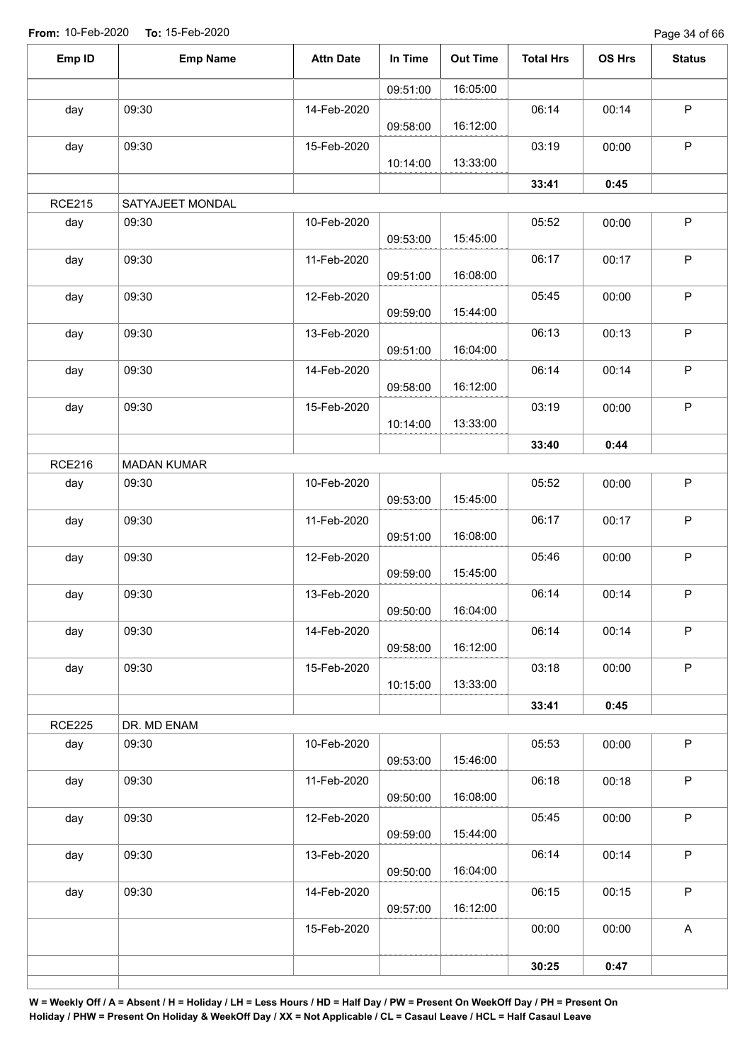| Emp ID        | <b>Emp Name</b>    | <b>Attn Date</b> | In Time  | <b>Out Time</b> | <b>Total Hrs</b> | OS Hrs | <b>Status</b> |
|---------------|--------------------|------------------|----------|-----------------|------------------|--------|---------------|
|               |                    |                  | 09:51:00 | 16:05:00        |                  |        |               |
| day           | 09:30              | 14-Feb-2020      | 09:58:00 | 16:12:00        | 06:14            | 00:14  | $\mathsf P$   |
| day           | 09:30              | 15-Feb-2020      | 10:14:00 | 13:33:00        | 03:19            | 00:00  | P             |
|               |                    |                  |          |                 | 33:41            | 0:45   |               |
| <b>RCE215</b> | SATYAJEET MONDAL   |                  |          |                 |                  |        |               |
| day           | 09:30              | 10-Feb-2020      | 09:53:00 | 15:45:00        | 05:52            | 00:00  | $\mathsf P$   |
| day           | 09:30              | 11-Feb-2020      | 09:51:00 | 16:08:00        | 06:17            | 00:17  | $\mathsf P$   |
| day           | 09:30              | 12-Feb-2020      | 09:59:00 | 15:44:00        | 05:45            | 00:00  | $\sf P$       |
| day           | 09:30              | 13-Feb-2020      | 09:51:00 | 16:04:00        | 06:13            | 00:13  | $\sf P$       |
| day           | 09:30              | 14-Feb-2020      | 09:58:00 | 16:12:00        | 06:14            | 00:14  | $\sf P$       |
| day           | 09:30              | 15-Feb-2020      | 10:14:00 | 13:33:00        | 03:19            | 00:00  | $\mathsf P$   |
|               |                    |                  |          |                 | 33:40            | 0:44   |               |
| <b>RCE216</b> | <b>MADAN KUMAR</b> |                  |          |                 |                  |        |               |
| day           | 09:30              | 10-Feb-2020      | 09:53:00 | 15:45:00        | 05:52            | 00:00  | $\sf P$       |
| day           | 09:30              | 11-Feb-2020      | 09:51:00 | 16:08:00        | 06:17            | 00:17  | $\mathsf P$   |
| day           | 09:30              | 12-Feb-2020      | 09:59:00 | 15:45:00        | 05:46            | 00:00  | $\mathsf P$   |
| day           | 09:30              | 13-Feb-2020      | 09:50:00 | 16:04:00        | 06:14            | 00:14  | $\mathsf P$   |
| day           | 09:30              | 14-Feb-2020      | 09:58:00 | 16:12:00        | 06:14            | 00:14  | $\sf P$       |
| day           | 09:30              | 15-Feb-2020      | 10:15:00 | 13:33:00        | 03:18            | 00:00  | P             |
|               |                    |                  |          |                 | 33:41            | 0:45   |               |
| <b>RCE225</b> | DR. MD ENAM        |                  |          |                 |                  |        |               |
| day           | 09:30              | 10-Feb-2020      | 09:53:00 | 15:46:00        | 05:53            | 00:00  | P             |
| day           | 09:30              | 11-Feb-2020      | 09:50:00 | 16:08:00        | 06:18            | 00:18  | $\mathsf P$   |
| day           | 09:30              | 12-Feb-2020      | 09:59:00 | 15:44:00        | 05:45            | 00:00  | P             |
| day           | 09:30              | 13-Feb-2020      | 09:50:00 | 16:04:00        | 06:14            | 00:14  | $\mathsf{P}$  |
| day           | 09:30              | 14-Feb-2020      | 09:57:00 | 16:12:00        | 06:15            | 00:15  | $\mathsf P$   |
|               |                    | 15-Feb-2020      |          |                 | 00:00            | 00:00  | $\mathsf A$   |
|               |                    |                  |          |                 | 30:25            | 0:47   |               |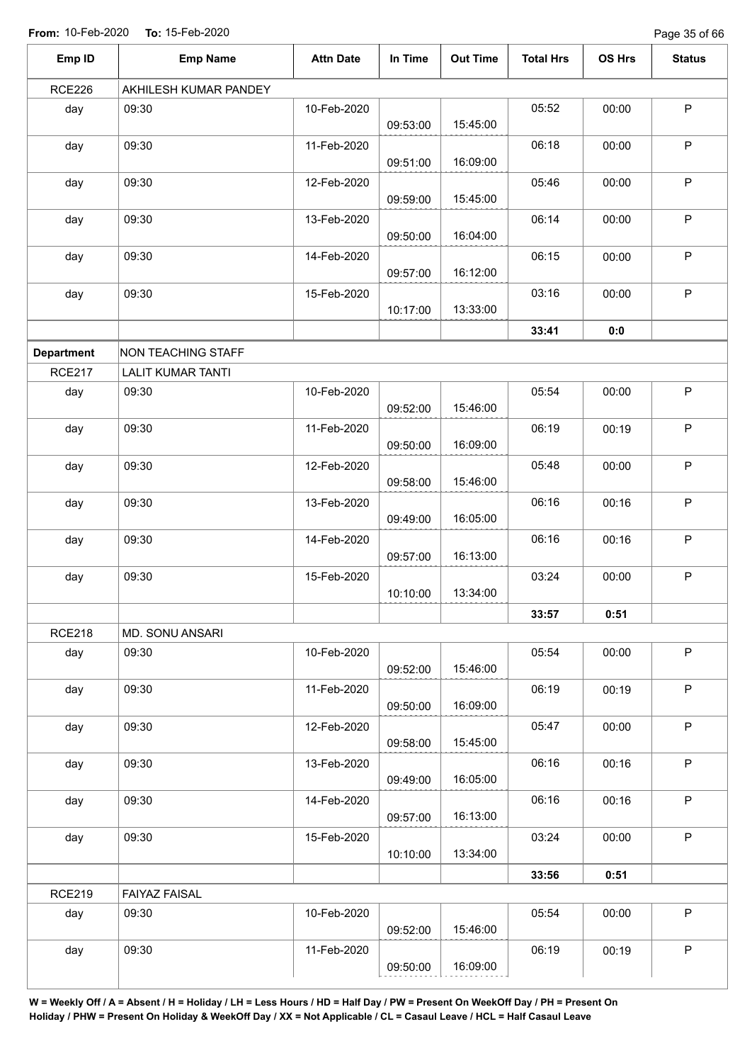Page 35 of 66

| Emp ID            | <b>Emp Name</b>          | <b>Attn Date</b> | In Time  | <b>Out Time</b> | <b>Total Hrs</b> | OS Hrs | <b>Status</b> |
|-------------------|--------------------------|------------------|----------|-----------------|------------------|--------|---------------|
| <b>RCE226</b>     | AKHILESH KUMAR PANDEY    |                  |          |                 |                  |        |               |
| day               | 09:30                    | 10-Feb-2020      | 09:53:00 | 15:45:00        | 05:52            | 00:00  | $\mathsf P$   |
| day               | 09:30                    | 11-Feb-2020      | 09:51:00 | 16:09:00        | 06:18            | 00:00  | $\mathsf{P}$  |
| day               | 09:30                    | 12-Feb-2020      | 09:59:00 | 15:45:00        | 05:46            | 00:00  | $\sf P$       |
| day               | 09:30                    | 13-Feb-2020      | 09:50:00 | 16:04:00        | 06:14            | 00:00  | $\mathsf P$   |
| day               | 09:30                    | 14-Feb-2020      | 09:57:00 | 16:12:00        | 06:15            | 00:00  | $\sf P$       |
| day               | 09:30                    | 15-Feb-2020      | 10:17:00 | 13:33:00        | 03:16            | 00:00  | $\mathsf{P}$  |
|                   |                          |                  |          |                 | 33:41            | 0:0    |               |
| <b>Department</b> | NON TEACHING STAFF       |                  |          |                 |                  |        |               |
| <b>RCE217</b>     | <b>LALIT KUMAR TANTI</b> |                  |          |                 |                  |        |               |
| day               | 09:30                    | 10-Feb-2020      | 09:52:00 | 15:46:00        | 05:54            | 00:00  | $\mathsf P$   |
| day               | 09:30                    | 11-Feb-2020      | 09:50:00 | 16:09:00        | 06:19            | 00:19  | $\mathsf P$   |
| day               | 09:30                    | 12-Feb-2020      | 09:58:00 | 15:46:00        | 05:48            | 00:00  | $\mathsf P$   |
| day               | 09:30                    | 13-Feb-2020      | 09:49:00 | 16:05:00        | 06:16            | 00:16  | P             |
| day               | 09:30                    | 14-Feb-2020      | 09:57:00 | 16:13:00        | 06:16            | 00:16  | $\mathsf{P}$  |
| day               | 09:30                    | 15-Feb-2020      | 10:10:00 | 13:34:00        | 03:24            | 00:00  | $\mathsf P$   |
|                   |                          |                  |          |                 | 33:57            | 0:51   |               |
| <b>RCE218</b>     | MD. SONU ANSARI          |                  |          |                 |                  |        |               |
| day               | 09:30                    | 10-Feb-2020      | 09:52:00 | 15:46:00        | 05:54            | 00:00  | $\mathsf P$   |
| day               | 09:30                    | 11-Feb-2020      | 09:50:00 | 16:09:00        | 06:19            | 00:19  | $\sf P$       |
| day               | 09:30                    | 12-Feb-2020      | 09:58:00 | 15:45:00        | 05:47            | 00:00  | $\sf P$       |
| day               | 09:30                    | 13-Feb-2020      | 09:49:00 | 16:05:00        | 06:16            | 00:16  | $\mathsf P$   |
| day               | 09:30                    | 14-Feb-2020      | 09:57:00 | 16:13:00        | 06:16            | 00:16  | P             |
| day               | 09:30                    | 15-Feb-2020      | 10:10:00 | 13:34:00        | 03:24            | 00:00  | $\mathsf P$   |
|                   |                          |                  |          |                 | 33:56            | 0:51   |               |
| <b>RCE219</b>     | <b>FAIYAZ FAISAL</b>     |                  |          |                 |                  |        |               |
| day               | 09:30                    | 10-Feb-2020      | 09:52:00 | 15:46:00        | 05:54            | 00:00  | $\sf P$       |
| day               | 09:30                    | 11-Feb-2020      | 09:50:00 | 16:09:00        | 06:19            | 00:19  | P             |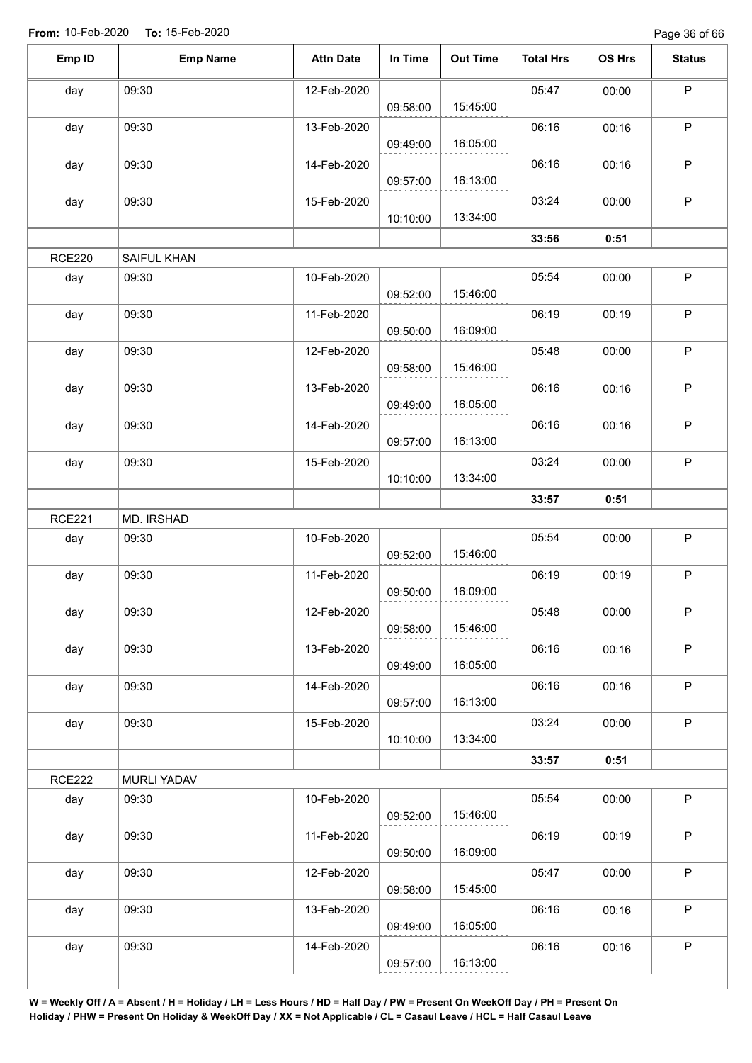Page 36 of 66

| $\mathsf P$<br>05:47<br>09:30<br>12-Feb-2020<br>00:00<br>15:45:00<br>09:58:00<br>06:16<br>P<br>09:30<br>00:16<br>13-Feb-2020<br>16:05:00<br>09:49:00<br>$\mathsf P$<br>09:30<br>06:16<br>14-Feb-2020<br>00:16<br>16:13:00<br>09:57:00<br>$\mathsf P$<br>09:30<br>03:24<br>15-Feb-2020<br>00:00<br>13:34:00<br>10:10:00<br>33:56<br>0:51<br><b>RCE220</b><br>SAIFUL KHAN<br>$\mathsf P$<br>09:30<br>10-Feb-2020<br>05:54<br>day<br>00:00<br>15:46:00<br>09:52:00<br>$\mathsf P$<br>09:30<br>day<br>11-Feb-2020<br>06:19<br>00:19<br>16:09:00<br>09:50:00<br>$\sf P$<br>09:30<br>05:48<br>12-Feb-2020<br>day<br>00:00<br>15:46:00<br>09:58:00<br>$\mathsf P$<br>09:30<br>06:16<br>day<br>13-Feb-2020<br>00:16<br>16:05:00<br>09:49:00<br>$\mathsf P$<br>09:30<br>06:16<br>14-Feb-2020<br>00:16<br>16:13:00<br>09:57:00<br>$\mathsf P$<br>09:30<br>15-Feb-2020<br>03:24<br>00:00<br>13:34:00<br>10:10:00<br>33:57<br>0:51<br>MD. IRSHAD<br>$\mathsf P$<br>09:30<br>10-Feb-2020<br>05:54<br>00:00<br>15:46:00<br>09:52:00<br>$\mathsf P$<br>09:30<br>06:19<br>11-Feb-2020<br>00:19<br>16:09:00<br>09:50:00<br>12-Feb-2020<br>09:30<br>$\mathsf P$<br>05:48<br>00:00<br>15:46:00<br>09:58:00<br>$\mathsf P$<br>09:30<br>06:16<br>13-Feb-2020<br>00:16<br>16:05:00<br>09:49:00<br>$\mathsf P$<br>09:30<br>06:16<br>14-Feb-2020<br>00:16<br>16:13:00<br>09:57:00<br>$\sf P$<br>09:30<br>03:24<br>day<br>15-Feb-2020<br>00:00<br>13:34:00<br>10:10:00<br>33:57<br>0:51<br><b>MURLI YADAV</b><br>$\sf P$<br>05:54<br>day<br>09:30<br>10-Feb-2020<br>00:00<br>15:46:00<br>09:52:00<br>$\mathsf P$<br>06:19<br>09:30<br>11-Feb-2020<br>00:19<br>16:09:00<br>09:50:00<br>$\sf P$<br>05:47<br>09:30<br>00:00<br>12-Feb-2020<br>15:45:00<br>09:58:00<br>$\sf P$<br>09:30<br>06:16<br>13-Feb-2020<br>00:16<br>16:05:00<br>09:49:00<br>06:16<br>$\mathsf P$<br>09:30<br>14-Feb-2020<br>00:16<br>16:13:00<br>09:57:00 | Emp ID        | <b>Emp Name</b> | <b>Attn Date</b> | In Time | <b>Out Time</b> | <b>Total Hrs</b> | OS Hrs | <b>Status</b> |
|------------------------------------------------------------------------------------------------------------------------------------------------------------------------------------------------------------------------------------------------------------------------------------------------------------------------------------------------------------------------------------------------------------------------------------------------------------------------------------------------------------------------------------------------------------------------------------------------------------------------------------------------------------------------------------------------------------------------------------------------------------------------------------------------------------------------------------------------------------------------------------------------------------------------------------------------------------------------------------------------------------------------------------------------------------------------------------------------------------------------------------------------------------------------------------------------------------------------------------------------------------------------------------------------------------------------------------------------------------------------------------------------------------------------------------------------------------------------------------------------------------------------------------------------------------------------------------------------------------------------------------------------------------------------------------------------------------------------------------------------------------------------------------------------------------------------------------------------------------------------------------------------------|---------------|-----------------|------------------|---------|-----------------|------------------|--------|---------------|
|                                                                                                                                                                                                                                                                                                                                                                                                                                                                                                                                                                                                                                                                                                                                                                                                                                                                                                                                                                                                                                                                                                                                                                                                                                                                                                                                                                                                                                                                                                                                                                                                                                                                                                                                                                                                                                                                                                      | day           |                 |                  |         |                 |                  |        |               |
|                                                                                                                                                                                                                                                                                                                                                                                                                                                                                                                                                                                                                                                                                                                                                                                                                                                                                                                                                                                                                                                                                                                                                                                                                                                                                                                                                                                                                                                                                                                                                                                                                                                                                                                                                                                                                                                                                                      |               |                 |                  |         |                 |                  |        |               |
|                                                                                                                                                                                                                                                                                                                                                                                                                                                                                                                                                                                                                                                                                                                                                                                                                                                                                                                                                                                                                                                                                                                                                                                                                                                                                                                                                                                                                                                                                                                                                                                                                                                                                                                                                                                                                                                                                                      | day           |                 |                  |         |                 |                  |        |               |
|                                                                                                                                                                                                                                                                                                                                                                                                                                                                                                                                                                                                                                                                                                                                                                                                                                                                                                                                                                                                                                                                                                                                                                                                                                                                                                                                                                                                                                                                                                                                                                                                                                                                                                                                                                                                                                                                                                      |               |                 |                  |         |                 |                  |        |               |
|                                                                                                                                                                                                                                                                                                                                                                                                                                                                                                                                                                                                                                                                                                                                                                                                                                                                                                                                                                                                                                                                                                                                                                                                                                                                                                                                                                                                                                                                                                                                                                                                                                                                                                                                                                                                                                                                                                      | day           |                 |                  |         |                 |                  |        |               |
|                                                                                                                                                                                                                                                                                                                                                                                                                                                                                                                                                                                                                                                                                                                                                                                                                                                                                                                                                                                                                                                                                                                                                                                                                                                                                                                                                                                                                                                                                                                                                                                                                                                                                                                                                                                                                                                                                                      |               |                 |                  |         |                 |                  |        |               |
|                                                                                                                                                                                                                                                                                                                                                                                                                                                                                                                                                                                                                                                                                                                                                                                                                                                                                                                                                                                                                                                                                                                                                                                                                                                                                                                                                                                                                                                                                                                                                                                                                                                                                                                                                                                                                                                                                                      | day           |                 |                  |         |                 |                  |        |               |
|                                                                                                                                                                                                                                                                                                                                                                                                                                                                                                                                                                                                                                                                                                                                                                                                                                                                                                                                                                                                                                                                                                                                                                                                                                                                                                                                                                                                                                                                                                                                                                                                                                                                                                                                                                                                                                                                                                      |               |                 |                  |         |                 |                  |        |               |
|                                                                                                                                                                                                                                                                                                                                                                                                                                                                                                                                                                                                                                                                                                                                                                                                                                                                                                                                                                                                                                                                                                                                                                                                                                                                                                                                                                                                                                                                                                                                                                                                                                                                                                                                                                                                                                                                                                      |               |                 |                  |         |                 |                  |        |               |
|                                                                                                                                                                                                                                                                                                                                                                                                                                                                                                                                                                                                                                                                                                                                                                                                                                                                                                                                                                                                                                                                                                                                                                                                                                                                                                                                                                                                                                                                                                                                                                                                                                                                                                                                                                                                                                                                                                      |               |                 |                  |         |                 |                  |        |               |
|                                                                                                                                                                                                                                                                                                                                                                                                                                                                                                                                                                                                                                                                                                                                                                                                                                                                                                                                                                                                                                                                                                                                                                                                                                                                                                                                                                                                                                                                                                                                                                                                                                                                                                                                                                                                                                                                                                      |               |                 |                  |         |                 |                  |        |               |
|                                                                                                                                                                                                                                                                                                                                                                                                                                                                                                                                                                                                                                                                                                                                                                                                                                                                                                                                                                                                                                                                                                                                                                                                                                                                                                                                                                                                                                                                                                                                                                                                                                                                                                                                                                                                                                                                                                      |               |                 |                  |         |                 |                  |        |               |
|                                                                                                                                                                                                                                                                                                                                                                                                                                                                                                                                                                                                                                                                                                                                                                                                                                                                                                                                                                                                                                                                                                                                                                                                                                                                                                                                                                                                                                                                                                                                                                                                                                                                                                                                                                                                                                                                                                      |               |                 |                  |         |                 |                  |        |               |
|                                                                                                                                                                                                                                                                                                                                                                                                                                                                                                                                                                                                                                                                                                                                                                                                                                                                                                                                                                                                                                                                                                                                                                                                                                                                                                                                                                                                                                                                                                                                                                                                                                                                                                                                                                                                                                                                                                      |               |                 |                  |         |                 |                  |        |               |
|                                                                                                                                                                                                                                                                                                                                                                                                                                                                                                                                                                                                                                                                                                                                                                                                                                                                                                                                                                                                                                                                                                                                                                                                                                                                                                                                                                                                                                                                                                                                                                                                                                                                                                                                                                                                                                                                                                      |               |                 |                  |         |                 |                  |        |               |
|                                                                                                                                                                                                                                                                                                                                                                                                                                                                                                                                                                                                                                                                                                                                                                                                                                                                                                                                                                                                                                                                                                                                                                                                                                                                                                                                                                                                                                                                                                                                                                                                                                                                                                                                                                                                                                                                                                      |               |                 |                  |         |                 |                  |        |               |
|                                                                                                                                                                                                                                                                                                                                                                                                                                                                                                                                                                                                                                                                                                                                                                                                                                                                                                                                                                                                                                                                                                                                                                                                                                                                                                                                                                                                                                                                                                                                                                                                                                                                                                                                                                                                                                                                                                      |               |                 |                  |         |                 |                  |        |               |
|                                                                                                                                                                                                                                                                                                                                                                                                                                                                                                                                                                                                                                                                                                                                                                                                                                                                                                                                                                                                                                                                                                                                                                                                                                                                                                                                                                                                                                                                                                                                                                                                                                                                                                                                                                                                                                                                                                      | day           |                 |                  |         |                 |                  |        |               |
|                                                                                                                                                                                                                                                                                                                                                                                                                                                                                                                                                                                                                                                                                                                                                                                                                                                                                                                                                                                                                                                                                                                                                                                                                                                                                                                                                                                                                                                                                                                                                                                                                                                                                                                                                                                                                                                                                                      |               |                 |                  |         |                 |                  |        |               |
|                                                                                                                                                                                                                                                                                                                                                                                                                                                                                                                                                                                                                                                                                                                                                                                                                                                                                                                                                                                                                                                                                                                                                                                                                                                                                                                                                                                                                                                                                                                                                                                                                                                                                                                                                                                                                                                                                                      | day           |                 |                  |         |                 |                  |        |               |
|                                                                                                                                                                                                                                                                                                                                                                                                                                                                                                                                                                                                                                                                                                                                                                                                                                                                                                                                                                                                                                                                                                                                                                                                                                                                                                                                                                                                                                                                                                                                                                                                                                                                                                                                                                                                                                                                                                      |               |                 |                  |         |                 |                  |        |               |
|                                                                                                                                                                                                                                                                                                                                                                                                                                                                                                                                                                                                                                                                                                                                                                                                                                                                                                                                                                                                                                                                                                                                                                                                                                                                                                                                                                                                                                                                                                                                                                                                                                                                                                                                                                                                                                                                                                      |               |                 |                  |         |                 |                  |        |               |
|                                                                                                                                                                                                                                                                                                                                                                                                                                                                                                                                                                                                                                                                                                                                                                                                                                                                                                                                                                                                                                                                                                                                                                                                                                                                                                                                                                                                                                                                                                                                                                                                                                                                                                                                                                                                                                                                                                      | <b>RCE221</b> |                 |                  |         |                 |                  |        |               |
|                                                                                                                                                                                                                                                                                                                                                                                                                                                                                                                                                                                                                                                                                                                                                                                                                                                                                                                                                                                                                                                                                                                                                                                                                                                                                                                                                                                                                                                                                                                                                                                                                                                                                                                                                                                                                                                                                                      | day           |                 |                  |         |                 |                  |        |               |
|                                                                                                                                                                                                                                                                                                                                                                                                                                                                                                                                                                                                                                                                                                                                                                                                                                                                                                                                                                                                                                                                                                                                                                                                                                                                                                                                                                                                                                                                                                                                                                                                                                                                                                                                                                                                                                                                                                      |               |                 |                  |         |                 |                  |        |               |
|                                                                                                                                                                                                                                                                                                                                                                                                                                                                                                                                                                                                                                                                                                                                                                                                                                                                                                                                                                                                                                                                                                                                                                                                                                                                                                                                                                                                                                                                                                                                                                                                                                                                                                                                                                                                                                                                                                      | day           |                 |                  |         |                 |                  |        |               |
|                                                                                                                                                                                                                                                                                                                                                                                                                                                                                                                                                                                                                                                                                                                                                                                                                                                                                                                                                                                                                                                                                                                                                                                                                                                                                                                                                                                                                                                                                                                                                                                                                                                                                                                                                                                                                                                                                                      |               |                 |                  |         |                 |                  |        |               |
|                                                                                                                                                                                                                                                                                                                                                                                                                                                                                                                                                                                                                                                                                                                                                                                                                                                                                                                                                                                                                                                                                                                                                                                                                                                                                                                                                                                                                                                                                                                                                                                                                                                                                                                                                                                                                                                                                                      | day           |                 |                  |         |                 |                  |        |               |
|                                                                                                                                                                                                                                                                                                                                                                                                                                                                                                                                                                                                                                                                                                                                                                                                                                                                                                                                                                                                                                                                                                                                                                                                                                                                                                                                                                                                                                                                                                                                                                                                                                                                                                                                                                                                                                                                                                      |               |                 |                  |         |                 |                  |        |               |
|                                                                                                                                                                                                                                                                                                                                                                                                                                                                                                                                                                                                                                                                                                                                                                                                                                                                                                                                                                                                                                                                                                                                                                                                                                                                                                                                                                                                                                                                                                                                                                                                                                                                                                                                                                                                                                                                                                      | day           |                 |                  |         |                 |                  |        |               |
|                                                                                                                                                                                                                                                                                                                                                                                                                                                                                                                                                                                                                                                                                                                                                                                                                                                                                                                                                                                                                                                                                                                                                                                                                                                                                                                                                                                                                                                                                                                                                                                                                                                                                                                                                                                                                                                                                                      |               |                 |                  |         |                 |                  |        |               |
|                                                                                                                                                                                                                                                                                                                                                                                                                                                                                                                                                                                                                                                                                                                                                                                                                                                                                                                                                                                                                                                                                                                                                                                                                                                                                                                                                                                                                                                                                                                                                                                                                                                                                                                                                                                                                                                                                                      | day           |                 |                  |         |                 |                  |        |               |
|                                                                                                                                                                                                                                                                                                                                                                                                                                                                                                                                                                                                                                                                                                                                                                                                                                                                                                                                                                                                                                                                                                                                                                                                                                                                                                                                                                                                                                                                                                                                                                                                                                                                                                                                                                                                                                                                                                      |               |                 |                  |         |                 |                  |        |               |
|                                                                                                                                                                                                                                                                                                                                                                                                                                                                                                                                                                                                                                                                                                                                                                                                                                                                                                                                                                                                                                                                                                                                                                                                                                                                                                                                                                                                                                                                                                                                                                                                                                                                                                                                                                                                                                                                                                      |               |                 |                  |         |                 |                  |        |               |
|                                                                                                                                                                                                                                                                                                                                                                                                                                                                                                                                                                                                                                                                                                                                                                                                                                                                                                                                                                                                                                                                                                                                                                                                                                                                                                                                                                                                                                                                                                                                                                                                                                                                                                                                                                                                                                                                                                      |               |                 |                  |         |                 |                  |        |               |
|                                                                                                                                                                                                                                                                                                                                                                                                                                                                                                                                                                                                                                                                                                                                                                                                                                                                                                                                                                                                                                                                                                                                                                                                                                                                                                                                                                                                                                                                                                                                                                                                                                                                                                                                                                                                                                                                                                      | <b>RCE222</b> |                 |                  |         |                 |                  |        |               |
|                                                                                                                                                                                                                                                                                                                                                                                                                                                                                                                                                                                                                                                                                                                                                                                                                                                                                                                                                                                                                                                                                                                                                                                                                                                                                                                                                                                                                                                                                                                                                                                                                                                                                                                                                                                                                                                                                                      |               |                 |                  |         |                 |                  |        |               |
|                                                                                                                                                                                                                                                                                                                                                                                                                                                                                                                                                                                                                                                                                                                                                                                                                                                                                                                                                                                                                                                                                                                                                                                                                                                                                                                                                                                                                                                                                                                                                                                                                                                                                                                                                                                                                                                                                                      |               |                 |                  |         |                 |                  |        |               |
|                                                                                                                                                                                                                                                                                                                                                                                                                                                                                                                                                                                                                                                                                                                                                                                                                                                                                                                                                                                                                                                                                                                                                                                                                                                                                                                                                                                                                                                                                                                                                                                                                                                                                                                                                                                                                                                                                                      | day           |                 |                  |         |                 |                  |        |               |
|                                                                                                                                                                                                                                                                                                                                                                                                                                                                                                                                                                                                                                                                                                                                                                                                                                                                                                                                                                                                                                                                                                                                                                                                                                                                                                                                                                                                                                                                                                                                                                                                                                                                                                                                                                                                                                                                                                      |               |                 |                  |         |                 |                  |        |               |
|                                                                                                                                                                                                                                                                                                                                                                                                                                                                                                                                                                                                                                                                                                                                                                                                                                                                                                                                                                                                                                                                                                                                                                                                                                                                                                                                                                                                                                                                                                                                                                                                                                                                                                                                                                                                                                                                                                      | day           |                 |                  |         |                 |                  |        |               |
|                                                                                                                                                                                                                                                                                                                                                                                                                                                                                                                                                                                                                                                                                                                                                                                                                                                                                                                                                                                                                                                                                                                                                                                                                                                                                                                                                                                                                                                                                                                                                                                                                                                                                                                                                                                                                                                                                                      |               |                 |                  |         |                 |                  |        |               |
|                                                                                                                                                                                                                                                                                                                                                                                                                                                                                                                                                                                                                                                                                                                                                                                                                                                                                                                                                                                                                                                                                                                                                                                                                                                                                                                                                                                                                                                                                                                                                                                                                                                                                                                                                                                                                                                                                                      | day           |                 |                  |         |                 |                  |        |               |
|                                                                                                                                                                                                                                                                                                                                                                                                                                                                                                                                                                                                                                                                                                                                                                                                                                                                                                                                                                                                                                                                                                                                                                                                                                                                                                                                                                                                                                                                                                                                                                                                                                                                                                                                                                                                                                                                                                      |               |                 |                  |         |                 |                  |        |               |
|                                                                                                                                                                                                                                                                                                                                                                                                                                                                                                                                                                                                                                                                                                                                                                                                                                                                                                                                                                                                                                                                                                                                                                                                                                                                                                                                                                                                                                                                                                                                                                                                                                                                                                                                                                                                                                                                                                      | day           |                 |                  |         |                 |                  |        |               |
|                                                                                                                                                                                                                                                                                                                                                                                                                                                                                                                                                                                                                                                                                                                                                                                                                                                                                                                                                                                                                                                                                                                                                                                                                                                                                                                                                                                                                                                                                                                                                                                                                                                                                                                                                                                                                                                                                                      |               |                 |                  |         |                 |                  |        |               |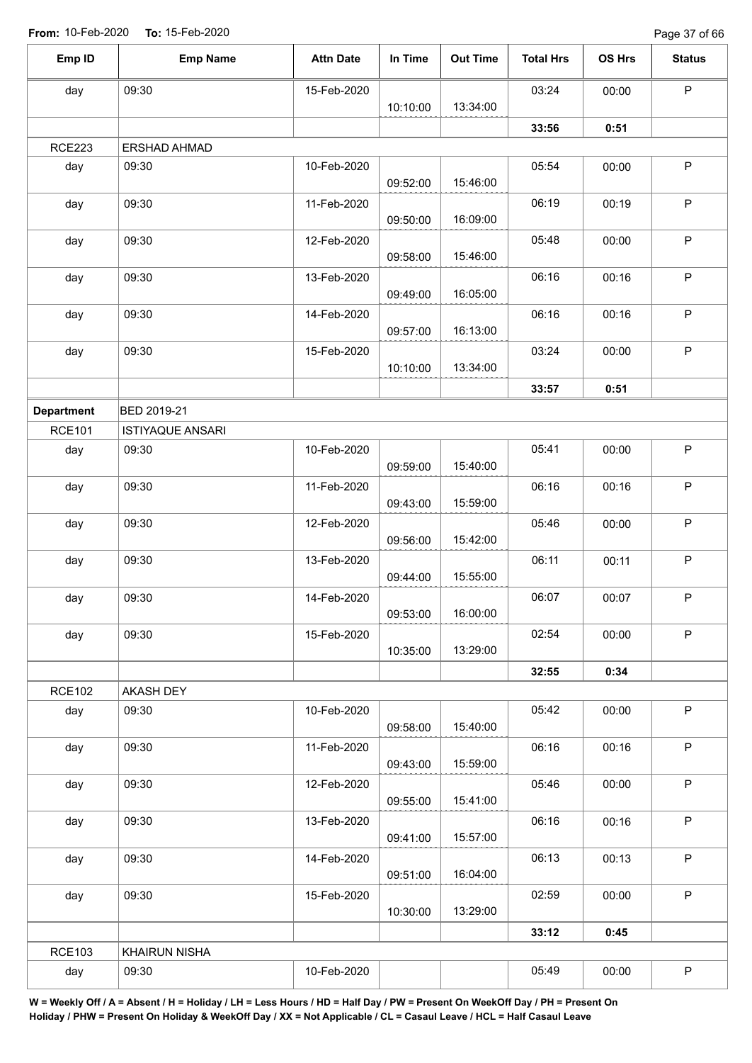Page 37 of 66

| Emp ID            | <b>Emp Name</b>         | <b>Attn Date</b> | In Time  | <b>Out Time</b> | <b>Total Hrs</b> | OS Hrs | <b>Status</b> |
|-------------------|-------------------------|------------------|----------|-----------------|------------------|--------|---------------|
| day               | 09:30                   | 15-Feb-2020      |          |                 | 03:24            | 00:00  | $\sf P$       |
|                   |                         |                  | 10:10:00 | 13:34:00        |                  |        |               |
|                   |                         |                  |          |                 | 33:56            | 0:51   |               |
| <b>RCE223</b>     | ERSHAD AHMAD            |                  |          |                 |                  |        |               |
| day               | 09:30                   | 10-Feb-2020      | 09:52:00 | 15:46:00        | 05:54            | 00:00  | $\mathsf P$   |
| day               | 09:30                   | 11-Feb-2020      | 09:50:00 | 16:09:00        | 06:19            | 00:19  | $\mathsf P$   |
| day               | 09:30                   | 12-Feb-2020      | 09:58:00 | 15:46:00        | 05:48            | 00:00  | P             |
| day               | 09:30                   | 13-Feb-2020      | 09:49:00 | 16:05:00        | 06:16            | 00:16  | P             |
| day               | 09:30                   | 14-Feb-2020      | 09:57:00 | 16:13:00        | 06:16            | 00:16  | $\mathsf P$   |
| day               | 09:30                   | 15-Feb-2020      |          |                 | 03:24            | 00:00  | $\mathsf P$   |
|                   |                         |                  | 10:10:00 | 13:34:00        |                  |        |               |
| <b>Department</b> | BED 2019-21             |                  |          |                 | 33:57            | 0:51   |               |
| <b>RCE101</b>     | <b>ISTIYAQUE ANSARI</b> |                  |          |                 |                  |        |               |
| day               | 09:30                   | 10-Feb-2020      | 09:59:00 | 15:40:00        | 05:41            | 00:00  | $\sf P$       |
| day               | 09:30                   | 11-Feb-2020      | 09:43:00 | 15:59:00        | 06:16            | 00:16  | $\mathsf P$   |
| day               | 09:30                   | 12-Feb-2020      | 09:56:00 | 15:42:00        | 05:46            | 00:00  | $\sf P$       |
| day               | 09:30                   | 13-Feb-2020      | 09:44:00 | 15:55:00        | 06:11            | 00:11  | $\mathsf P$   |
| day               | 09:30                   | 14-Feb-2020      | 09:53:00 | 16:00:00        | 06:07            | 00:07  | P             |
| day               | 09:30                   | 15-Feb-2020      | 10:35:00 | 13:29:00        | 02:54            | 00:00  | P             |
|                   |                         |                  |          |                 | 32:55            | 0:34   |               |
| <b>RCE102</b>     | AKASH DEY               |                  |          |                 |                  |        |               |
| day               | 09:30                   | 10-Feb-2020      | 09:58:00 | 15:40:00        | 05:42            | 00:00  | P             |
| day               | 09:30                   | 11-Feb-2020      | 09:43:00 | 15:59:00        | 06:16            | 00:16  | P             |
| day               | 09:30                   | 12-Feb-2020      | 09:55:00 | 15:41:00        | 05:46            | 00:00  | P             |
| day               | 09:30                   | 13-Feb-2020      | 09:41:00 | 15:57:00        | 06:16            | 00:16  | P             |
| day               | 09:30                   | 14-Feb-2020      | 09:51:00 | 16:04:00        | 06:13            | 00:13  | $\sf P$       |
| day               | 09:30                   | 15-Feb-2020      | 10:30:00 | 13:29:00        | 02:59            | 00:00  | P             |
|                   |                         |                  |          |                 | 33:12            | 0:45   |               |
| <b>RCE103</b>     | <b>KHAIRUN NISHA</b>    |                  |          |                 |                  |        |               |
| day               | 09:30                   | 10-Feb-2020      |          |                 | 05:49            | 00:00  | $\mathsf P$   |
|                   |                         |                  |          |                 |                  |        |               |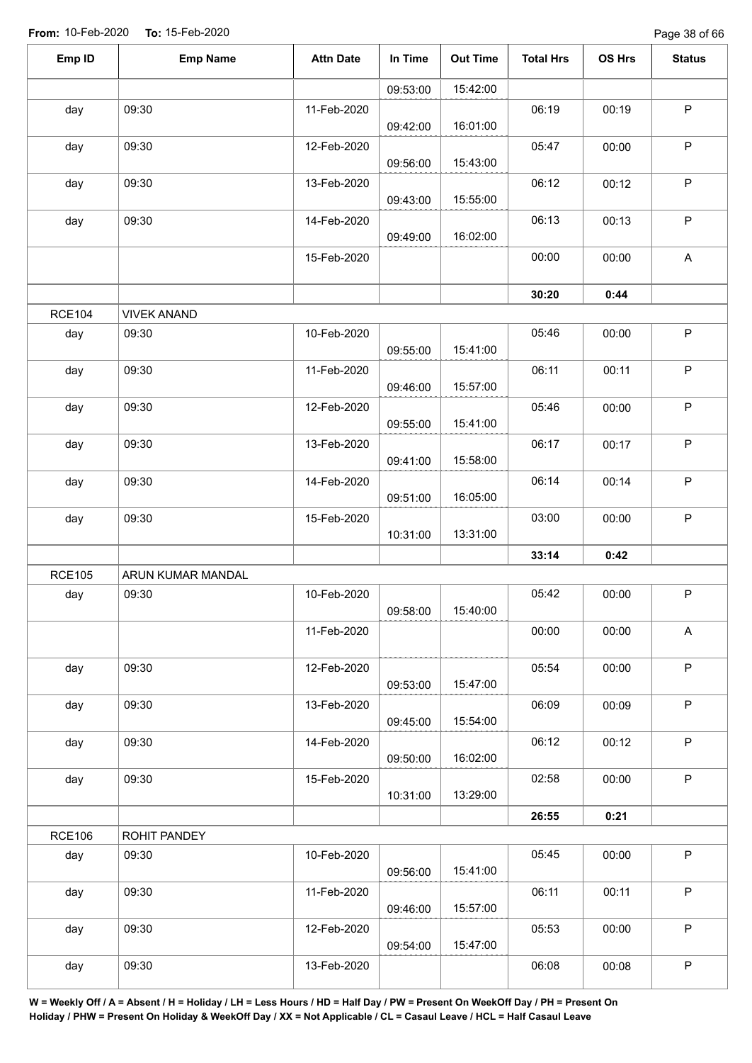| Emp ID        | <b>Emp Name</b>    | <b>Attn Date</b> | In Time  | <b>Out Time</b> | <b>Total Hrs</b> | OS Hrs | <b>Status</b> |
|---------------|--------------------|------------------|----------|-----------------|------------------|--------|---------------|
|               |                    |                  | 09:53:00 | 15:42:00        |                  |        |               |
| day           | 09:30              | 11-Feb-2020      | 09:42:00 | 16:01:00        | 06:19            | 00:19  | $\sf P$       |
| day           | 09:30              | 12-Feb-2020      | 09:56:00 | 15:43:00        | 05:47            | 00:00  | $\sf P$       |
| day           | 09:30              | 13-Feb-2020      | 09:43:00 | 15:55:00        | 06:12            | 00:12  | $\mathsf P$   |
| day           | 09:30              | 14-Feb-2020      | 09:49:00 | 16:02:00        | 06:13            | 00:13  | $\sf P$       |
|               |                    | 15-Feb-2020      |          |                 | 00:00            | 00:00  | $\mathsf{A}$  |
|               |                    |                  |          |                 | 30:20            | 0:44   |               |
| <b>RCE104</b> | <b>VIVEK ANAND</b> |                  |          |                 |                  |        |               |
| day           | 09:30              | 10-Feb-2020      | 09:55:00 | 15:41:00        | 05:46            | 00:00  | $\mathsf P$   |
| day           | 09:30              | 11-Feb-2020      | 09:46:00 | 15:57:00        | 06:11            | 00:11  | $\sf P$       |
| day           | 09:30              | 12-Feb-2020      | 09:55:00 | 15:41:00        | 05:46            | 00:00  | $\mathsf P$   |
| day           | 09:30              | 13-Feb-2020      | 09:41:00 | 15:58:00        | 06:17            | 00:17  | $\sf P$       |
| day           | 09:30              | 14-Feb-2020      | 09:51:00 | 16:05:00        | 06:14            | 00:14  | $\mathsf P$   |
| day           | 09:30              | 15-Feb-2020      | 10:31:00 | 13:31:00        | 03:00            | 00:00  | $\mathsf P$   |
|               |                    |                  |          |                 | 33:14            | 0:42   |               |
| <b>RCE105</b> | ARUN KUMAR MANDAL  |                  |          |                 |                  |        |               |
| day           | 09:30              | 10-Feb-2020      | 09:58:00 | 15:40:00        | 05:42            | 00:00  | ${\sf P}$     |
|               |                    | 11-Feb-2020      |          |                 | 00:00            | 00:00  | A             |
| day           | 09:30              | 12-Feb-2020      | 09:53:00 | 15:47:00        | 05:54            | 00:00  | $\sf P$       |
| day           | 09:30              | 13-Feb-2020      | 09:45:00 | 15:54:00        | 06:09            | 00:09  | $\mathsf P$   |
| day           | 09:30              | 14-Feb-2020      | 09:50:00 | 16:02:00        | 06:12            | 00:12  | $\mathsf P$   |
| day           | 09:30              | 15-Feb-2020      | 10:31:00 | 13:29:00        | 02:58            | 00:00  | $\mathsf P$   |
|               |                    |                  |          |                 | 26:55            | 0:21   |               |
| <b>RCE106</b> | ROHIT PANDEY       |                  |          |                 |                  |        |               |
| day           | 09:30              | 10-Feb-2020      | 09:56:00 | 15:41:00        | 05:45            | 00:00  | P             |
| day           | 09:30              | 11-Feb-2020      | 09:46:00 | 15:57:00        | 06:11            | 00:11  | $\sf P$       |
| day           | 09:30              | 12-Feb-2020      | 09:54:00 | 15:47:00        | 05:53            | 00:00  | $\mathsf P$   |
| day           | 09:30              | 13-Feb-2020      |          |                 | 06:08            | 00:08  | ${\sf P}$     |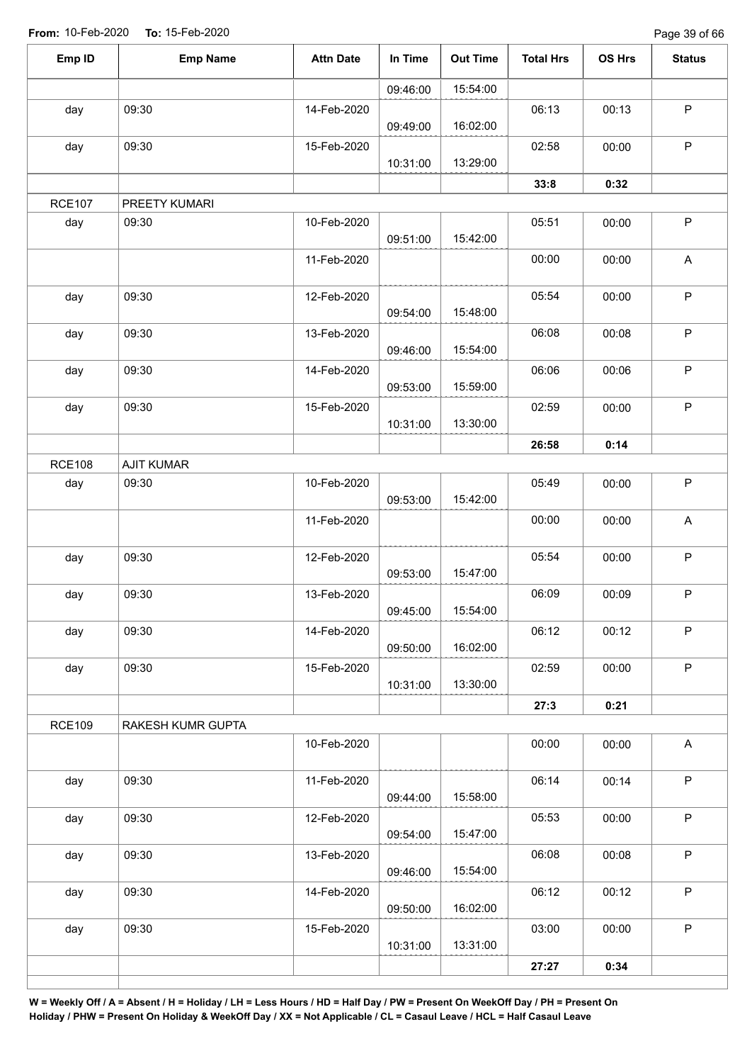Page 39 of 66

| Emp ID        | <b>Emp Name</b>   | <b>Attn Date</b> | In Time  | <b>Out Time</b> | <b>Total Hrs</b> | OS Hrs | <b>Status</b>             |
|---------------|-------------------|------------------|----------|-----------------|------------------|--------|---------------------------|
|               |                   |                  | 09:46:00 | 15:54:00        |                  |        |                           |
| day           | 09:30             | 14-Feb-2020      | 09:49:00 | 16:02:00        | 06:13            | 00:13  | $\mathsf P$               |
| day           | 09:30             | 15-Feb-2020      | 10:31:00 | 13:29:00        | 02:58            | 00:00  | $\mathsf P$               |
|               |                   |                  |          |                 | 33:8             | 0:32   |                           |
| <b>RCE107</b> | PREETY KUMARI     |                  |          |                 |                  |        |                           |
| day           | 09:30             | 10-Feb-2020      | 09:51:00 | 15:42:00        | 05:51            | 00:00  | $\sf P$                   |
|               |                   | 11-Feb-2020      |          |                 | 00:00            | 00:00  | $\boldsymbol{\mathsf{A}}$ |
| day           | 09:30             | 12-Feb-2020      | 09:54:00 | 15:48:00        | 05:54            | 00:00  | $\mathsf P$               |
| day           | 09:30             | 13-Feb-2020      | 09:46:00 | 15:54:00        | 06:08            | 00:08  | $\sf P$                   |
| day           | 09:30             | 14-Feb-2020      | 09:53:00 | 15:59:00        | 06:06            | 00:06  | $\sf P$                   |
| day           | 09:30             | 15-Feb-2020      | 10:31:00 | 13:30:00        | 02:59            | 00:00  | ${\sf P}$                 |
|               |                   |                  |          |                 | 26:58            | 0:14   |                           |
| <b>RCE108</b> | <b>AJIT KUMAR</b> |                  |          |                 |                  |        |                           |
| day           | 09:30             | 10-Feb-2020      | 09:53:00 | 15:42:00        | 05:49            | 00:00  | $\mathsf P$               |
|               |                   | 11-Feb-2020      |          |                 | 00:00            | 00:00  | $\boldsymbol{\mathsf{A}}$ |
| day           | 09:30             | 12-Feb-2020      | 09:53:00 | 15:47:00        | 05:54            | 00:00  | $\mathsf P$               |
| day           | 09:30             | 13-Feb-2020      | 09:45:00 | 15:54:00        | 06:09            | 00:09  | P                         |
| day           | 09:30             | 14-Feb-2020      | 09:50:00 | 16:02:00        | 06:12            | 00:12  | $\mathsf P$               |
| day           | 09:30             | 15-Feb-2020      | 10:31:00 | 13:30:00        | 02:59            | 00:00  | $\mathsf P$               |
|               |                   |                  |          |                 | 27:3             | 0:21   |                           |
| <b>RCE109</b> | RAKESH KUMR GUPTA |                  |          |                 |                  |        |                           |
|               |                   | 10-Feb-2020      |          |                 | 00:00            | 00:00  | $\boldsymbol{\mathsf{A}}$ |
| day           | 09:30             | 11-Feb-2020      | 09:44:00 | 15:58:00        | 06:14            | 00:14  | $\mathsf P$               |
| day           | 09:30             | 12-Feb-2020      | 09:54:00 | 15:47:00        | 05:53            | 00:00  | $\sf P$                   |
| day           | 09:30             | 13-Feb-2020      | 09:46:00 | 15:54:00        | 06:08            | 00:08  | $\sf P$                   |
| day           | 09:30             | 14-Feb-2020      | 09:50:00 | 16:02:00        | 06:12            | 00:12  | $\sf P$                   |
| day           | 09:30             | 15-Feb-2020      | 10:31:00 | 13:31:00        | 03:00            | 00:00  | $\mathsf P$               |
|               |                   |                  |          |                 | 27:27            | 0:34   |                           |
|               |                   |                  |          |                 |                  |        |                           |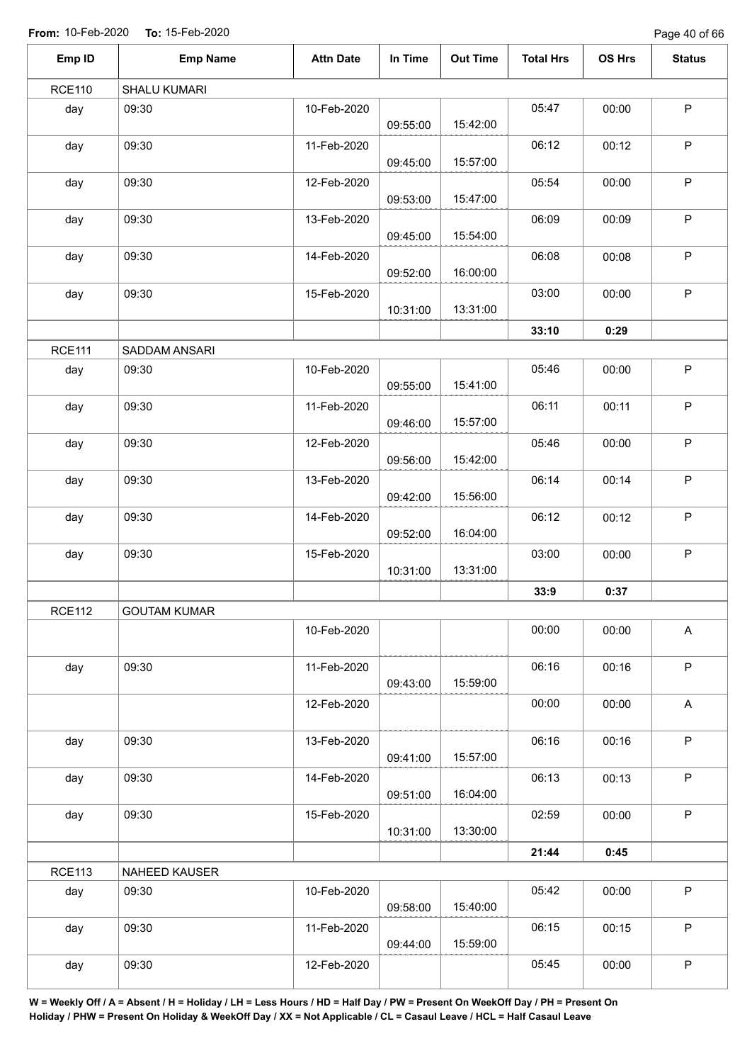Page 40 of 66

| Emp ID        | <b>Emp Name</b>     | <b>Attn Date</b> | In Time  | <b>Out Time</b> | <b>Total Hrs</b> | OS Hrs | <b>Status</b>             |
|---------------|---------------------|------------------|----------|-----------------|------------------|--------|---------------------------|
| <b>RCE110</b> | <b>SHALU KUMARI</b> |                  |          |                 |                  |        |                           |
| day           | 09:30               | 10-Feb-2020      | 09:55:00 | 15:42:00        | 05:47            | 00:00  | $\mathsf P$               |
| day           | 09:30               | 11-Feb-2020      | 09:45:00 | 15:57:00        | 06:12            | 00:12  | $\mathsf P$               |
| day           | 09:30               | 12-Feb-2020      | 09:53:00 | 15:47:00        | 05:54            | 00:00  | $\mathsf P$               |
| day           | 09:30               | 13-Feb-2020      | 09:45:00 | 15:54:00        | 06:09            | 00:09  | $\mathsf P$               |
| day           | 09:30               | 14-Feb-2020      | 09:52:00 | 16:00:00        | 06:08            | 00:08  | $\mathsf P$               |
| day           | 09:30               | 15-Feb-2020      | 10:31:00 | 13:31:00        | 03:00            | 00:00  | $\mathsf P$               |
|               |                     |                  |          |                 | 33:10            | 0:29   |                           |
| <b>RCE111</b> | SADDAM ANSARI       |                  |          |                 |                  |        |                           |
| day           | 09:30               | 10-Feb-2020      | 09:55:00 | 15:41:00        | 05:46            | 00:00  | $\mathsf P$               |
| day           | 09:30               | 11-Feb-2020      | 09:46:00 | 15:57:00        | 06:11            | 00:11  | $\mathsf P$               |
| day           | 09:30               | 12-Feb-2020      | 09:56:00 | 15:42:00        | 05:46            | 00:00  | $\mathsf P$               |
| day           | 09:30               | 13-Feb-2020      | 09:42:00 | 15:56:00        | 06:14            | 00:14  | $\mathsf P$               |
| day           | 09:30               | 14-Feb-2020      | 09:52:00 | 16:04:00        | 06:12            | 00:12  | $\mathsf P$               |
| day           | 09:30               | 15-Feb-2020      | 10:31:00 | 13:31:00        | 03:00            | 00:00  | $\mathsf P$               |
|               |                     |                  |          |                 | 33:9             | 0:37   |                           |
| <b>RCE112</b> | <b>GOUTAM KUMAR</b> |                  |          |                 |                  |        |                           |
|               |                     | 10-Feb-2020      |          |                 | 00:00            | 00:00  | $\boldsymbol{\mathsf{A}}$ |
| day           | 09:30               | 11-Feb-2020      | 09:43:00 | 15:59:00        | 06:16            | 00:16  | $\mathsf P$               |
|               |                     | 12-Feb-2020      |          |                 | 00:00            | 00:00  | $\mathsf A$               |
| day           | 09:30               | 13-Feb-2020      | 09:41:00 | 15:57:00        | 06:16            | 00:16  | $\mathsf P$               |
| day           | 09:30               | 14-Feb-2020      | 09:51:00 | 16:04:00        | 06:13            | 00:13  | $\mathsf P$               |
| day           | 09:30               | 15-Feb-2020      | 10:31:00 | 13:30:00        | 02:59            | 00:00  | $\mathsf P$               |
|               |                     |                  |          |                 | 21:44            | 0:45   |                           |
| <b>RCE113</b> | NAHEED KAUSER       |                  |          |                 |                  |        |                           |
| day           | 09:30               | 10-Feb-2020      | 09:58:00 | 15:40:00        | 05:42            | 00:00  | $\sf P$                   |
| day           | 09:30               | 11-Feb-2020      | 09:44:00 | 15:59:00        | 06:15            | 00:15  | $\mathsf P$               |
| day           | 09:30               | 12-Feb-2020      |          |                 | 05:45            | 00:00  | $\sf P$                   |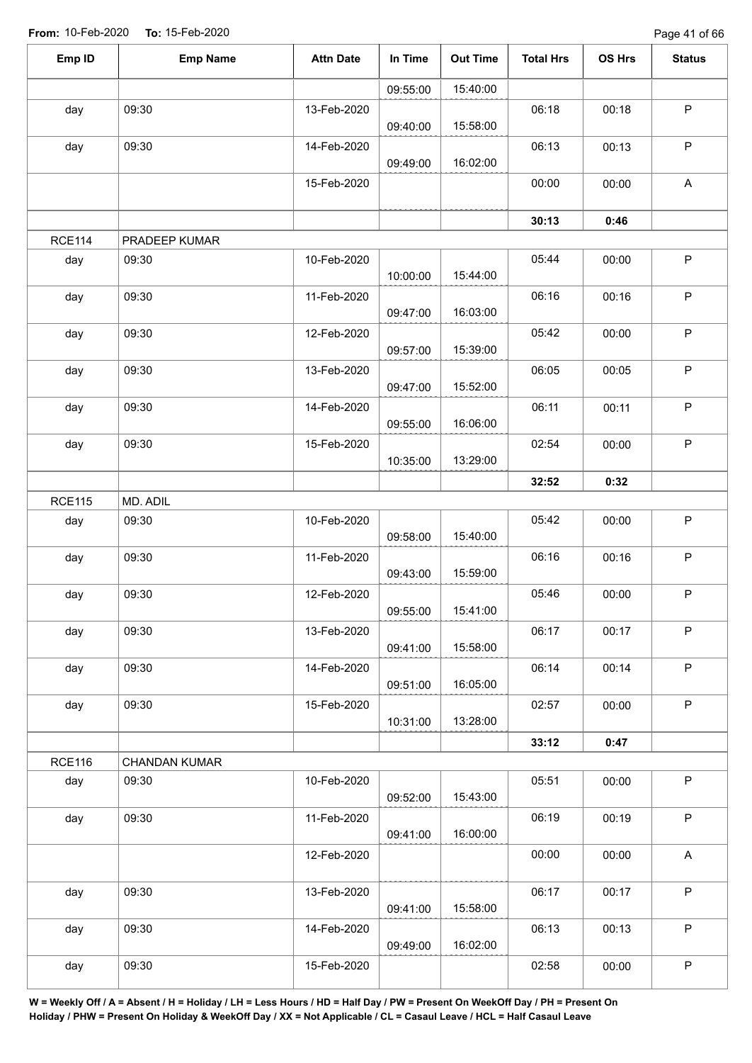Page 41 of 66

| Emp ID<br><b>Emp Name</b>      | <b>Attn Date</b> | In Time  | <b>Out Time</b> | <b>Total Hrs</b> | OS Hrs | <b>Status</b> |
|--------------------------------|------------------|----------|-----------------|------------------|--------|---------------|
|                                |                  | 09:55:00 | 15:40:00        |                  |        |               |
| 09:30<br>day                   | 13-Feb-2020      | 09:40:00 | 15:58:00        | 06:18            | 00:18  | $\mathsf P$   |
| 09:30<br>day                   | 14-Feb-2020      | 09:49:00 | 16:02:00        | 06:13            | 00:13  | $\mathsf P$   |
|                                | 15-Feb-2020      |          |                 | 00:00            | 00:00  | $\mathsf{A}$  |
|                                |                  |          |                 | 30:13            | 0:46   |               |
| <b>RCE114</b><br>PRADEEP KUMAR |                  |          |                 |                  |        |               |
| day<br>09:30                   | 10-Feb-2020      | 10:00:00 | 15:44:00        | 05:44            | 00:00  | $\mathsf P$   |
| 09:30<br>day                   | 11-Feb-2020      | 09:47:00 | 16:03:00        | 06:16            | 00:16  | $\mathsf P$   |
| 09:30<br>day                   | 12-Feb-2020      | 09:57:00 | 15:39:00        | 05:42            | 00:00  | $\sf P$       |
| 09:30<br>day                   | 13-Feb-2020      | 09:47:00 | 15:52:00        | 06:05            | 00:05  | $\mathsf P$   |
| 09:30<br>day                   | 14-Feb-2020      | 09:55:00 | 16:06:00        | 06:11            | 00:11  | $\mathsf P$   |
| 09:30<br>day                   | 15-Feb-2020      | 10:35:00 | 13:29:00        | 02:54            | 00:00  | $\sf P$       |
|                                |                  |          |                 | 32:52            | 0:32   |               |
| MD. ADIL<br><b>RCE115</b>      |                  |          |                 |                  |        |               |
| 09:30<br>day                   | 10-Feb-2020      | 09:58:00 | 15:40:00        | 05:42            | 00:00  | $\sf P$       |
| 09:30<br>day                   | 11-Feb-2020      | 09:43:00 | 15:59:00        | 06:16            | 00:16  | $\mathsf P$   |
| 09:30<br>day                   | 12-Feb-2020      | 09:55:00 | 15:41:00        | 05:46            | 00:00  | P             |
| 09:30<br>day                   | 13-Feb-2020      | 09:41:00 | 15:58:00        | 06:17            | 00:17  | $\mathsf P$   |
| 09:30<br>day                   | 14-Feb-2020      | 09:51:00 | 16:05:00        | 06:14            | 00:14  | $\mathsf P$   |
| 09:30<br>day                   | 15-Feb-2020      | 10:31:00 | 13:28:00        | 02:57            | 00:00  | $\mathsf P$   |
|                                |                  |          |                 | 33:12            | 0:47   |               |
| <b>RCE116</b><br>CHANDAN KUMAR |                  |          |                 |                  |        |               |
| day<br>09:30                   | 10-Feb-2020      | 09:52:00 | 15:43:00        | 05:51            | 00:00  | $\mathsf P$   |
| 09:30<br>day                   | 11-Feb-2020      | 09:41:00 | 16:00:00        | 06:19            | 00:19  | P             |
|                                | 12-Feb-2020      |          |                 | 00:00            | 00:00  | $\mathsf A$   |
| 09:30<br>day                   | 13-Feb-2020      | 09:41:00 | 15:58:00        | 06:17            | 00:17  | $\mathsf P$   |
| 09:30<br>day                   | 14-Feb-2020      | 09:49:00 | 16:02:00        | 06:13            | 00:13  | $\mathsf P$   |
| 09:30<br>day                   | 15-Feb-2020      |          |                 | 02:58            | 00:00  | $\sf P$       |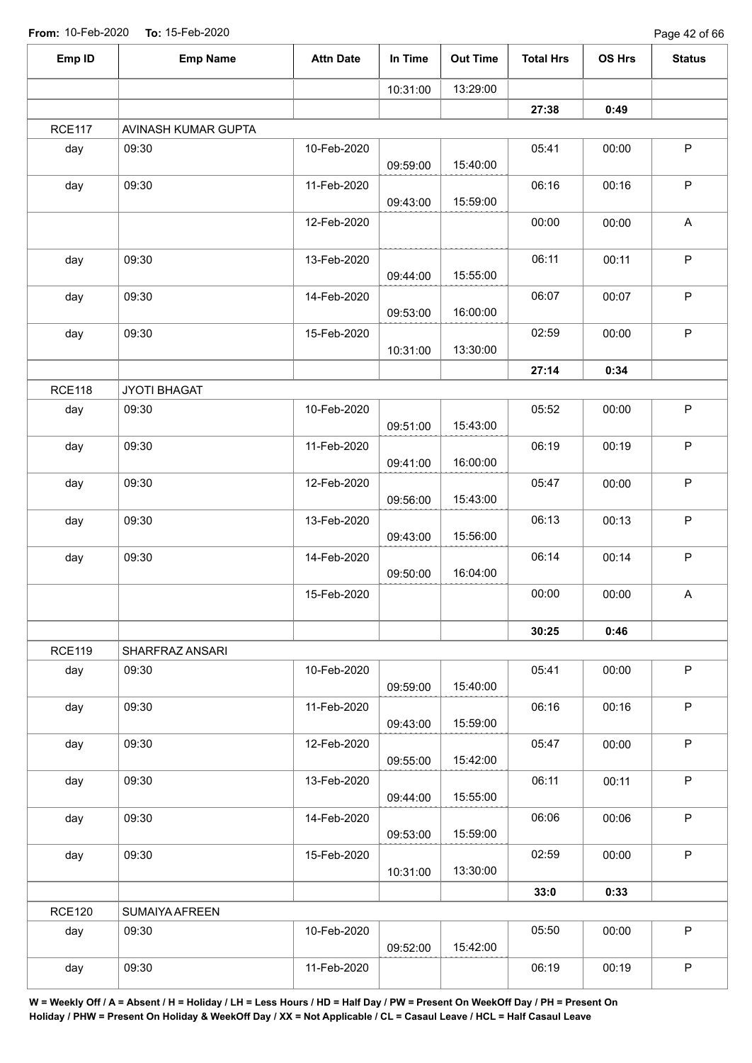| Emp ID        | <b>Emp Name</b>     | <b>Attn Date</b> | In Time  | <b>Out Time</b> | <b>Total Hrs</b> | OS Hrs | <b>Status</b>             |
|---------------|---------------------|------------------|----------|-----------------|------------------|--------|---------------------------|
|               |                     |                  | 10:31:00 | 13:29:00        |                  |        |                           |
|               |                     |                  |          |                 | 27:38            | 0:49   |                           |
| <b>RCE117</b> | AVINASH KUMAR GUPTA |                  |          |                 |                  |        |                           |
| day           | 09:30               | 10-Feb-2020      | 09:59:00 | 15:40:00        | 05:41            | 00:00  | $\sf P$                   |
| day           | 09:30               | 11-Feb-2020      | 09:43:00 | 15:59:00        | 06:16            | 00:16  | $\sf P$                   |
|               |                     | 12-Feb-2020      |          |                 | 00:00            | 00:00  | $\boldsymbol{\mathsf{A}}$ |
| day           | 09:30               | 13-Feb-2020      | 09:44:00 | 15:55:00        | 06:11            | 00:11  | $\sf P$                   |
| day           | 09:30               | 14-Feb-2020      | 09:53:00 | 16:00:00        | 06:07            | 00:07  | $\mathsf P$               |
| day           | 09:30               | 15-Feb-2020      | 10:31:00 | 13:30:00        | 02:59            | 00:00  | $\sf P$                   |
|               |                     |                  |          |                 | 27:14            | 0:34   |                           |
| <b>RCE118</b> | JYOTI BHAGAT        |                  |          |                 |                  |        |                           |
| day           | 09:30               | 10-Feb-2020      | 09:51:00 | 15:43:00        | 05:52            | 00:00  | $\mathsf P$               |
| day           | 09:30               | 11-Feb-2020      | 09:41:00 | 16:00:00        | 06:19            | 00:19  | $\sf P$                   |
| day           | 09:30               | 12-Feb-2020      | 09:56:00 | 15:43:00        | 05:47            | 00:00  | $\mathsf P$               |
| day           | 09:30               | 13-Feb-2020      | 09:43:00 | 15:56:00        | 06:13            | 00:13  | $\sf P$                   |
| day           | 09:30               | 14-Feb-2020      | 09:50:00 | 16:04:00        | 06:14            | 00:14  | $\mathsf P$               |
|               |                     | 15-Feb-2020      |          |                 | 00:00            | 00:00  | $\boldsymbol{\mathsf{A}}$ |
|               |                     |                  |          |                 | 30:25            | 0:46   |                           |
| <b>RCE119</b> | SHARFRAZ ANSARI     |                  |          |                 |                  |        |                           |
| day           | 09:30               | 10-Feb-2020      | 09:59:00 | 15:40:00        | 05:41            | 00:00  | $\mathsf P$               |
| day           | 09:30               | 11-Feb-2020      | 09:43:00 | 15:59:00        | 06:16            | 00:16  | $\sf P$                   |
| day           | 09:30               | 12-Feb-2020      | 09:55:00 | 15:42:00        | 05:47            | 00:00  | P                         |
| day           | 09:30               | 13-Feb-2020      | 09:44:00 | 15:55:00        | 06:11            | 00:11  | $\mathsf P$               |
| day           | 09:30               | 14-Feb-2020      | 09:53:00 | 15:59:00        | 06:06            | 00:06  | $\sf P$                   |
| day           | 09:30               | 15-Feb-2020      | 10:31:00 | 13:30:00        | 02:59            | 00:00  | $\mathsf{P}$              |
|               |                     |                  |          |                 | 33:0             | 0:33   |                           |
| <b>RCE120</b> | SUMAIYA AFREEN      |                  |          |                 |                  |        |                           |
| day           | 09:30               | 10-Feb-2020      | 09:52:00 | 15:42:00        | 05:50            | 00:00  | $\mathsf P$               |
| day           | 09:30               | 11-Feb-2020      |          |                 | 06:19            | 00:19  | ${\sf P}$                 |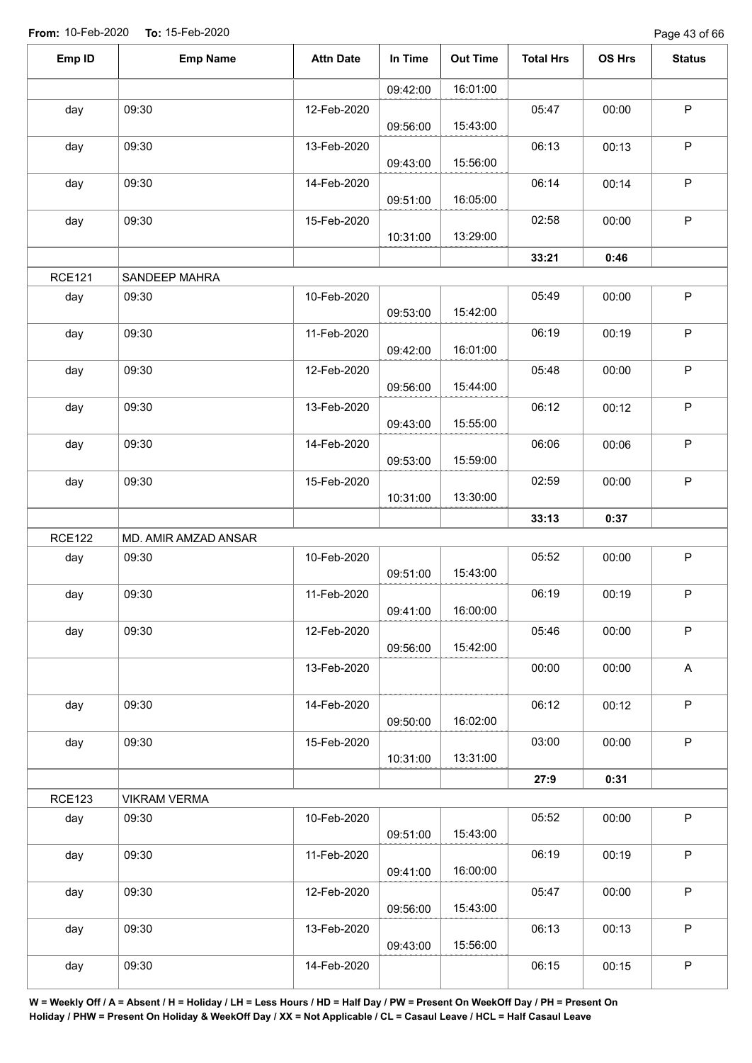Page 43 of 66

| Emp ID        | <b>Emp Name</b>      | <b>Attn Date</b> | In Time  | <b>Out Time</b> | <b>Total Hrs</b> | OS Hrs | <b>Status</b> |
|---------------|----------------------|------------------|----------|-----------------|------------------|--------|---------------|
|               |                      |                  | 09:42:00 | 16:01:00        |                  |        |               |
| day           | 09:30                | 12-Feb-2020      |          | 15:43:00        | 05:47            | 00:00  | $\mathsf P$   |
|               | 09:30                |                  | 09:56:00 |                 |                  |        | $\mathsf P$   |
| day           |                      | 13-Feb-2020      | 09:43:00 | 15:56:00        | 06:13            | 00:13  |               |
| day           | 09:30                | 14-Feb-2020      | 09:51:00 | 16:05:00        | 06:14            | 00:14  | $\sf P$       |
| day           | 09:30                | 15-Feb-2020      | 10:31:00 | 13:29:00        | 02:58            | 00:00  | $\mathsf P$   |
|               |                      |                  |          |                 | 33:21            | 0:46   |               |
| <b>RCE121</b> | SANDEEP MAHRA        |                  |          |                 |                  |        |               |
| day           | 09:30                | 10-Feb-2020      | 09:53:00 | 15:42:00        | 05:49            | 00:00  | $\sf P$       |
| day           | 09:30                | 11-Feb-2020      | 09:42:00 | 16:01:00        | 06:19            | 00:19  | $\mathsf P$   |
| day           | 09:30                | 12-Feb-2020      |          |                 | 05:48            | 00:00  | $\sf P$       |
|               |                      |                  | 09:56:00 | 15:44:00        |                  |        |               |
| day           | 09:30                | 13-Feb-2020      |          |                 | 06:12            | 00:12  | $\mathsf P$   |
|               |                      |                  | 09:43:00 | 15:55:00        |                  |        | $\mathsf P$   |
| day           | 09:30                | 14-Feb-2020      | 09:53:00 | 15:59:00        | 06:06            | 00:06  |               |
| day           | 09:30                | 15-Feb-2020      | 10:31:00 | 13:30:00        | 02:59            | 00:00  | $\mathsf P$   |
|               |                      |                  |          |                 | 33:13            | 0:37   |               |
| <b>RCE122</b> | MD. AMIR AMZAD ANSAR |                  |          |                 |                  |        |               |
| day           | 09:30                | 10-Feb-2020      | 09:51:00 | 15:43:00        | 05:52            | 00:00  | $\mathsf P$   |
| day           | 09:30                | 11-Feb-2020      | 09:41:00 | 16:00:00        | 06:19            | 00:19  | $\mathsf P$   |
| day           | 09:30                | 12-Feb-2020      |          |                 | 05:46            | 00:00  | $\mathsf P$   |
|               |                      |                  | 09:56:00 | 15:42:00        |                  |        |               |
|               |                      | 13-Feb-2020      |          |                 | 00:00            | 00:00  | A             |
| day           | 09:30                | 14-Feb-2020      | 09:50:00 | 16:02:00        | 06:12            | 00:12  | $\sf P$       |
| day           | 09:30                | 15-Feb-2020      |          |                 | 03:00            | 00:00  | $\mathsf P$   |
|               |                      |                  | 10:31:00 | 13:31:00        |                  |        |               |
|               |                      |                  |          |                 | 27:9             | 0:31   |               |
| <b>RCE123</b> | <b>VIKRAM VERMA</b>  |                  |          |                 |                  |        |               |
| day           | 09:30                | 10-Feb-2020      | 09:51:00 | 15:43:00        | 05:52            | 00:00  | $\sf P$       |
| day           | 09:30                | 11-Feb-2020      | 09:41:00 | 16:00:00        | 06:19            | 00:19  | $\sf P$       |
| day           | 09:30                | 12-Feb-2020      | 09:56:00 | 15:43:00        | 05:47            | 00:00  | $\mathsf P$   |
| day           | 09:30                | 13-Feb-2020      | 09:43:00 | 15:56:00        | 06:13            | 00:13  | $\sf P$       |
| day           | 09:30                | 14-Feb-2020      |          |                 | 06:15            | 00:15  | $\sf P$       |
|               |                      |                  |          |                 |                  |        |               |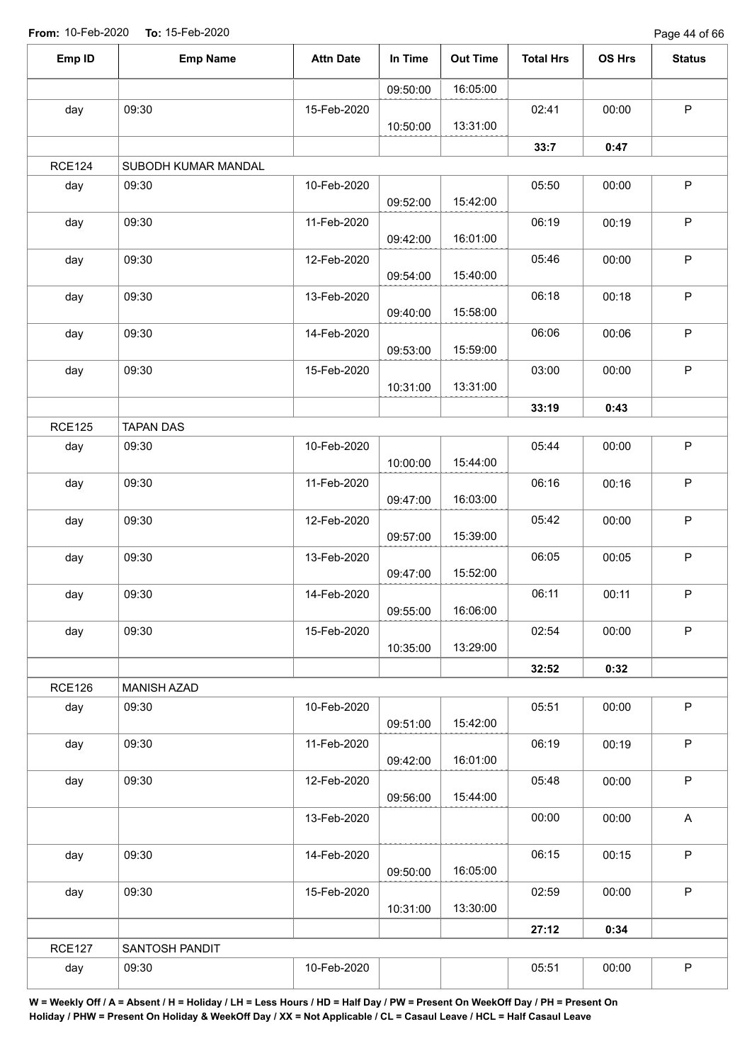Page 44 of 66

| Emp ID        | <b>Emp Name</b>     | <b>Attn Date</b> | In Time  | <b>Out Time</b> | <b>Total Hrs</b> | OS Hrs | <b>Status</b>             |
|---------------|---------------------|------------------|----------|-----------------|------------------|--------|---------------------------|
|               |                     |                  | 09:50:00 | 16:05:00        |                  |        |                           |
| day           | 09:30               | 15-Feb-2020      |          |                 | 02:41            | 00:00  | $\mathsf P$               |
|               |                     |                  | 10:50:00 | 13:31:00        |                  |        |                           |
|               |                     |                  |          |                 | 33:7             | 0:47   |                           |
| <b>RCE124</b> | SUBODH KUMAR MANDAL |                  |          |                 |                  |        |                           |
| day           | 09:30               | 10-Feb-2020      | 09:52:00 | 15:42:00        | 05:50            | 00:00  | P                         |
| day           | 09:30               | 11-Feb-2020      | 09:42:00 | 16:01:00        | 06:19            | 00:19  | $\sf P$                   |
| day           | 09:30               | 12-Feb-2020      | 09:54:00 | 15:40:00        | 05:46            | 00:00  | $\mathsf P$               |
| day           | 09:30               | 13-Feb-2020      | 09:40:00 | 15:58:00        | 06:18            | 00:18  | $\sf P$                   |
| day           | 09:30               | 14-Feb-2020      |          |                 | 06:06            | 00:06  | $\sf P$                   |
|               | 09:30               | 15-Feb-2020      | 09:53:00 | 15:59:00        | 03:00            | 00:00  | $\mathsf P$               |
| day           |                     |                  | 10:31:00 | 13:31:00        |                  |        |                           |
|               |                     |                  |          |                 | 33:19            | 0:43   |                           |
| <b>RCE125</b> | <b>TAPAN DAS</b>    |                  |          |                 |                  |        |                           |
| day           | 09:30               | 10-Feb-2020      | 10:00:00 | 15:44:00        | 05:44            | 00:00  | $\mathsf P$               |
| day           | 09:30               | 11-Feb-2020      | 09:47:00 | 16:03:00        | 06:16            | 00:16  | $\mathsf P$               |
| day           | 09:30               | 12-Feb-2020      | 09:57:00 | 15:39:00        | 05:42            | 00:00  | $\mathsf P$               |
| day           | 09:30               | 13-Feb-2020      | 09:47:00 | 15:52:00        | 06:05            | 00:05  | $\mathsf P$               |
| day           | 09:30               | 14-Feb-2020      | 09:55:00 | 16:06:00        | 06:11            | 00:11  | $\mathsf P$               |
| day           | 09:30               | 15-Feb-2020      | 10:35:00 | 13:29:00        | 02:54            | 00:00  | $\mathsf P$               |
|               |                     |                  |          |                 | 32:52            | 0:32   |                           |
| <b>RCE126</b> | <b>MANISH AZAD</b>  |                  |          |                 |                  |        |                           |
| day           | 09:30               | 10-Feb-2020      | 09:51:00 | 15:42:00        | 05:51            | 00:00  | $\mathsf P$               |
| day           | 09:30               | 11-Feb-2020      | 09:42:00 | 16:01:00        | 06:19            | 00:19  | $\mathsf P$               |
| day           | 09:30               | 12-Feb-2020      | 09:56:00 | 15:44:00        | 05:48            | 00:00  | $\sf P$                   |
|               |                     | 13-Feb-2020      |          |                 | 00:00            | 00:00  | $\boldsymbol{\mathsf{A}}$ |
| day           | 09:30               | 14-Feb-2020      |          |                 | 06:15            | 00:15  | $\sf P$                   |
| day           | 09:30               | 15-Feb-2020      | 09:50:00 | 16:05:00        | 02:59            | 00:00  | P                         |
|               |                     |                  | 10:31:00 | 13:30:00        |                  |        |                           |
|               |                     |                  |          |                 | 27:12            | 0:34   |                           |
| <b>RCE127</b> | SANTOSH PANDIT      |                  |          |                 | 05:51            |        | $\sf P$                   |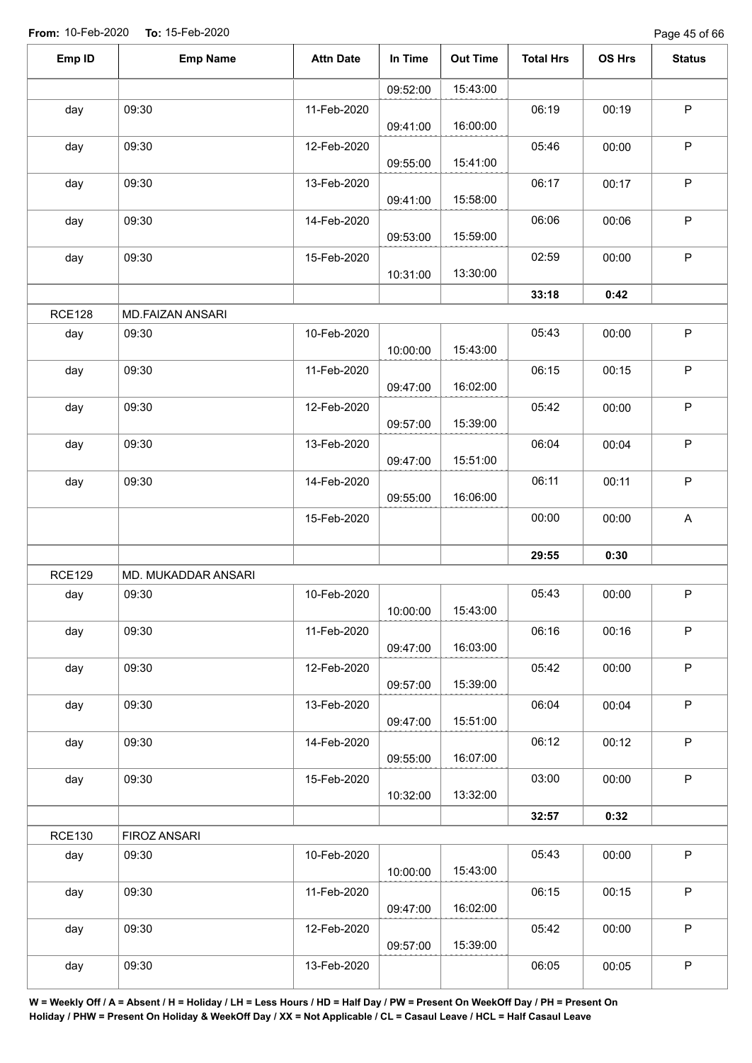Page 45 of 66

| Emp ID        | <b>Emp Name</b>     | <b>Attn Date</b> | In Time  | <b>Out Time</b> | <b>Total Hrs</b> | OS Hrs | <b>Status</b> |
|---------------|---------------------|------------------|----------|-----------------|------------------|--------|---------------|
|               |                     |                  | 09:52:00 | 15:43:00        |                  |        |               |
| day           | 09:30               | 11-Feb-2020      | 09:41:00 | 16:00:00        | 06:19            | 00:19  | $\sf P$       |
| day           | 09:30               | 12-Feb-2020      | 09:55:00 | 15:41:00        | 05:46            | 00:00  | $\sf P$       |
| day           | 09:30               | 13-Feb-2020      | 09:41:00 | 15:58:00        | 06:17            | 00:17  | $\mathsf P$   |
| day           | 09:30               | 14-Feb-2020      | 09:53:00 | 15:59:00        | 06:06            | 00:06  | $\mathsf P$   |
| day           | 09:30               | 15-Feb-2020      | 10:31:00 | 13:30:00        | 02:59            | 00:00  | $\sf P$       |
|               |                     |                  |          |                 | 33:18            | 0:42   |               |
| <b>RCE128</b> | MD.FAIZAN ANSARI    |                  |          |                 |                  |        |               |
| day           | 09:30               | 10-Feb-2020      | 10:00:00 | 15:43:00        | 05:43            | 00:00  | $\mathsf P$   |
| day           | 09:30               | 11-Feb-2020      | 09:47:00 | 16:02:00        | 06:15            | 00:15  | $\mathsf P$   |
| day           | 09:30               | 12-Feb-2020      | 09:57:00 | 15:39:00        | 05:42            | 00:00  | $\mathsf P$   |
| day           | 09:30               | 13-Feb-2020      | 09:47:00 | 15:51:00        | 06:04            | 00:04  | $\sf P$       |
| day           | 09:30               | 14-Feb-2020      | 09:55:00 | 16:06:00        | 06:11            | 00:11  | $\mathsf P$   |
|               |                     | 15-Feb-2020      |          |                 | 00:00            | 00:00  | A             |
|               |                     |                  |          |                 | 29:55            | 0:30   |               |
| <b>RCE129</b> | MD. MUKADDAR ANSARI |                  |          |                 |                  |        |               |
| day           | 09:30               | 10-Feb-2020      | 10:00:00 | 15:43:00        | 05:43            | 00:00  | $\mathsf P$   |
| day           | 09:30               | 11-Feb-2020      | 09:47:00 | 16:03:00        | 06:16            | 00:16  | $\mathsf P$   |
| day           | 09:30               | 12-Feb-2020      | 09:57:00 | 15:39:00        | 05:42            | 00:00  | $\mathsf P$   |
| day           | 09:30               | 13-Feb-2020      | 09:47:00 | 15:51:00        | 06:04            | 00:04  | $\mathsf P$   |
| day           | 09:30               | 14-Feb-2020      | 09:55:00 | 16:07:00        | 06:12            | 00:12  | $\mathsf{P}$  |
| day           | 09:30               | 15-Feb-2020      | 10:32:00 | 13:32:00        | 03:00            | 00:00  | $\sf P$       |
|               |                     |                  |          |                 | 32:57            | 0:32   |               |
| <b>RCE130</b> | FIROZ ANSARI        |                  |          |                 |                  |        |               |
| day           | 09:30               | 10-Feb-2020      | 10:00:00 | 15:43:00        | 05:43            | 00:00  | $\mathsf P$   |
| day           | 09:30               | 11-Feb-2020      | 09:47:00 | 16:02:00        | 06:15            | 00:15  | $\mathsf P$   |
| day           | 09:30               | 12-Feb-2020      | 09:57:00 | 15:39:00        | 05:42            | 00:00  | $\sf P$       |
| day           | 09:30               | 13-Feb-2020      |          |                 | 06:05            | 00:05  | $\sf P$       |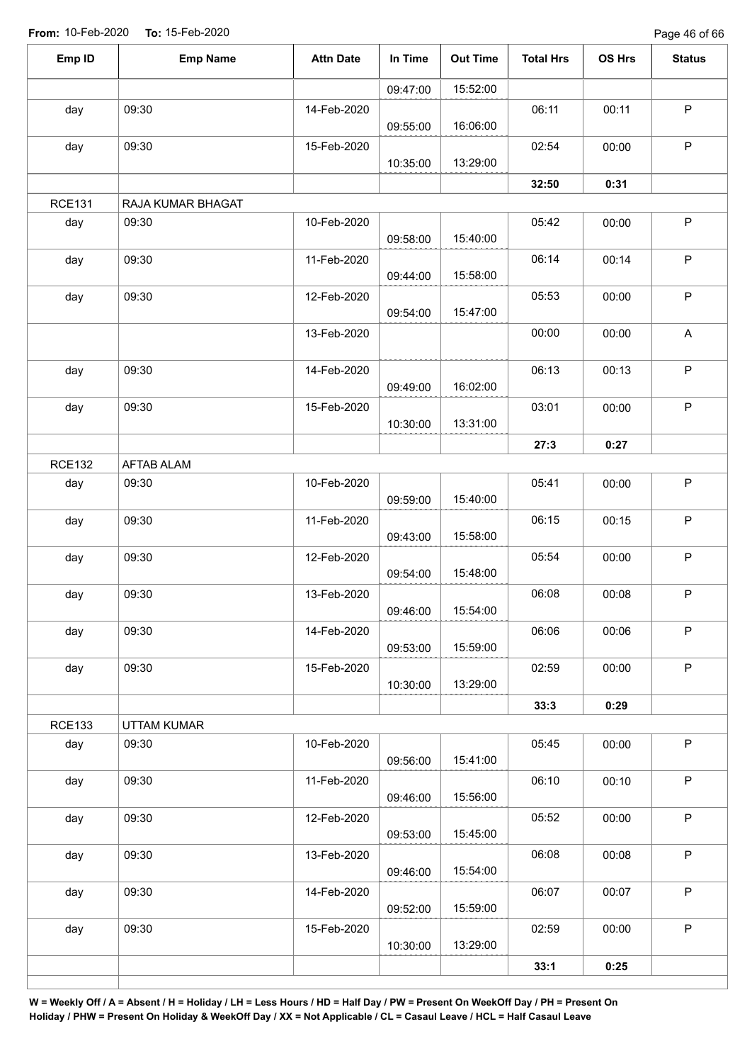Page 46 of 66

| Emp ID        | <b>Emp Name</b>   | <b>Attn Date</b> | In Time  | <b>Out Time</b> | <b>Total Hrs</b> | OS Hrs | <b>Status</b> |
|---------------|-------------------|------------------|----------|-----------------|------------------|--------|---------------|
|               |                   |                  | 09:47:00 | 15:52:00        |                  |        |               |
| day           | 09:30             | 14-Feb-2020      | 09:55:00 | 16:06:00        | 06:11            | 00:11  | $\mathsf P$   |
| day           | 09:30             | 15-Feb-2020      | 10:35:00 | 13:29:00        | 02:54            | 00:00  | $\mathsf P$   |
|               |                   |                  |          |                 | 32:50            | 0:31   |               |
| <b>RCE131</b> | RAJA KUMAR BHAGAT |                  |          |                 |                  |        |               |
| day           | 09:30             | 10-Feb-2020      | 09:58:00 | 15:40:00        | 05:42            | 00:00  | $\mathsf P$   |
| day           | 09:30             | 11-Feb-2020      | 09:44:00 | 15:58:00        | 06:14            | 00:14  | $\mathsf P$   |
| day           | 09:30             | 12-Feb-2020      | 09:54:00 | 15:47:00        | 05:53            | 00:00  | $\mathsf P$   |
|               |                   | 13-Feb-2020      |          |                 | 00:00            | 00:00  | A             |
| day           | 09:30             | 14-Feb-2020      | 09:49:00 | 16:02:00        | 06:13            | 00:13  | $\sf P$       |
| day           | 09:30             | 15-Feb-2020      | 10:30:00 | 13:31:00        | 03:01            | 00:00  | $\mathsf P$   |
|               |                   |                  |          |                 | 27:3             | 0:27   |               |
| <b>RCE132</b> | <b>AFTAB ALAM</b> |                  |          |                 |                  |        |               |
| day           | 09:30             | 10-Feb-2020      | 09:59:00 | 15:40:00        | 05:41            | 00:00  | $\sf P$       |
| day           | 09:30             | 11-Feb-2020      | 09:43:00 | 15:58:00        | 06:15            | 00:15  | $\mathsf P$   |
| day           | 09:30             | 12-Feb-2020      | 09:54:00 | 15:48:00        | 05:54            | 00:00  | $\mathsf P$   |
| day           | 09:30             | 13-Feb-2020      | 09:46:00 | 15:54:00        | 06:08            | 00:08  | $\mathsf P$   |
| day           | 09:30             | 14-Feb-2020      | 09:53:00 | 15:59:00        | 06:06            | 00:06  | $\mathsf P$   |
| day           | 09:30             | 15-Feb-2020      | 10:30:00 | 13:29:00        | 02:59            | 00:00  | $\mathsf P$   |
|               |                   |                  |          |                 | 33:3             | 0:29   |               |
| <b>RCE133</b> | UTTAM KUMAR       |                  |          |                 |                  |        |               |
| day           | 09:30             | 10-Feb-2020      | 09:56:00 | 15:41:00        | 05:45            | 00:00  | $\mathsf P$   |
| day           | 09:30             | 11-Feb-2020      | 09:46:00 | 15:56:00        | 06:10            | 00:10  | $\mathsf P$   |
| day           | 09:30             | 12-Feb-2020      | 09:53:00 | 15:45:00        | 05:52            | 00:00  | $\mathsf P$   |
| day           | 09:30             | 13-Feb-2020      | 09:46:00 | 15:54:00        | 06:08            | 00:08  | $\sf P$       |
| day           | 09:30             | 14-Feb-2020      | 09:52:00 | 15:59:00        | 06:07            | 00:07  | $\mathsf P$   |
| day           | 09:30             | 15-Feb-2020      | 10:30:00 | 13:29:00        | 02:59            | 00:00  | $\mathsf P$   |
|               |                   |                  |          |                 | 33:1             | 0:25   |               |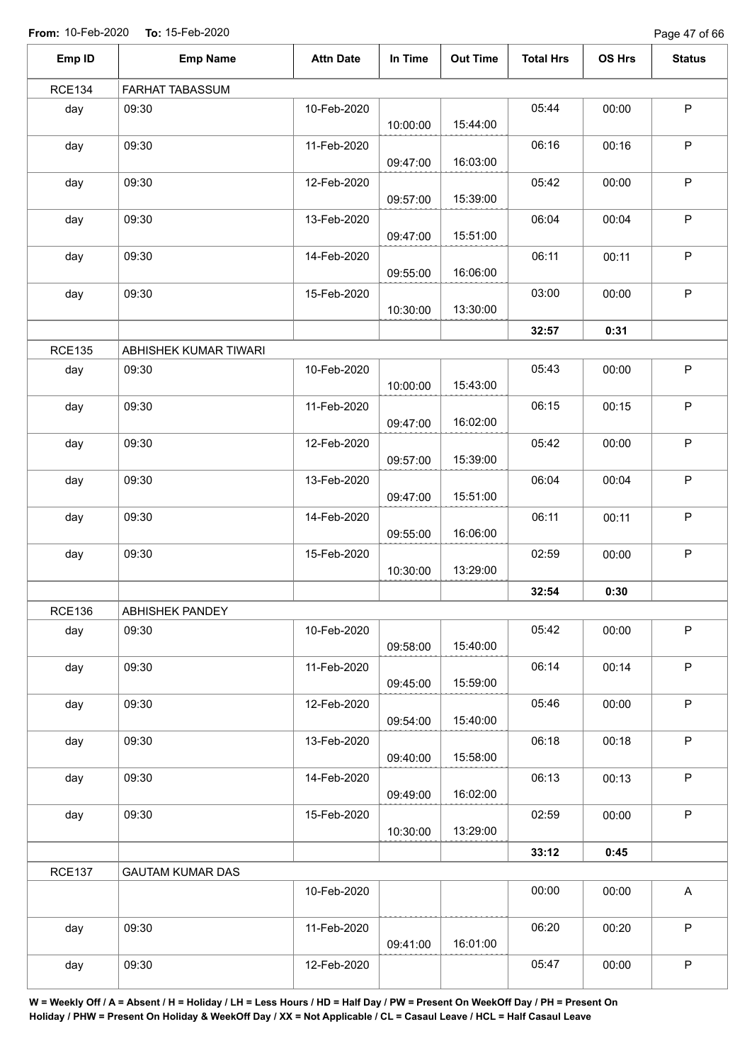Page 47 of 66

| Emp ID        | <b>Emp Name</b>         | <b>Attn Date</b> | In Time  | <b>Out Time</b> | <b>Total Hrs</b> | OS Hrs | <b>Status</b>             |
|---------------|-------------------------|------------------|----------|-----------------|------------------|--------|---------------------------|
| <b>RCE134</b> | FARHAT TABASSUM         |                  |          |                 |                  |        |                           |
| day           | 09:30                   | 10-Feb-2020      | 10:00:00 | 15:44:00        | 05:44            | 00:00  | $\mathsf P$               |
| day           | 09:30                   | 11-Feb-2020      | 09:47:00 | 16:03:00        | 06:16            | 00:16  | $\mathsf P$               |
| day           | 09:30                   | 12-Feb-2020      | 09:57:00 | 15:39:00        | 05:42            | 00:00  | $\mathsf P$               |
| day           | 09:30                   | 13-Feb-2020      | 09:47:00 | 15:51:00        | 06:04            | 00:04  | $\mathsf P$               |
| day           | 09:30                   | 14-Feb-2020      | 09:55:00 | 16:06:00        | 06:11            | 00:11  | $\mathsf P$               |
| day           | 09:30                   | 15-Feb-2020      | 10:30:00 | 13:30:00        | 03:00            | 00:00  | $\mathsf P$               |
|               |                         |                  |          |                 | 32:57            | 0:31   |                           |
| <b>RCE135</b> | ABHISHEK KUMAR TIWARI   |                  |          |                 |                  |        |                           |
| day           | 09:30                   | 10-Feb-2020      | 10:00:00 | 15:43:00        | 05:43            | 00:00  | $\mathsf P$               |
| day           | 09:30                   | 11-Feb-2020      | 09:47:00 | 16:02:00        | 06:15            | 00:15  | $\mathsf P$               |
| day           | 09:30                   | 12-Feb-2020      | 09:57:00 | 15:39:00        | 05:42            | 00:00  | $\mathsf P$               |
| day           | 09:30                   | 13-Feb-2020      | 09:47:00 | 15:51:00        | 06:04            | 00:04  | $\mathsf P$               |
| day           | 09:30                   | 14-Feb-2020      | 09:55:00 | 16:06:00        | 06:11            | 00:11  | $\mathsf P$               |
| day           | 09:30                   | 15-Feb-2020      | 10:30:00 | 13:29:00        | 02:59            | 00:00  | $\mathsf P$               |
|               |                         |                  |          |                 | 32:54            | 0:30   |                           |
| <b>RCE136</b> | ABHISHEK PANDEY         |                  |          |                 |                  |        |                           |
| day           | 09:30                   | 10-Feb-2020      | 09:58:00 | 15:40:00        | 05:42            | 00:00  | $\mathsf P$               |
| day           | 09:30                   | 11-Feb-2020      | 09:45:00 | 15:59:00        | 06:14            | 00:14  | $\mathsf P$               |
| day           | 09:30                   | 12-Feb-2020      | 09:54:00 | 15:40:00        | 05:46            | 00:00  | $\mathsf P$               |
| day           | 09:30                   | 13-Feb-2020      | 09:40:00 | 15:58:00        | 06:18            | 00:18  | $\mathsf P$               |
| day           | 09:30                   | 14-Feb-2020      | 09:49:00 | 16:02:00        | 06:13            | 00:13  | $\mathsf P$               |
| day           | 09:30                   | 15-Feb-2020      | 10:30:00 | 13:29:00        | 02:59            | 00:00  | $\sf P$                   |
|               |                         |                  |          |                 | 33:12            | 0:45   |                           |
| <b>RCE137</b> | <b>GAUTAM KUMAR DAS</b> |                  |          |                 |                  |        |                           |
|               |                         | 10-Feb-2020      |          |                 | 00:00            | 00:00  | $\boldsymbol{\mathsf{A}}$ |
| day           | 09:30                   | 11-Feb-2020      | 09:41:00 | 16:01:00        | 06:20            | 00:20  | $\mathsf P$               |
| day           | 09:30                   | 12-Feb-2020      |          |                 | 05:47            | 00:00  | $\sf P$                   |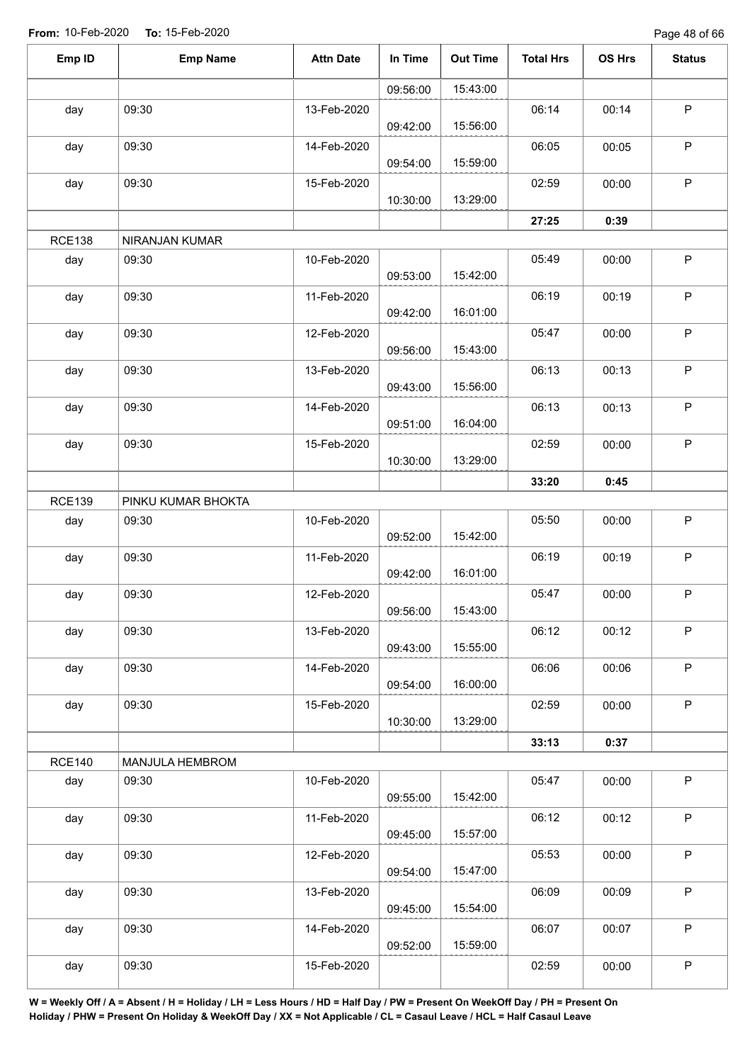Page 48 of 66

| Emp ID        | <b>Emp Name</b>    | <b>Attn Date</b> | In Time  | <b>Out Time</b> | <b>Total Hrs</b> | <b>OS Hrs</b> | <b>Status</b> |
|---------------|--------------------|------------------|----------|-----------------|------------------|---------------|---------------|
|               |                    |                  | 09:56:00 | 15:43:00        |                  |               |               |
| day           | 09:30              | 13-Feb-2020      | 09:42:00 | 15:56:00        | 06:14            | 00:14         | $\mathsf P$   |
| day           | 09:30              | 14-Feb-2020      | 09:54:00 | 15:59:00        | 06:05            | 00:05         | $\mathsf P$   |
| day           | 09:30              | 15-Feb-2020      | 10:30:00 | 13:29:00        | 02:59            | 00:00         | $\mathsf P$   |
|               |                    |                  |          |                 | 27:25            | 0:39          |               |
| <b>RCE138</b> | NIRANJAN KUMAR     |                  |          |                 |                  |               |               |
| day           | 09:30              | 10-Feb-2020      | 09:53:00 | 15:42:00        | 05:49            | 00:00         | $\mathsf P$   |
| day           | 09:30              | 11-Feb-2020      | 09:42:00 | 16:01:00        | 06:19            | 00:19         | $\mathsf P$   |
| day           | 09:30              | 12-Feb-2020      | 09:56:00 | 15:43:00        | 05:47            | 00:00         | P             |
| day           | 09:30              | 13-Feb-2020      | 09:43:00 | 15:56:00        | 06:13            | 00:13         | $\sf P$       |
| day           | 09:30              | 14-Feb-2020      | 09:51:00 | 16:04:00        | 06:13            | 00:13         | $\mathsf P$   |
| day           | 09:30              | 15-Feb-2020      | 10:30:00 | 13:29:00        | 02:59            | 00:00         | $\sf P$       |
|               |                    |                  |          |                 | 33:20            | 0:45          |               |
| <b>RCE139</b> | PINKU KUMAR BHOKTA |                  |          |                 |                  |               |               |
| day           | 09:30              | 10-Feb-2020      | 09:52:00 | 15:42:00        | 05:50            | 00:00         | $\mathsf P$   |
| day           | 09:30              | 11-Feb-2020      | 09:42:00 | 16:01:00        | 06:19            | 00:19         | $\mathsf P$   |
| day           | 09:30              | 12-Feb-2020      | 09:56:00 | 15:43:00        | 05:47            | 00:00         | $\mathsf P$   |
| day           | 09:30              | 13-Feb-2020      | 09:43:00 | 15:55:00        | 06:12            | 00:12         | $\mathsf P$   |
| day           | 09:30              | 14-Feb-2020      | 09:54:00 | 16:00:00        | 06:06            | 00:06         | $\mathsf P$   |
| day           | 09:30              | 15-Feb-2020      | 10:30:00 | 13:29:00        | 02:59            | 00:00         | $\mathsf P$   |
|               |                    |                  |          |                 | 33:13            | 0:37          |               |
| <b>RCE140</b> | MANJULA HEMBROM    |                  |          |                 |                  |               |               |
| day           | 09:30              | 10-Feb-2020      | 09:55:00 | 15:42:00        | 05:47            | 00:00         | $\mathsf P$   |
| day           | 09:30              | 11-Feb-2020      | 09:45:00 | 15:57:00        | 06:12            | 00:12         | P             |
| day           | 09:30              | 12-Feb-2020      | 09:54:00 | 15:47:00        | 05:53            | 00:00         | $\mathsf P$   |
| day           | 09:30              | 13-Feb-2020      | 09:45:00 | 15:54:00        | 06:09            | 00:09         | $\mathsf P$   |
| day           | 09:30              | 14-Feb-2020      | 09:52:00 | 15:59:00        | 06:07            | 00:07         | $\mathsf P$   |
| day           | 09:30              | 15-Feb-2020      |          |                 | 02:59            | 00:00         | ${\sf P}$     |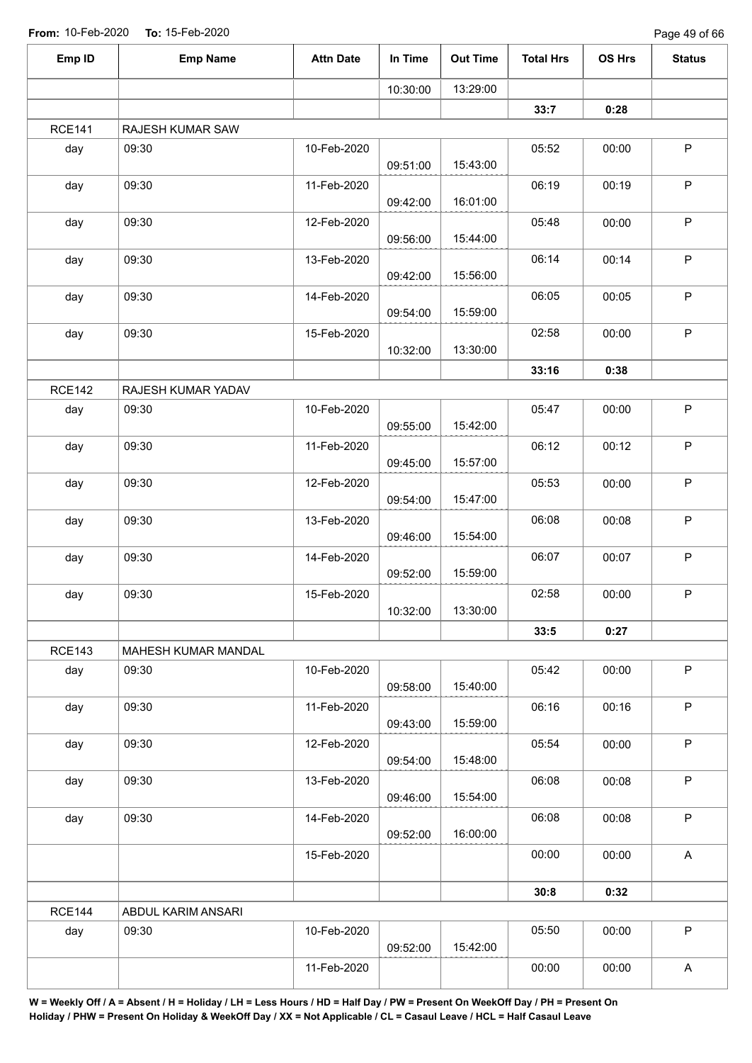Page 49 of 66

| Emp ID        | <b>Emp Name</b>     | <b>Attn Date</b> | In Time  | <b>Out Time</b> | <b>Total Hrs</b> | OS Hrs | <b>Status</b>             |
|---------------|---------------------|------------------|----------|-----------------|------------------|--------|---------------------------|
|               |                     |                  | 10:30:00 | 13:29:00        |                  |        |                           |
|               |                     |                  |          |                 | 33:7             | 0:28   |                           |
| <b>RCE141</b> | RAJESH KUMAR SAW    |                  |          |                 |                  |        |                           |
| day           | 09:30               | 10-Feb-2020      | 09:51:00 | 15:43:00        | 05:52            | 00:00  | $\mathsf P$               |
| day           | 09:30               | 11-Feb-2020      | 09:42:00 | 16:01:00        | 06:19            | 00:19  | $\sf P$                   |
| day           | 09:30               | 12-Feb-2020      | 09:56:00 | 15:44:00        | 05:48            | 00:00  | $\sf P$                   |
| day           | 09:30               | 13-Feb-2020      | 09:42:00 | 15:56:00        | 06:14            | 00:14  | $\sf P$                   |
| day           | 09:30               | 14-Feb-2020      | 09:54:00 | 15:59:00        | 06:05            | 00:05  | $\sf P$                   |
| day           | 09:30               | 15-Feb-2020      | 10:32:00 | 13:30:00        | 02:58            | 00:00  | $\mathsf P$               |
|               |                     |                  |          |                 | 33:16            | 0:38   |                           |
| <b>RCE142</b> | RAJESH KUMAR YADAV  |                  |          |                 |                  |        |                           |
| day           | 09:30               | 10-Feb-2020      | 09:55:00 | 15:42:00        | 05:47            | 00:00  | $\sf P$                   |
| day           | 09:30               | 11-Feb-2020      | 09:45:00 | 15:57:00        | 06:12            | 00:12  | $\mathsf P$               |
| day           | 09:30               | 12-Feb-2020      | 09:54:00 | 15:47:00        | 05:53            | 00:00  | $\sf P$                   |
| day           | 09:30               | 13-Feb-2020      | 09:46:00 | 15:54:00        | 06:08            | 00:08  | $\sf P$                   |
| day           | 09:30               | 14-Feb-2020      | 09:52:00 | 15:59:00        | 06:07            | 00:07  | $\sf P$                   |
| day           | 09:30               | 15-Feb-2020      | 10:32:00 | 13:30:00        | 02:58            | 00:00  | $\mathsf P$               |
|               |                     |                  |          |                 | 33:5             | 0:27   |                           |
| <b>RCE143</b> | MAHESH KUMAR MANDAL |                  |          |                 |                  |        |                           |
| day           | 09:30               | 10-Feb-2020      | 09:58:00 | 15:40:00        | 05:42            | 00:00  | $\sf P$                   |
| day           | 09:30               | 11-Feb-2020      | 09:43:00 | 15:59:00        | 06:16            | 00:16  | $\mathsf P$               |
| day           | 09:30               | 12-Feb-2020      | 09:54:00 | 15:48:00        | 05:54            | 00:00  | $\mathsf P$               |
| day           | 09:30               | 13-Feb-2020      | 09:46:00 | 15:54:00        | 06:08            | 00:08  | $\sf P$                   |
| day           | 09:30               | 14-Feb-2020      | 09:52:00 | 16:00:00        | 06:08            | 00:08  | $\mathsf P$               |
|               |                     | 15-Feb-2020      |          |                 | 00:00            | 00:00  | $\boldsymbol{\mathsf{A}}$ |
|               |                     |                  |          |                 | 30:8             | 0:32   |                           |
| <b>RCE144</b> | ABDUL KARIM ANSARI  |                  |          |                 |                  |        |                           |
| day           | 09:30               | 10-Feb-2020      | 09:52:00 | 15:42:00        | 05:50            | 00:00  | $\mathsf P$               |
|               |                     | 11-Feb-2020      |          |                 | 00:00            | 00:00  | A                         |
|               |                     |                  |          |                 |                  |        |                           |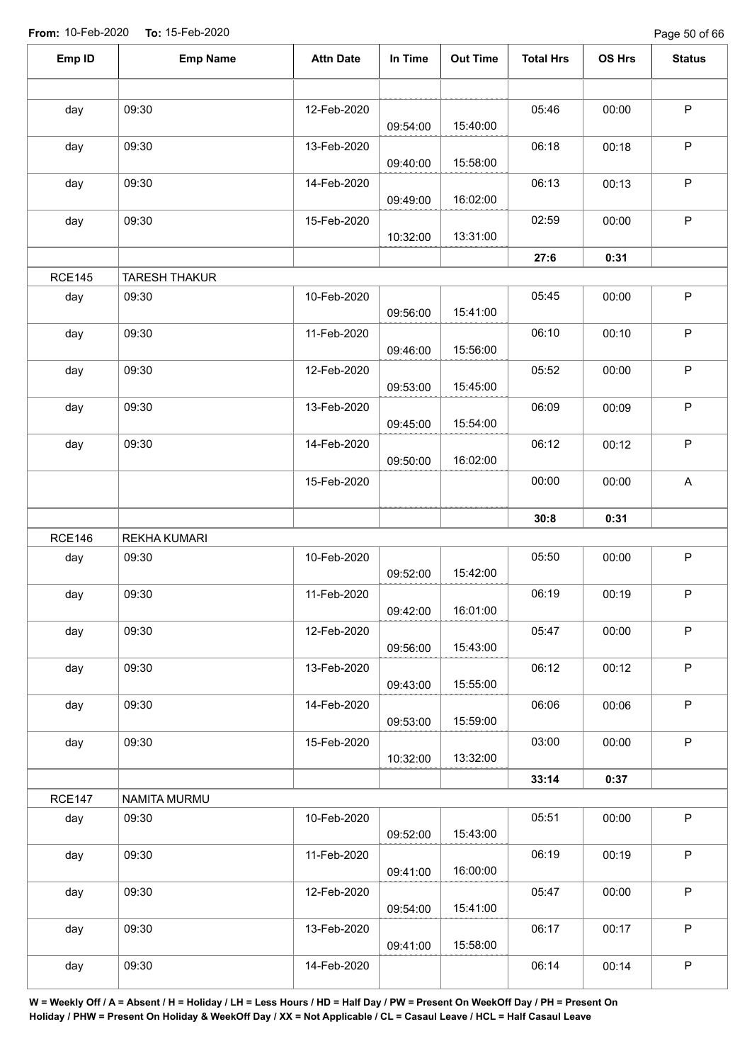Page 50 of 66

| Emp ID        | <b>Emp Name</b>      | <b>Attn Date</b> | In Time  | <b>Out Time</b> | <b>Total Hrs</b> | OS Hrs | <b>Status</b> |
|---------------|----------------------|------------------|----------|-----------------|------------------|--------|---------------|
|               |                      |                  |          |                 |                  |        |               |
| day           | 09:30                | 12-Feb-2020      | 09:54:00 | 15:40:00        | 05:46            | 00:00  | $\mathsf P$   |
| day           | 09:30                | 13-Feb-2020      | 09:40:00 | 15:58:00        | 06:18            | 00:18  | $\mathsf P$   |
| day           | 09:30                | 14-Feb-2020      | 09:49:00 | 16:02:00        | 06:13            | 00:13  | $\sf P$       |
| day           | 09:30                | 15-Feb-2020      | 10:32:00 | 13:31:00        | 02:59            | 00:00  | $\mathsf P$   |
|               |                      |                  |          |                 | 27:6             | 0:31   |               |
| <b>RCE145</b> | <b>TARESH THAKUR</b> |                  |          |                 |                  |        |               |
| day           | 09:30                | 10-Feb-2020      | 09:56:00 | 15:41:00        | 05:45            | 00:00  | $\mathsf P$   |
| day           | 09:30                | 11-Feb-2020      | 09:46:00 | 15:56:00        | 06:10            | 00:10  | $\mathsf P$   |
| day           | 09:30                | 12-Feb-2020      | 09:53:00 | 15:45:00        | 05:52            | 00:00  | $\mathsf P$   |
| day           | 09:30                | 13-Feb-2020      | 09:45:00 | 15:54:00        | 06:09            | 00:09  | $\mathsf P$   |
| day           | 09:30                | 14-Feb-2020      | 09:50:00 | 16:02:00        | 06:12            | 00:12  | $\sf P$       |
|               |                      | 15-Feb-2020      |          |                 | 00:00            | 00:00  | A             |
|               |                      |                  |          |                 | 30:8             | 0:31   |               |
| <b>RCE146</b> | <b>REKHA KUMARI</b>  |                  |          |                 |                  |        |               |
| day           | 09:30                | 10-Feb-2020      | 09:52:00 | 15:42:00        | 05:50            | 00:00  | $\mathsf P$   |
| day           | 09:30                | 11-Feb-2020      | 09:42:00 | 16:01:00        | 06:19            | 00:19  | $\sf P$       |
| day           | 09:30                | 12-Feb-2020      | 09:56:00 | 15:43:00        | 05:47            | 00:00  | $\mathsf P$   |
| day           | 09:30                | 13-Feb-2020      | 09:43:00 | 15:55:00        | 06:12            | 00:12  | $\sf P$       |
| day           | 09:30                | 14-Feb-2020      | 09:53:00 | 15:59:00        | 06:06            | 00:06  | $\sf P$       |
| day           | 09:30                | 15-Feb-2020      | 10:32:00 | 13:32:00        | 03:00            | 00:00  | $\mathsf{P}$  |
|               |                      |                  |          |                 | 33:14            | 0:37   |               |
| <b>RCE147</b> | NAMITA MURMU         |                  |          |                 |                  |        |               |
| day           | 09:30                | 10-Feb-2020      | 09:52:00 | 15:43:00        | 05:51            | 00:00  | $\mathsf P$   |
| day           | 09:30                | 11-Feb-2020      | 09:41:00 | 16:00:00        | 06:19            | 00:19  | $\mathsf P$   |
| day           | 09:30                | 12-Feb-2020      | 09:54:00 | 15:41:00        | 05:47            | 00:00  | $\sf P$       |
| day           | 09:30                | 13-Feb-2020      | 09:41:00 | 15:58:00        | 06:17            | 00:17  | $\mathsf P$   |
| day           | 09:30                | 14-Feb-2020      |          |                 | 06:14            | 00:14  | $\sf P$       |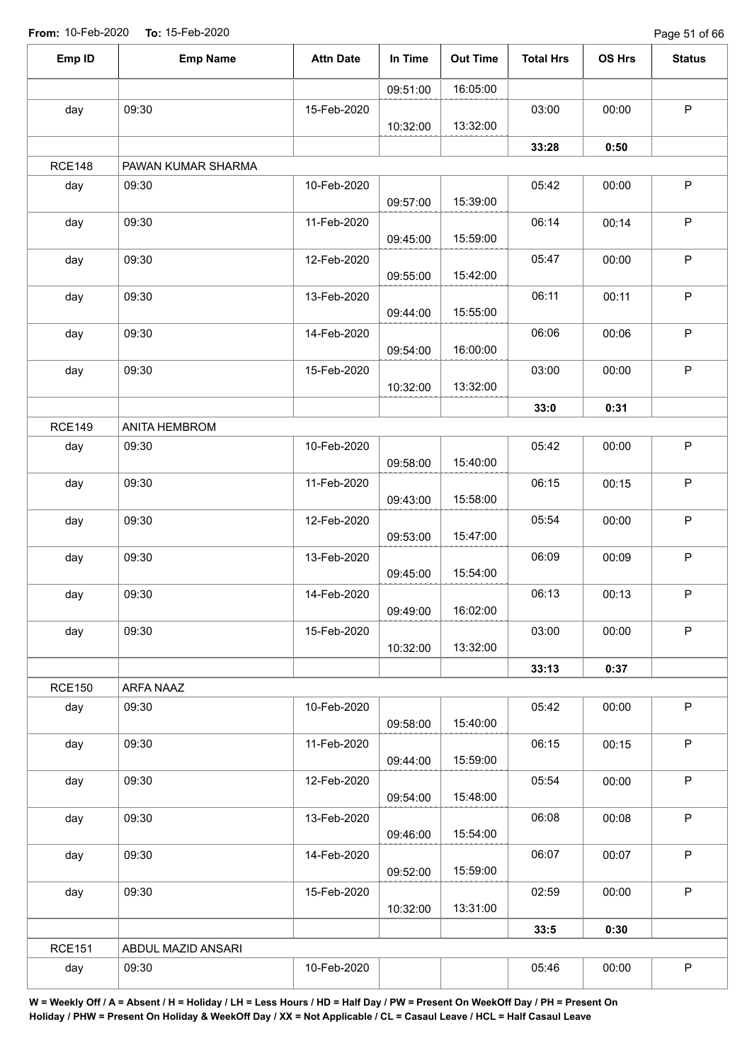Page 51 of 66

|               | <b>Emp Name</b>    | <b>Attn Date</b> | In Time  | <b>Out Time</b> | <b>Total Hrs</b> | OS Hrs | <b>Status</b> |
|---------------|--------------------|------------------|----------|-----------------|------------------|--------|---------------|
|               |                    |                  | 09:51:00 | 16:05:00        |                  |        |               |
| day           | 09:30              | 15-Feb-2020      |          |                 | 03:00            | 00:00  | $\mathsf P$   |
|               |                    |                  | 10:32:00 | 13:32:00        |                  |        |               |
|               |                    |                  |          |                 | 33:28            | 0:50   |               |
| <b>RCE148</b> | PAWAN KUMAR SHARMA |                  |          |                 |                  |        |               |
| day           | 09:30              | 10-Feb-2020      | 09:57:00 | 15:39:00        | 05:42            | 00:00  | P             |
| day           | 09:30              | 11-Feb-2020      | 09:45:00 | 15:59:00        | 06:14            | 00:14  | $\sf P$       |
| day           | 09:30              | 12-Feb-2020      | 09:55:00 | 15:42:00        | 05:47            | 00:00  | $\mathsf P$   |
| day           | 09:30              | 13-Feb-2020      | 09:44:00 | 15:55:00        | 06:11            | 00:11  | $\sf P$       |
| day           | 09:30              | 14-Feb-2020      | 09:54:00 | 16:00:00        | 06:06            | 00:06  | $\sf P$       |
| day           | 09:30              | 15-Feb-2020      |          |                 | 03:00            | 00:00  | $\mathsf P$   |
|               |                    |                  | 10:32:00 | 13:32:00        |                  |        |               |
|               |                    |                  |          |                 | 33:0             | 0:31   |               |
| <b>RCE149</b> | ANITA HEMBROM      |                  |          |                 |                  |        |               |
| day           | 09:30              | 10-Feb-2020      | 09:58:00 | 15:40:00        | 05:42            | 00:00  | $\mathsf P$   |
| day           | 09:30              | 11-Feb-2020      | 09:43:00 | 15:58:00        | 06:15            | 00:15  | P             |
| day           | 09:30              | 12-Feb-2020      | 09:53:00 | 15:47:00        | 05:54            | 00:00  | $\mathsf P$   |
| day           | 09:30              | 13-Feb-2020      | 09:45:00 | 15:54:00        | 06:09            | 00:09  | $\mathsf P$   |
| day           | 09:30              | 14-Feb-2020      | 09:49:00 | 16:02:00        | 06:13            | 00:13  | $\mathsf P$   |
| day           | 09:30              | 15-Feb-2020      | 10:32:00 | 13:32:00        | 03:00            | 00:00  | $\mathsf P$   |
|               |                    |                  |          |                 | 33:13            | 0:37   |               |
| <b>RCE150</b> | ARFA NAAZ          |                  |          |                 |                  |        |               |
| day           | 09:30              | 10-Feb-2020      | 09:58:00 | 15:40:00        | 05:42            | 00:00  | $\mathsf P$   |
| day           | 09:30              | 11-Feb-2020      | 09:44:00 | 15:59:00        | 06:15            | 00:15  | $\mathsf P$   |
| day           | 09:30              | 12-Feb-2020      | 09:54:00 | 15:48:00        | 05:54            | 00:00  | $\mathsf P$   |
| day           | 09:30              | 13-Feb-2020      | 09:46:00 | 15:54:00        | 06:08            | 00:08  | $\mathsf P$   |
| day           | 09:30              | 14-Feb-2020      |          |                 | 06:07            | 00:07  | $\mathsf P$   |
| day           | 09:30              | 15-Feb-2020      | 09:52:00 | 15:59:00        | 02:59            | 00:00  | P             |
|               |                    |                  | 10:32:00 | 13:31:00        |                  |        |               |
|               |                    |                  |          |                 | 33:5             | 0:30   |               |
| <b>RCE151</b> | ABDUL MAZID ANSARI |                  |          |                 |                  |        |               |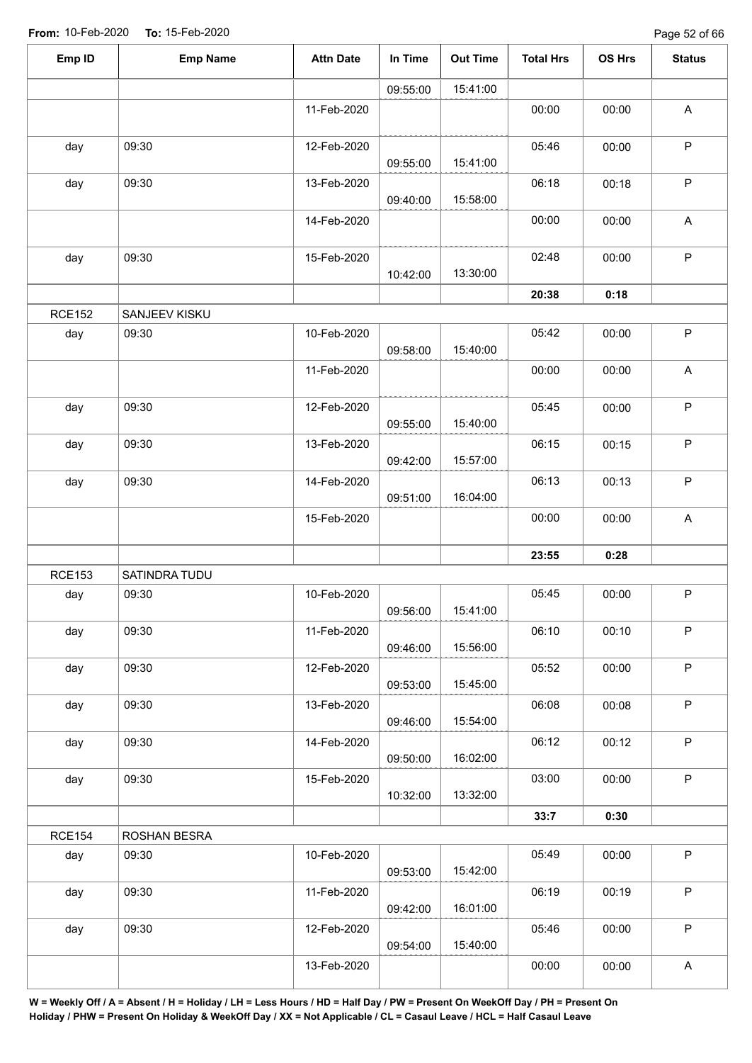| Emp ID        | <b>Emp Name</b> | <b>Attn Date</b> | In Time  | <b>Out Time</b> | <b>Total Hrs</b> | OS Hrs | <b>Status</b>             |
|---------------|-----------------|------------------|----------|-----------------|------------------|--------|---------------------------|
|               |                 |                  | 09:55:00 | 15:41:00        |                  |        |                           |
|               |                 | 11-Feb-2020      |          |                 | 00:00            | 00:00  | $\mathsf A$               |
| day           | 09:30           | 12-Feb-2020      | 09:55:00 | 15:41:00        | 05:46            | 00:00  | $\sf P$                   |
| day           | 09:30           | 13-Feb-2020      | 09:40:00 | 15:58:00        | 06:18            | 00:18  | $\mathsf P$               |
|               |                 | 14-Feb-2020      |          |                 | 00:00            | 00:00  | A                         |
| day           | 09:30           | 15-Feb-2020      | 10:42:00 | 13:30:00        | 02:48            | 00:00  | $\mathsf{P}$              |
|               |                 |                  |          |                 | 20:38            | 0:18   |                           |
| <b>RCE152</b> | SANJEEV KISKU   |                  |          |                 |                  |        |                           |
| day           | 09:30           | 10-Feb-2020      | 09:58:00 | 15:40:00        | 05:42            | 00:00  | $\mathsf P$               |
|               |                 | 11-Feb-2020      |          |                 | 00:00            | 00:00  | $\boldsymbol{\mathsf{A}}$ |
| day           | 09:30           | 12-Feb-2020      | 09:55:00 | 15:40:00        | 05:45            | 00:00  | $\sf P$                   |
| day           | 09:30           | 13-Feb-2020      | 09:42:00 | 15:57:00        | 06:15            | 00:15  | $\mathsf P$               |
| day           | 09:30           | 14-Feb-2020      | 09:51:00 | 16:04:00        | 06:13            | 00:13  | $\sf P$                   |
|               |                 | 15-Feb-2020      |          |                 | 00:00            | 00:00  | $\boldsymbol{\mathsf{A}}$ |
|               |                 |                  |          |                 | 23:55            | 0:28   |                           |
| <b>RCE153</b> | SATINDRA TUDU   |                  |          |                 |                  |        |                           |
| day           | 09:30           | 10-Feb-2020      | 09:56:00 | 15:41:00        | 05:45            | 00:00  | $\mathsf P$               |
| day           | 09:30           | 11-Feb-2020      | 09:46:00 | 15:56:00        | 06:10            | 00:10  | $\mathsf P$               |
| day           | 09:30           | 12-Feb-2020      | 09:53:00 | 15:45:00        | 05:52            | 00:00  | $\mathsf P$               |
| day           | 09:30           | 13-Feb-2020      | 09:46:00 | 15:54:00        | 06:08            | 00:08  | P                         |
| day           | 09:30           | 14-Feb-2020      | 09:50:00 | 16:02:00        | 06:12            | 00:12  | $\mathsf P$               |
| day           | 09:30           | 15-Feb-2020      | 10:32:00 | 13:32:00        | 03:00            | 00:00  | $\mathsf P$               |
|               |                 |                  |          |                 | 33:7             | 0:30   |                           |
| <b>RCE154</b> | ROSHAN BESRA    |                  |          |                 |                  |        |                           |
| day           | 09:30           | 10-Feb-2020      | 09:53:00 | 15:42:00        | 05:49            | 00:00  | $\mathsf P$               |
| day           | 09:30           | 11-Feb-2020      | 09:42:00 | 16:01:00        | 06:19            | 00:19  | $\mathsf P$               |
| day           | 09:30           | 12-Feb-2020      | 09:54:00 | 15:40:00        | 05:46            | 00:00  | $\mathsf P$               |
|               |                 | 13-Feb-2020      |          |                 | 00:00            | 00:00  | $\boldsymbol{\mathsf{A}}$ |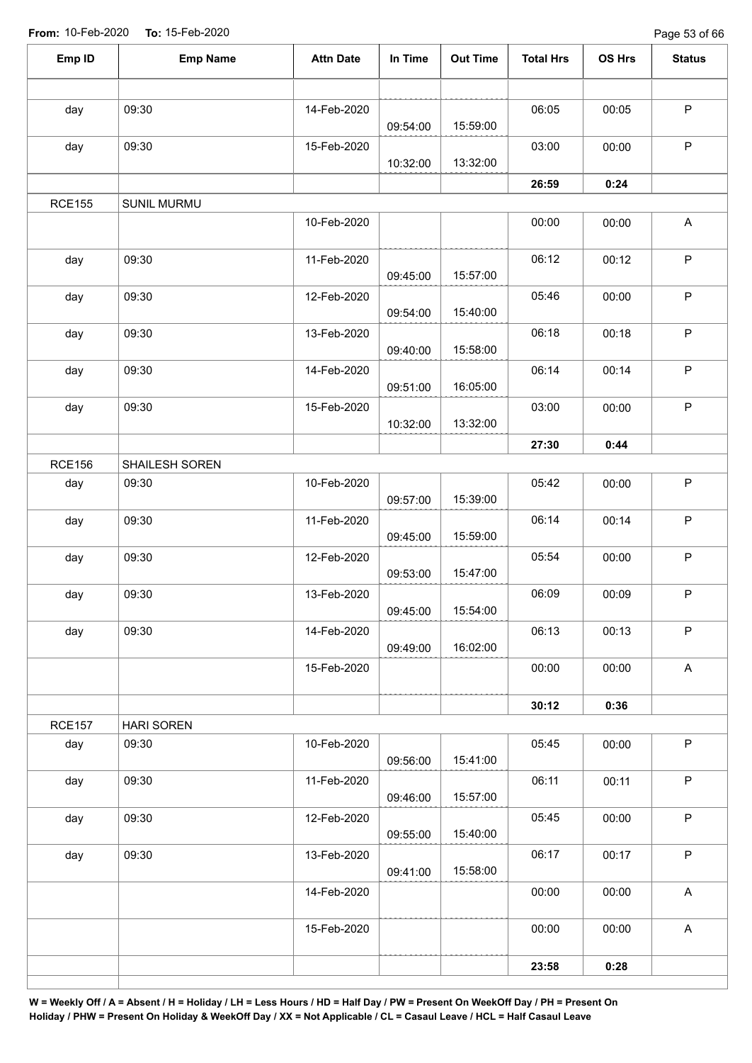Page 53 of 66

| Emp ID        | <b>Emp Name</b>   | <b>Attn Date</b> | In Time  | <b>Out Time</b> | <b>Total Hrs</b> | OS Hrs | <b>Status</b>             |
|---------------|-------------------|------------------|----------|-----------------|------------------|--------|---------------------------|
|               |                   |                  |          |                 |                  |        |                           |
| day           | 09:30             | 14-Feb-2020      | 09:54:00 | 15:59:00        | 06:05            | 00:05  | $\mathsf P$               |
| day           | 09:30             | 15-Feb-2020      | 10:32:00 | 13:32:00        | 03:00            | 00:00  | $\mathsf P$               |
|               |                   |                  |          |                 | 26:59            | 0:24   |                           |
| <b>RCE155</b> | SUNIL MURMU       |                  |          |                 |                  |        |                           |
|               |                   | 10-Feb-2020      |          |                 | 00:00            | 00:00  | $\mathsf{A}$              |
| day           | 09:30             | 11-Feb-2020      | 09:45:00 | 15:57:00        | 06:12            | 00:12  | $\sf P$                   |
| day           | 09:30             | 12-Feb-2020      | 09:54:00 | 15:40:00        | 05:46            | 00:00  | $\sf P$                   |
| day           | 09:30             | 13-Feb-2020      | 09:40:00 | 15:58:00        | 06:18            | 00:18  | $\sf P$                   |
| day           | 09:30             | 14-Feb-2020      | 09:51:00 | 16:05:00        | 06:14            | 00:14  | $\sf P$                   |
| day           | 09:30             | 15-Feb-2020      | 10:32:00 | 13:32:00        | 03:00            | 00:00  | $\mathsf P$               |
|               |                   |                  |          |                 | 27:30            | 0:44   |                           |
| <b>RCE156</b> | SHAILESH SOREN    |                  |          |                 |                  |        |                           |
| day           | 09:30             | 10-Feb-2020      | 09:57:00 | 15:39:00        | 05:42            | 00:00  | $\mathsf P$               |
| day           | 09:30             | 11-Feb-2020      | 09:45:00 | 15:59:00        | 06:14            | 00:14  | $\sf P$                   |
| day           | 09:30             | 12-Feb-2020      | 09:53:00 | 15:47:00        | 05:54            | 00:00  | $\mathsf P$               |
| day           | 09:30             | 13-Feb-2020      | 09:45:00 | 15:54:00        | 06:09            | 00:09  | $\sf P$                   |
| day           | 09:30             | 14-Feb-2020      | 09:49:00 | 16:02:00        | 06:13            | 00:13  | $\mathsf P$               |
|               |                   | 15-Feb-2020      |          |                 | 00:00            | 00:00  | $\boldsymbol{\mathsf{A}}$ |
|               |                   |                  |          |                 | 30:12            | 0:36   |                           |
| <b>RCE157</b> | <b>HARI SOREN</b> |                  |          |                 |                  |        |                           |
| day           | 09:30             | 10-Feb-2020      | 09:56:00 | 15:41:00        | 05:45            | 00:00  | $\mathsf P$               |
| day           | 09:30             | 11-Feb-2020      | 09:46:00 | 15:57:00        | 06:11            | 00:11  | $\sf P$                   |
| day           | 09:30             | 12-Feb-2020      | 09:55:00 | 15:40:00        | 05:45            | 00:00  | $\sf P$                   |
| day           | 09:30             | 13-Feb-2020      | 09:41:00 | 15:58:00        | 06:17            | 00:17  | $\mathsf P$               |
|               |                   | 14-Feb-2020      |          |                 | 00:00            | 00:00  | $\boldsymbol{\mathsf{A}}$ |
|               |                   | 15-Feb-2020      |          |                 | 00:00            | 00:00  | $\boldsymbol{\mathsf{A}}$ |
|               |                   |                  |          |                 | 23:58            | 0:28   |                           |
|               |                   |                  |          |                 |                  |        |                           |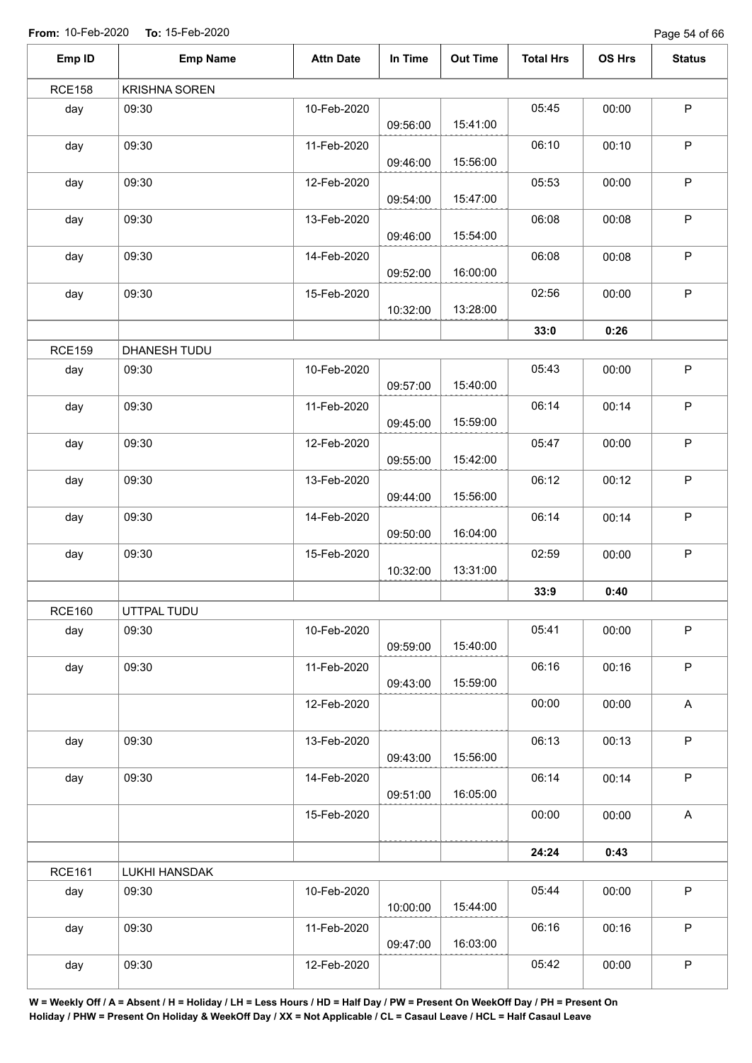Page 54 of 66

| Emp ID        | <b>Emp Name</b>      | <b>Attn Date</b> | In Time  | <b>Out Time</b> | <b>Total Hrs</b> | OS Hrs | <b>Status</b>             |
|---------------|----------------------|------------------|----------|-----------------|------------------|--------|---------------------------|
| <b>RCE158</b> | <b>KRISHNA SOREN</b> |                  |          |                 |                  |        |                           |
| day           | 09:30                | 10-Feb-2020      | 09:56:00 | 15:41:00        | 05:45            | 00:00  | $\mathsf P$               |
| day           | 09:30                | 11-Feb-2020      | 09:46:00 | 15:56:00        | 06:10            | 00:10  | $\mathsf P$               |
| day           | 09:30                | 12-Feb-2020      | 09:54:00 | 15:47:00        | 05:53            | 00:00  | $\mathsf P$               |
| day           | 09:30                | 13-Feb-2020      | 09:46:00 | 15:54:00        | 06:08            | 00:08  | $\mathsf P$               |
| day           | 09:30                | 14-Feb-2020      | 09:52:00 | 16:00:00        | 06:08            | 00:08  | $\mathsf P$               |
| day           | 09:30                | 15-Feb-2020      | 10:32:00 | 13:28:00        | 02:56            | 00:00  | $\mathsf P$               |
|               |                      |                  |          |                 | 33:0             | 0:26   |                           |
| <b>RCE159</b> | DHANESH TUDU         |                  |          |                 |                  |        |                           |
| day           | 09:30                | 10-Feb-2020      | 09:57:00 | 15:40:00        | 05:43            | 00:00  | $\mathsf P$               |
| day           | 09:30                | 11-Feb-2020      | 09:45:00 | 15:59:00        | 06:14            | 00:14  | $\mathsf P$               |
| day           | 09:30                | 12-Feb-2020      | 09:55:00 | 15:42:00        | 05:47            | 00:00  | $\mathsf P$               |
| day           | 09:30                | 13-Feb-2020      | 09:44:00 | 15:56:00        | 06:12            | 00:12  | $\mathsf P$               |
| day           | 09:30                | 14-Feb-2020      | 09:50:00 | 16:04:00        | 06:14            | 00:14  | $\mathsf P$               |
| day           | 09:30                | 15-Feb-2020      | 10:32:00 | 13:31:00        | 02:59            | 00:00  | $\mathsf P$               |
|               |                      |                  |          |                 | 33:9             | 0:40   |                           |
| <b>RCE160</b> | UTTPAL TUDU          |                  |          |                 |                  |        |                           |
| day           | 09:30                | 10-Feb-2020      | 09:59:00 | 15:40:00        | 05:41            | 00:00  | $\mathsf P$               |
| day           | 09:30                | 11-Feb-2020      | 09:43:00 | 15:59:00        | 06:16            | 00:16  | $\mathsf P$               |
|               |                      | 12-Feb-2020      |          |                 | 00:00            | 00:00  | $\boldsymbol{\mathsf{A}}$ |
| day           | 09:30                | 13-Feb-2020      | 09:43:00 | 15:56:00        | 06:13            | 00:13  | $\mathsf P$               |
| day           | 09:30                | 14-Feb-2020      | 09:51:00 | 16:05:00        | 06:14            | 00:14  | $\mathsf P$               |
|               |                      | 15-Feb-2020      |          |                 | 00:00            | 00:00  | $\mathsf A$               |
|               |                      |                  |          |                 | 24:24            | 0:43   |                           |
| <b>RCE161</b> | LUKHI HANSDAK        |                  |          |                 |                  |        |                           |
| day           | 09:30                | 10-Feb-2020      | 10:00:00 | 15:44:00        | 05:44            | 00:00  | $\mathsf P$               |
| day           | 09:30                | 11-Feb-2020      | 09:47:00 | 16:03:00        | 06:16            | 00:16  | $\mathsf P$               |
| day           | 09:30                | 12-Feb-2020      |          |                 | 05:42            | 00:00  | $\sf P$                   |
|               |                      |                  |          |                 |                  |        |                           |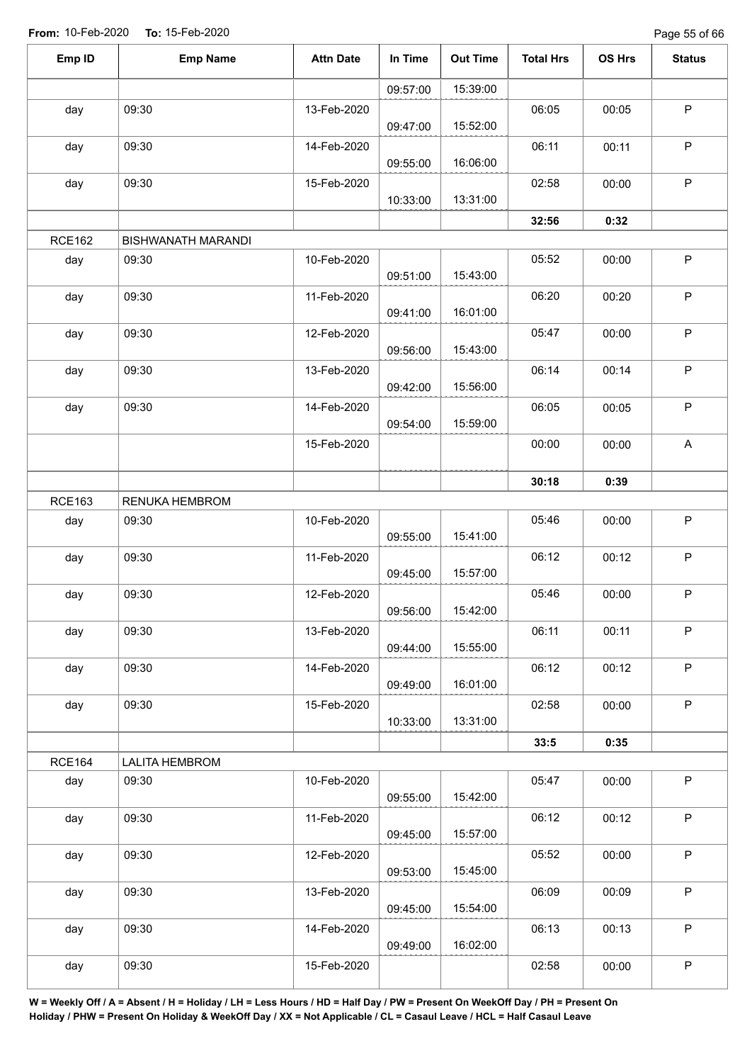Page 55 of 66

| Emp ID        | <b>Emp Name</b>           | <b>Attn Date</b> | In Time  | <b>Out Time</b> | <b>Total Hrs</b> | OS Hrs | <b>Status</b> |
|---------------|---------------------------|------------------|----------|-----------------|------------------|--------|---------------|
|               |                           |                  | 09:57:00 | 15:39:00        |                  |        |               |
| day           | 09:30                     | 13-Feb-2020      | 09:47:00 | 15:52:00        | 06:05            | 00:05  | $\mathsf P$   |
| day           | 09:30                     | 14-Feb-2020      | 09:55:00 | 16:06:00        | 06:11            | 00:11  | $\mathsf P$   |
| day           | 09:30                     | 15-Feb-2020      | 10:33:00 | 13:31:00        | 02:58            | 00:00  | $\mathsf P$   |
|               |                           |                  |          |                 | 32:56            | 0:32   |               |
| <b>RCE162</b> | <b>BISHWANATH MARANDI</b> |                  |          |                 |                  |        |               |
| day           | 09:30                     | 10-Feb-2020      | 09:51:00 | 15:43:00        | 05:52            | 00:00  | $\mathsf P$   |
| day           | 09:30                     | 11-Feb-2020      | 09:41:00 | 16:01:00        | 06:20            | 00:20  | $\mathsf P$   |
| day           | 09:30                     | 12-Feb-2020      | 09:56:00 | 15:43:00        | 05:47            | 00:00  | $\mathsf P$   |
| day           | 09:30                     | 13-Feb-2020      | 09:42:00 | 15:56:00        | 06:14            | 00:14  | P             |
| day           | 09:30                     | 14-Feb-2020      | 09:54:00 | 15:59:00        | 06:05            | 00:05  | $\sf P$       |
|               |                           | 15-Feb-2020      |          |                 | 00:00            | 00:00  | $\mathsf{A}$  |
|               |                           |                  |          |                 | 30:18            | 0:39   |               |
| <b>RCE163</b> | RENUKA HEMBROM            |                  |          |                 |                  |        |               |
| day           | 09:30                     | 10-Feb-2020      | 09:55:00 | 15:41:00        | 05:46            | 00:00  | $\mathsf P$   |
| day           | 09:30                     | 11-Feb-2020      | 09:45:00 | 15:57:00        | 06:12            | 00:12  | $\mathsf P$   |
| day           | 09:30                     | 12-Feb-2020      | 09:56:00 | 15:42:00        | 05:46            | 00:00  | $\mathsf P$   |
| day           | 09:30                     | 13-Feb-2020      | 09:44:00 | 15:55:00        | 06:11            | 00:11  | $\mathsf P$   |
| day           | 09:30                     | 14-Feb-2020      | 09:49:00 | 16:01:00        | 06:12            | 00:12  | $\mathsf P$   |
| day           | 09:30                     | 15-Feb-2020      | 10:33:00 | 13:31:00        | 02:58            | 00:00  | $\mathsf P$   |
|               |                           |                  |          |                 | 33:5             | 0:35   |               |
| <b>RCE164</b> | <b>LALITA HEMBROM</b>     |                  |          |                 |                  |        |               |
| day           | 09:30                     | 10-Feb-2020      | 09:55:00 | 15:42:00        | 05:47            | 00:00  | $\mathsf P$   |
| day           | 09:30                     | 11-Feb-2020      | 09:45:00 | 15:57:00        | 06:12            | 00:12  | $\mathsf P$   |
| day           | 09:30                     | 12-Feb-2020      | 09:53:00 | 15:45:00        | 05:52            | 00:00  | $\mathsf P$   |
| day           | 09:30                     | 13-Feb-2020      | 09:45:00 | 15:54:00        | 06:09            | 00:09  | $\mathsf P$   |
| day           | 09:30                     | 14-Feb-2020      | 09:49:00 | 16:02:00        | 06:13            | 00:13  | $\mathsf P$   |
| day           | 09:30                     | 15-Feb-2020      |          |                 | 02:58            | 00:00  | $\sf P$       |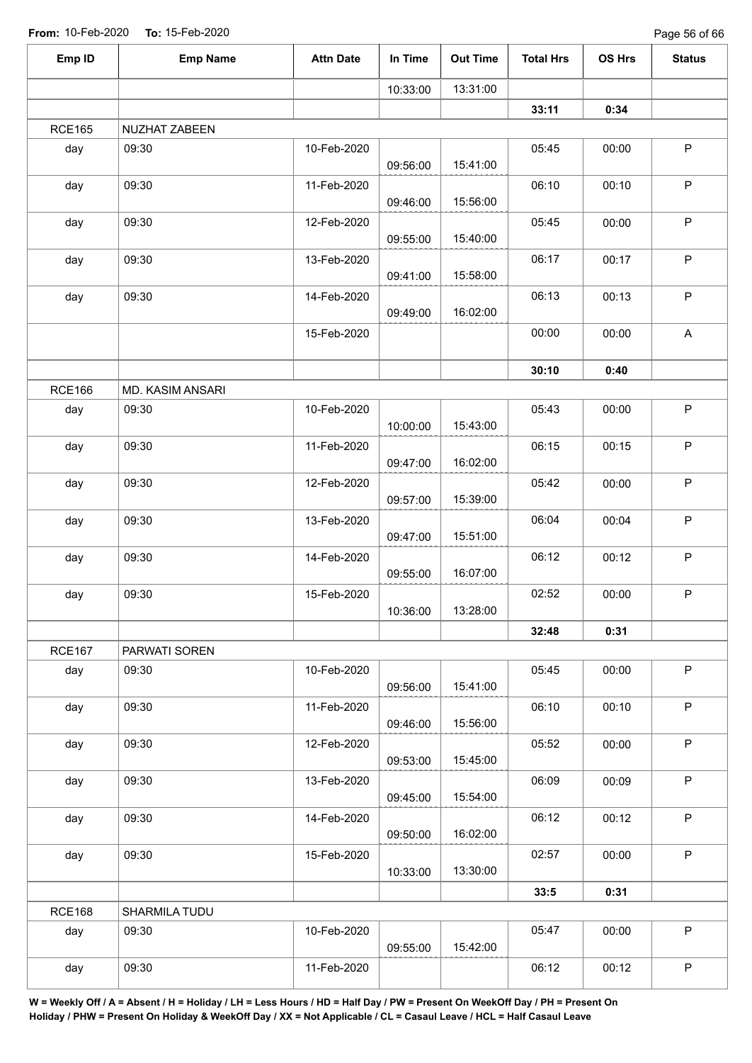| Emp ID        | <b>Emp Name</b>  | <b>Attn Date</b> | In Time  | <b>Out Time</b> | <b>Total Hrs</b> | OS Hrs | <b>Status</b> |
|---------------|------------------|------------------|----------|-----------------|------------------|--------|---------------|
|               |                  |                  | 10:33:00 | 13:31:00        |                  |        |               |
|               |                  |                  |          |                 | 33:11            | 0:34   |               |
| <b>RCE165</b> | NUZHAT ZABEEN    |                  |          |                 |                  |        |               |
| day           | 09:30            | 10-Feb-2020      | 09:56:00 | 15:41:00        | 05:45            | 00:00  | $\mathsf P$   |
| day           | 09:30            | 11-Feb-2020      | 09:46:00 | 15:56:00        | 06:10            | 00:10  | $\mathsf P$   |
| day           | 09:30            | 12-Feb-2020      | 09:55:00 | 15:40:00        | 05:45            | 00:00  | $\mathsf P$   |
| day           | 09:30            | 13-Feb-2020      | 09:41:00 | 15:58:00        | 06:17            | 00:17  | $\mathsf P$   |
| day           | 09:30            | 14-Feb-2020      | 09:49:00 | 16:02:00        | 06:13            | 00:13  | $\sf P$       |
|               |                  | 15-Feb-2020      |          |                 | 00:00            | 00:00  | A             |
|               |                  |                  |          |                 | 30:10            | 0:40   |               |
| <b>RCE166</b> | MD. KASIM ANSARI |                  |          |                 |                  |        |               |
| day           | 09:30            | 10-Feb-2020      | 10:00:00 | 15:43:00        | 05:43            | 00:00  | $\mathsf P$   |
| day           | 09:30            | 11-Feb-2020      | 09:47:00 | 16:02:00        | 06:15            | 00:15  | $\mathsf P$   |
| day           | 09:30            | 12-Feb-2020      | 09:57:00 | 15:39:00        | 05:42            | 00:00  | $\mathsf P$   |
| day           | 09:30            | 13-Feb-2020      | 09:47:00 | 15:51:00        | 06:04            | 00:04  | $\mathsf P$   |
| day           | 09:30            | 14-Feb-2020      | 09:55:00 | 16:07:00        | 06:12            | 00:12  | $\mathsf P$   |
| day           | 09:30            | 15-Feb-2020      | 10:36:00 | 13:28:00        | 02:52            | 00:00  | $\sf P$       |
|               |                  |                  |          |                 | 32:48            | 0:31   |               |
| <b>RCE167</b> | PARWATI SOREN    |                  |          |                 |                  |        |               |
| day           | 09:30            | 10-Feb-2020      | 09:56:00 | 15:41:00        | 05:45            | 00:00  | $\mathsf{P}$  |
| day           | 09:30            | 11-Feb-2020      | 09:46:00 | 15:56:00        | 06:10            | 00:10  | P             |
| day           | 09:30            | 12-Feb-2020      | 09:53:00 | 15:45:00        | 05:52            | 00:00  | P             |
| day           | 09:30            | 13-Feb-2020      | 09:45:00 | 15:54:00        | 06:09            | 00:09  | P             |
| day           | 09:30            | 14-Feb-2020      | 09:50:00 | 16:02:00        | 06:12            | 00:12  | P             |
| day           | 09:30            | 15-Feb-2020      | 10:33:00 | 13:30:00        | 02:57            | 00:00  | $\mathsf{P}$  |
|               |                  |                  |          |                 | 33:5             | 0:31   |               |
| <b>RCE168</b> | SHARMILA TUDU    |                  |          |                 |                  |        |               |
| day           | 09:30            | 10-Feb-2020      | 09:55:00 | 15:42:00        | 05:47            | 00:00  | P             |
| day           | 09:30            | 11-Feb-2020      |          |                 | 06:12            | 00:12  | $\mathsf P$   |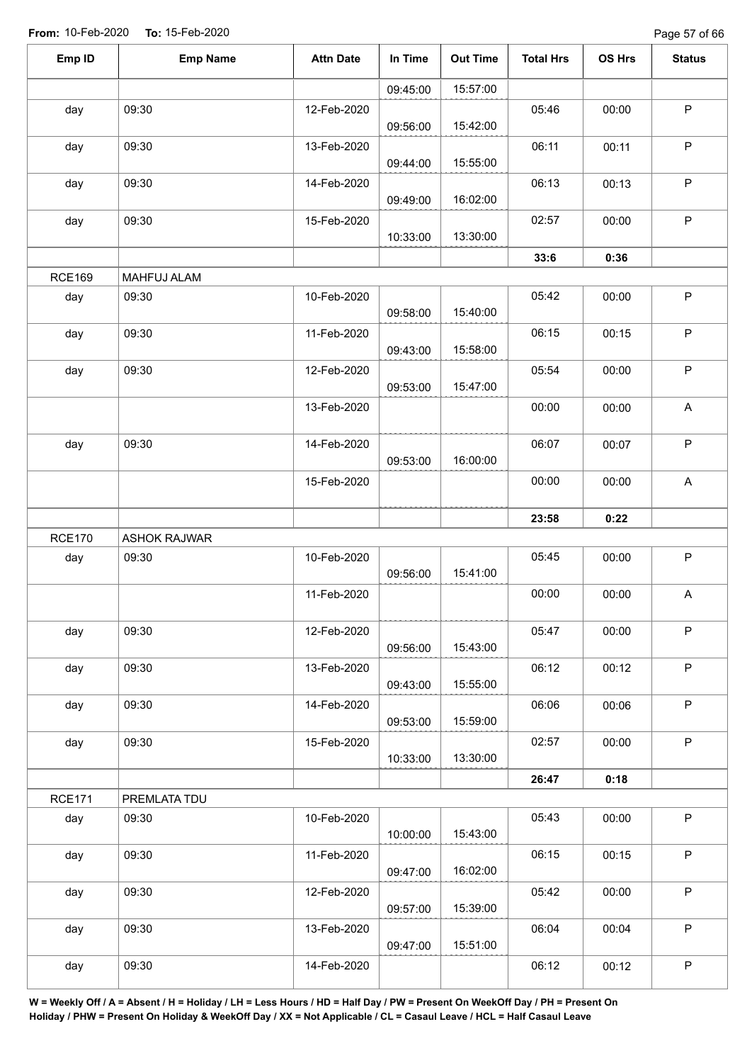Page 57 of 66

| Emp ID        | <b>Emp Name</b>     | <b>Attn Date</b> | In Time  | <b>Out Time</b> | <b>Total Hrs</b> | OS Hrs | <b>Status</b>             |
|---------------|---------------------|------------------|----------|-----------------|------------------|--------|---------------------------|
|               |                     |                  | 09:45:00 | 15:57:00        |                  |        |                           |
| day           | 09:30               | 12-Feb-2020      | 09:56:00 | 15:42:00        | 05:46            | 00:00  | $\mathsf P$               |
| day           | 09:30               | 13-Feb-2020      | 09:44:00 | 15:55:00        | 06:11            | 00:11  | $\sf P$                   |
| day           | 09:30               | 14-Feb-2020      | 09:49:00 | 16:02:00        | 06:13            | 00:13  | $\sf P$                   |
| day           | 09:30               | 15-Feb-2020      | 10:33:00 | 13:30:00        | 02:57            | 00:00  | $\mathsf P$               |
|               |                     |                  |          |                 | 33:6             | 0:36   |                           |
| <b>RCE169</b> | MAHFUJ ALAM         |                  |          |                 |                  |        |                           |
| day           | 09:30               | 10-Feb-2020      | 09:58:00 | 15:40:00        | 05:42            | 00:00  | $\mathsf P$               |
| day           | 09:30               | 11-Feb-2020      | 09:43:00 | 15:58:00        | 06:15            | 00:15  | $\sf P$                   |
| day           | 09:30               | 12-Feb-2020      | 09:53:00 | 15:47:00        | 05:54            | 00:00  | $\sf P$                   |
|               |                     | 13-Feb-2020      |          |                 | 00:00            | 00:00  | $\boldsymbol{\mathsf{A}}$ |
| day           | 09:30               | 14-Feb-2020      | 09:53:00 | 16:00:00        | 06:07            | 00:07  | $\sf P$                   |
|               |                     | 15-Feb-2020      |          |                 | 00:00            | 00:00  | A                         |
|               |                     |                  |          |                 | 23:58            | 0:22   |                           |
| <b>RCE170</b> | <b>ASHOK RAJWAR</b> |                  |          |                 |                  |        |                           |
| day           | 09:30               | 10-Feb-2020      | 09:56:00 | 15:41:00        | 05:45            | 00:00  | $\mathsf P$               |
|               |                     | 11-Feb-2020      |          |                 | 00:00            | 00:00  | $\boldsymbol{\mathsf{A}}$ |
| day           | 09:30               | 12-Feb-2020      | 09:56:00 | 15:43:00        | 05:47            | 00:00  | $\mathsf P$               |
| day           | 09:30               | 13-Feb-2020      | 09:43:00 | 15:55:00        | 06:12            | 00:12  | $\sf P$                   |
| day           | 09:30               | 14-Feb-2020      | 09:53:00 | 15:59:00        | 06:06            | 00:06  | $\sf P$                   |
| day           | 09:30               | 15-Feb-2020      | 10:33:00 | 13:30:00        | 02:57            | 00:00  | $\mathsf P$               |
|               |                     |                  |          |                 | 26:47            | 0:18   |                           |
| <b>RCE171</b> | PREMLATA TDU        |                  |          |                 |                  |        |                           |
| day           | 09:30               | 10-Feb-2020      | 10:00:00 | 15:43:00        | 05:43            | 00:00  | $\mathsf P$               |
| day           | 09:30               | 11-Feb-2020      | 09:47:00 | 16:02:00        | 06:15            | 00:15  | $\mathsf P$               |
| day           | 09:30               | 12-Feb-2020      | 09:57:00 | 15:39:00        | 05:42            | 00:00  | $\sf P$                   |
| day           | 09:30               | 13-Feb-2020      | 09:47:00 | 15:51:00        | 06:04            | 00:04  | $\mathsf P$               |
| day           | 09:30               | 14-Feb-2020      |          |                 | 06:12            | 00:12  | $\sf P$                   |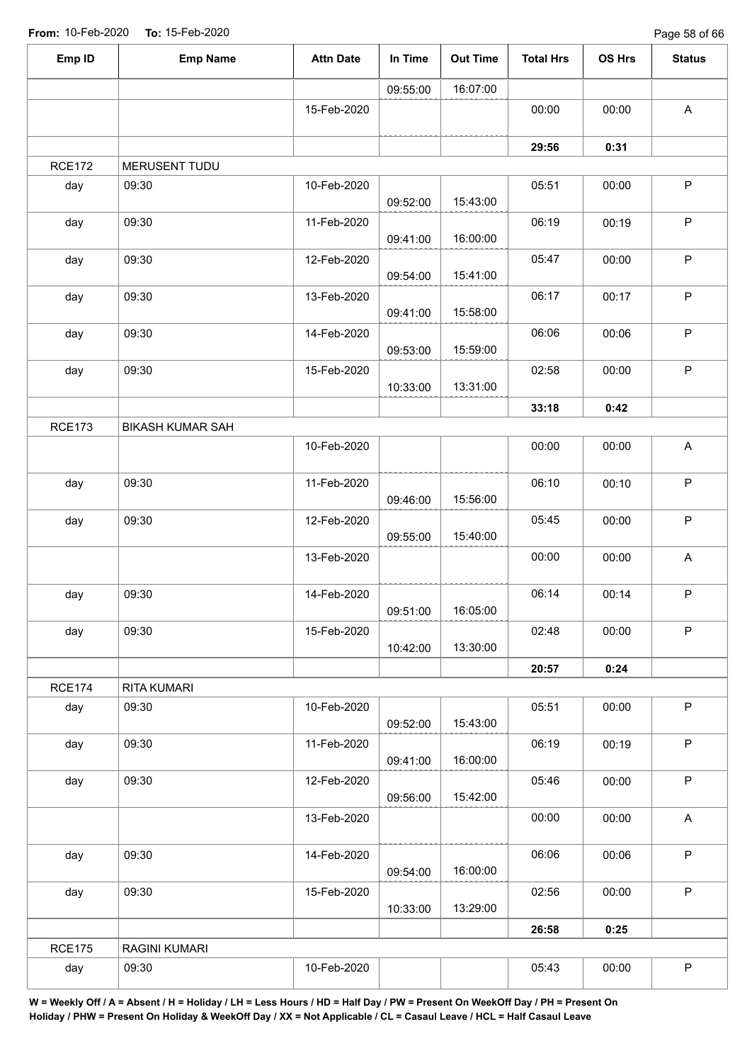Page 58 of 66

| Emp ID        | <b>Emp Name</b>         | <b>Attn Date</b> | In Time  | <b>Out Time</b> | <b>Total Hrs</b> | OS Hrs | <b>Status</b> |
|---------------|-------------------------|------------------|----------|-----------------|------------------|--------|---------------|
|               |                         |                  | 09:55:00 | 16:07:00        |                  |        |               |
|               |                         | 15-Feb-2020      |          |                 | 00:00            | 00:00  | $\mathsf A$   |
|               |                         |                  |          |                 | 29:56            | 0:31   |               |
| <b>RCE172</b> | MERUSENT TUDU           |                  |          |                 |                  |        |               |
| day           | 09:30                   | 10-Feb-2020      | 09:52:00 | 15:43:00        | 05:51            | 00:00  | $\mathsf P$   |
| day           | 09:30                   | 11-Feb-2020      | 09:41:00 | 16:00:00        | 06:19            | 00:19  | $\mathsf P$   |
| day           | 09:30                   | 12-Feb-2020      | 09:54:00 | 15:41:00        | 05:47            | 00:00  | $\sf P$       |
| day           | 09:30                   | 13-Feb-2020      | 09:41:00 | 15:58:00        | 06:17            | 00:17  | $\mathsf P$   |
| day           | 09:30                   | 14-Feb-2020      | 09:53:00 | 15:59:00        | 06:06            | 00:06  | $\mathsf P$   |
| day           | 09:30                   | 15-Feb-2020      | 10:33:00 | 13:31:00        | 02:58            | 00:00  | $\mathsf P$   |
|               |                         |                  |          |                 | 33:18            | 0:42   |               |
| <b>RCE173</b> | <b>BIKASH KUMAR SAH</b> |                  |          |                 |                  |        |               |
|               |                         | 10-Feb-2020      |          |                 | 00:00            | 00:00  | A             |
| day           | 09:30                   | 11-Feb-2020      | 09:46:00 | 15:56:00        | 06:10            | 00:10  | $\mathsf P$   |
| day           | 09:30                   | 12-Feb-2020      | 09:55:00 | 15:40:00        | 05:45            | 00:00  | $\sf P$       |
|               |                         | 13-Feb-2020      |          |                 | 00:00            | 00:00  | $\mathsf A$   |
| day           | 09:30                   | 14-Feb-2020      | 09:51:00 | 16:05:00        | 06:14            | 00:14  | $\mathsf P$   |
| day           | 09:30                   | 15-Feb-2020      | 10:42:00 | 13:30:00        | 02:48            | 00:00  | $\mathsf P$   |
|               |                         |                  |          |                 | 20:57            | 0:24   |               |
| <b>RCE174</b> | RITA KUMARI             |                  |          |                 |                  |        |               |
| day           | 09:30                   | 10-Feb-2020      | 09:52:00 | 15:43:00        | 05:51            | 00:00  | $\mathsf P$   |
| day           | 09:30                   | 11-Feb-2020      | 09:41:00 | 16:00:00        | 06:19            | 00:19  | $\mathsf P$   |
| day           | 09:30                   | 12-Feb-2020      | 09:56:00 | 15:42:00        | 05:46            | 00:00  | $\mathsf P$   |
|               |                         | 13-Feb-2020      |          |                 | 00:00            | 00:00  | A             |
| day           | 09:30                   | 14-Feb-2020      | 09:54:00 | 16:00:00        | 06:06            | 00:06  | $\mathsf P$   |
| day           | 09:30                   | 15-Feb-2020      | 10:33:00 | 13:29:00        | 02:56            | 00:00  | $\mathsf P$   |
|               |                         |                  |          |                 | 26:58            | 0:25   |               |
| <b>RCE175</b> | RAGINI KUMARI           |                  |          |                 |                  |        |               |
| day           | 09:30                   | 10-Feb-2020      |          |                 | 05:43            | 00:00  | $\sf P$       |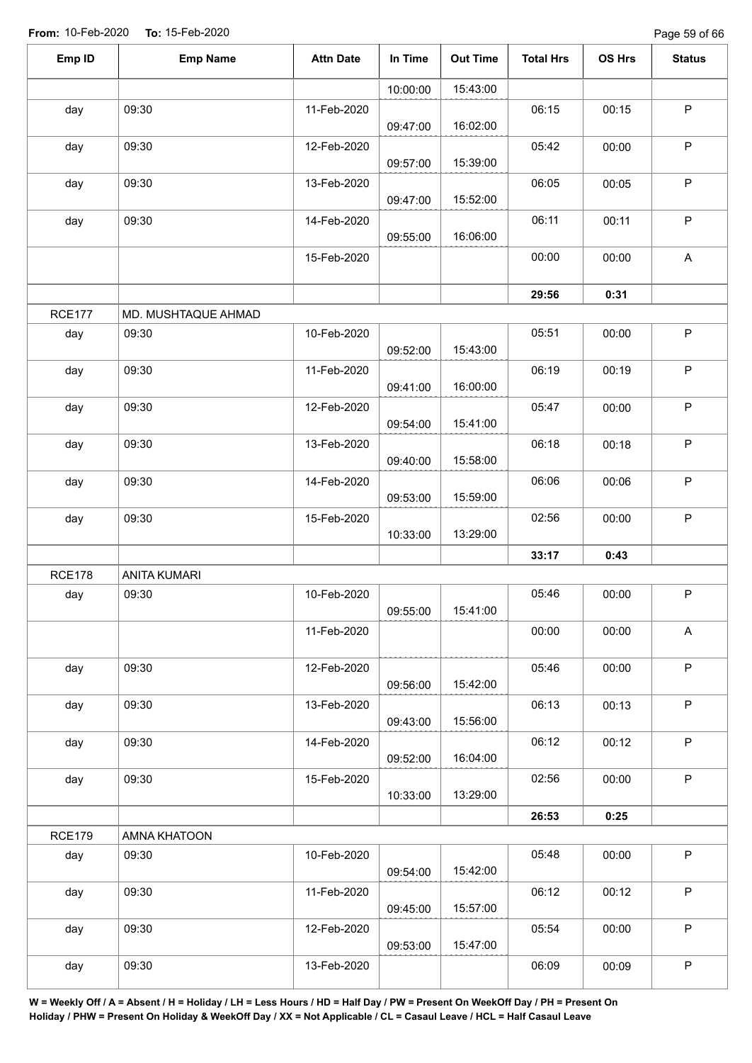Page 59 of 66

| Emp ID        | <b>Emp Name</b>     | <b>Attn Date</b> | In Time  | <b>Out Time</b> | <b>Total Hrs</b> | OS Hrs | <b>Status</b> |
|---------------|---------------------|------------------|----------|-----------------|------------------|--------|---------------|
|               |                     |                  | 10:00:00 | 15:43:00        |                  |        |               |
| day           | 09:30               | 11-Feb-2020      | 09:47:00 | 16:02:00        | 06:15            | 00:15  | $\mathsf P$   |
| day           | 09:30               | 12-Feb-2020      | 09:57:00 | 15:39:00        | 05:42            | 00:00  | $\sf P$       |
| day           | 09:30               | 13-Feb-2020      | 09:47:00 | 15:52:00        | 06:05            | 00:05  | $\mathsf P$   |
| day           | 09:30               | 14-Feb-2020      | 09:55:00 | 16:06:00        | 06:11            | 00:11  | $\mathsf P$   |
|               |                     | 15-Feb-2020      |          |                 | 00:00            | 00:00  | A             |
|               |                     |                  |          |                 | 29:56            | 0:31   |               |
| <b>RCE177</b> | MD. MUSHTAQUE AHMAD |                  |          |                 |                  |        |               |
| day           | 09:30               | 10-Feb-2020      | 09:52:00 | 15:43:00        | 05:51            | 00:00  | $\mathsf P$   |
| day           | 09:30               | 11-Feb-2020      | 09:41:00 | 16:00:00        | 06:19            | 00:19  | $\mathsf P$   |
| day           | 09:30               | 12-Feb-2020      | 09:54:00 | 15:41:00        | 05:47            | 00:00  | $\mathsf P$   |
| day           | 09:30               | 13-Feb-2020      | 09:40:00 | 15:58:00        | 06:18            | 00:18  | $\sf P$       |
| day           | 09:30               | 14-Feb-2020      | 09:53:00 | 15:59:00        | 06:06            | 00:06  | $\mathsf P$   |
| day           | 09:30               | 15-Feb-2020      | 10:33:00 | 13:29:00        | 02:56            | 00:00  | $\sf P$       |
|               |                     |                  |          |                 | 33:17            | 0:43   |               |
| <b>RCE178</b> | <b>ANITA KUMARI</b> |                  |          |                 |                  |        |               |
| day           | 09:30               | 10-Feb-2020      | 09:55:00 | 15:41:00        | 05:46            | 00:00  | $\sf P$       |
|               |                     | 11-Feb-2020      |          |                 | 00:00            | 00:00  | A             |
| day           | 09:30               | 12-Feb-2020      | 09:56:00 | 15:42:00        | 05:46            | 00:00  | $\sf P$       |
| day           | 09:30               | 13-Feb-2020      | 09:43:00 | 15:56:00        | 06:13            | 00:13  | $\mathsf P$   |
| day           | 09:30               | 14-Feb-2020      | 09:52:00 | 16:04:00        | 06:12            | 00:12  | $\mathsf P$   |
| day           | 09:30               | 15-Feb-2020      | 10:33:00 | 13:29:00        | 02:56            | 00:00  | $\mathsf P$   |
|               |                     |                  |          |                 | 26:53            | 0:25   |               |
| <b>RCE179</b> | AMNA KHATOON        |                  |          |                 |                  |        |               |
| day           | 09:30               | 10-Feb-2020      | 09:54:00 | 15:42:00        | 05:48            | 00:00  | $\sf P$       |
| day           | 09:30               | 11-Feb-2020      | 09:45:00 | 15:57:00        | 06:12            | 00:12  | $\sf P$       |
| day           | 09:30               | 12-Feb-2020      | 09:53:00 | 15:47:00        | 05:54            | 00:00  | $\mathsf P$   |
| day           | 09:30               | 13-Feb-2020      |          |                 | 06:09            | 00:09  | $\mathsf P$   |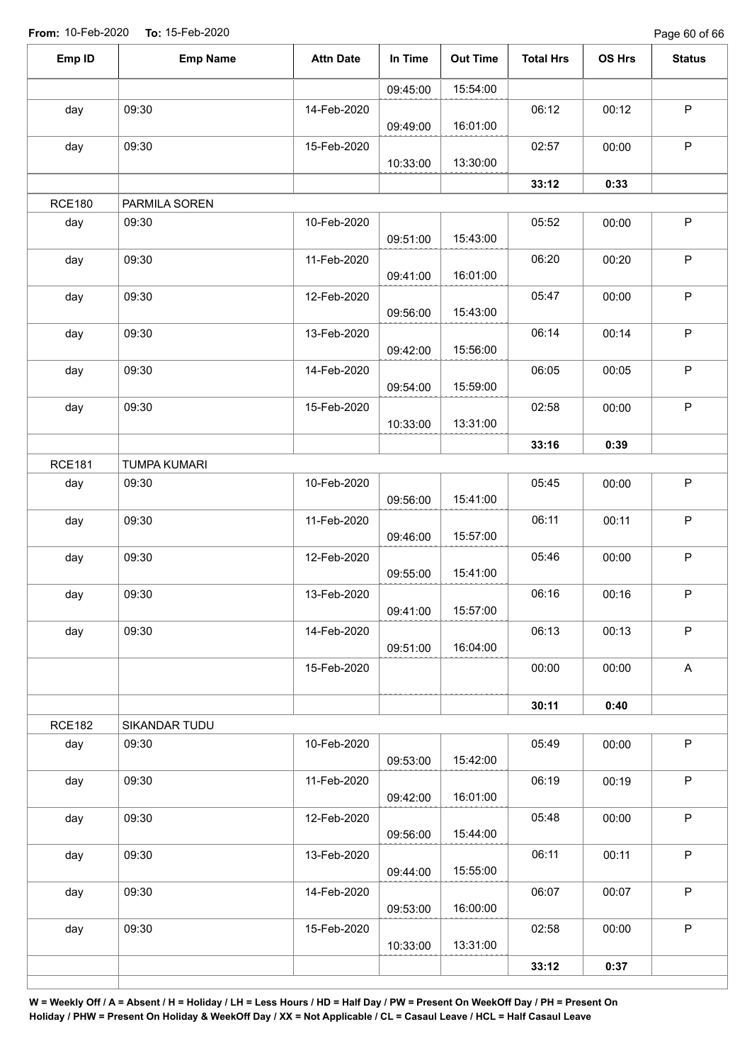Page 60 of 66

| Emp ID        | <b>Emp Name</b>     | <b>Attn Date</b> | In Time  | <b>Out Time</b> | <b>Total Hrs</b> | OS Hrs | <b>Status</b> |
|---------------|---------------------|------------------|----------|-----------------|------------------|--------|---------------|
|               |                     |                  | 09:45:00 | 15:54:00        |                  |        |               |
| day           | 09:30               | 14-Feb-2020      | 09:49:00 | 16:01:00        | 06:12            | 00:12  | $\sf P$       |
| day           | 09:30               | 15-Feb-2020      | 10:33:00 | 13:30:00        | 02:57            | 00:00  | $\mathsf P$   |
|               |                     |                  |          |                 | 33:12            | 0:33   |               |
| <b>RCE180</b> | PARMILA SOREN       |                  |          |                 |                  |        |               |
| day           | 09:30               | 10-Feb-2020      | 09:51:00 | 15:43:00        | 05:52            | 00:00  | $\sf P$       |
| day           | 09:30               | 11-Feb-2020      | 09:41:00 | 16:01:00        | 06:20            | 00:20  | $\sf P$       |
| day           | 09:30               | 12-Feb-2020      | 09:56:00 | 15:43:00        | 05:47            | 00:00  | $\sf P$       |
| day           | 09:30               | 13-Feb-2020      | 09:42:00 | 15:56:00        | 06:14            | 00:14  | $\sf P$       |
| day           | 09:30               | 14-Feb-2020      | 09:54:00 | 15:59:00        | 06:05            | 00:05  | $\sf P$       |
| day           | 09:30               | 15-Feb-2020      | 10:33:00 | 13:31:00        | 02:58            | 00:00  | $\mathsf P$   |
|               |                     |                  |          |                 | 33:16            | 0:39   |               |
| <b>RCE181</b> | <b>TUMPA KUMARI</b> |                  |          |                 |                  |        |               |
| day           | 09:30               | 10-Feb-2020      | 09:56:00 | 15:41:00        | 05:45            | 00:00  | $\sf P$       |
| day           | 09:30               | 11-Feb-2020      | 09:46:00 | 15:57:00        | 06:11            | 00:11  | $\mathsf P$   |
| day           | 09:30               | 12-Feb-2020      | 09:55:00 | 15:41:00        | 05:46            | 00:00  | $\mathsf P$   |
| day           | 09:30               | 13-Feb-2020      | 09:41:00 | 15:57:00        | 06:16            | 00:16  | $\mathsf P$   |
| day           | 09:30               | 14-Feb-2020      | 09:51:00 | 16:04:00        | 06:13            | 00:13  | $\mathsf P$   |
|               |                     | 15-Feb-2020      |          |                 | 00:00            | 00:00  | $\mathsf{A}$  |
|               |                     |                  |          |                 | 30:11            | 0:40   |               |
| <b>RCE182</b> | SIKANDAR TUDU       |                  |          |                 |                  |        |               |
| day           | 09:30               | 10-Feb-2020      | 09:53:00 | 15:42:00        | 05:49            | 00:00  | $\mathsf P$   |
| day           | 09:30               | 11-Feb-2020      | 09:42:00 | 16:01:00        | 06:19            | 00:19  | $\sf P$       |
| day           | 09:30               | 12-Feb-2020      | 09:56:00 | 15:44:00        | 05:48            | 00:00  | $\mathsf P$   |
| day           | 09:30               | 13-Feb-2020      | 09:44:00 | 15:55:00        | 06:11            | 00:11  | $\sf P$       |
| day           | 09:30               | 14-Feb-2020      | 09:53:00 | 16:00:00        | 06:07            | 00:07  | $\sf P$       |
| day           | 09:30               | 15-Feb-2020      | 10:33:00 | 13:31:00        | 02:58            | 00:00  | $\mathsf P$   |
|               |                     |                  |          |                 | 33:12            | 0:37   |               |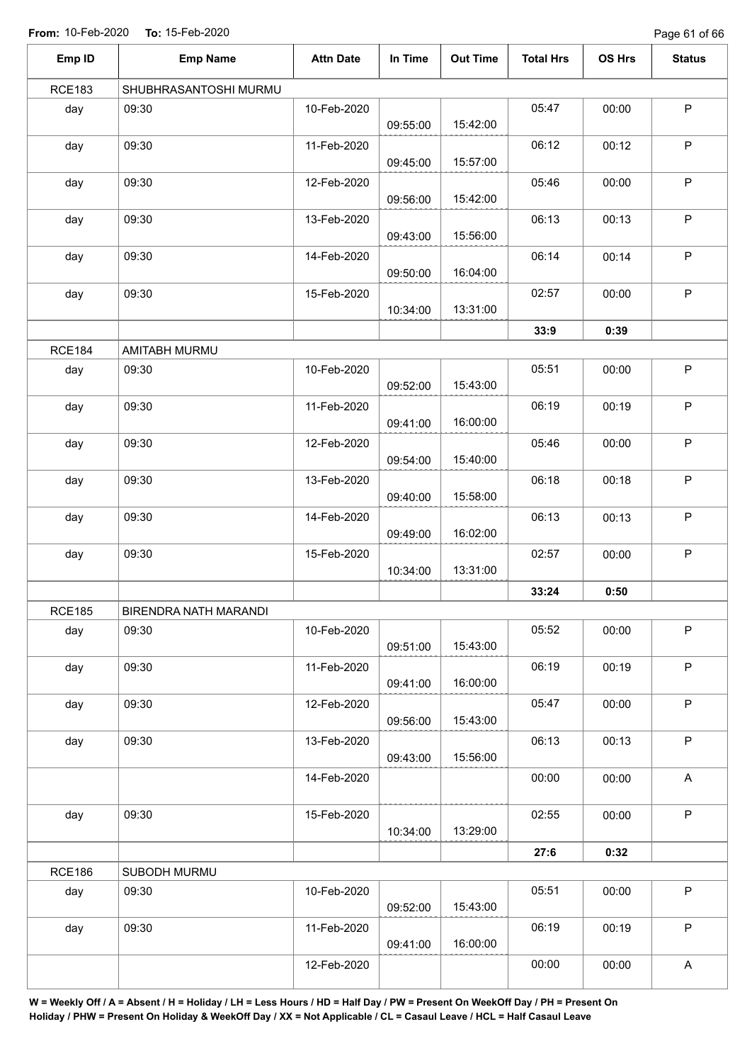Page 61 of 66

| Emp ID        | <b>Emp Name</b>       | <b>Attn Date</b> | In Time  | <b>Out Time</b> | <b>Total Hrs</b> | OS Hrs | <b>Status</b> |
|---------------|-----------------------|------------------|----------|-----------------|------------------|--------|---------------|
| <b>RCE183</b> | SHUBHRASANTOSHI MURMU |                  |          |                 |                  |        |               |
| day           | 09:30                 | 10-Feb-2020      | 09:55:00 | 15:42:00        | 05:47            | 00:00  | $\sf P$       |
| day           | 09:30                 | 11-Feb-2020      | 09:45:00 | 15:57:00        | 06:12            | 00:12  | P             |
| day           | 09:30                 | 12-Feb-2020      | 09:56:00 | 15:42:00        | 05:46            | 00:00  | $\mathsf P$   |
| day           | 09:30                 | 13-Feb-2020      | 09:43:00 | 15:56:00        | 06:13            | 00:13  | $\mathsf P$   |
| day           | 09:30                 | 14-Feb-2020      | 09:50:00 | 16:04:00        | 06:14            | 00:14  | $\mathsf P$   |
| day           | 09:30                 | 15-Feb-2020      | 10:34:00 | 13:31:00        | 02:57            | 00:00  | $\mathsf P$   |
|               |                       |                  |          |                 | 33:9             | 0:39   |               |
| <b>RCE184</b> | AMITABH MURMU         |                  |          |                 |                  |        |               |
| day           | 09:30                 | 10-Feb-2020      | 09:52:00 | 15:43:00        | 05:51            | 00:00  | $\mathsf P$   |
| day           | 09:30                 | 11-Feb-2020      | 09:41:00 | 16:00:00        | 06:19            | 00:19  | $\mathsf P$   |
| day           | 09:30                 | 12-Feb-2020      | 09:54:00 | 15:40:00        | 05:46            | 00:00  | $\mathsf P$   |
| day           | 09:30                 | 13-Feb-2020      | 09:40:00 | 15:58:00        | 06:18            | 00:18  | P             |
| day           | 09:30                 | 14-Feb-2020      | 09:49:00 | 16:02:00        | 06:13            | 00:13  | P             |
| day           | 09:30                 | 15-Feb-2020      | 10:34:00 | 13:31:00        | 02:57            | 00:00  | $\mathsf P$   |
|               |                       |                  |          |                 | 33:24            | 0:50   |               |
| <b>RCE185</b> | BIRENDRA NATH MARANDI |                  |          |                 |                  |        |               |
| day           | 09:30                 | 10-Feb-2020      | 09:51:00 | 15:43:00        | 05:52            | 00:00  | $\mathsf P$   |
| day           | 09:30                 | 11-Feb-2020      | 09:41:00 | 16:00:00        | 06:19            | 00:19  | $\mathsf P$   |
| day           | 09:30                 | 12-Feb-2020      | 09:56:00 | 15:43:00        | 05:47            | 00:00  | $\mathsf P$   |
| day           | 09:30                 | 13-Feb-2020      | 09:43:00 | 15:56:00        | 06:13            | 00:13  | $\mathsf P$   |
|               |                       | 14-Feb-2020      |          |                 | 00:00            | 00:00  | $\mathsf{A}$  |
| day           | 09:30                 | 15-Feb-2020      | 10:34:00 | 13:29:00        | 02:55            | 00:00  | $\mathsf P$   |
|               |                       |                  |          |                 | 27:6             | 0:32   |               |
| <b>RCE186</b> | SUBODH MURMU          |                  |          |                 |                  |        |               |
| day           | 09:30                 | 10-Feb-2020      | 09:52:00 | 15:43:00        | 05:51            | 00:00  | $\sf P$       |
| day           | 09:30                 | 11-Feb-2020      | 09:41:00 | 16:00:00        | 06:19            | 00:19  | $\sf P$       |
|               |                       | 12-Feb-2020      |          |                 | 00:00            | 00:00  | A             |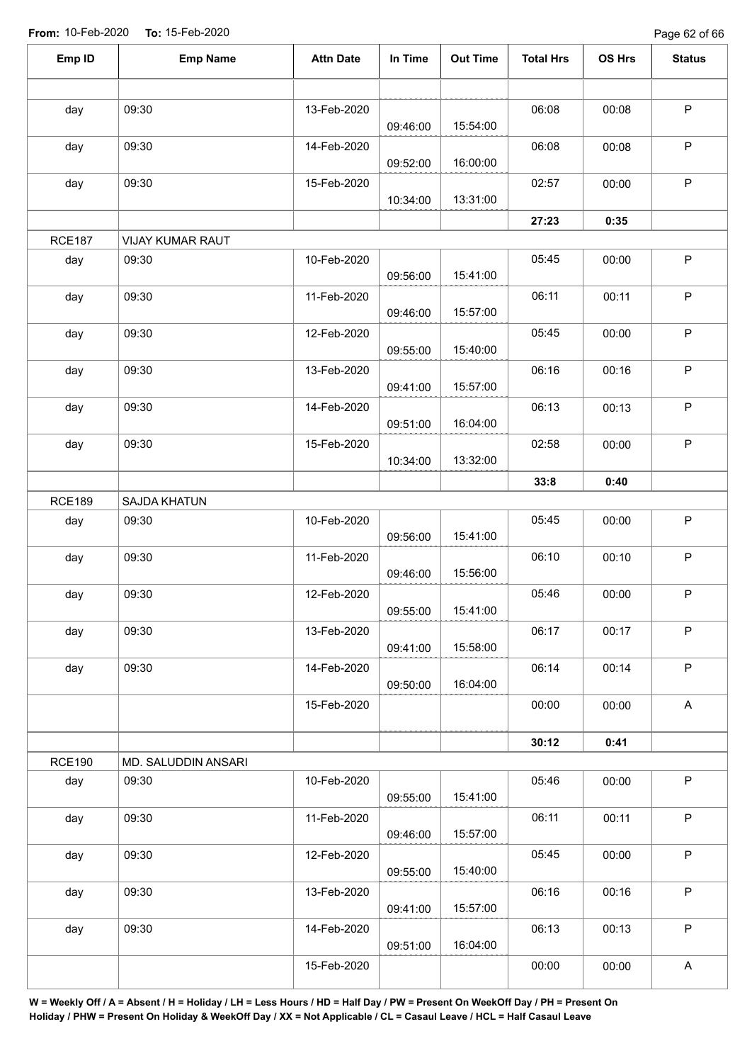Page 62 of 66

| Emp ID        | <b>Emp Name</b>     | <b>Attn Date</b> | In Time  | <b>Out Time</b> | <b>Total Hrs</b> | OS Hrs | <b>Status</b> |
|---------------|---------------------|------------------|----------|-----------------|------------------|--------|---------------|
|               |                     |                  |          |                 |                  |        |               |
| day           | 09:30               | 13-Feb-2020      | 09:46:00 | 15:54:00        | 06:08            | 00:08  | $\mathsf P$   |
| day           | 09:30               | 14-Feb-2020      | 09:52:00 | 16:00:00        | 06:08            | 00:08  | $\mathsf P$   |
| day           | 09:30               | 15-Feb-2020      | 10:34:00 | 13:31:00        | 02:57            | 00:00  | $\mathsf P$   |
|               |                     |                  |          |                 | 27:23            | 0:35   |               |
| <b>RCE187</b> | VIJAY KUMAR RAUT    |                  |          |                 |                  |        |               |
| day           | 09:30               | 10-Feb-2020      | 09:56:00 | 15:41:00        | 05:45            | 00:00  | $\mathsf P$   |
| day           | 09:30               | 11-Feb-2020      | 09:46:00 | 15:57:00        | 06:11            | 00:11  | $\mathsf P$   |
| day           | 09:30               | 12-Feb-2020      | 09:55:00 | 15:40:00        | 05:45            | 00:00  | $\sf P$       |
| day           | 09:30               | 13-Feb-2020      | 09:41:00 | 15:57:00        | 06:16            | 00:16  | $\mathsf P$   |
| day           | 09:30               | 14-Feb-2020      | 09:51:00 | 16:04:00        | 06:13            | 00:13  | $\sf P$       |
| day           | 09:30               | 15-Feb-2020      |          | 13:32:00        | 02:58            | 00:00  | $\mathsf P$   |
|               |                     |                  | 10:34:00 |                 | 33:8             | 0:40   |               |
| <b>RCE189</b> | SAJDA KHATUN        |                  |          |                 |                  |        |               |
| day           | 09:30               | 10-Feb-2020      | 09:56:00 | 15:41:00        | 05:45            | 00:00  | $\sf P$       |
| day           | 09:30               | 11-Feb-2020      | 09:46:00 | 15:56:00        | 06:10            | 00:10  | $\mathsf P$   |
| day           | 09:30               | 12-Feb-2020      | 09:55:00 | 15:41:00        | 05:46            | 00:00  | P             |
| day           | 09:30               | 13-Feb-2020      | 09:41:00 | 15:58:00        | 06:17            | 00:17  | $\mathsf P$   |
| day           | 09:30               | 14-Feb-2020      | 09:50:00 | 16:04:00        | 06:14            | 00:14  | $\mathsf P$   |
|               |                     | 15-Feb-2020      |          |                 | 00:00            | 00:00  | $\mathsf{A}$  |
|               |                     |                  |          |                 | 30:12            | 0:41   |               |
| <b>RCE190</b> | MD. SALUDDIN ANSARI |                  |          |                 |                  |        |               |
| day           | 09:30               | 10-Feb-2020      | 09:55:00 | 15:41:00        | 05:46            | 00:00  | $\mathsf P$   |
| day           | 09:30               | 11-Feb-2020      | 09:46:00 | 15:57:00        | 06:11            | 00:11  | P             |
| day           | 09:30               | 12-Feb-2020      | 09:55:00 | 15:40:00        | 05:45            | 00:00  | $\sf P$       |
| day           | 09:30               | 13-Feb-2020      | 09:41:00 | 15:57:00        | 06:16            | 00:16  | $\mathsf P$   |
| day           | 09:30               | 14-Feb-2020      | 09:51:00 | 16:04:00        | 06:13            | 00:13  | $\mathsf P$   |
|               |                     | 15-Feb-2020      |          |                 | 00:00            | 00:00  | $\mathsf A$   |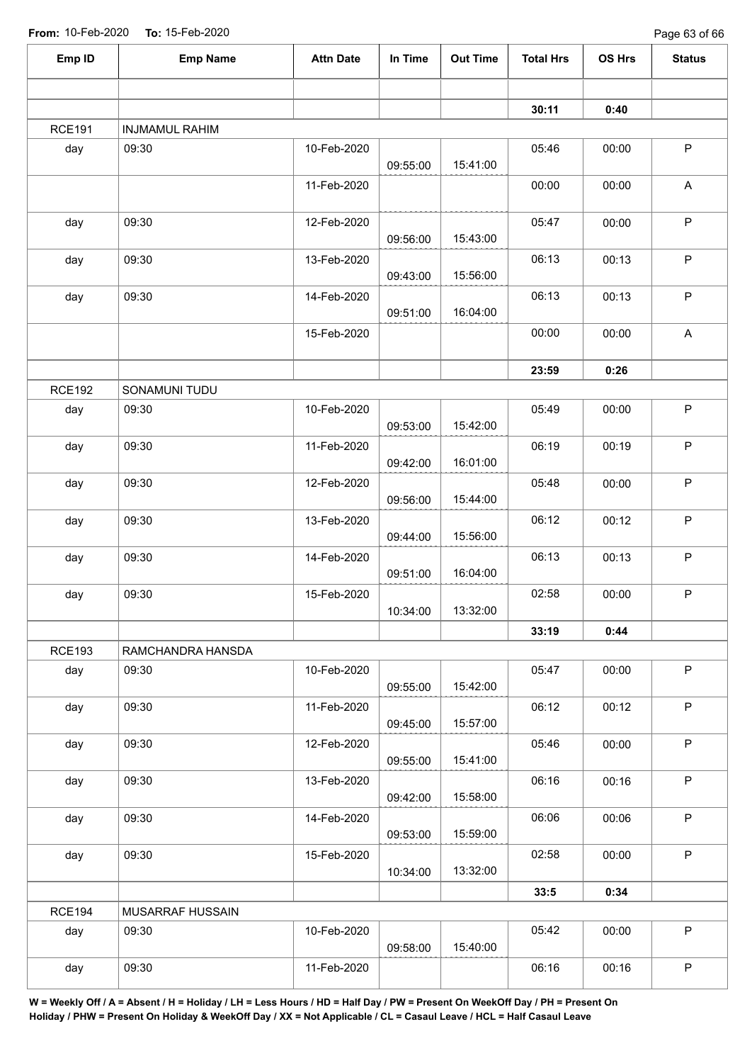| Emp ID        | <b>Emp Name</b>       | <b>Attn Date</b> | In Time  | <b>Out Time</b> | <b>Total Hrs</b> | OS Hrs | <b>Status</b> |
|---------------|-----------------------|------------------|----------|-----------------|------------------|--------|---------------|
|               |                       |                  |          |                 |                  |        |               |
|               |                       |                  |          |                 | 30:11            | 0:40   |               |
| <b>RCE191</b> | <b>INJMAMUL RAHIM</b> |                  |          |                 |                  |        |               |
| day           | 09:30                 | 10-Feb-2020      | 09:55:00 | 15:41:00        | 05:46            | 00:00  | $\sf P$       |
|               |                       | 11-Feb-2020      |          |                 | 00:00            | 00:00  | A             |
| day           | 09:30                 | 12-Feb-2020      | 09:56:00 | 15:43:00        | 05:47            | 00:00  | $\sf P$       |
| day           | 09:30                 | 13-Feb-2020      | 09:43:00 | 15:56:00        | 06:13            | 00:13  | $\mathsf P$   |
| day           | 09:30                 | 14-Feb-2020      | 09:51:00 | 16:04:00        | 06:13            | 00:13  | $\sf P$       |
|               |                       | 15-Feb-2020      |          |                 | 00:00            | 00:00  | $\mathsf A$   |
|               |                       |                  |          |                 | 23:59            | 0:26   |               |
| <b>RCE192</b> | SONAMUNI TUDU         |                  |          |                 |                  |        |               |
| day           | 09:30                 | 10-Feb-2020      | 09:53:00 | 15:42:00        | 05:49            | 00:00  | $\sf P$       |
| day           | 09:30                 | 11-Feb-2020      | 09:42:00 | 16:01:00        | 06:19            | 00:19  | $\mathsf P$   |
| day           | 09:30                 | 12-Feb-2020      | 09:56:00 | 15:44:00        | 05:48            | 00:00  | $\mathsf P$   |
| day           | 09:30                 | 13-Feb-2020      | 09:44:00 | 15:56:00        | 06:12            | 00:12  | $\mathsf P$   |
| day           | 09:30                 | 14-Feb-2020      | 09:51:00 | 16:04:00        | 06:13            | 00:13  | $\sf P$       |
| day           | 09:30                 | 15-Feb-2020      | 10:34:00 | 13:32:00        | 02:58            | 00:00  | $\mathsf P$   |
|               |                       |                  |          |                 | 33:19            | 0:44   |               |
| <b>RCE193</b> | RAMCHANDRA HANSDA     |                  |          |                 |                  |        |               |
| day           | 09:30                 | 10-Feb-2020      | 09:55:00 | 15:42:00        | 05:47            | 00:00  | $\mathsf{P}$  |
| day           | 09:30                 | 11-Feb-2020      | 09:45:00 | 15:57:00        | 06:12            | 00:12  | $\mathsf P$   |
| day           | 09:30                 | 12-Feb-2020      | 09:55:00 | 15:41:00        | 05:46            | 00:00  | $\mathsf P$   |
| day           | 09:30                 | 13-Feb-2020      | 09:42:00 | 15:58:00        | 06:16            | 00:16  | P             |
| day           | 09:30                 | 14-Feb-2020      | 09:53:00 | 15:59:00        | 06:06            | 00:06  | $\mathsf P$   |
| day           | 09:30                 | 15-Feb-2020      | 10:34:00 | 13:32:00        | 02:58            | 00:00  | $\mathsf P$   |
|               |                       |                  |          |                 | 33:5             | 0:34   |               |
| <b>RCE194</b> | MUSARRAF HUSSAIN      |                  |          |                 |                  |        |               |
| day           | 09:30                 | 10-Feb-2020      | 09:58:00 | 15:40:00        | 05:42            | 00:00  | $\mathsf{P}$  |
| day           | 09:30                 | 11-Feb-2020      |          |                 | 06:16            | 00:16  | $\mathsf P$   |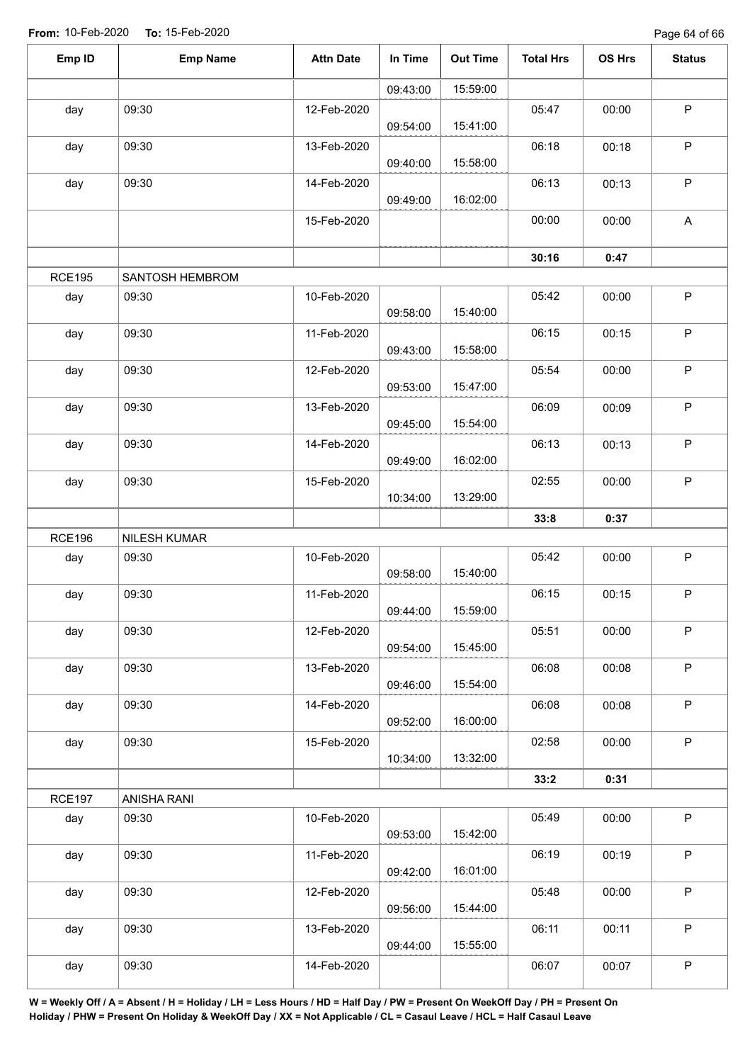| Emp ID        | <b>Emp Name</b> | <b>Attn Date</b> | In Time  | <b>Out Time</b> | <b>Total Hrs</b> | OS Hrs | <b>Status</b>             |
|---------------|-----------------|------------------|----------|-----------------|------------------|--------|---------------------------|
|               |                 |                  | 09:43:00 | 15:59:00        |                  |        |                           |
| day           | 09:30           | 12-Feb-2020      | 09:54:00 | 15:41:00        | 05:47            | 00:00  | $\mathsf P$               |
| day           | 09:30           | 13-Feb-2020      | 09:40:00 | 15:58:00        | 06:18            | 00:18  | $\sf P$                   |
| day           | 09:30           | 14-Feb-2020      | 09:49:00 | 16:02:00        | 06:13            | 00:13  | $\mathsf P$               |
|               |                 | 15-Feb-2020      |          |                 | 00:00            | 00:00  | $\boldsymbol{\mathsf{A}}$ |
|               |                 |                  |          |                 | 30:16            | 0:47   |                           |
| <b>RCE195</b> | SANTOSH HEMBROM |                  |          |                 |                  |        |                           |
| day           | 09:30           | 10-Feb-2020      | 09:58:00 | 15:40:00        | 05:42            | 00:00  | $\mathsf P$               |
| day           | 09:30           | 11-Feb-2020      | 09:43:00 | 15:58:00        | 06:15            | 00:15  | $\sf P$                   |
| day           | 09:30           | 12-Feb-2020      | 09:53:00 | 15:47:00        | 05:54            | 00:00  | $\sf P$                   |
| day           | 09:30           | 13-Feb-2020      | 09:45:00 | 15:54:00        | 06:09            | 00:09  | $\mathsf P$               |
| day           | 09:30           | 14-Feb-2020      | 09:49:00 | 16:02:00        | 06:13            | 00:13  | $\sf P$                   |
| day           | 09:30           | 15-Feb-2020      | 10:34:00 | 13:29:00        | 02:55            | 00:00  | $\mathsf P$               |
|               |                 |                  |          |                 | 33:8             | 0:37   |                           |
| <b>RCE196</b> | NILESH KUMAR    |                  |          |                 |                  |        |                           |
| day           | 09:30           | 10-Feb-2020      | 09:58:00 | 15:40:00        | 05:42            | 00:00  | $\sf P$                   |
| day           | 09:30           | 11-Feb-2020      | 09:44:00 | 15:59:00        | 06:15            | 00:15  | $\sf P$                   |
| day           | 09:30           | 12-Feb-2020      | 09:54:00 | 15:45:00        | 05:51            | 00:00  | $\sf P$                   |
| day           | 09:30           | 13-Feb-2020      | 09:46:00 | 15:54:00        | 06:08            | 00:08  | $\mathsf P$               |
| day           | 09:30           | 14-Feb-2020      | 09:52:00 | 16:00:00        | 06:08            | 00:08  | $\sf P$                   |
| day           | 09:30           | 15-Feb-2020      | 10:34:00 | 13:32:00        | 02:58            | 00:00  | $\mathsf P$               |
|               |                 |                  |          |                 | 33:2             | 0:31   |                           |
| <b>RCE197</b> | ANISHA RANI     |                  |          |                 |                  |        |                           |
| day           | 09:30           | 10-Feb-2020      | 09:53:00 | 15:42:00        | 05:49            | 00:00  | $\mathsf{P}$              |
| day           | 09:30           | 11-Feb-2020      | 09:42:00 | 16:01:00        | 06:19            | 00:19  | $\mathsf P$               |
| day           | 09:30           | 12-Feb-2020      | 09:56:00 | 15:44:00        | 05:48            | 00:00  | $\mathsf P$               |
| day           | 09:30           | 13-Feb-2020      | 09:44:00 | 15:55:00        | 06:11            | 00:11  | $\mathsf P$               |
| day           | 09:30           | 14-Feb-2020      |          |                 | 06:07            | 00:07  | $\sf P$                   |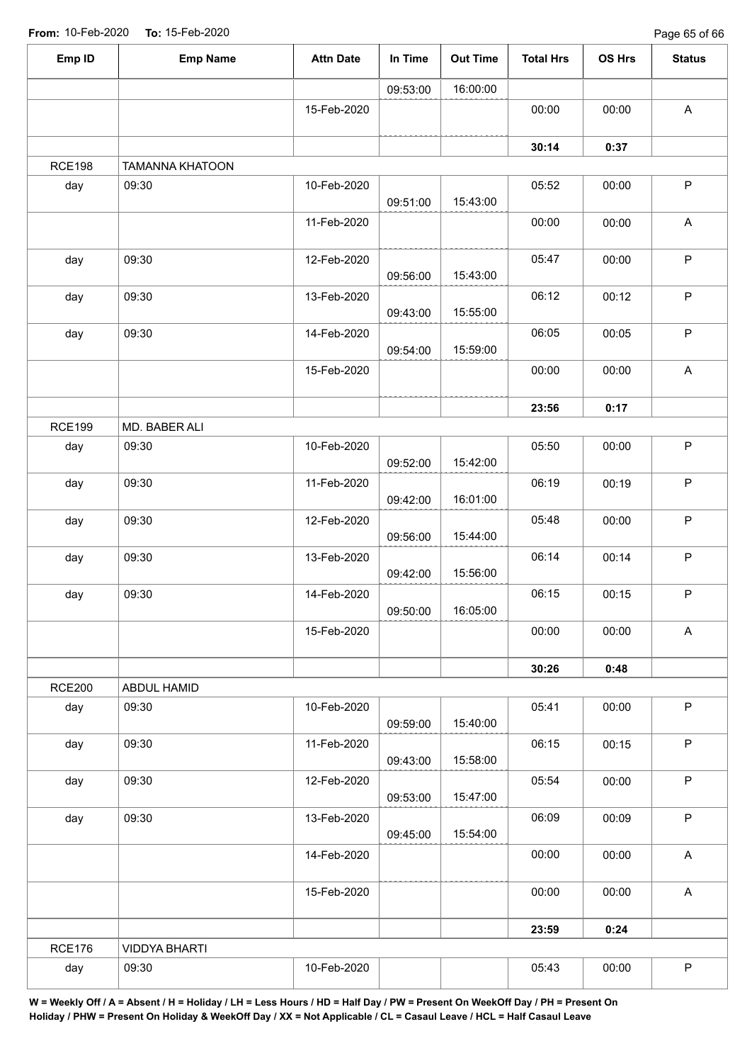Page 65 of 66

| Emp ID        | <b>Emp Name</b>        | <b>Attn Date</b> | In Time  | <b>Out Time</b> | <b>Total Hrs</b> | OS Hrs | <b>Status</b>             |
|---------------|------------------------|------------------|----------|-----------------|------------------|--------|---------------------------|
|               |                        |                  | 09:53:00 | 16:00:00        |                  |        |                           |
|               |                        | 15-Feb-2020      |          |                 | 00:00            | 00:00  | $\mathsf A$               |
|               |                        |                  |          |                 | 30:14            | 0:37   |                           |
| <b>RCE198</b> | <b>TAMANNA KHATOON</b> |                  |          |                 |                  |        |                           |
| day           | 09:30                  | 10-Feb-2020      | 09:51:00 | 15:43:00        | 05:52            | 00:00  | $\sf P$                   |
|               |                        | 11-Feb-2020      |          |                 | 00:00            | 00:00  | A                         |
| day           | 09:30                  | 12-Feb-2020      | 09:56:00 | 15:43:00        | 05:47            | 00:00  | $\mathsf P$               |
| day           | 09:30                  | 13-Feb-2020      | 09:43:00 | 15:55:00        | 06:12            | 00:12  | $\sf P$                   |
| day           | 09:30                  | 14-Feb-2020      | 09:54:00 | 15:59:00        | 06:05            | 00:05  | ${\sf P}$                 |
|               |                        | 15-Feb-2020      |          |                 | 00:00            | 00:00  | $\boldsymbol{\mathsf{A}}$ |
|               |                        |                  |          |                 | 23:56            | 0:17   |                           |
| <b>RCE199</b> | MD. BABER ALI          |                  |          |                 |                  |        |                           |
| day           | 09:30                  | 10-Feb-2020      | 09:52:00 | 15:42:00        | 05:50            | 00:00  | $\mathsf P$               |
| day           | 09:30                  | 11-Feb-2020      | 09:42:00 | 16:01:00        | 06:19            | 00:19  | ${\sf P}$                 |
| day           | 09:30                  | 12-Feb-2020      | 09:56:00 | 15:44:00        | 05:48            | 00:00  | $\sf P$                   |
| day           | 09:30                  | 13-Feb-2020      | 09:42:00 | 15:56:00        | 06:14            | 00:14  | $\sf P$                   |
| day           | 09:30                  | 14-Feb-2020      | 09:50:00 | 16:05:00        | 06:15            | 00:15  | $\mathsf P$               |
|               |                        | 15-Feb-2020      |          |                 | 00:00            | 00:00  | A                         |
|               |                        |                  |          |                 | 30:26            | 0:48   |                           |
| <b>RCE200</b> | ABDUL HAMID            |                  |          |                 |                  |        |                           |
| day           | 09:30                  | 10-Feb-2020      | 09:59:00 | 15:40:00        | 05:41            | 00:00  | $\mathsf P$               |
| day           | 09:30                  | 11-Feb-2020      | 09:43:00 | 15:58:00        | 06:15            | 00:15  | P                         |
| day           | 09:30                  | 12-Feb-2020      | 09:53:00 | 15:47:00        | 05:54            | 00:00  | $\mathsf P$               |
| day           | 09:30                  | 13-Feb-2020      | 09:45:00 | 15:54:00        | 06:09            | 00:09  | P                         |
|               |                        | 14-Feb-2020      |          |                 | 00:00            | 00:00  | $\mathsf{A}$              |
|               |                        | 15-Feb-2020      |          |                 | 00:00            | 00:00  | $\mathsf{A}$              |
|               |                        |                  |          |                 | 23:59            | 0:24   |                           |
| <b>RCE176</b> | <b>VIDDYA BHARTI</b>   |                  |          |                 |                  |        |                           |
| day           | 09:30                  | 10-Feb-2020      |          |                 | 05:43            | 00:00  | $\sf P$                   |